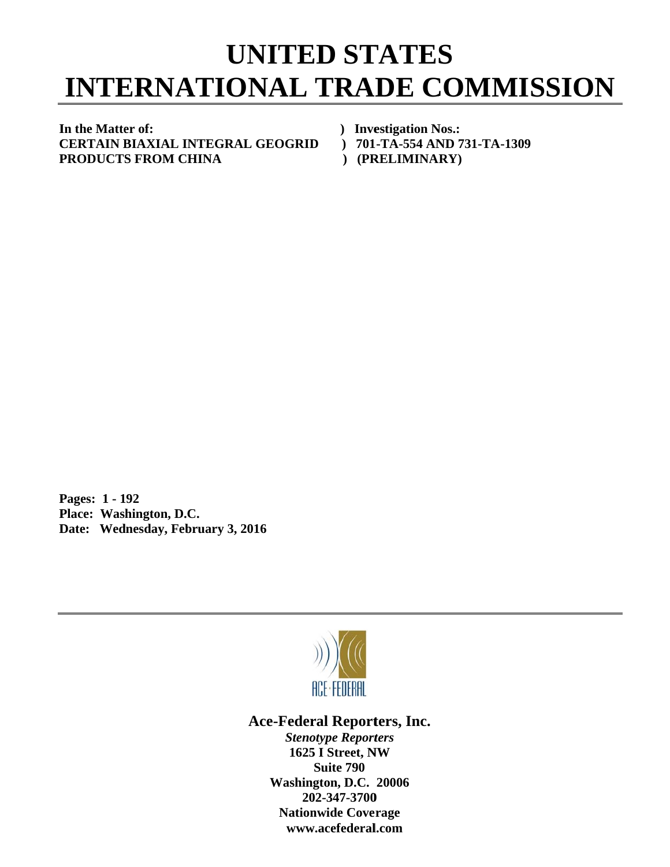## **INTERNATIONAL TRADE COMMISSION UNITED STATES**

In the Matter of: **C CERTAIN B BIAXIAL IN NTEGRAL L GEOGRID P PRODUCTS S FROM C HINA** 

- *)* Investigation Nos.:
- **D** ) 701-TA-554 AND 731-TA-1309
- **(PRELIMINARY)**

**P Pages: 1 - 1 192 P Place: Was hington, D.C C.**  Date: Wednesday, February 3, 2016



Ace-Federal Reporters, Inc.

**Stenotype Reporters 1625 I Street, NW Washin gton, D.C. 20006 20 02-347-3700** 202-347-3700<br>Nationwide Coverage **www w.acefederal l.com Suite 790**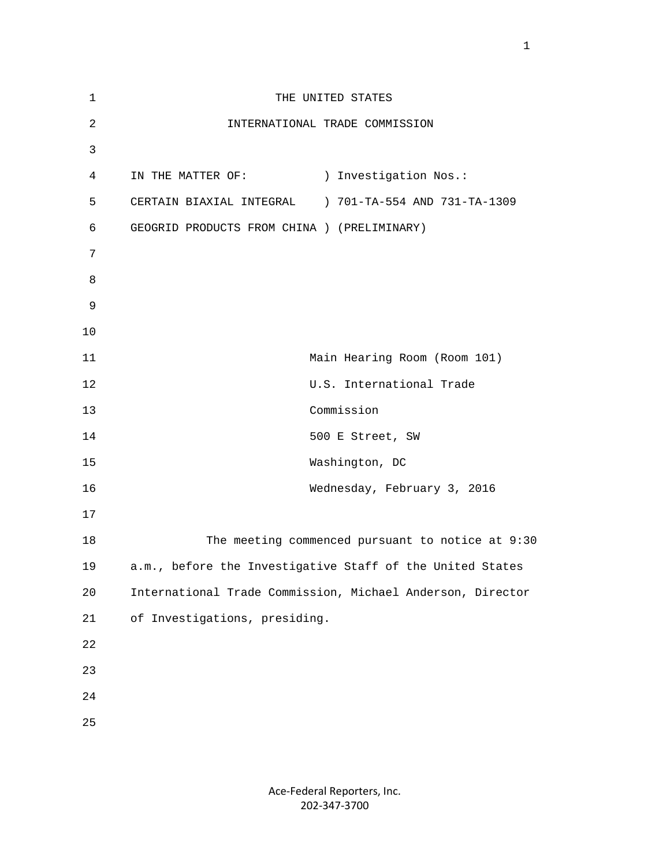| 1              | THE UNITED STATES                                          |
|----------------|------------------------------------------------------------|
| $\overline{a}$ | INTERNATIONAL TRADE COMMISSION                             |
| 3              |                                                            |
| 4              | IN THE MATTER OF:<br>) Investigation Nos.:                 |
| 5              | CERTAIN BIAXIAL INTEGRAL ) 701-TA-554 AND 731-TA-1309      |
| 6              | GEOGRID PRODUCTS FROM CHINA ) (PRELIMINARY)                |
| 7              |                                                            |
| 8              |                                                            |
| 9              |                                                            |
| 10             |                                                            |
| 11             | Main Hearing Room (Room 101)                               |
| 12             | U.S. International Trade                                   |
| 13             | Commission                                                 |
| 14             | 500 E Street, SW                                           |
| 15             | Washington, DC                                             |
| 16             | Wednesday, February 3, 2016                                |
| 17             |                                                            |
| 18             | The meeting commenced pursuant to notice at 9:30           |
| 19             | a.m., before the Investigative Staff of the United States  |
| 20             | International Trade Commission, Michael Anderson, Director |
| 21             | of Investigations, presiding.                              |
| 22             |                                                            |
| 23             |                                                            |
| $2\sqrt{4}$    |                                                            |
| 25             |                                                            |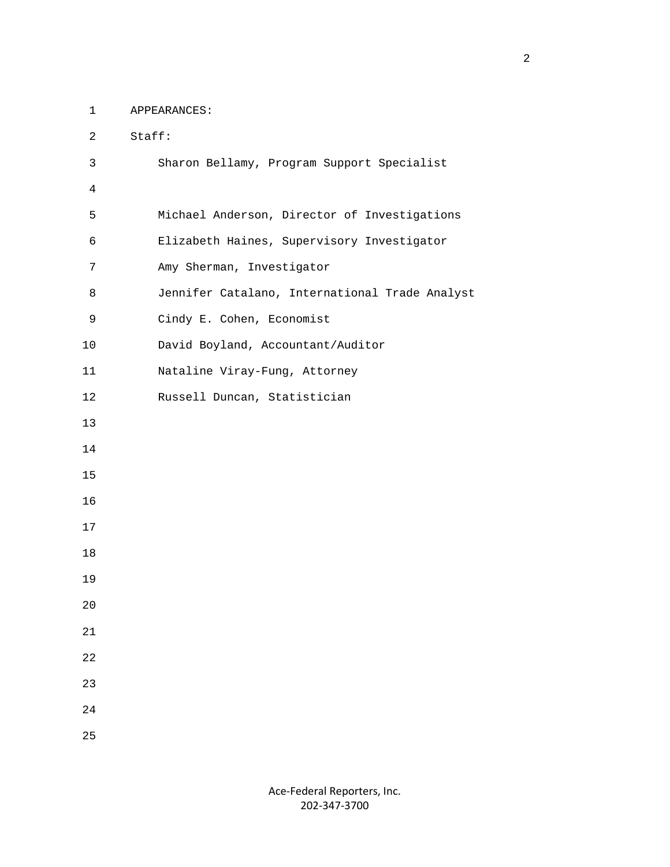1 APPEARANCES:

| $\overline{2}$ | Staff:                                         |
|----------------|------------------------------------------------|
| $\mathsf{3}$   | Sharon Bellamy, Program Support Specialist     |
| $\overline{4}$ |                                                |
| 5              | Michael Anderson, Director of Investigations   |
| 6              | Elizabeth Haines, Supervisory Investigator     |
| 7              | Amy Sherman, Investigator                      |
| 8              | Jennifer Catalano, International Trade Analyst |
| 9              | Cindy E. Cohen, Economist                      |
| 10             | David Boyland, Accountant/Auditor              |
| 11             | Nataline Viray-Fung, Attorney                  |
| 12             | Russell Duncan, Statistician                   |
| 13             |                                                |
| 14             |                                                |
| 15             |                                                |
| 16             |                                                |
| 17             |                                                |
| 18             |                                                |
| 19             |                                                |
| 20             |                                                |
| 21             |                                                |
| 22             |                                                |
| 23             |                                                |
| 24             |                                                |
| 25             |                                                |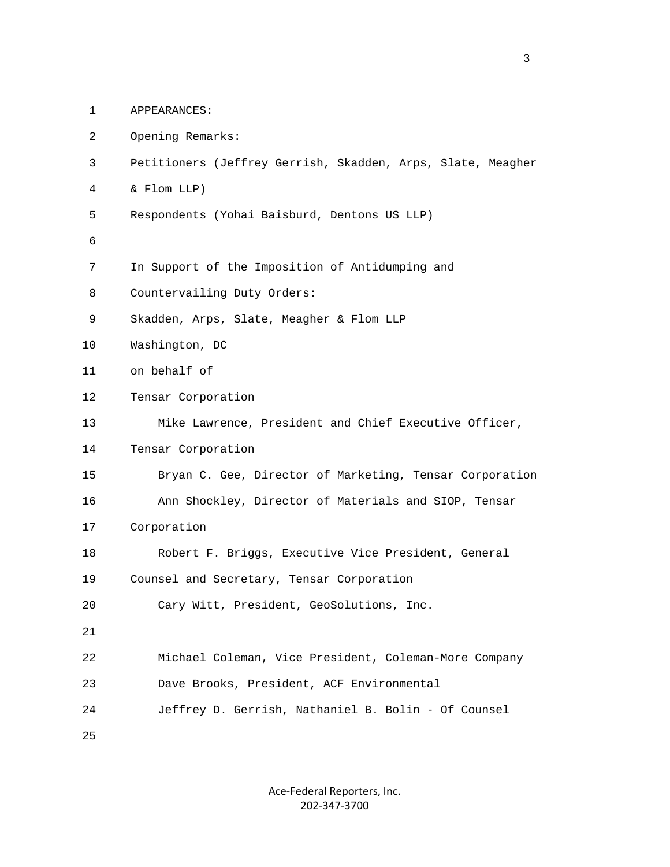| $\mathbf{1}$ | APPEARANCES:                                                |
|--------------|-------------------------------------------------------------|
| 2            | Opening Remarks:                                            |
| 3            | Petitioners (Jeffrey Gerrish, Skadden, Arps, Slate, Meagher |
| 4            | & Flom LLP)                                                 |
| 5            | Respondents (Yohai Baisburd, Dentons US LLP)                |
| 6            |                                                             |
| 7            | In Support of the Imposition of Antidumping and             |
| 8            | Countervailing Duty Orders:                                 |
| 9            | Skadden, Arps, Slate, Meagher & Flom LLP                    |
| 10           | Washington, DC                                              |
| 11           | on behalf of                                                |
| 12           | Tensar Corporation                                          |
| 13           | Mike Lawrence, President and Chief Executive Officer,       |
| 14           | Tensar Corporation                                          |
| 15           | Bryan C. Gee, Director of Marketing, Tensar Corporation     |
| 16           | Ann Shockley, Director of Materials and SIOP, Tensar        |
| 17           | Corporation                                                 |
| 18           | Robert F. Briggs, Executive Vice President, General         |
| 19           | Counsel and Secretary, Tensar Corporation                   |
| 20           | Cary Witt, President, GeoSolutions, Inc.                    |
| 21           |                                                             |
| 22           | Michael Coleman, Vice President, Coleman-More Company       |
| 23           | Dave Brooks, President, ACF Environmental                   |
| 24           | Jeffrey D. Gerrish, Nathaniel B. Bolin - Of Counsel         |
| 25           |                                                             |
|              |                                                             |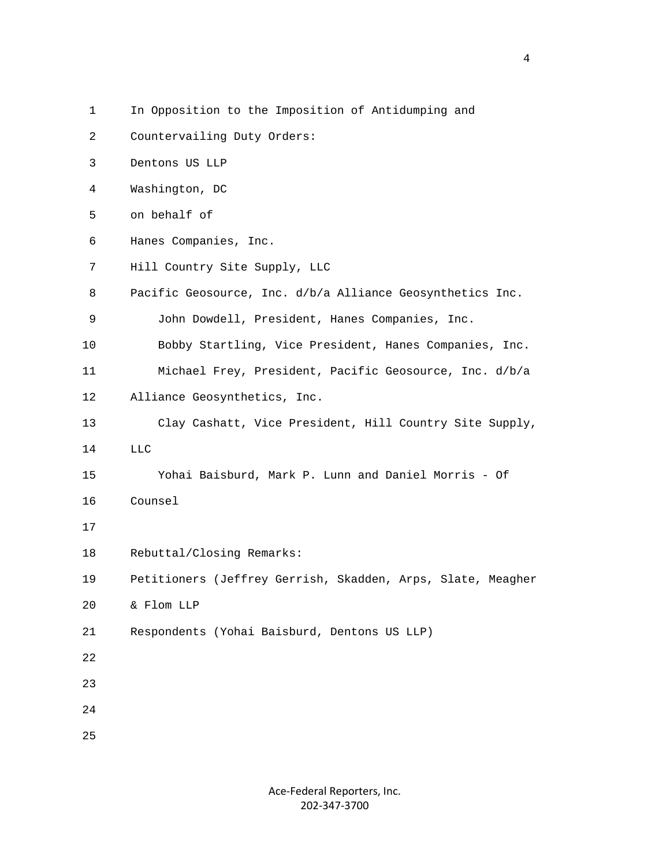- 1 In Opposition to the Imposition of Antidumping and
- 2 Countervailing Duty Orders:
- 3 Dentons US LLP
- 4 Washington, DC
- 5 on behalf of
- 6 Hanes Companies, Inc.
- 7 Hill Country Site Supply, LLC
- 8 Pacific Geosource, Inc. d/b/a Alliance Geosynthetics Inc.
- 9 John Dowdell, President, Hanes Companies, Inc.
- 10 Bobby Startling, Vice President, Hanes Companies, Inc.
- 11 Michael Frey, President, Pacific Geosource, Inc. d/b/a
- 12 Alliance Geosynthetics, Inc.
- 13 Clay Cashatt, Vice President, Hill Country Site Supply,
- 14 LLC
- 15 Yohai Baisburd, Mark P. Lunn and Daniel Morris Of
- 16 Counsel
- 17
- 18 Rebuttal/Closing Remarks:
- 19 Petitioners (Jeffrey Gerrish, Skadden, Arps, Slate, Meagher
- 20 & Flom LLP
- 21 Respondents (Yohai Baisburd, Dentons US LLP)
- 22
- 23
- 24
- 25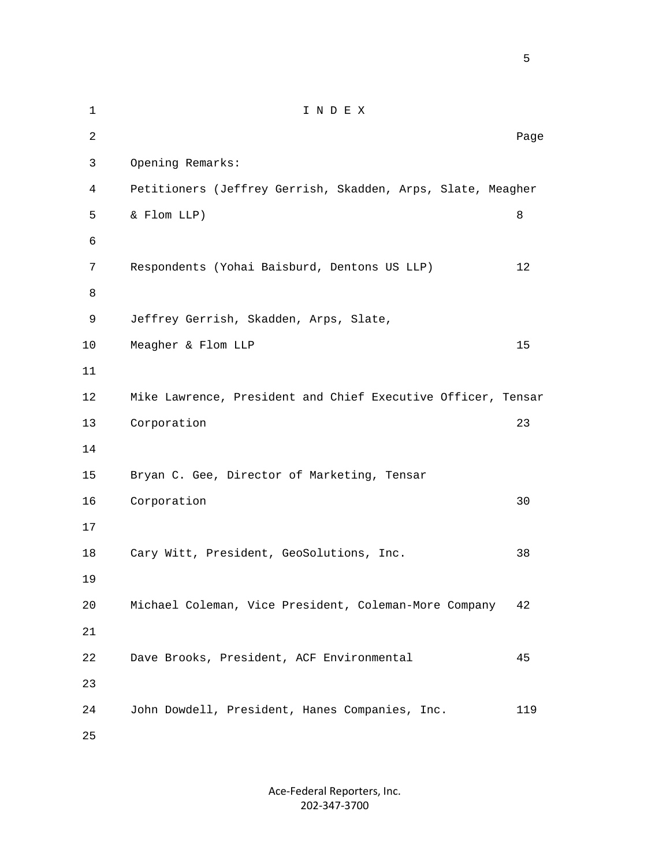1 I N D E X 2 **Page 12** Page 2 **Page 2** Page 2 Page 2 Page 2 Page 2 Page 2 Page 2 Page 2 Page 2 Page 2 Page 2 Page 2 Page 2 Page 2 Page 2 Page 2 Page 2 Page 2 Page 2 Page 2 Page 2 Page 2 Page 2 Page 2 Page 2 Page 2 Page 2 Page 2 Page 3 Opening Remarks: 4 Petitioners (Jeffrey Gerrish, Skadden, Arps, Slate, Meagher 5 & Flom LLP) 8 6 7 Respondents (Yohai Baisburd, Dentons US LLP) 12 8 9 Jeffrey Gerrish, Skadden, Arps, Slate, 10 Meagher & Flom LLP 15 11 12 Mike Lawrence, President and Chief Executive Officer, Tensar 13 Corporation 23 14 15 Bryan C. Gee, Director of Marketing, Tensar 16 Corporation 30 17 18 Cary Witt, President, GeoSolutions, Inc. 38 19 20 Michael Coleman, Vice President, Coleman-More Company 42 21 22 Dave Brooks, President, ACF Environmental 45 23 24 John Dowdell, President, Hanes Companies, Inc. 119 25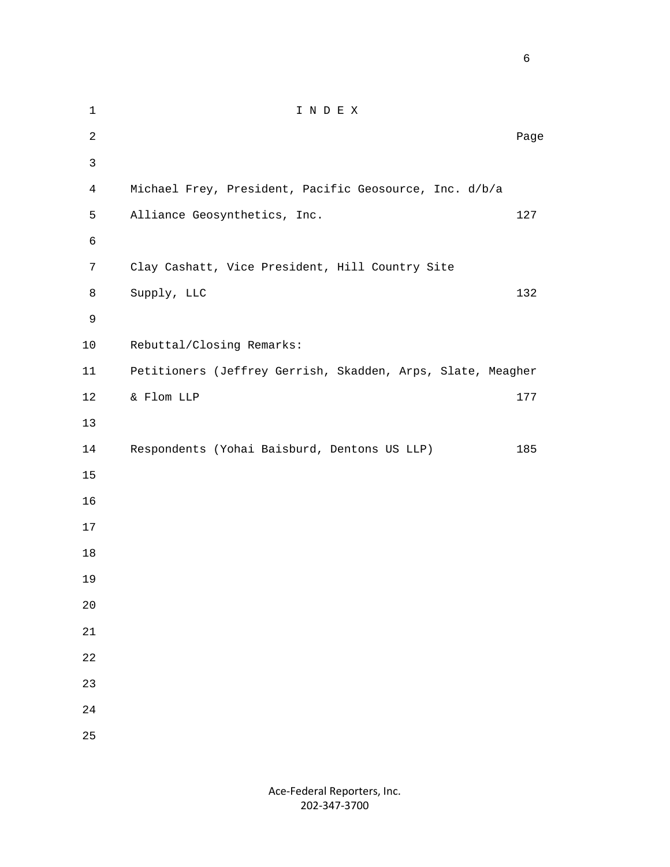1 I N D E X **Page 12** Page 2 **Page 2** Page 2 Page 2 Page 2 Page 2 Page 2 Page 2 Page 2 Page 2 Page 2 Page 2 Page 2 Page 2 Page 2 Page 2 Page 2 Page 2 Page 2 Page 2 Page 2 Page 2 Page 2 Page 2 Page 2 Page 2 Page 2 Page 2 Page 2 Page 4 Michael Frey, President, Pacific Geosource, Inc. d/b/a 5 Alliance Geosynthetics, Inc. 127 7 Clay Cashatt, Vice President, Hill Country Site 8 Supply, LLC 132 10 Rebuttal/Closing Remarks: 11 Petitioners (Jeffrey Gerrish, Skadden, Arps, Slate, Meagher 12 & Flom LLP 177 14 Respondents (Yohai Baisburd, Dentons US LLP) 185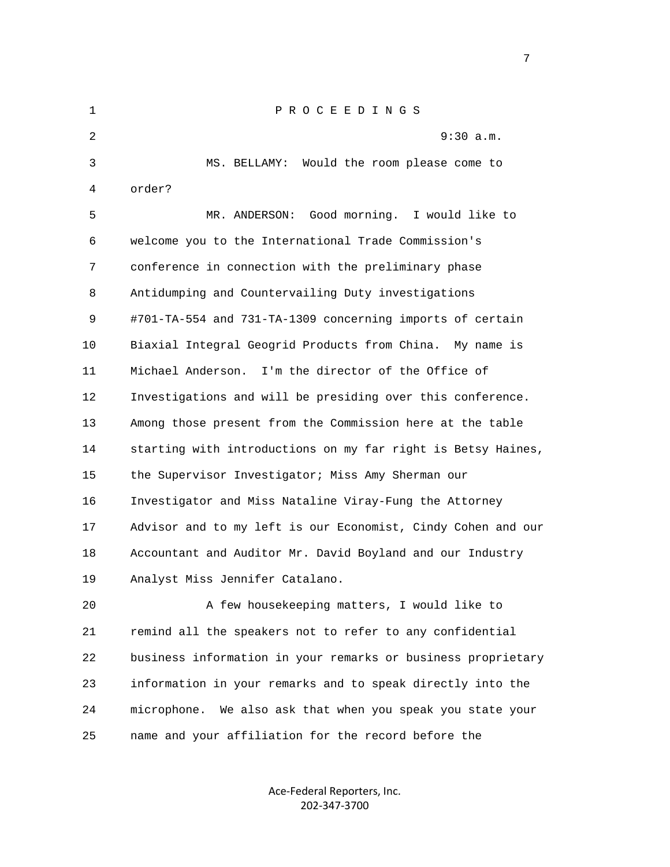| $\mathbf 1$ | P R O C E E D I N G S                                        |
|-------------|--------------------------------------------------------------|
| 2           | $9:30$ a.m.                                                  |
| 3           | MS. BELLAMY: Would the room please come to                   |
| 4           | order?                                                       |
| 5           | MR. ANDERSON: Good morning. I would like to                  |
| 6           | welcome you to the International Trade Commission's          |
| 7           | conference in connection with the preliminary phase          |
| 8           | Antidumping and Countervailing Duty investigations           |
| 9           | #701-TA-554 and 731-TA-1309 concerning imports of certain    |
| 10          | Biaxial Integral Geogrid Products from China. My name is     |
| 11          | I'm the director of the Office of<br>Michael Anderson.       |
| 12          | Investigations and will be presiding over this conference.   |
| 13          | Among those present from the Commission here at the table    |
| 14          | starting with introductions on my far right is Betsy Haines, |
| 15          | the Supervisor Investigator; Miss Amy Sherman our            |
| 16          | Investigator and Miss Nataline Viray-Fung the Attorney       |
| 17          | Advisor and to my left is our Economist, Cindy Cohen and our |
| 18          | Accountant and Auditor Mr. David Boyland and our Industry    |
| 19          | Analyst Miss Jennifer Catalano.                              |
| 20          | A few housekeeping matters, I would like to                  |
| 21          | remind all the speakers not to refer to any confidential     |
| 22          | business information in your remarks or business proprietary |

 24 microphone. We also ask that when you speak you state your 25 name and your affiliation for the record before the

23 information in your remarks and to speak directly into the

Ace‐Federal Reporters, Inc. 202‐347‐3700

<u>2003: The contract of the contract of the contract of the contract of the contract of the contract of the con</u>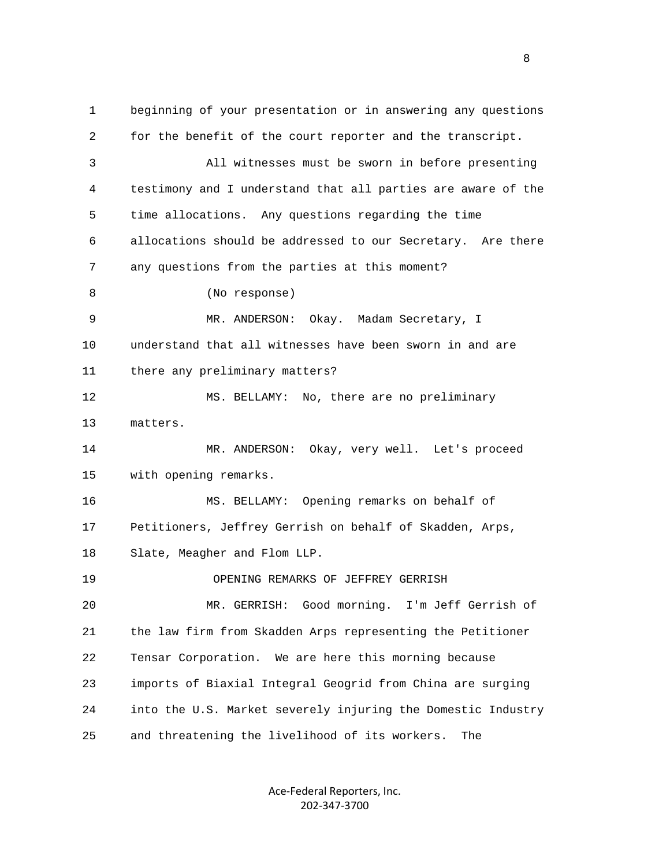1 beginning of your presentation or in answering any questions 2 for the benefit of the court reporter and the transcript. 3 All witnesses must be sworn in before presenting 4 testimony and I understand that all parties are aware of the 5 time allocations. Any questions regarding the time 6 allocations should be addressed to our Secretary. Are there 7 any questions from the parties at this moment? 8 (No response) 9 MR. ANDERSON: Okay. Madam Secretary, I 10 understand that all witnesses have been sworn in and are 11 there any preliminary matters? 12 MS. BELLAMY: No, there are no preliminary 13 matters. 14 MR. ANDERSON: Okay, very well. Let's proceed 15 with opening remarks. 16 MS. BELLAMY: Opening remarks on behalf of 17 Petitioners, Jeffrey Gerrish on behalf of Skadden, Arps, 18 Slate, Meagher and Flom LLP. 19 OPENING REMARKS OF JEFFREY GERRISH 20 MR. GERRISH: Good morning. I'm Jeff Gerrish of 21 the law firm from Skadden Arps representing the Petitioner 22 Tensar Corporation. We are here this morning because 23 imports of Biaxial Integral Geogrid from China are surging 24 into the U.S. Market severely injuring the Domestic Industry 25 and threatening the livelihood of its workers. The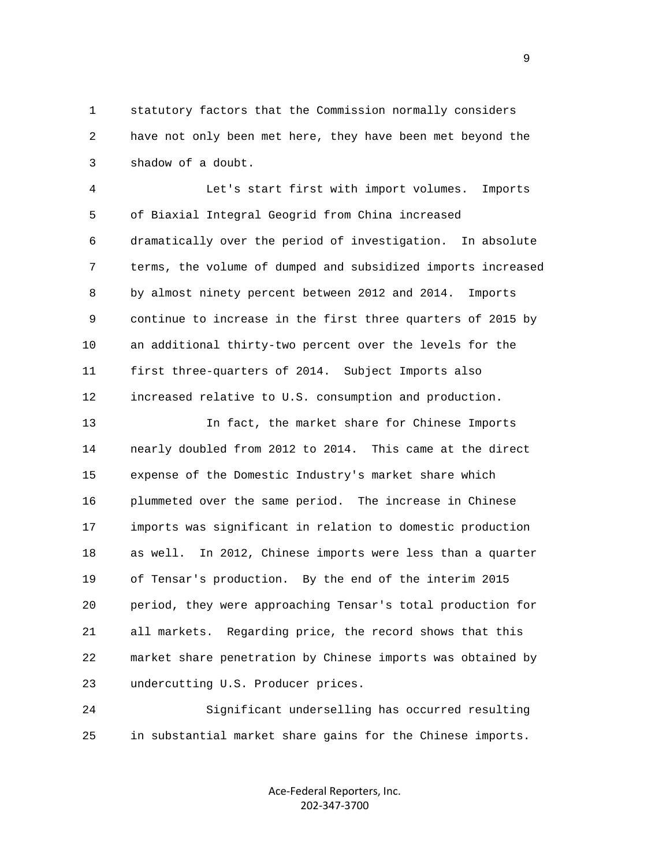1 statutory factors that the Commission normally considers 2 have not only been met here, they have been met beyond the 3 shadow of a doubt.

 4 Let's start first with import volumes. Imports 5 of Biaxial Integral Geogrid from China increased 6 dramatically over the period of investigation. In absolute 7 terms, the volume of dumped and subsidized imports increased 8 by almost ninety percent between 2012 and 2014. Imports 9 continue to increase in the first three quarters of 2015 by 10 an additional thirty-two percent over the levels for the 11 first three-quarters of 2014. Subject Imports also 12 increased relative to U.S. consumption and production.

 13 In fact, the market share for Chinese Imports 14 nearly doubled from 2012 to 2014. This came at the direct 15 expense of the Domestic Industry's market share which 16 plummeted over the same period. The increase in Chinese 17 imports was significant in relation to domestic production 18 as well. In 2012, Chinese imports were less than a quarter 19 of Tensar's production. By the end of the interim 2015 20 period, they were approaching Tensar's total production for 21 all markets. Regarding price, the record shows that this 22 market share penetration by Chinese imports was obtained by 23 undercutting U.S. Producer prices.

 24 Significant underselling has occurred resulting 25 in substantial market share gains for the Chinese imports.

> Ace‐Federal Reporters, Inc. 202‐347‐3700

en de la provincia de la provincia de la provincia de la provincia de la provincia de la provincia de la provi<br>1900 : la provincia de la provincia de la provincia de la provincia de la provincia de la provincia de la prov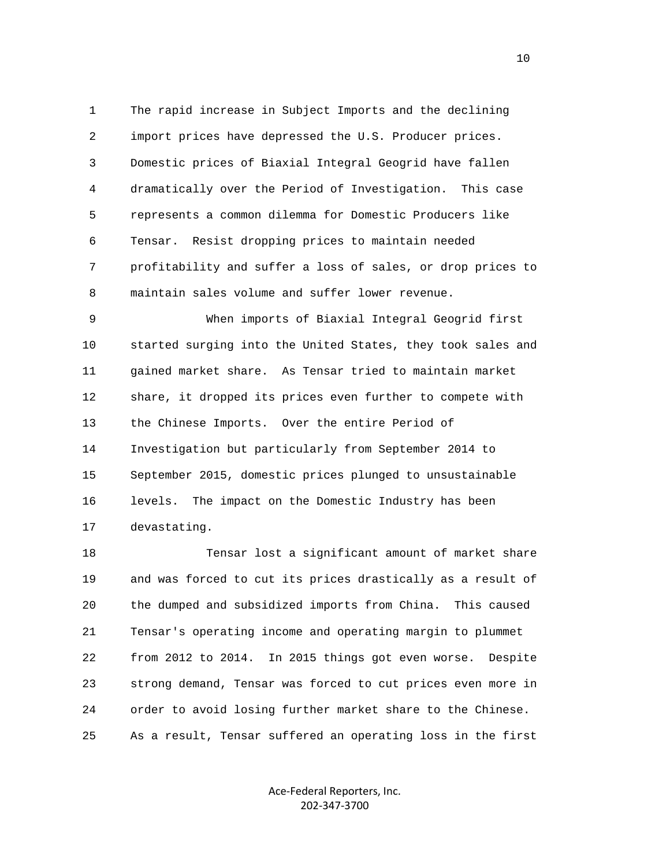1 The rapid increase in Subject Imports and the declining 2 import prices have depressed the U.S. Producer prices. 3 Domestic prices of Biaxial Integral Geogrid have fallen 4 dramatically over the Period of Investigation. This case 5 represents a common dilemma for Domestic Producers like 6 Tensar. Resist dropping prices to maintain needed 7 profitability and suffer a loss of sales, or drop prices to 8 maintain sales volume and suffer lower revenue.

 9 When imports of Biaxial Integral Geogrid first 10 started surging into the United States, they took sales and 11 gained market share. As Tensar tried to maintain market 12 share, it dropped its prices even further to compete with 13 the Chinese Imports. Over the entire Period of 14 Investigation but particularly from September 2014 to 15 September 2015, domestic prices plunged to unsustainable 16 levels. The impact on the Domestic Industry has been 17 devastating.

 18 Tensar lost a significant amount of market share 19 and was forced to cut its prices drastically as a result of 20 the dumped and subsidized imports from China. This caused 21 Tensar's operating income and operating margin to plummet 22 from 2012 to 2014. In 2015 things got even worse. Despite 23 strong demand, Tensar was forced to cut prices even more in 24 order to avoid losing further market share to the Chinese. 25 As a result, Tensar suffered an operating loss in the first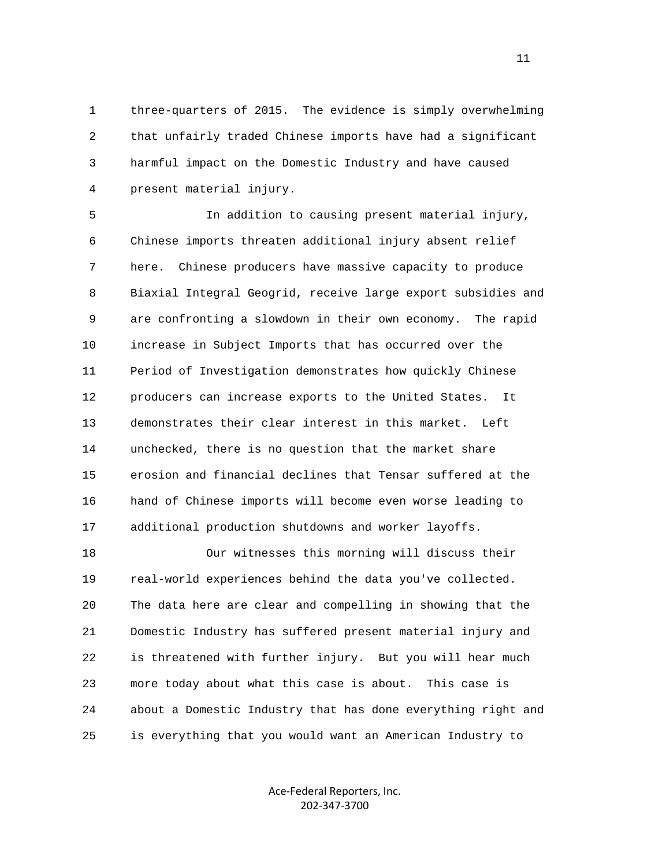1 three-quarters of 2015. The evidence is simply overwhelming 2 that unfairly traded Chinese imports have had a significant 3 harmful impact on the Domestic Industry and have caused 4 present material injury.

 5 In addition to causing present material injury, 6 Chinese imports threaten additional injury absent relief 7 here. Chinese producers have massive capacity to produce 8 Biaxial Integral Geogrid, receive large export subsidies and 9 are confronting a slowdown in their own economy. The rapid 10 increase in Subject Imports that has occurred over the 11 Period of Investigation demonstrates how quickly Chinese 12 producers can increase exports to the United States. It 13 demonstrates their clear interest in this market. Left 14 unchecked, there is no question that the market share 15 erosion and financial declines that Tensar suffered at the 16 hand of Chinese imports will become even worse leading to 17 additional production shutdowns and worker layoffs.

 18 Our witnesses this morning will discuss their 19 real-world experiences behind the data you've collected. 20 The data here are clear and compelling in showing that the 21 Domestic Industry has suffered present material injury and 22 is threatened with further injury. But you will hear much 23 more today about what this case is about. This case is 24 about a Domestic Industry that has done everything right and 25 is everything that you would want an American Industry to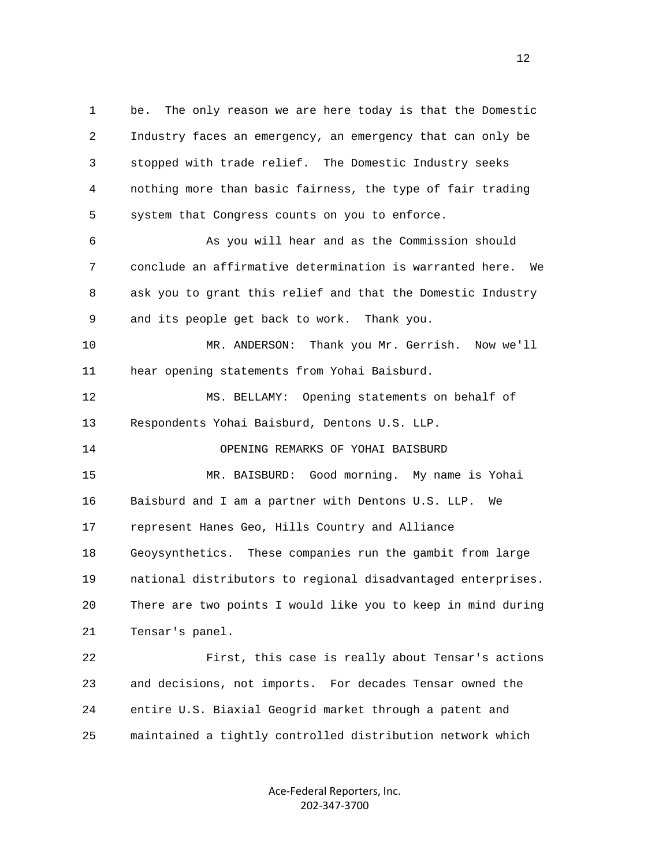2 Industry faces an emergency, an emergency that can only be 3 stopped with trade relief. The Domestic Industry seeks 4 nothing more than basic fairness, the type of fair trading 5 system that Congress counts on you to enforce. 6 As you will hear and as the Commission should 7 conclude an affirmative determination is warranted here. We 8 ask you to grant this relief and that the Domestic Industry 9 and its people get back to work. Thank you. 10 MR. ANDERSON: Thank you Mr. Gerrish. Now we'll 11 hear opening statements from Yohai Baisburd. 12 MS. BELLAMY: Opening statements on behalf of 13 Respondents Yohai Baisburd, Dentons U.S. LLP. 14 OPENING REMARKS OF YOHAI BAISBURD 15 MR. BAISBURD: Good morning. My name is Yohai 16 Baisburd and I am a partner with Dentons U.S. LLP. We 17 represent Hanes Geo, Hills Country and Alliance 18 Geoysynthetics. These companies run the gambit from large 19 national distributors to regional disadvantaged enterprises. 20 There are two points I would like you to keep in mind during 21 Tensar's panel.

1 be. The only reason we are here today is that the Domestic

 22 First, this case is really about Tensar's actions 23 and decisions, not imports. For decades Tensar owned the 24 entire U.S. Biaxial Geogrid market through a patent and 25 maintained a tightly controlled distribution network which

> Ace‐Federal Reporters, Inc. 202‐347‐3700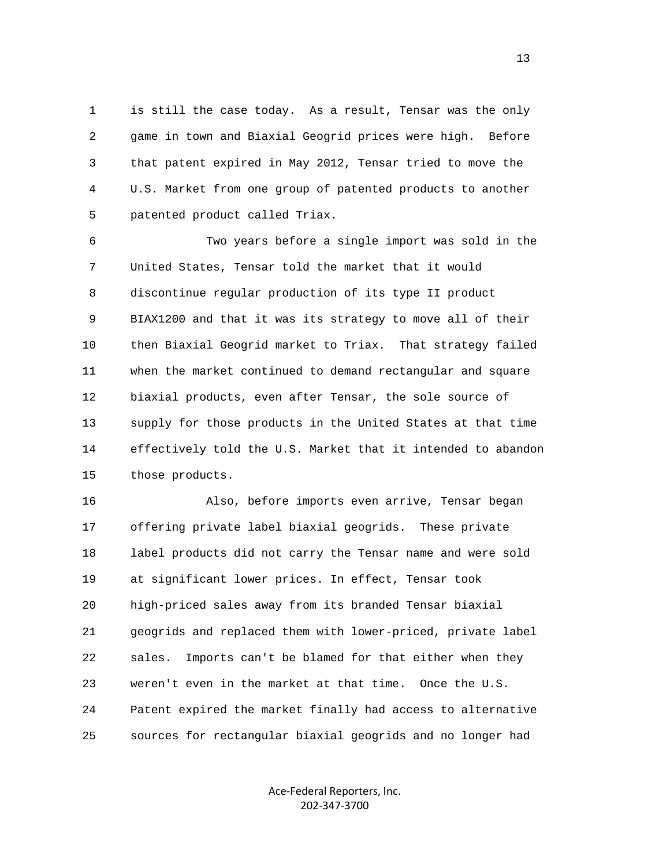1 is still the case today. As a result, Tensar was the only 2 game in town and Biaxial Geogrid prices were high. Before 3 that patent expired in May 2012, Tensar tried to move the 4 U.S. Market from one group of patented products to another 5 patented product called Triax.

 6 Two years before a single import was sold in the 7 United States, Tensar told the market that it would 8 discontinue regular production of its type II product 9 BIAX1200 and that it was its strategy to move all of their 10 then Biaxial Geogrid market to Triax. That strategy failed 11 when the market continued to demand rectangular and square 12 biaxial products, even after Tensar, the sole source of 13 supply for those products in the United States at that time 14 effectively told the U.S. Market that it intended to abandon 15 those products.

 16 Also, before imports even arrive, Tensar began 17 offering private label biaxial geogrids. These private 18 label products did not carry the Tensar name and were sold 19 at significant lower prices. In effect, Tensar took 20 high-priced sales away from its branded Tensar biaxial 21 geogrids and replaced them with lower-priced, private label 22 sales. Imports can't be blamed for that either when they 23 weren't even in the market at that time. Once the U.S. 24 Patent expired the market finally had access to alternative 25 sources for rectangular biaxial geogrids and no longer had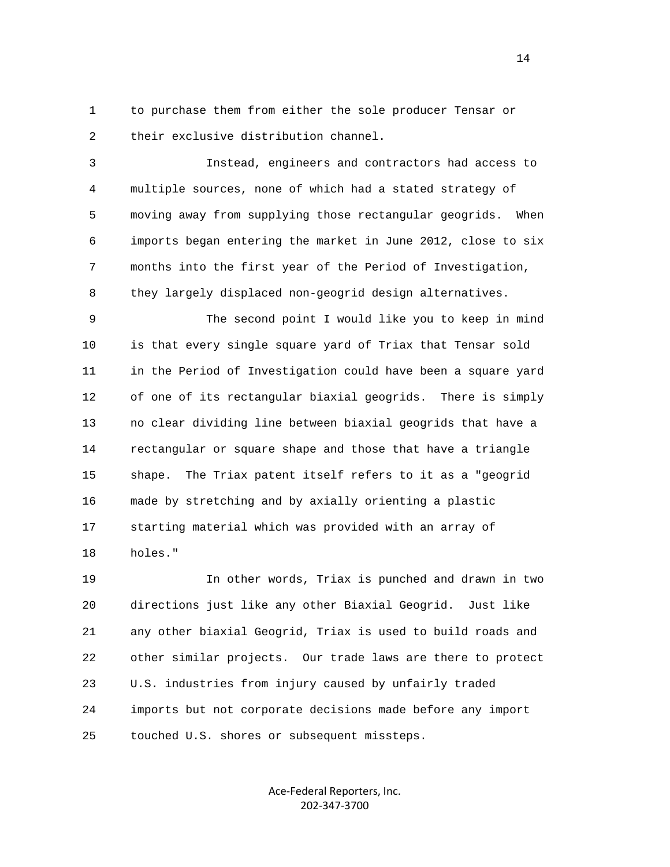1 to purchase them from either the sole producer Tensar or 2 their exclusive distribution channel.

 3 Instead, engineers and contractors had access to 4 multiple sources, none of which had a stated strategy of 5 moving away from supplying those rectangular geogrids. When 6 imports began entering the market in June 2012, close to six 7 months into the first year of the Period of Investigation, 8 they largely displaced non-geogrid design alternatives.

 9 The second point I would like you to keep in mind 10 is that every single square yard of Triax that Tensar sold 11 in the Period of Investigation could have been a square yard 12 of one of its rectangular biaxial geogrids. There is simply 13 no clear dividing line between biaxial geogrids that have a 14 rectangular or square shape and those that have a triangle 15 shape. The Triax patent itself refers to it as a "geogrid 16 made by stretching and by axially orienting a plastic 17 starting material which was provided with an array of 18 holes."

 19 In other words, Triax is punched and drawn in two 20 directions just like any other Biaxial Geogrid. Just like 21 any other biaxial Geogrid, Triax is used to build roads and 22 other similar projects. Our trade laws are there to protect 23 U.S. industries from injury caused by unfairly traded 24 imports but not corporate decisions made before any import 25 touched U.S. shores or subsequent missteps.

> Ace‐Federal Reporters, Inc. 202‐347‐3700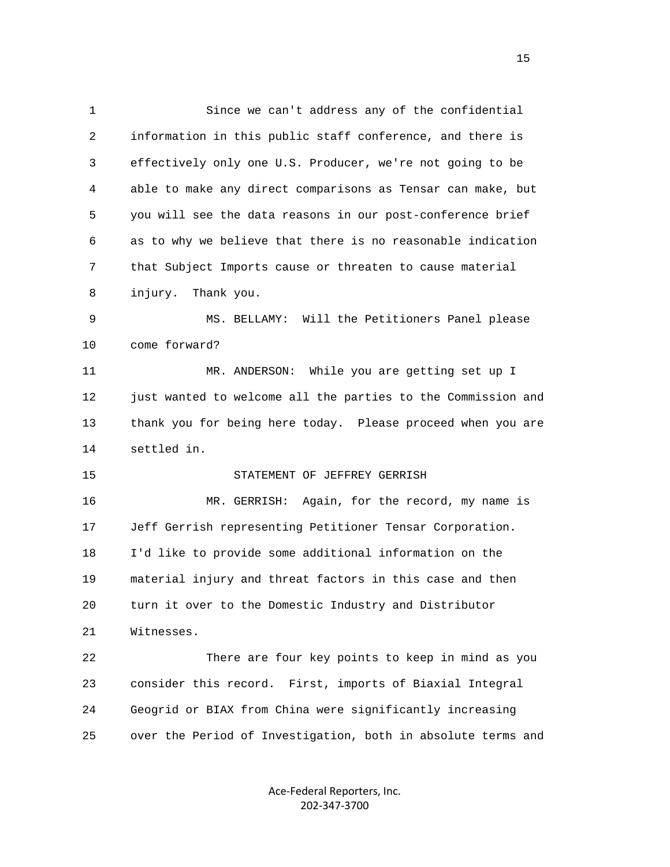1 Since we can't address any of the confidential 2 information in this public staff conference, and there is 3 effectively only one U.S. Producer, we're not going to be 4 able to make any direct comparisons as Tensar can make, but 5 you will see the data reasons in our post-conference brief 6 as to why we believe that there is no reasonable indication 7 that Subject Imports cause or threaten to cause material 8 injury. Thank you. 9 MS. BELLAMY: Will the Petitioners Panel please 10 come forward? 11 MR. ANDERSON: While you are getting set up I 12 just wanted to welcome all the parties to the Commission and 13 thank you for being here today. Please proceed when you are 14 settled in. 15 STATEMENT OF JEFFREY GERRISH 16 MR. GERRISH: Again, for the record, my name is 17 Jeff Gerrish representing Petitioner Tensar Corporation. 18 I'd like to provide some additional information on the 19 material injury and threat factors in this case and then 20 turn it over to the Domestic Industry and Distributor 21 Witnesses. 22 There are four key points to keep in mind as you 23 consider this record. First, imports of Biaxial Integral 24 Geogrid or BIAX from China were significantly increasing 25 over the Period of Investigation, both in absolute terms and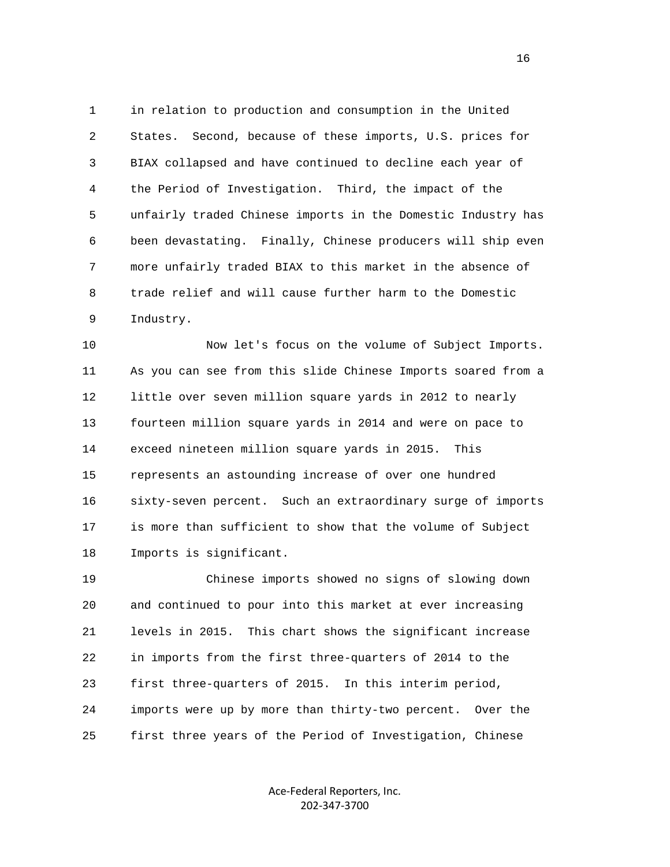1 in relation to production and consumption in the United 2 States. Second, because of these imports, U.S. prices for 3 BIAX collapsed and have continued to decline each year of 4 the Period of Investigation. Third, the impact of the 5 unfairly traded Chinese imports in the Domestic Industry has 6 been devastating. Finally, Chinese producers will ship even 7 more unfairly traded BIAX to this market in the absence of 8 trade relief and will cause further harm to the Domestic 9 Industry.

 10 Now let's focus on the volume of Subject Imports. 11 As you can see from this slide Chinese Imports soared from a 12 little over seven million square yards in 2012 to nearly 13 fourteen million square yards in 2014 and were on pace to 14 exceed nineteen million square yards in 2015. This 15 represents an astounding increase of over one hundred 16 sixty-seven percent. Such an extraordinary surge of imports 17 is more than sufficient to show that the volume of Subject 18 Imports is significant.

 19 Chinese imports showed no signs of slowing down 20 and continued to pour into this market at ever increasing 21 levels in 2015. This chart shows the significant increase 22 in imports from the first three-quarters of 2014 to the 23 first three-quarters of 2015. In this interim period, 24 imports were up by more than thirty-two percent. Over the 25 first three years of the Period of Investigation, Chinese

> Ace‐Federal Reporters, Inc. 202‐347‐3700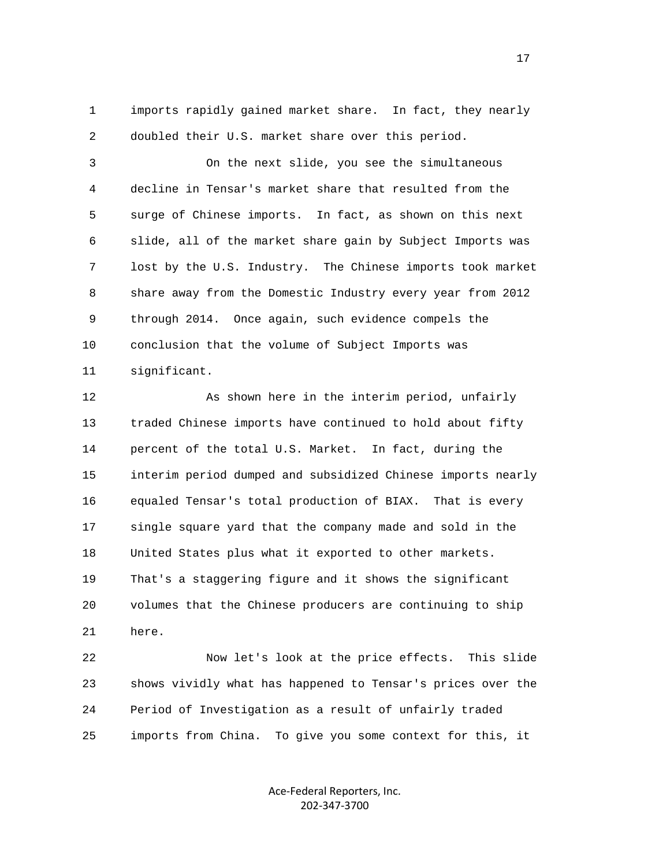1 imports rapidly gained market share. In fact, they nearly 2 doubled their U.S. market share over this period.

 3 On the next slide, you see the simultaneous 4 decline in Tensar's market share that resulted from the 5 surge of Chinese imports. In fact, as shown on this next 6 slide, all of the market share gain by Subject Imports was 7 lost by the U.S. Industry. The Chinese imports took market 8 share away from the Domestic Industry every year from 2012 9 through 2014. Once again, such evidence compels the 10 conclusion that the volume of Subject Imports was 11 significant.

12 As shown here in the interim period, unfairly 13 traded Chinese imports have continued to hold about fifty 14 percent of the total U.S. Market. In fact, during the 15 interim period dumped and subsidized Chinese imports nearly 16 equaled Tensar's total production of BIAX. That is every 17 single square yard that the company made and sold in the 18 United States plus what it exported to other markets. 19 That's a staggering figure and it shows the significant 20 volumes that the Chinese producers are continuing to ship 21 here.

 22 Now let's look at the price effects. This slide 23 shows vividly what has happened to Tensar's prices over the 24 Period of Investigation as a result of unfairly traded 25 imports from China. To give you some context for this, it

> Ace‐Federal Reporters, Inc. 202‐347‐3700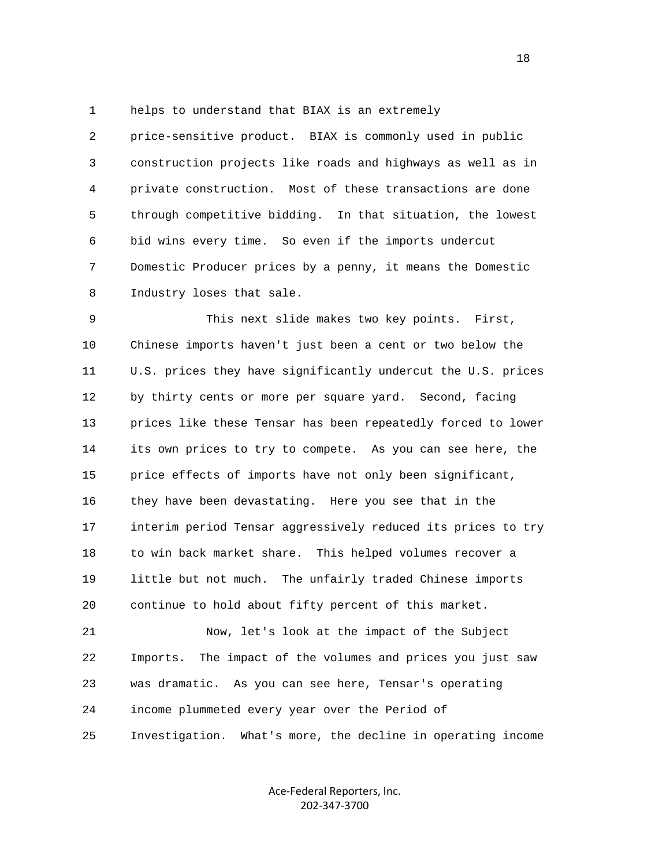1 helps to understand that BIAX is an extremely

 2 price-sensitive product. BIAX is commonly used in public 3 construction projects like roads and highways as well as in 4 private construction. Most of these transactions are done 5 through competitive bidding. In that situation, the lowest 6 bid wins every time. So even if the imports undercut 7 Domestic Producer prices by a penny, it means the Domestic 8 Industry loses that sale.

 9 This next slide makes two key points. First, 10 Chinese imports haven't just been a cent or two below the 11 U.S. prices they have significantly undercut the U.S. prices 12 by thirty cents or more per square yard. Second, facing 13 prices like these Tensar has been repeatedly forced to lower 14 its own prices to try to compete. As you can see here, the 15 price effects of imports have not only been significant, 16 they have been devastating. Here you see that in the 17 interim period Tensar aggressively reduced its prices to try 18 to win back market share. This helped volumes recover a 19 little but not much. The unfairly traded Chinese imports 20 continue to hold about fifty percent of this market.

 21 Now, let's look at the impact of the Subject 22 Imports. The impact of the volumes and prices you just saw 23 was dramatic. As you can see here, Tensar's operating 24 income plummeted every year over the Period of 25 Investigation. What's more, the decline in operating income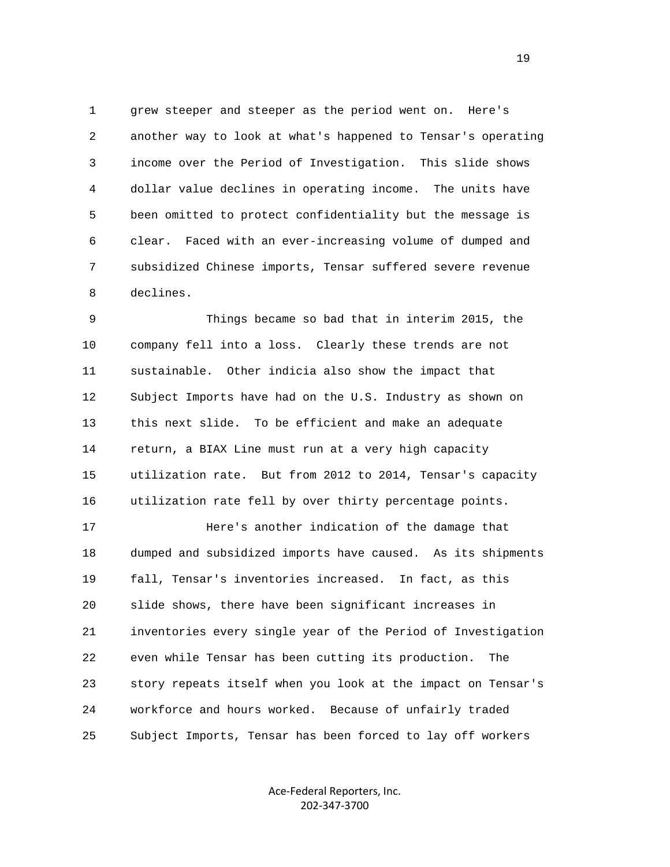1 grew steeper and steeper as the period went on. Here's 2 another way to look at what's happened to Tensar's operating 3 income over the Period of Investigation. This slide shows 4 dollar value declines in operating income. The units have 5 been omitted to protect confidentiality but the message is 6 clear. Faced with an ever-increasing volume of dumped and 7 subsidized Chinese imports, Tensar suffered severe revenue 8 declines.

 9 Things became so bad that in interim 2015, the 10 company fell into a loss. Clearly these trends are not 11 sustainable. Other indicia also show the impact that 12 Subject Imports have had on the U.S. Industry as shown on 13 this next slide. To be efficient and make an adequate 14 return, a BIAX Line must run at a very high capacity 15 utilization rate. But from 2012 to 2014, Tensar's capacity 16 utilization rate fell by over thirty percentage points.

 17 Here's another indication of the damage that 18 dumped and subsidized imports have caused. As its shipments 19 fall, Tensar's inventories increased. In fact, as this 20 slide shows, there have been significant increases in 21 inventories every single year of the Period of Investigation 22 even while Tensar has been cutting its production. The 23 story repeats itself when you look at the impact on Tensar's 24 workforce and hours worked. Because of unfairly traded 25 Subject Imports, Tensar has been forced to lay off workers

> Ace‐Federal Reporters, Inc. 202‐347‐3700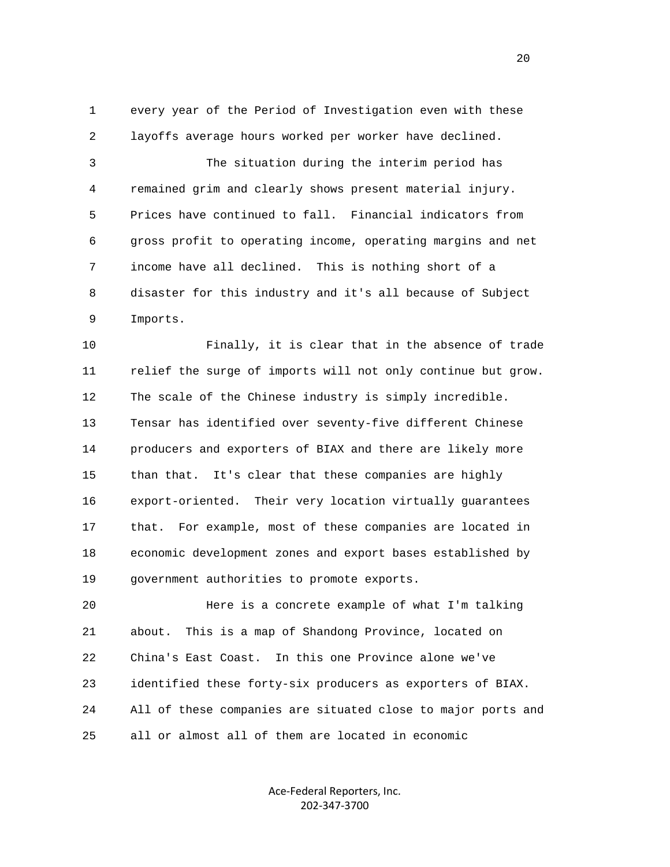1 every year of the Period of Investigation even with these 2 layoffs average hours worked per worker have declined.

 3 The situation during the interim period has 4 remained grim and clearly shows present material injury. 5 Prices have continued to fall. Financial indicators from 6 gross profit to operating income, operating margins and net 7 income have all declined. This is nothing short of a 8 disaster for this industry and it's all because of Subject 9 Imports.

 10 Finally, it is clear that in the absence of trade 11 relief the surge of imports will not only continue but grow. 12 The scale of the Chinese industry is simply incredible. 13 Tensar has identified over seventy-five different Chinese 14 producers and exporters of BIAX and there are likely more 15 than that. It's clear that these companies are highly 16 export-oriented. Their very location virtually guarantees 17 that. For example, most of these companies are located in 18 economic development zones and export bases established by 19 government authorities to promote exports.

 20 Here is a concrete example of what I'm talking 21 about. This is a map of Shandong Province, located on 22 China's East Coast. In this one Province alone we've 23 identified these forty-six producers as exporters of BIAX. 24 All of these companies are situated close to major ports and 25 all or almost all of them are located in economic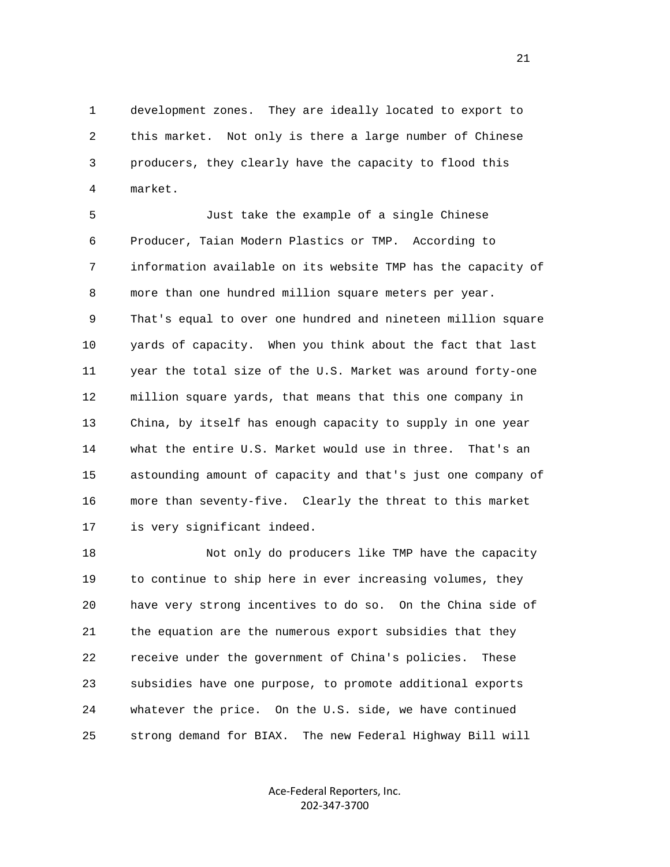1 development zones. They are ideally located to export to 2 this market. Not only is there a large number of Chinese 3 producers, they clearly have the capacity to flood this 4 market.

 5 Just take the example of a single Chinese 6 Producer, Taian Modern Plastics or TMP. According to 7 information available on its website TMP has the capacity of 8 more than one hundred million square meters per year. 9 That's equal to over one hundred and nineteen million square 10 yards of capacity. When you think about the fact that last 11 year the total size of the U.S. Market was around forty-one 12 million square yards, that means that this one company in 13 China, by itself has enough capacity to supply in one year 14 what the entire U.S. Market would use in three. That's an 15 astounding amount of capacity and that's just one company of 16 more than seventy-five. Clearly the threat to this market 17 is very significant indeed.

 18 Not only do producers like TMP have the capacity 19 to continue to ship here in ever increasing volumes, they 20 have very strong incentives to do so. On the China side of 21 the equation are the numerous export subsidies that they 22 receive under the government of China's policies. These 23 subsidies have one purpose, to promote additional exports 24 whatever the price. On the U.S. side, we have continued 25 strong demand for BIAX. The new Federal Highway Bill will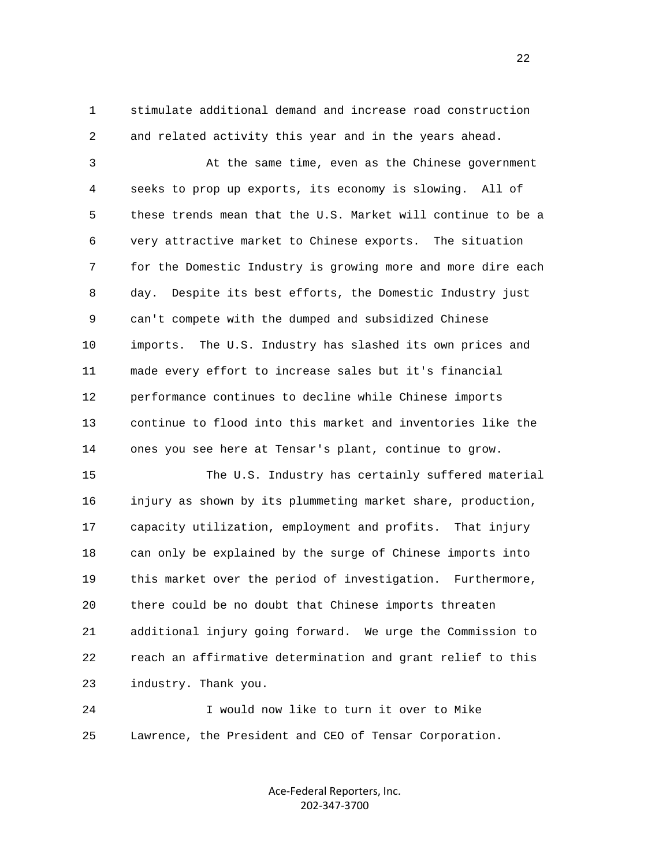1 stimulate additional demand and increase road construction 2 and related activity this year and in the years ahead.

 3 At the same time, even as the Chinese government 4 seeks to prop up exports, its economy is slowing. All of 5 these trends mean that the U.S. Market will continue to be a 6 very attractive market to Chinese exports. The situation 7 for the Domestic Industry is growing more and more dire each 8 day. Despite its best efforts, the Domestic Industry just 9 can't compete with the dumped and subsidized Chinese 10 imports. The U.S. Industry has slashed its own prices and 11 made every effort to increase sales but it's financial 12 performance continues to decline while Chinese imports 13 continue to flood into this market and inventories like the 14 ones you see here at Tensar's plant, continue to grow.

 15 The U.S. Industry has certainly suffered material 16 injury as shown by its plummeting market share, production, 17 capacity utilization, employment and profits. That injury 18 can only be explained by the surge of Chinese imports into 19 this market over the period of investigation. Furthermore, 20 there could be no doubt that Chinese imports threaten 21 additional injury going forward. We urge the Commission to 22 reach an affirmative determination and grant relief to this 23 industry. Thank you.

 24 I would now like to turn it over to Mike 25 Lawrence, the President and CEO of Tensar Corporation.

> Ace‐Federal Reporters, Inc. 202‐347‐3700

22 a set of the state of the state of the state of the state of the state of the state of the state of the state of the state of the state of the state of the state of the state of the state of the state of the state of th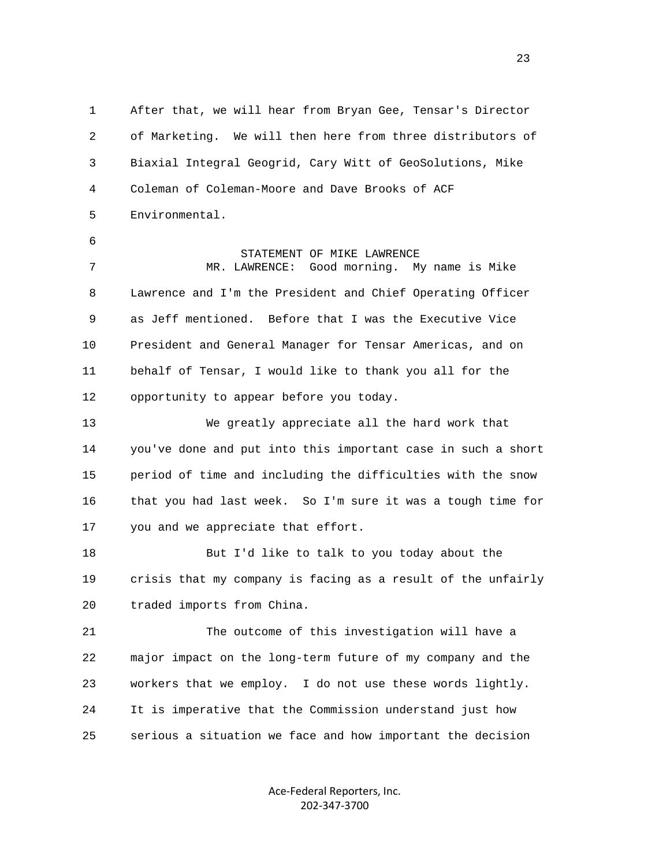1 After that, we will hear from Bryan Gee, Tensar's Director 2 of Marketing. We will then here from three distributors of 3 Biaxial Integral Geogrid, Cary Witt of GeoSolutions, Mike 4 Coleman of Coleman-Moore and Dave Brooks of ACF 5 Environmental. 6 STATEMENT OF MIKE LAWRENCE 7 MR. LAWRENCE: Good morning. My name is Mike 8 Lawrence and I'm the President and Chief Operating Officer 9 as Jeff mentioned. Before that I was the Executive Vice 10 President and General Manager for Tensar Americas, and on 11 behalf of Tensar, I would like to thank you all for the 12 opportunity to appear before you today. 13 We greatly appreciate all the hard work that 14 you've done and put into this important case in such a short 15 period of time and including the difficulties with the snow 16 that you had last week. So I'm sure it was a tough time for 17 you and we appreciate that effort. 18 But I'd like to talk to you today about the 19 crisis that my company is facing as a result of the unfairly 20 traded imports from China. 21 The outcome of this investigation will have a 22 major impact on the long-term future of my company and the 23 workers that we employ. I do not use these words lightly. 24 It is imperative that the Commission understand just how 25 serious a situation we face and how important the decision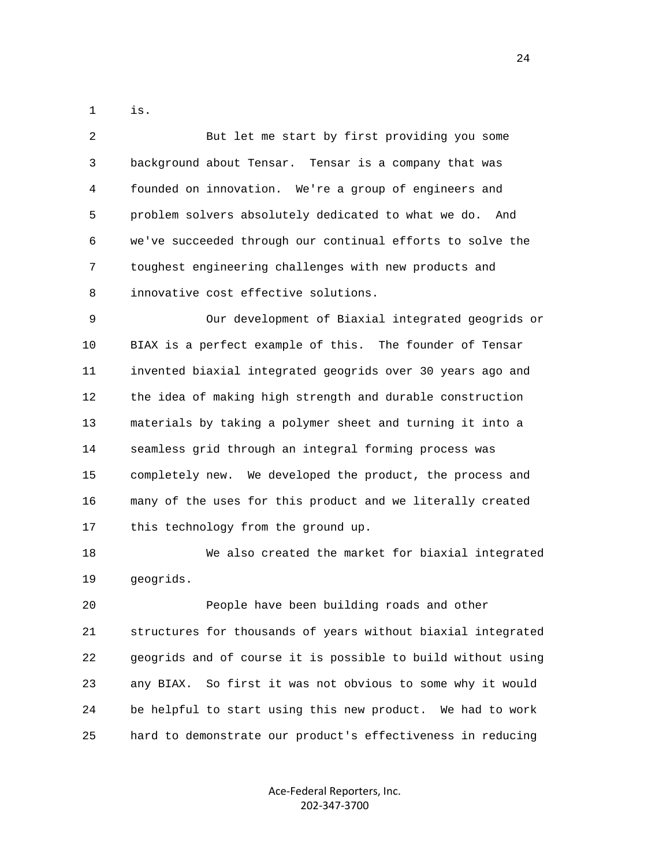1 is.

 2 But let me start by first providing you some 3 background about Tensar. Tensar is a company that was 4 founded on innovation. We're a group of engineers and 5 problem solvers absolutely dedicated to what we do. And 6 we've succeeded through our continual efforts to solve the 7 toughest engineering challenges with new products and 8 innovative cost effective solutions.

 9 Our development of Biaxial integrated geogrids or 10 BIAX is a perfect example of this. The founder of Tensar 11 invented biaxial integrated geogrids over 30 years ago and 12 the idea of making high strength and durable construction 13 materials by taking a polymer sheet and turning it into a 14 seamless grid through an integral forming process was 15 completely new. We developed the product, the process and 16 many of the uses for this product and we literally created 17 this technology from the ground up.

 18 We also created the market for biaxial integrated 19 geogrids.

 20 People have been building roads and other 21 structures for thousands of years without biaxial integrated 22 geogrids and of course it is possible to build without using 23 any BIAX. So first it was not obvious to some why it would 24 be helpful to start using this new product. We had to work 25 hard to demonstrate our product's effectiveness in reducing

> Ace‐Federal Reporters, Inc. 202‐347‐3700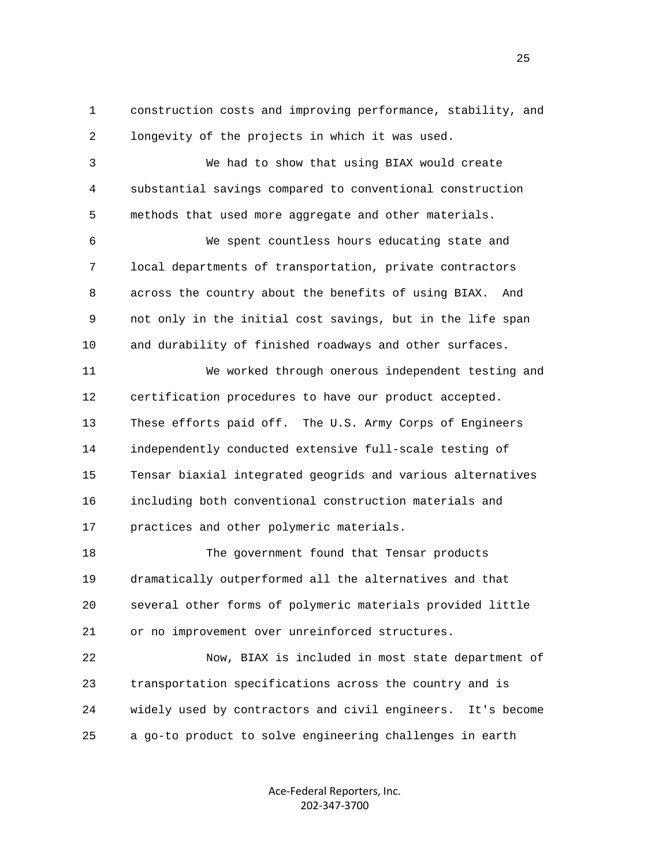1 construction costs and improving performance, stability, and 2 longevity of the projects in which it was used.

 3 We had to show that using BIAX would create 4 substantial savings compared to conventional construction 5 methods that used more aggregate and other materials.

 6 We spent countless hours educating state and 7 local departments of transportation, private contractors 8 across the country about the benefits of using BIAX. And 9 not only in the initial cost savings, but in the life span 10 and durability of finished roadways and other surfaces.

 11 We worked through onerous independent testing and 12 certification procedures to have our product accepted. 13 These efforts paid off. The U.S. Army Corps of Engineers 14 independently conducted extensive full-scale testing of 15 Tensar biaxial integrated geogrids and various alternatives 16 including both conventional construction materials and 17 practices and other polymeric materials.

 18 The government found that Tensar products 19 dramatically outperformed all the alternatives and that 20 several other forms of polymeric materials provided little 21 or no improvement over unreinforced structures.

 22 Now, BIAX is included in most state department of 23 transportation specifications across the country and is 24 widely used by contractors and civil engineers. It's become 25 a go-to product to solve engineering challenges in earth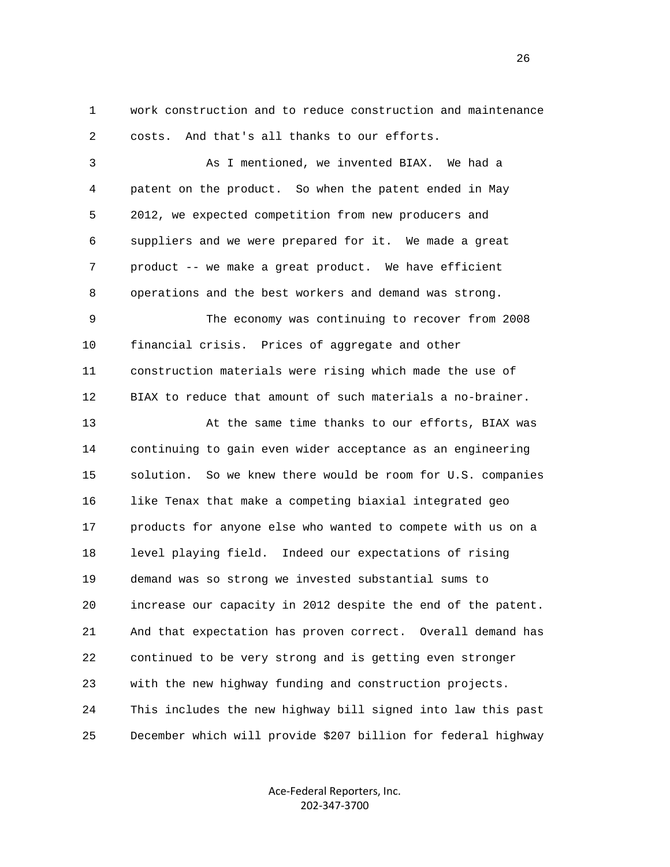1 work construction and to reduce construction and maintenance 2 costs. And that's all thanks to our efforts.

 3 As I mentioned, we invented BIAX. We had a 4 patent on the product. So when the patent ended in May 5 2012, we expected competition from new producers and 6 suppliers and we were prepared for it. We made a great 7 product -- we make a great product. We have efficient 8 operations and the best workers and demand was strong. 9 The economy was continuing to recover from 2008 10 financial crisis. Prices of aggregate and other 11 construction materials were rising which made the use of 12 BIAX to reduce that amount of such materials a no-brainer. 13 At the same time thanks to our efforts, BIAX was

 14 continuing to gain even wider acceptance as an engineering 15 solution. So we knew there would be room for U.S. companies 16 like Tenax that make a competing biaxial integrated geo 17 products for anyone else who wanted to compete with us on a 18 level playing field. Indeed our expectations of rising 19 demand was so strong we invested substantial sums to 20 increase our capacity in 2012 despite the end of the patent. 21 And that expectation has proven correct. Overall demand has 22 continued to be very strong and is getting even stronger 23 with the new highway funding and construction projects. 24 This includes the new highway bill signed into law this past 25 December which will provide \$207 billion for federal highway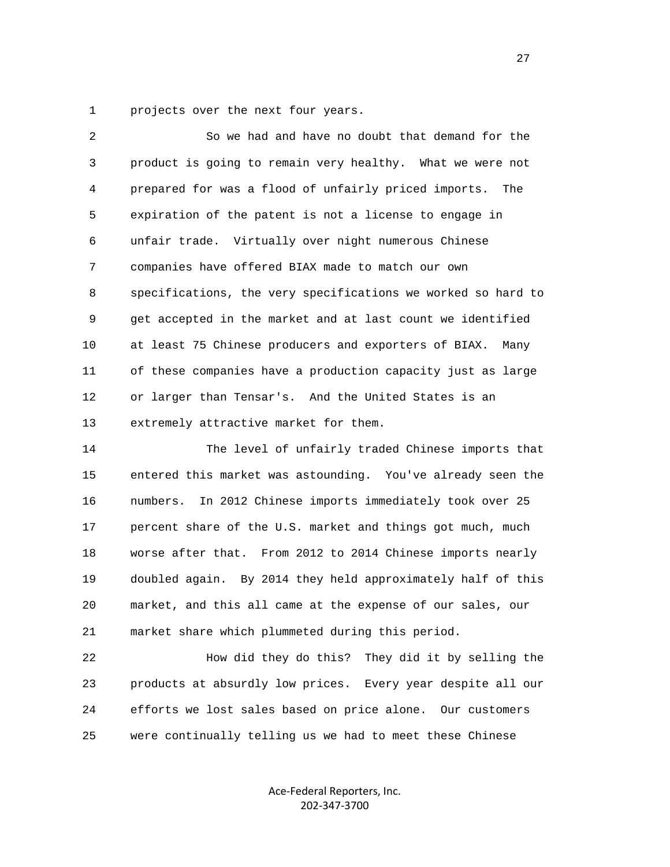1 projects over the next four years.

 2 So we had and have no doubt that demand for the 3 product is going to remain very healthy. What we were not 4 prepared for was a flood of unfairly priced imports. The 5 expiration of the patent is not a license to engage in 6 unfair trade. Virtually over night numerous Chinese 7 companies have offered BIAX made to match our own 8 specifications, the very specifications we worked so hard to 9 get accepted in the market and at last count we identified 10 at least 75 Chinese producers and exporters of BIAX. Many 11 of these companies have a production capacity just as large 12 or larger than Tensar's. And the United States is an 13 extremely attractive market for them.

 14 The level of unfairly traded Chinese imports that 15 entered this market was astounding. You've already seen the 16 numbers. In 2012 Chinese imports immediately took over 25 17 percent share of the U.S. market and things got much, much 18 worse after that. From 2012 to 2014 Chinese imports nearly 19 doubled again. By 2014 they held approximately half of this 20 market, and this all came at the expense of our sales, our 21 market share which plummeted during this period.

 22 How did they do this? They did it by selling the 23 products at absurdly low prices. Every year despite all our 24 efforts we lost sales based on price alone. Our customers 25 were continually telling us we had to meet these Chinese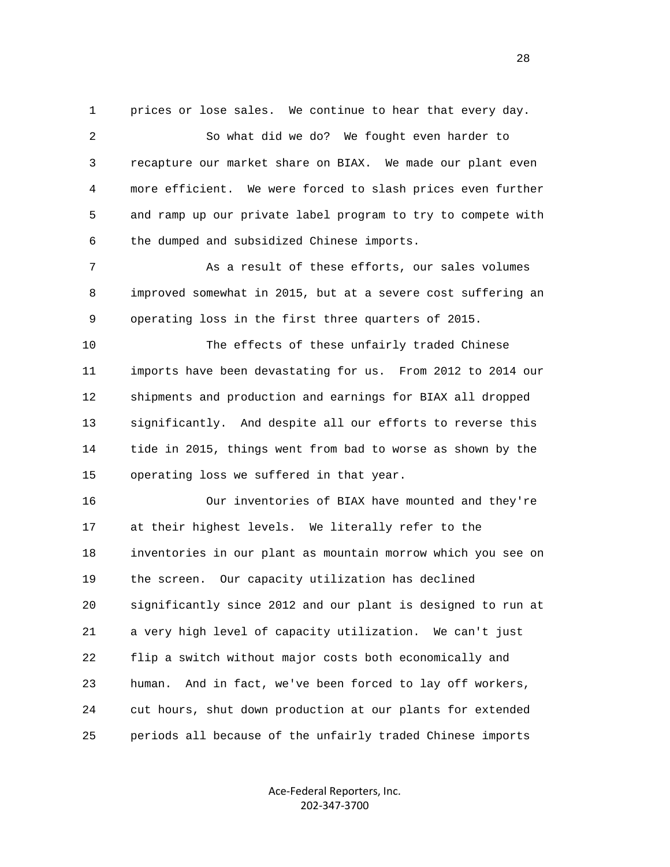1 prices or lose sales. We continue to hear that every day.

 2 So what did we do? We fought even harder to 3 recapture our market share on BIAX. We made our plant even 4 more efficient. We were forced to slash prices even further 5 and ramp up our private label program to try to compete with 6 the dumped and subsidized Chinese imports.

 7 As a result of these efforts, our sales volumes 8 improved somewhat in 2015, but at a severe cost suffering an 9 operating loss in the first three quarters of 2015.

 10 The effects of these unfairly traded Chinese 11 imports have been devastating for us. From 2012 to 2014 our 12 shipments and production and earnings for BIAX all dropped 13 significantly. And despite all our efforts to reverse this 14 tide in 2015, things went from bad to worse as shown by the 15 operating loss we suffered in that year.

 16 Our inventories of BIAX have mounted and they're 17 at their highest levels. We literally refer to the 18 inventories in our plant as mountain morrow which you see on 19 the screen. Our capacity utilization has declined 20 significantly since 2012 and our plant is designed to run at 21 a very high level of capacity utilization. We can't just 22 flip a switch without major costs both economically and 23 human. And in fact, we've been forced to lay off workers, 24 cut hours, shut down production at our plants for extended 25 periods all because of the unfairly traded Chinese imports

> Ace‐Federal Reporters, Inc. 202‐347‐3700

28 and 28 and 28 and 28 and 28 and 28 and 28 and 28 and 28 and 28 and 28 and 28 and 28 and 28 and 28 and 28 and 28 and 28 and 28 and 28 and 28 and 28 and 28 and 28 and 28 and 28 and 28 and 28 and 28 and 28 and 28 and 28 an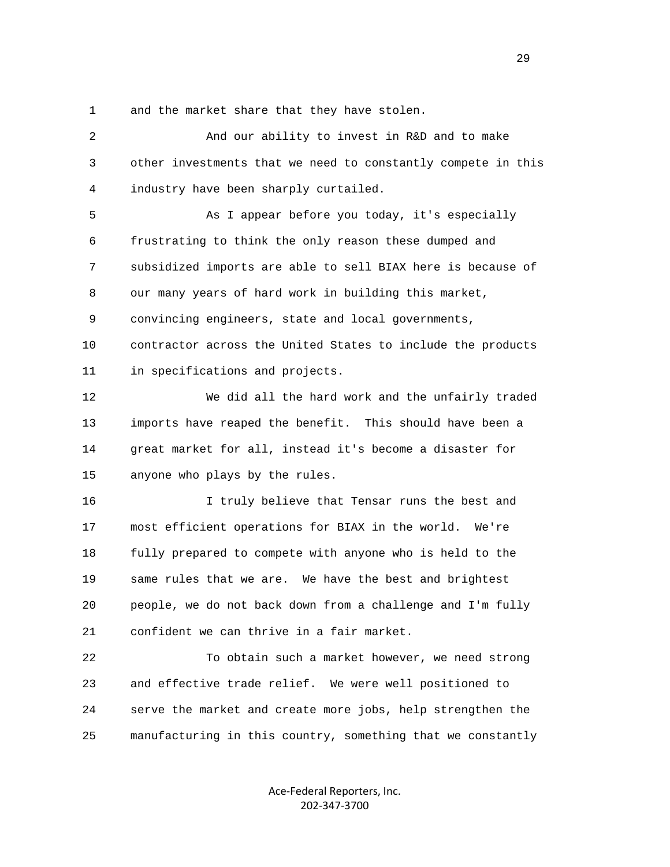1 and the market share that they have stolen.

 2 And our ability to invest in R&D and to make 3 other investments that we need to constantly compete in this 4 industry have been sharply curtailed. 5 As I appear before you today, it's especially 6 frustrating to think the only reason these dumped and 7 subsidized imports are able to sell BIAX here is because of 8 our many years of hard work in building this market, 9 convincing engineers, state and local governments, 10 contractor across the United States to include the products 11 in specifications and projects. 12 We did all the hard work and the unfairly traded 13 imports have reaped the benefit. This should have been a 14 great market for all, instead it's become a disaster for 15 anyone who plays by the rules. 16 I truly believe that Tensar runs the best and 17 most efficient operations for BIAX in the world. We're 18 fully prepared to compete with anyone who is held to the 19 same rules that we are. We have the best and brightest 20 people, we do not back down from a challenge and I'm fully 21 confident we can thrive in a fair market. 22 To obtain such a market however, we need strong 23 and effective trade relief. We were well positioned to 24 serve the market and create more jobs, help strengthen the 25 manufacturing in this country, something that we constantly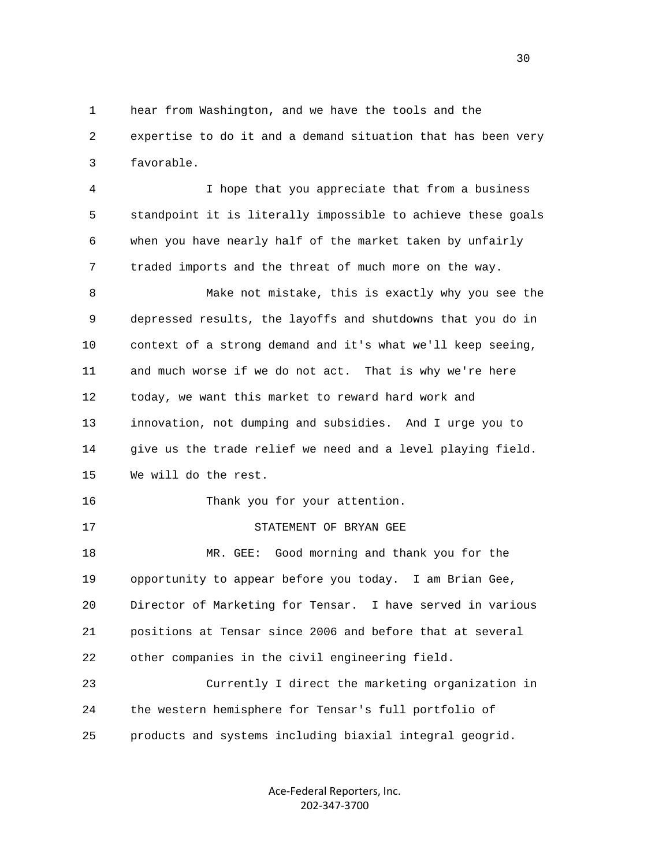1 hear from Washington, and we have the tools and the 2 expertise to do it and a demand situation that has been very 3 favorable.

 4 I hope that you appreciate that from a business 5 standpoint it is literally impossible to achieve these goals 6 when you have nearly half of the market taken by unfairly 7 traded imports and the threat of much more on the way.

 8 Make not mistake, this is exactly why you see the 9 depressed results, the layoffs and shutdowns that you do in 10 context of a strong demand and it's what we'll keep seeing, 11 and much worse if we do not act. That is why we're here 12 today, we want this market to reward hard work and 13 innovation, not dumping and subsidies. And I urge you to 14 give us the trade relief we need and a level playing field. 15 We will do the rest. 16 Thank you for your attention. 17 STATEMENT OF BRYAN GEE 18 MR. GEE: Good morning and thank you for the 19 opportunity to appear before you today. I am Brian Gee, 20 Director of Marketing for Tensar. I have served in various

 21 positions at Tensar since 2006 and before that at several 22 other companies in the civil engineering field.

 23 Currently I direct the marketing organization in 24 the western hemisphere for Tensar's full portfolio of 25 products and systems including biaxial integral geogrid.

> Ace‐Federal Reporters, Inc. 202‐347‐3700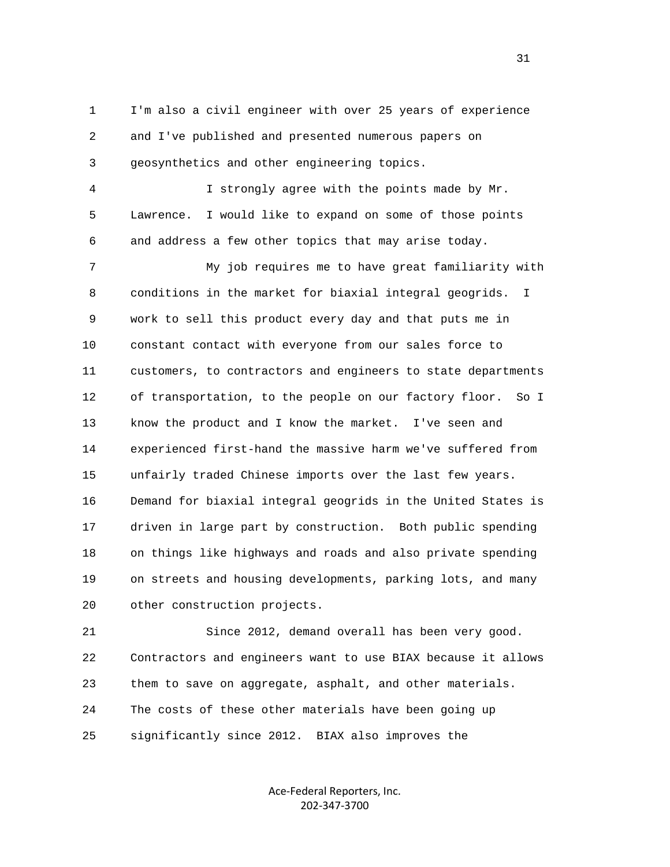1 I'm also a civil engineer with over 25 years of experience 2 and I've published and presented numerous papers on 3 geosynthetics and other engineering topics.

 4 I strongly agree with the points made by Mr. 5 Lawrence. I would like to expand on some of those points 6 and address a few other topics that may arise today.

 7 My job requires me to have great familiarity with 8 conditions in the market for biaxial integral geogrids. I 9 work to sell this product every day and that puts me in 10 constant contact with everyone from our sales force to 11 customers, to contractors and engineers to state departments 12 of transportation, to the people on our factory floor. So I 13 know the product and I know the market. I've seen and 14 experienced first-hand the massive harm we've suffered from 15 unfairly traded Chinese imports over the last few years. 16 Demand for biaxial integral geogrids in the United States is 17 driven in large part by construction. Both public spending 18 on things like highways and roads and also private spending 19 on streets and housing developments, parking lots, and many 20 other construction projects.

 21 Since 2012, demand overall has been very good. 22 Contractors and engineers want to use BIAX because it allows 23 them to save on aggregate, asphalt, and other materials. 24 The costs of these other materials have been going up 25 significantly since 2012. BIAX also improves the

> Ace‐Federal Reporters, Inc. 202‐347‐3700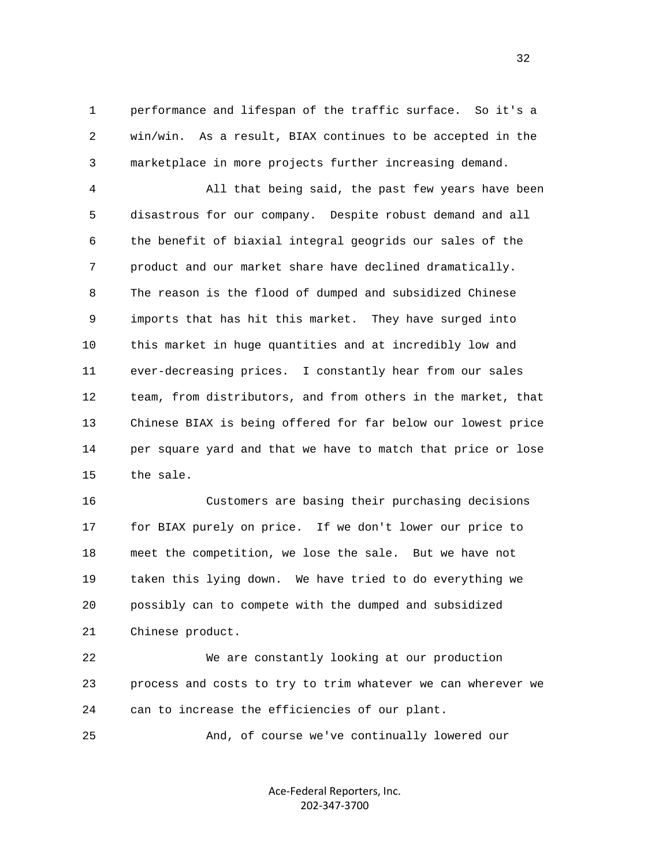1 performance and lifespan of the traffic surface. So it's a 2 win/win. As a result, BIAX continues to be accepted in the 3 marketplace in more projects further increasing demand.

 4 All that being said, the past few years have been 5 disastrous for our company. Despite robust demand and all 6 the benefit of biaxial integral geogrids our sales of the 7 product and our market share have declined dramatically. 8 The reason is the flood of dumped and subsidized Chinese 9 imports that has hit this market. They have surged into 10 this market in huge quantities and at incredibly low and 11 ever-decreasing prices. I constantly hear from our sales 12 team, from distributors, and from others in the market, that 13 Chinese BIAX is being offered for far below our lowest price 14 per square yard and that we have to match that price or lose 15 the sale.

 16 Customers are basing their purchasing decisions 17 for BIAX purely on price. If we don't lower our price to 18 meet the competition, we lose the sale. But we have not 19 taken this lying down. We have tried to do everything we 20 possibly can to compete with the dumped and subsidized 21 Chinese product.

 22 We are constantly looking at our production 23 process and costs to try to trim whatever we can wherever we 24 can to increase the efficiencies of our plant.

25 And, of course we've continually lowered our

Ace‐Federal Reporters, Inc. 202‐347‐3700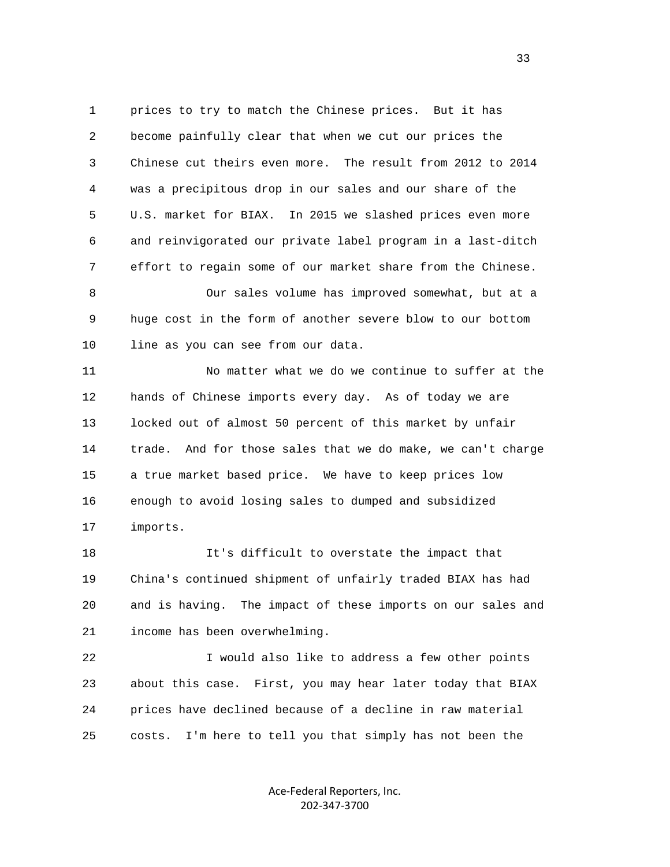1 prices to try to match the Chinese prices. But it has 2 become painfully clear that when we cut our prices the 3 Chinese cut theirs even more. The result from 2012 to 2014 4 was a precipitous drop in our sales and our share of the 5 U.S. market for BIAX. In 2015 we slashed prices even more 6 and reinvigorated our private label program in a last-ditch 7 effort to regain some of our market share from the Chinese. 8 Our sales volume has improved somewhat, but at a

 9 huge cost in the form of another severe blow to our bottom 10 line as you can see from our data.

 11 No matter what we do we continue to suffer at the 12 hands of Chinese imports every day. As of today we are 13 locked out of almost 50 percent of this market by unfair 14 trade. And for those sales that we do make, we can't charge 15 a true market based price. We have to keep prices low 16 enough to avoid losing sales to dumped and subsidized 17 imports.

 18 It's difficult to overstate the impact that 19 China's continued shipment of unfairly traded BIAX has had 20 and is having. The impact of these imports on our sales and 21 income has been overwhelming.

 22 I would also like to address a few other points 23 about this case. First, you may hear later today that BIAX 24 prices have declined because of a decline in raw material 25 costs. I'm here to tell you that simply has not been the

> Ace‐Federal Reporters, Inc. 202‐347‐3700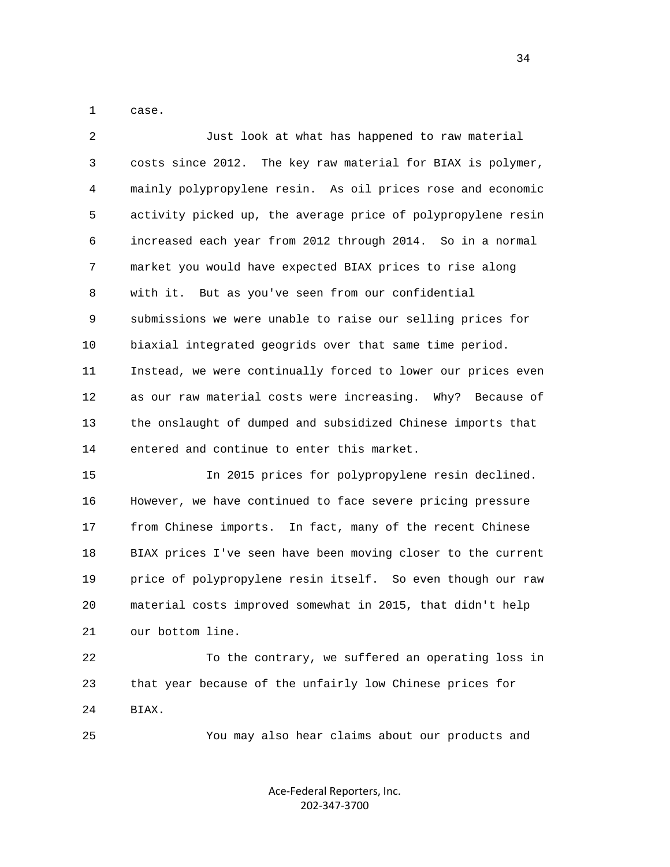1 case.

| $\overline{2}$ | Just look at what has happened to raw material               |
|----------------|--------------------------------------------------------------|
| $\mathsf{3}$   | costs since 2012. The key raw material for BIAX is polymer,  |
| 4              | mainly polypropylene resin. As oil prices rose and economic  |
| 5              | activity picked up, the average price of polypropylene resin |
| 6              | increased each year from 2012 through 2014. So in a normal   |
| 7              | market you would have expected BIAX prices to rise along     |
| 8              | with it. But as you've seen from our confidential            |
| 9              | submissions we were unable to raise our selling prices for   |
| 10             | biaxial integrated geogrids over that same time period.      |
| 11             | Instead, we were continually forced to lower our prices even |
| 12             | as our raw material costs were increasing. Why? Because of   |
| 13             | the onslaught of dumped and subsidized Chinese imports that  |
| 14             | entered and continue to enter this market.                   |
| 15             | In 2015 prices for polypropylene resin declined.             |
| 16             | However, we have continued to face severe pricing pressure   |
| 17             | from Chinese imports. In fact, many of the recent Chinese    |
| 18             | BIAX prices I've seen have been moving closer to the current |
| 19             | price of polypropylene resin itself. So even though our raw  |
| 20             | material costs improved somewhat in 2015, that didn't help   |
| 21             | our bottom line.                                             |
| 22             | To the contrary, we suffered an operating loss in            |
| 23             | that year because of the unfairly low Chinese prices for     |

24 BIAX.

25 You may also hear claims about our products and

Ace‐Federal Reporters, Inc. 202‐347‐3700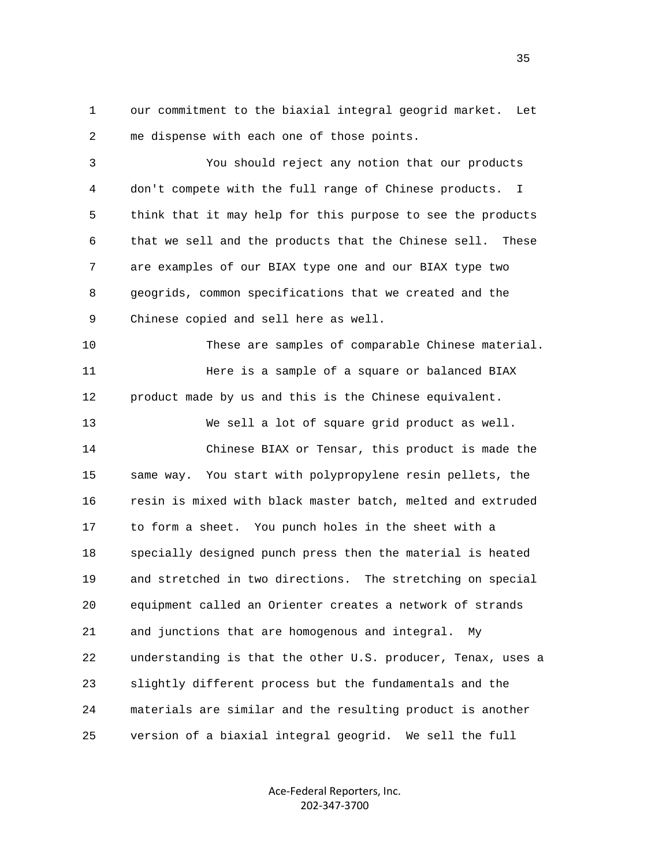1 our commitment to the biaxial integral geogrid market. Let 2 me dispense with each one of those points.

 3 You should reject any notion that our products 4 don't compete with the full range of Chinese products. I 5 think that it may help for this purpose to see the products 6 that we sell and the products that the Chinese sell. These 7 are examples of our BIAX type one and our BIAX type two 8 geogrids, common specifications that we created and the 9 Chinese copied and sell here as well.

 10 These are samples of comparable Chinese material. 11 Here is a sample of a square or balanced BIAX 12 product made by us and this is the Chinese equivalent.

 13 We sell a lot of square grid product as well. 14 Chinese BIAX or Tensar, this product is made the 15 same way. You start with polypropylene resin pellets, the 16 resin is mixed with black master batch, melted and extruded 17 to form a sheet. You punch holes in the sheet with a 18 specially designed punch press then the material is heated 19 and stretched in two directions. The stretching on special 20 equipment called an Orienter creates a network of strands 21 and junctions that are homogenous and integral. My 22 understanding is that the other U.S. producer, Tenax, uses a 23 slightly different process but the fundamentals and the 24 materials are similar and the resulting product is another 25 version of a biaxial integral geogrid. We sell the full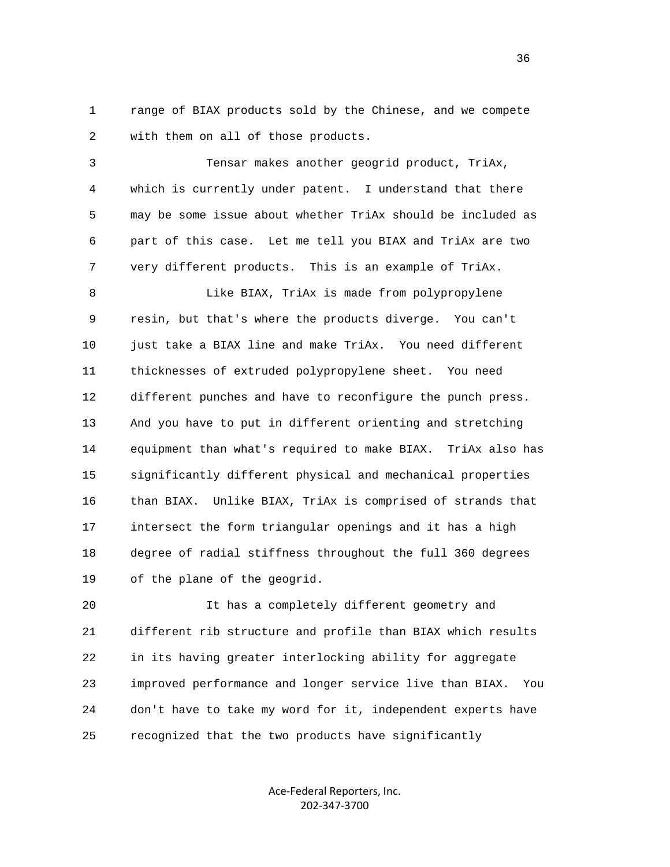1 range of BIAX products sold by the Chinese, and we compete 2 with them on all of those products.

 3 Tensar makes another geogrid product, TriAx, 4 which is currently under patent. I understand that there 5 may be some issue about whether TriAx should be included as 6 part of this case. Let me tell you BIAX and TriAx are two 7 very different products. This is an example of TriAx.

8 Like BIAX, TriAx is made from polypropylene 9 resin, but that's where the products diverge. You can't 10 just take a BIAX line and make TriAx. You need different 11 thicknesses of extruded polypropylene sheet. You need 12 different punches and have to reconfigure the punch press. 13 And you have to put in different orienting and stretching 14 equipment than what's required to make BIAX. TriAx also has 15 significantly different physical and mechanical properties 16 than BIAX. Unlike BIAX, TriAx is comprised of strands that 17 intersect the form triangular openings and it has a high 18 degree of radial stiffness throughout the full 360 degrees 19 of the plane of the geogrid.

 20 It has a completely different geometry and 21 different rib structure and profile than BIAX which results 22 in its having greater interlocking ability for aggregate 23 improved performance and longer service live than BIAX. You 24 don't have to take my word for it, independent experts have 25 recognized that the two products have significantly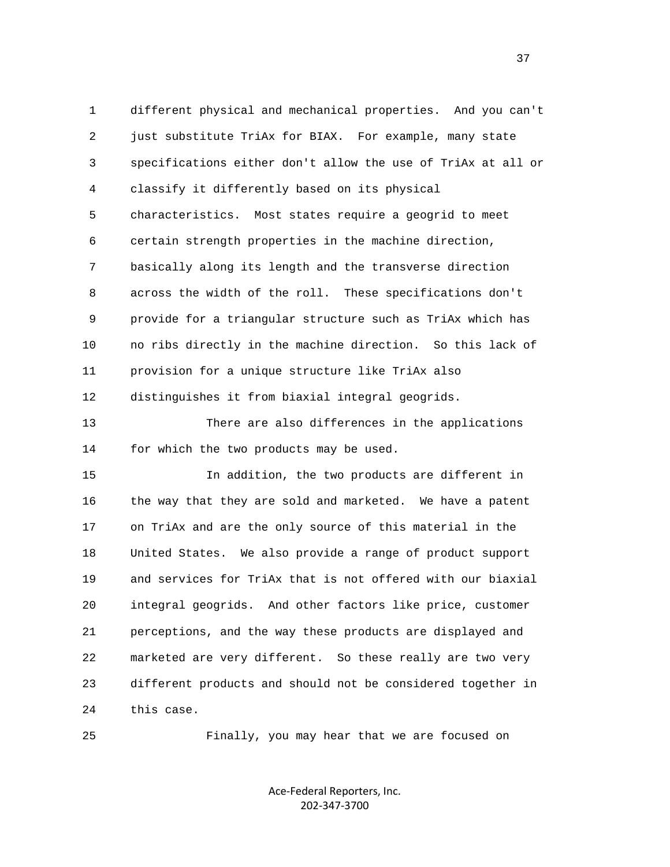1 different physical and mechanical properties. And you can't 2 just substitute TriAx for BIAX. For example, many state 3 specifications either don't allow the use of TriAx at all or 4 classify it differently based on its physical 5 characteristics. Most states require a geogrid to meet 6 certain strength properties in the machine direction, 7 basically along its length and the transverse direction 8 across the width of the roll. These specifications don't 9 provide for a triangular structure such as TriAx which has 10 no ribs directly in the machine direction. So this lack of 11 provision for a unique structure like TriAx also 12 distinguishes it from biaxial integral geogrids.

 13 There are also differences in the applications 14 for which the two products may be used.

 15 In addition, the two products are different in 16 the way that they are sold and marketed. We have a patent 17 on TriAx and are the only source of this material in the 18 United States. We also provide a range of product support 19 and services for TriAx that is not offered with our biaxial 20 integral geogrids. And other factors like price, customer 21 perceptions, and the way these products are displayed and 22 marketed are very different. So these really are two very 23 different products and should not be considered together in 24 this case.

25 Finally, you may hear that we are focused on

Ace‐Federal Reporters, Inc. 202‐347‐3700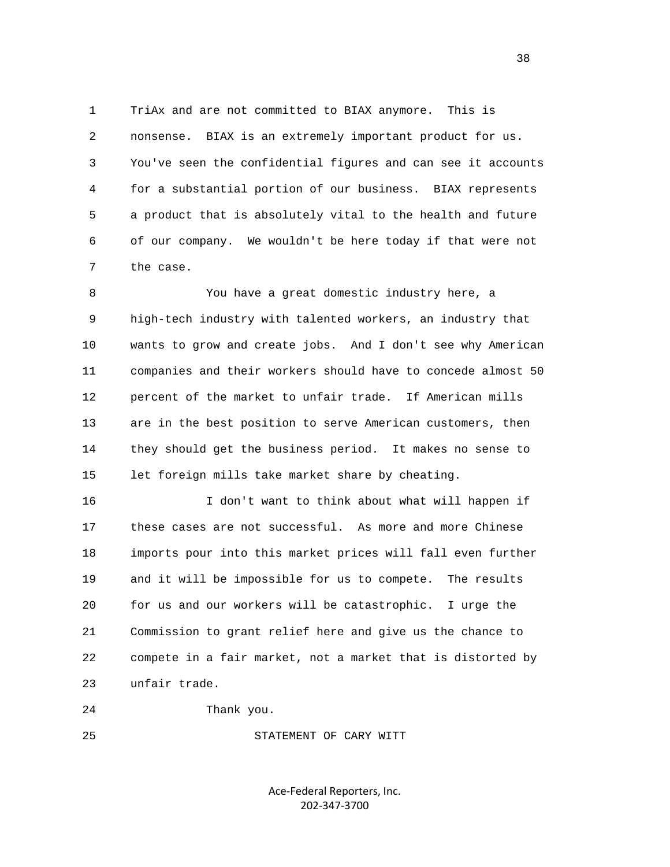1 TriAx and are not committed to BIAX anymore. This is 2 nonsense. BIAX is an extremely important product for us. 3 You've seen the confidential figures and can see it accounts 4 for a substantial portion of our business. BIAX represents 5 a product that is absolutely vital to the health and future 6 of our company. We wouldn't be here today if that were not 7 the case.

 8 You have a great domestic industry here, a 9 high-tech industry with talented workers, an industry that 10 wants to grow and create jobs. And I don't see why American 11 companies and their workers should have to concede almost 50 12 percent of the market to unfair trade. If American mills 13 are in the best position to serve American customers, then 14 they should get the business period. It makes no sense to 15 let foreign mills take market share by cheating.

 16 I don't want to think about what will happen if 17 these cases are not successful. As more and more Chinese 18 imports pour into this market prices will fall even further 19 and it will be impossible for us to compete. The results 20 for us and our workers will be catastrophic. I urge the 21 Commission to grant relief here and give us the chance to 22 compete in a fair market, not a market that is distorted by 23 unfair trade.

24 Thank you.

25 STATEMENT OF CARY WITT

Ace‐Federal Reporters, Inc. 202‐347‐3700

and the state of the state of the state of the state of the state of the state of the state of the state of the state of the state of the state of the state of the state of the state of the state of the state of the state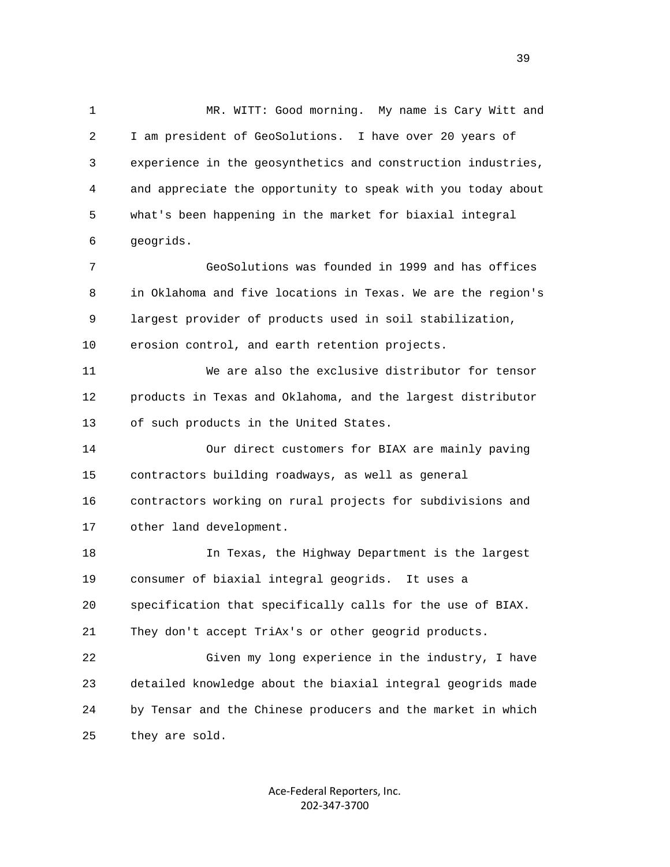1 MR. WITT: Good morning. My name is Cary Witt and 2 I am president of GeoSolutions. I have over 20 years of 3 experience in the geosynthetics and construction industries, 4 and appreciate the opportunity to speak with you today about 5 what's been happening in the market for biaxial integral 6 geogrids. 7 GeoSolutions was founded in 1999 and has offices

 8 in Oklahoma and five locations in Texas. We are the region's 9 largest provider of products used in soil stabilization, 10 erosion control, and earth retention projects.

 11 We are also the exclusive distributor for tensor 12 products in Texas and Oklahoma, and the largest distributor 13 of such products in the United States.

 14 Our direct customers for BIAX are mainly paving 15 contractors building roadways, as well as general 16 contractors working on rural projects for subdivisions and 17 other land development.

 18 In Texas, the Highway Department is the largest 19 consumer of biaxial integral geogrids. It uses a 20 specification that specifically calls for the use of BIAX. 21 They don't accept TriAx's or other geogrid products.

 22 Given my long experience in the industry, I have 23 detailed knowledge about the biaxial integral geogrids made 24 by Tensar and the Chinese producers and the market in which 25 they are sold.

> Ace‐Federal Reporters, Inc. 202‐347‐3700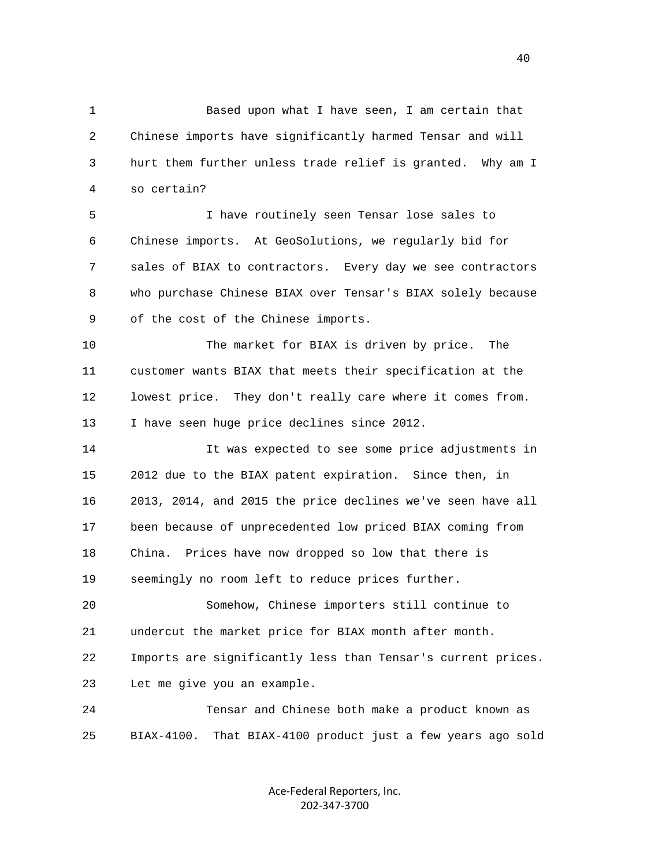1 Based upon what I have seen, I am certain that 2 Chinese imports have significantly harmed Tensar and will 3 hurt them further unless trade relief is granted. Why am I 4 so certain?

 5 I have routinely seen Tensar lose sales to 6 Chinese imports. At GeoSolutions, we regularly bid for 7 sales of BIAX to contractors. Every day we see contractors 8 who purchase Chinese BIAX over Tensar's BIAX solely because 9 of the cost of the Chinese imports.

 10 The market for BIAX is driven by price. The 11 customer wants BIAX that meets their specification at the 12 lowest price. They don't really care where it comes from. 13 I have seen huge price declines since 2012.

 14 It was expected to see some price adjustments in 15 2012 due to the BIAX patent expiration. Since then, in 16 2013, 2014, and 2015 the price declines we've seen have all 17 been because of unprecedented low priced BIAX coming from 18 China. Prices have now dropped so low that there is 19 seemingly no room left to reduce prices further.

 20 Somehow, Chinese importers still continue to 21 undercut the market price for BIAX month after month. 22 Imports are significantly less than Tensar's current prices. 23 Let me give you an example.

 24 Tensar and Chinese both make a product known as 25 BIAX-4100. That BIAX-4100 product just a few years ago sold

> Ace‐Federal Reporters, Inc. 202‐347‐3700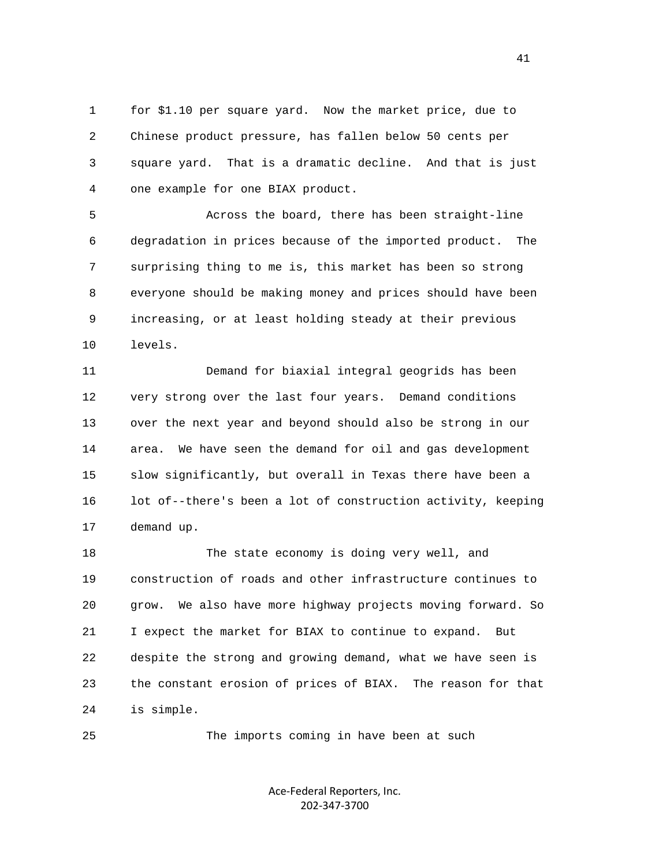1 for \$1.10 per square yard. Now the market price, due to 2 Chinese product pressure, has fallen below 50 cents per 3 square yard. That is a dramatic decline. And that is just 4 one example for one BIAX product.

 5 Across the board, there has been straight-line 6 degradation in prices because of the imported product. The 7 surprising thing to me is, this market has been so strong 8 everyone should be making money and prices should have been 9 increasing, or at least holding steady at their previous 10 levels.

 11 Demand for biaxial integral geogrids has been 12 very strong over the last four years. Demand conditions 13 over the next year and beyond should also be strong in our 14 area. We have seen the demand for oil and gas development 15 slow significantly, but overall in Texas there have been a 16 lot of--there's been a lot of construction activity, keeping 17 demand up.

 18 The state economy is doing very well, and 19 construction of roads and other infrastructure continues to 20 grow. We also have more highway projects moving forward. So 21 I expect the market for BIAX to continue to expand. But 22 despite the strong and growing demand, what we have seen is 23 the constant erosion of prices of BIAX. The reason for that 24 is simple.

25 The imports coming in have been at such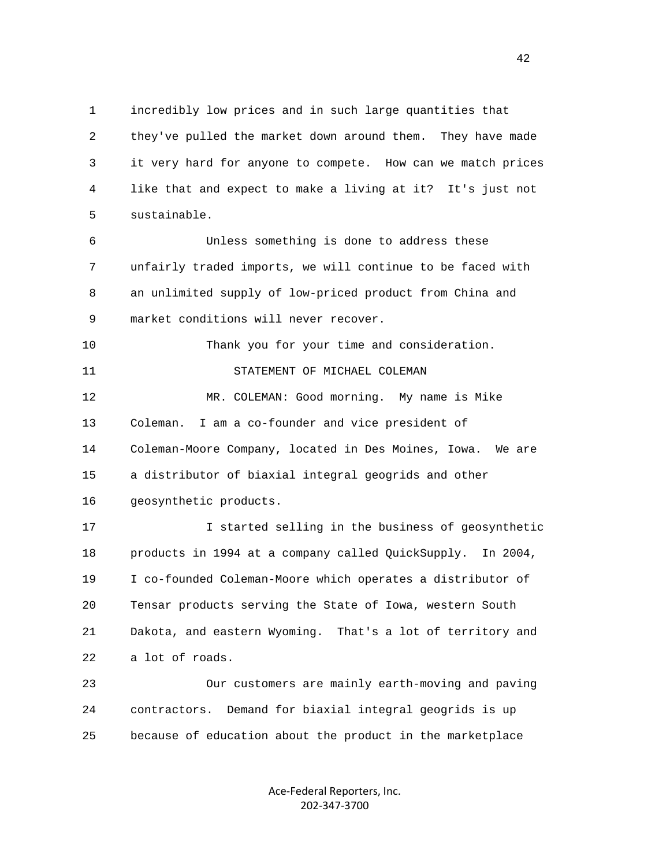1 incredibly low prices and in such large quantities that 2 they've pulled the market down around them. They have made 3 it very hard for anyone to compete. How can we match prices 4 like that and expect to make a living at it? It's just not 5 sustainable.

 6 Unless something is done to address these 7 unfairly traded imports, we will continue to be faced with 8 an unlimited supply of low-priced product from China and 9 market conditions will never recover.

 10 Thank you for your time and consideration. 11 STATEMENT OF MICHAEL COLEMAN 12 MR. COLEMAN: Good morning. My name is Mike 13 Coleman. I am a co-founder and vice president of 14 Coleman-Moore Company, located in Des Moines, Iowa. We are

15 a distributor of biaxial integral geogrids and other

16 geosynthetic products.

 17 I started selling in the business of geosynthetic 18 products in 1994 at a company called QuickSupply. In 2004, 19 I co-founded Coleman-Moore which operates a distributor of 20 Tensar products serving the State of Iowa, western South 21 Dakota, and eastern Wyoming. That's a lot of territory and 22 a lot of roads.

 23 Our customers are mainly earth-moving and paving 24 contractors. Demand for biaxial integral geogrids is up 25 because of education about the product in the marketplace

> Ace‐Federal Reporters, Inc. 202‐347‐3700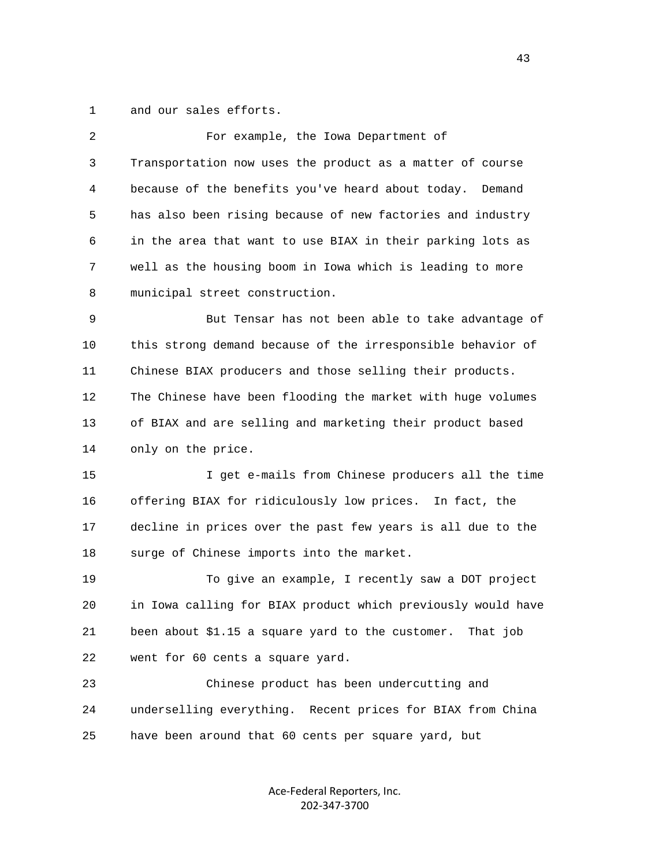1 and our sales efforts.

| For example, the Iowa Department of                          |
|--------------------------------------------------------------|
| Transportation now uses the product as a matter of course    |
| because of the benefits you've heard about today.<br>Demand  |
| has also been rising because of new factories and industry   |
| in the area that want to use BIAX in their parking lots as   |
| well as the housing boom in Iowa which is leading to more    |
| municipal street construction.                               |
| But Tensar has not been able to take advantage of            |
| this strong demand because of the irresponsible behavior of  |
| Chinese BIAX producers and those selling their products.     |
| The Chinese have been flooding the market with huge volumes  |
| of BIAX and are selling and marketing their product based    |
| only on the price.                                           |
| I get e-mails from Chinese producers all the time            |
| offering BIAX for ridiculously low prices. In fact, the      |
| decline in prices over the past few years is all due to the  |
| surge of Chinese imports into the market.                    |
| To give an example, I recently saw a DOT project             |
| in Iowa calling for BIAX product which previously would have |
| been about \$1.15 a square yard to the customer. That job    |
| went for 60 cents a square yard.                             |
| Chinese product has been undercutting and                    |
| underselling everything. Recent prices for BIAX from China   |
|                                                              |
|                                                              |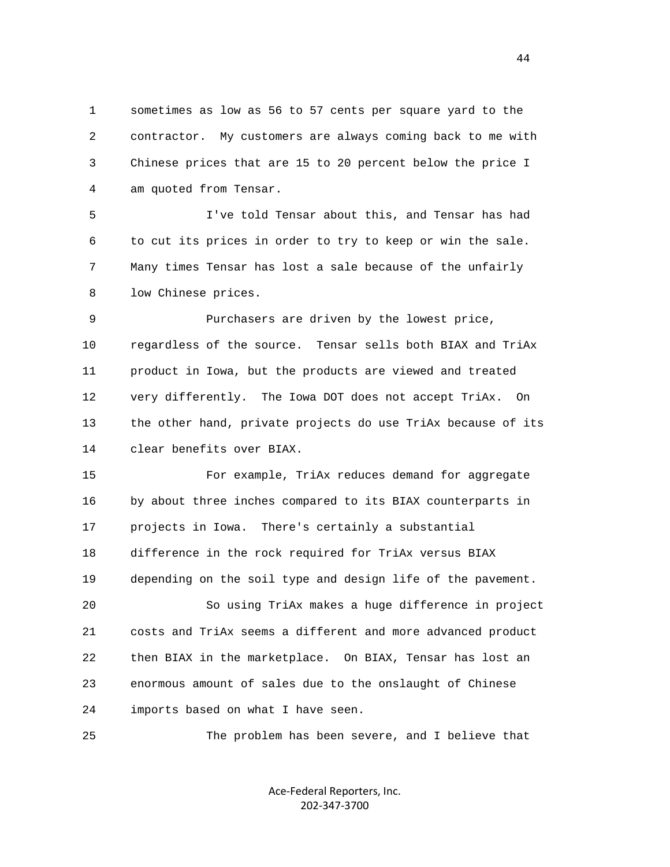1 sometimes as low as 56 to 57 cents per square yard to the 2 contractor. My customers are always coming back to me with 3 Chinese prices that are 15 to 20 percent below the price I 4 am quoted from Tensar.

 5 I've told Tensar about this, and Tensar has had 6 to cut its prices in order to try to keep or win the sale. 7 Many times Tensar has lost a sale because of the unfairly 8 low Chinese prices.

 9 Purchasers are driven by the lowest price, 10 regardless of the source. Tensar sells both BIAX and TriAx 11 product in Iowa, but the products are viewed and treated 12 very differently. The Iowa DOT does not accept TriAx. On 13 the other hand, private projects do use TriAx because of its 14 clear benefits over BIAX.

 15 For example, TriAx reduces demand for aggregate 16 by about three inches compared to its BIAX counterparts in 17 projects in Iowa. There's certainly a substantial 18 difference in the rock required for TriAx versus BIAX 19 depending on the soil type and design life of the pavement. 20 So using TriAx makes a huge difference in project

 21 costs and TriAx seems a different and more advanced product 22 then BIAX in the marketplace. On BIAX, Tensar has lost an 23 enormous amount of sales due to the onslaught of Chinese 24 imports based on what I have seen.

25 The problem has been severe, and I believe that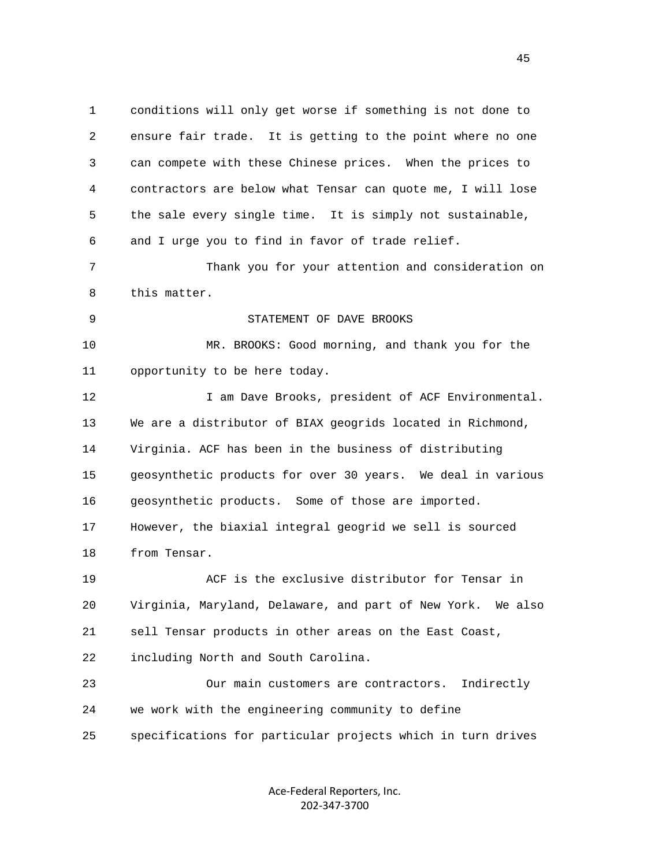1 conditions will only get worse if something is not done to 2 ensure fair trade. It is getting to the point where no one 3 can compete with these Chinese prices. When the prices to 4 contractors are below what Tensar can quote me, I will lose 5 the sale every single time. It is simply not sustainable, 6 and I urge you to find in favor of trade relief. 7 Thank you for your attention and consideration on 8 this matter. 9 STATEMENT OF DAVE BROOKS 10 MR. BROOKS: Good morning, and thank you for the 11 opportunity to be here today. 12 12 I am Dave Brooks, president of ACF Environmental. 13 We are a distributor of BIAX geogrids located in Richmond, 14 Virginia. ACF has been in the business of distributing 15 geosynthetic products for over 30 years. We deal in various 16 geosynthetic products. Some of those are imported. 17 However, the biaxial integral geogrid we sell is sourced 18 from Tensar. 19 ACF is the exclusive distributor for Tensar in 20 Virginia, Maryland, Delaware, and part of New York. We also 21 sell Tensar products in other areas on the East Coast, 22 including North and South Carolina. 23 Our main customers are contractors. Indirectly 24 we work with the engineering community to define 25 specifications for particular projects which in turn drives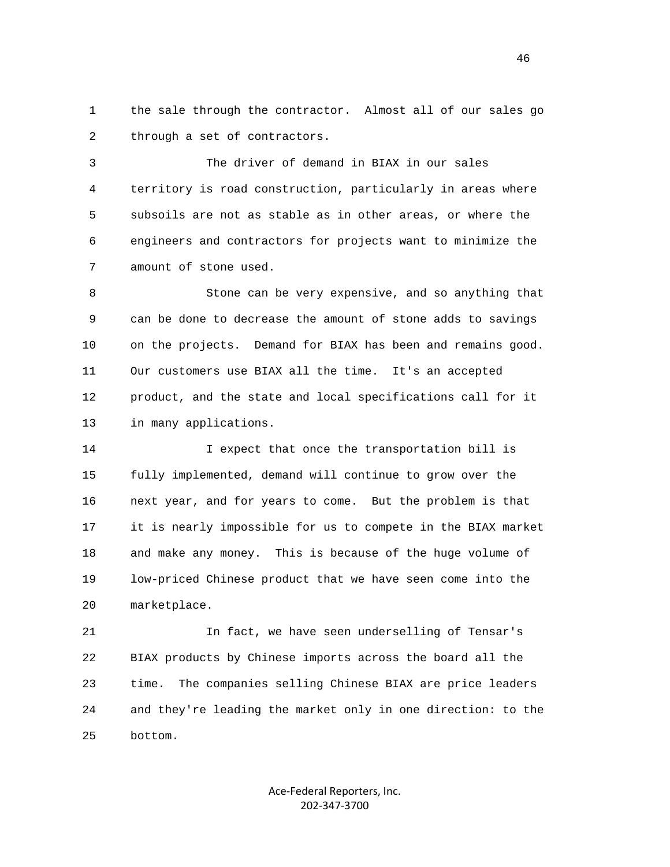1 the sale through the contractor. Almost all of our sales go 2 through a set of contractors.

 3 The driver of demand in BIAX in our sales 4 territory is road construction, particularly in areas where 5 subsoils are not as stable as in other areas, or where the 6 engineers and contractors for projects want to minimize the 7 amount of stone used.

 8 Stone can be very expensive, and so anything that 9 can be done to decrease the amount of stone adds to savings 10 on the projects. Demand for BIAX has been and remains good. 11 Our customers use BIAX all the time. It's an accepted 12 product, and the state and local specifications call for it 13 in many applications.

 14 I expect that once the transportation bill is 15 fully implemented, demand will continue to grow over the 16 next year, and for years to come. But the problem is that 17 it is nearly impossible for us to compete in the BIAX market 18 and make any money. This is because of the huge volume of 19 low-priced Chinese product that we have seen come into the 20 marketplace.

 21 In fact, we have seen underselling of Tensar's 22 BIAX products by Chinese imports across the board all the 23 time. The companies selling Chinese BIAX are price leaders 24 and they're leading the market only in one direction: to the 25 bottom.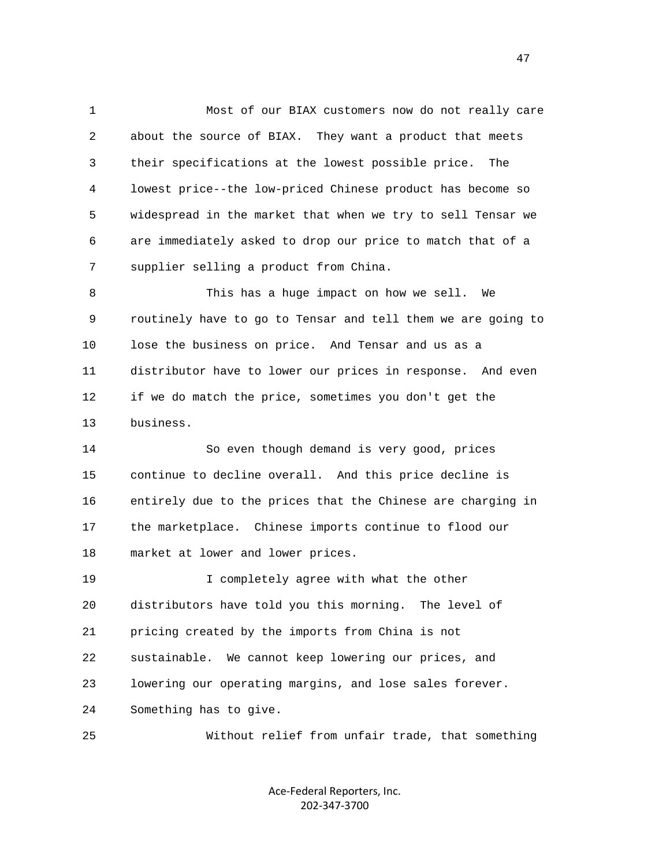1 Most of our BIAX customers now do not really care 2 about the source of BIAX. They want a product that meets 3 their specifications at the lowest possible price. The 4 lowest price--the low-priced Chinese product has become so 5 widespread in the market that when we try to sell Tensar we 6 are immediately asked to drop our price to match that of a 7 supplier selling a product from China.

 8 This has a huge impact on how we sell. We 9 routinely have to go to Tensar and tell them we are going to 10 lose the business on price. And Tensar and us as a 11 distributor have to lower our prices in response. And even 12 if we do match the price, sometimes you don't get the 13 business.

 14 So even though demand is very good, prices 15 continue to decline overall. And this price decline is 16 entirely due to the prices that the Chinese are charging in 17 the marketplace. Chinese imports continue to flood our 18 market at lower and lower prices.

 19 I completely agree with what the other 20 distributors have told you this morning. The level of 21 pricing created by the imports from China is not 22 sustainable. We cannot keep lowering our prices, and 23 lowering our operating margins, and lose sales forever. 24 Something has to give.

25 Without relief from unfair trade, that something

Ace‐Federal Reporters, Inc. 202‐347‐3700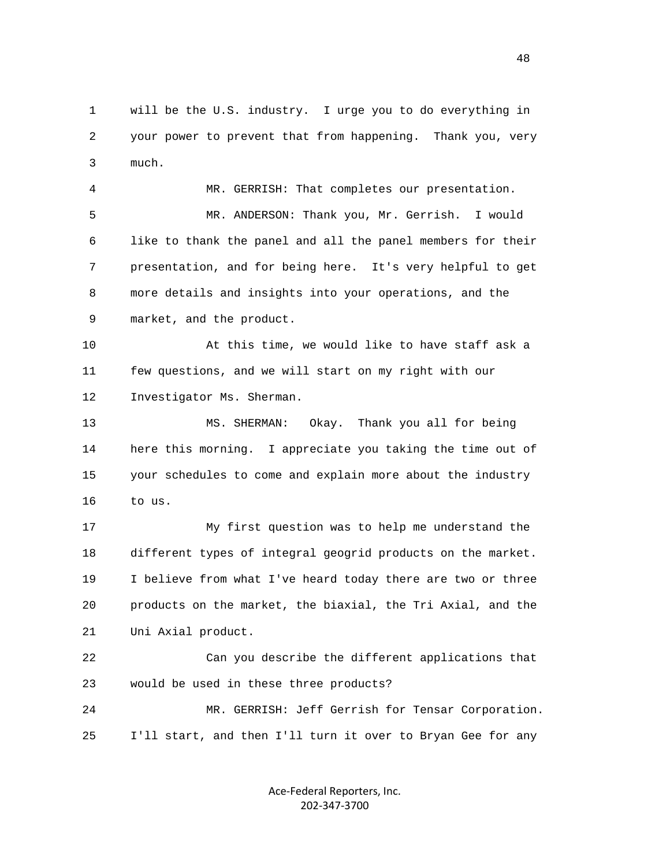1 will be the U.S. industry. I urge you to do everything in 2 your power to prevent that from happening. Thank you, very 3 much.

 4 MR. GERRISH: That completes our presentation. 5 MR. ANDERSON: Thank you, Mr. Gerrish. I would 6 like to thank the panel and all the panel members for their 7 presentation, and for being here. It's very helpful to get 8 more details and insights into your operations, and the 9 market, and the product.

 10 At this time, we would like to have staff ask a 11 few questions, and we will start on my right with our 12 Investigator Ms. Sherman.

 13 MS. SHERMAN: Okay. Thank you all for being 14 here this morning. I appreciate you taking the time out of 15 your schedules to come and explain more about the industry 16 to us.

 17 My first question was to help me understand the 18 different types of integral geogrid products on the market. 19 I believe from what I've heard today there are two or three 20 products on the market, the biaxial, the Tri Axial, and the 21 Uni Axial product.

 22 Can you describe the different applications that 23 would be used in these three products?

 24 MR. GERRISH: Jeff Gerrish for Tensar Corporation. 25 I'll start, and then I'll turn it over to Bryan Gee for any

> Ace‐Federal Reporters, Inc. 202‐347‐3700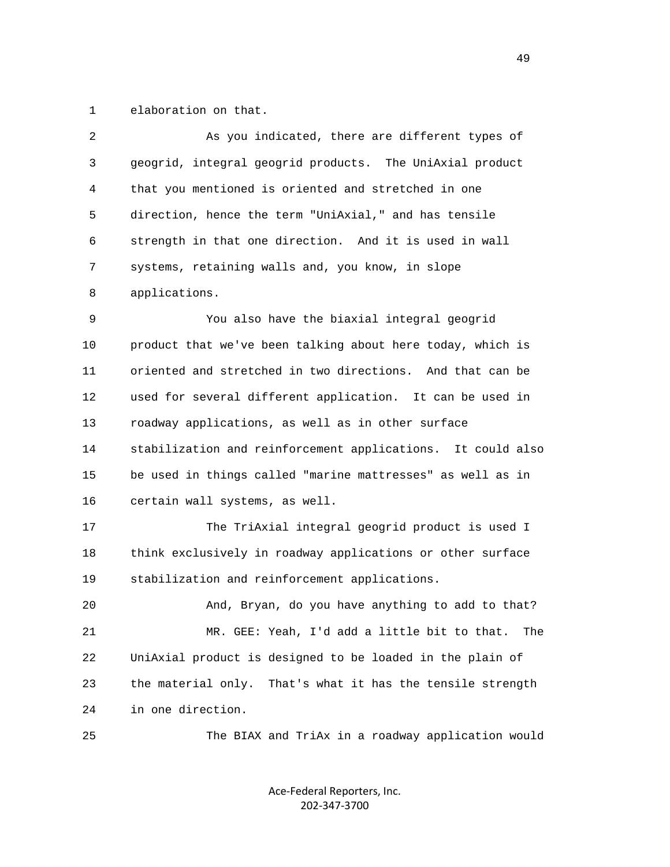1 elaboration on that.

| 2  | As you indicated, there are different types of                |
|----|---------------------------------------------------------------|
| 3  | geogrid, integral geogrid products. The UniAxial product      |
| 4  | that you mentioned is oriented and stretched in one           |
| 5  | direction, hence the term "UniAxial," and has tensile         |
| 6  | strength in that one direction. And it is used in wall        |
| 7  | systems, retaining walls and, you know, in slope              |
| 8  | applications.                                                 |
| 9  | You also have the biaxial integral geogrid                    |
| 10 | product that we've been talking about here today, which is    |
| 11 | oriented and stretched in two directions. And that can be     |
| 12 | used for several different application. It can be used in     |
| 13 | roadway applications, as well as in other surface             |
| 14 | stabilization and reinforcement applications. It could also   |
| 15 | be used in things called "marine mattresses" as well as in    |
| 16 | certain wall systems, as well.                                |
| 17 | The TriAxial integral geogrid product is used I               |
| 18 | think exclusively in roadway applications or other surface    |
| 19 | stabilization and reinforcement applications.                 |
| 20 | And, Bryan, do you have anything to add to that?              |
| 21 | MR. GEE: Yeah, I'd add a little bit to that.<br>The           |
| 22 | UniAxial product is designed to be loaded in the plain of     |
| 23 | the material only.<br>That's what it has the tensile strength |
| 24 | in one direction.                                             |
| 25 | The BIAX and TriAx in a roadway application would             |

Ace‐Federal Reporters, Inc. 202‐347‐3700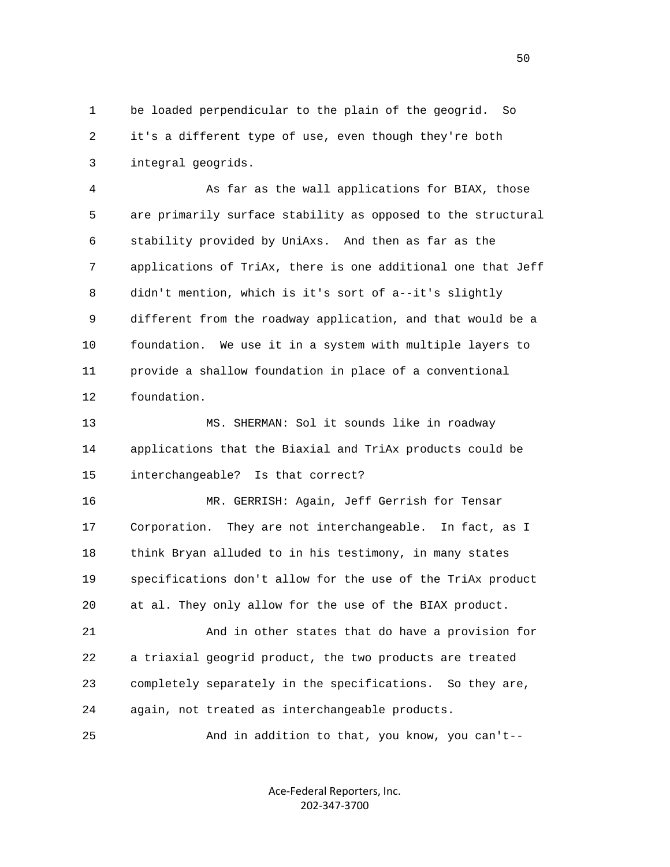1 be loaded perpendicular to the plain of the geogrid. So 2 it's a different type of use, even though they're both 3 integral geogrids.

 4 As far as the wall applications for BIAX, those 5 are primarily surface stability as opposed to the structural 6 stability provided by UniAxs. And then as far as the 7 applications of TriAx, there is one additional one that Jeff 8 didn't mention, which is it's sort of a--it's slightly 9 different from the roadway application, and that would be a 10 foundation. We use it in a system with multiple layers to 11 provide a shallow foundation in place of a conventional 12 foundation.

 13 MS. SHERMAN: Sol it sounds like in roadway 14 applications that the Biaxial and TriAx products could be 15 interchangeable? Is that correct?

 16 MR. GERRISH: Again, Jeff Gerrish for Tensar 17 Corporation. They are not interchangeable. In fact, as I 18 think Bryan alluded to in his testimony, in many states 19 specifications don't allow for the use of the TriAx product 20 at al. They only allow for the use of the BIAX product.

 21 And in other states that do have a provision for 22 a triaxial geogrid product, the two products are treated 23 completely separately in the specifications. So they are, 24 again, not treated as interchangeable products.

25 And in addition to that, you know, you can't--

Ace‐Federal Reporters, Inc. 202‐347‐3700

 $50<sub>50</sub>$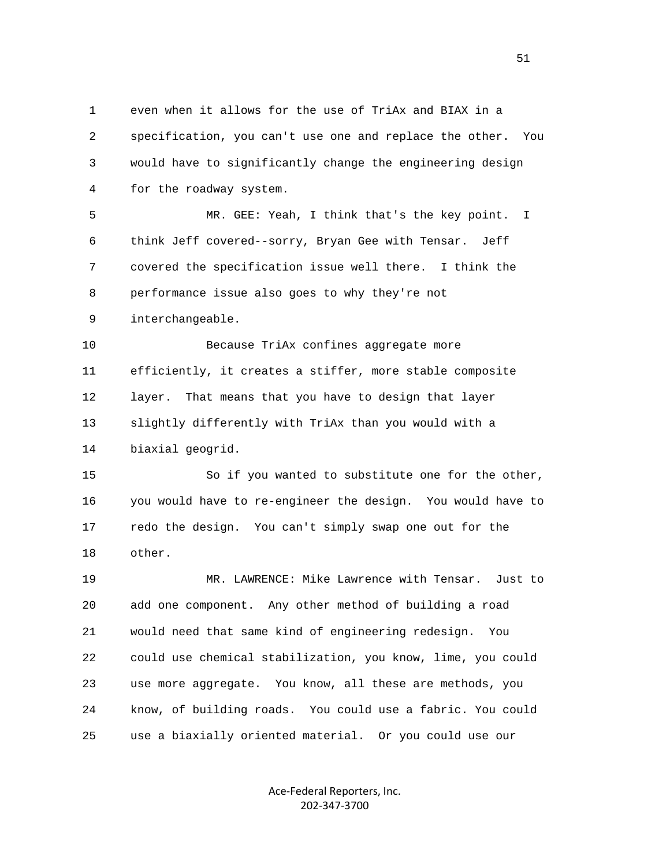1 even when it allows for the use of TriAx and BIAX in a 2 specification, you can't use one and replace the other. You 3 would have to significantly change the engineering design 4 for the roadway system. 5 MR. GEE: Yeah, I think that's the key point. I 6 think Jeff covered--sorry, Bryan Gee with Tensar. Jeff 7 covered the specification issue well there. I think the 8 performance issue also goes to why they're not 9 interchangeable. 10 Because TriAx confines aggregate more 11 efficiently, it creates a stiffer, more stable composite 12 layer. That means that you have to design that layer 13 slightly differently with TriAx than you would with a 14 biaxial geogrid. 15 So if you wanted to substitute one for the other, 16 you would have to re-engineer the design. You would have to 17 redo the design. You can't simply swap one out for the 18 other. 19 MR. LAWRENCE: Mike Lawrence with Tensar. Just to 20 add one component. Any other method of building a road 21 would need that same kind of engineering redesign. You 22 could use chemical stabilization, you know, lime, you could 23 use more aggregate. You know, all these are methods, you 24 know, of building roads. You could use a fabric. You could 25 use a biaxially oriented material. Or you could use our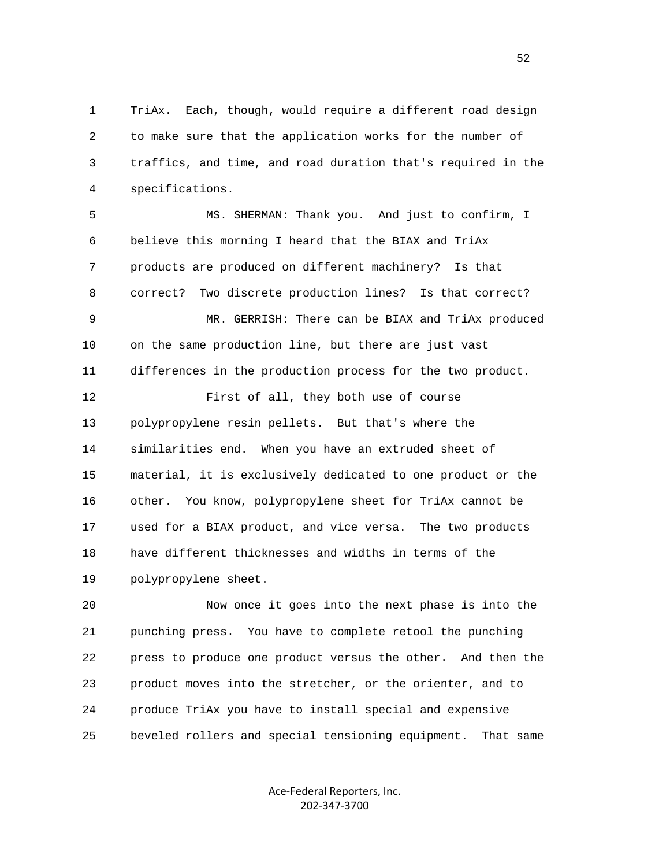1 TriAx. Each, though, would require a different road design 2 to make sure that the application works for the number of 3 traffics, and time, and road duration that's required in the 4 specifications.

 5 MS. SHERMAN: Thank you. And just to confirm, I 6 believe this morning I heard that the BIAX and TriAx 7 products are produced on different machinery? Is that 8 correct? Two discrete production lines? Is that correct? 9 MR. GERRISH: There can be BIAX and TriAx produced 10 on the same production line, but there are just vast 11 differences in the production process for the two product. 12 First of all, they both use of course 13 polypropylene resin pellets. But that's where the 14 similarities end. When you have an extruded sheet of 15 material, it is exclusively dedicated to one product or the 16 other. You know, polypropylene sheet for TriAx cannot be 17 used for a BIAX product, and vice versa. The two products 18 have different thicknesses and widths in terms of the 19 polypropylene sheet.

 20 Now once it goes into the next phase is into the 21 punching press. You have to complete retool the punching 22 press to produce one product versus the other. And then the 23 product moves into the stretcher, or the orienter, and to 24 produce TriAx you have to install special and expensive 25 beveled rollers and special tensioning equipment. That same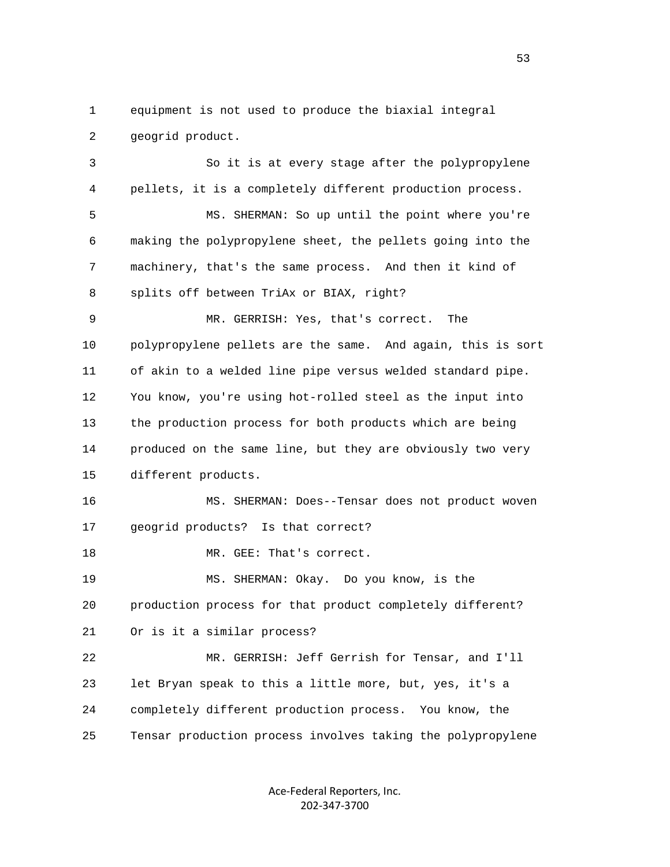1 equipment is not used to produce the biaxial integral 2 geogrid product.

 3 So it is at every stage after the polypropylene 4 pellets, it is a completely different production process. 5 MS. SHERMAN: So up until the point where you're 6 making the polypropylene sheet, the pellets going into the 7 machinery, that's the same process. And then it kind of 8 splits off between TriAx or BIAX, right? 9 MR. GERRISH: Yes, that's correct. The 10 polypropylene pellets are the same. And again, this is sort 11 of akin to a welded line pipe versus welded standard pipe. 12 You know, you're using hot-rolled steel as the input into 13 the production process for both products which are being 14 produced on the same line, but they are obviously two very 15 different products. 16 MS. SHERMAN: Does--Tensar does not product woven 17 geogrid products? Is that correct? 18 MR. GEE: That's correct. 19 MS. SHERMAN: Okay. Do you know, is the

20 production process for that product completely different?

21 Or is it a similar process?

 22 MR. GERRISH: Jeff Gerrish for Tensar, and I'll 23 let Bryan speak to this a little more, but, yes, it's a 24 completely different production process. You know, the 25 Tensar production process involves taking the polypropylene

> Ace‐Federal Reporters, Inc. 202‐347‐3700

 $\sim$  53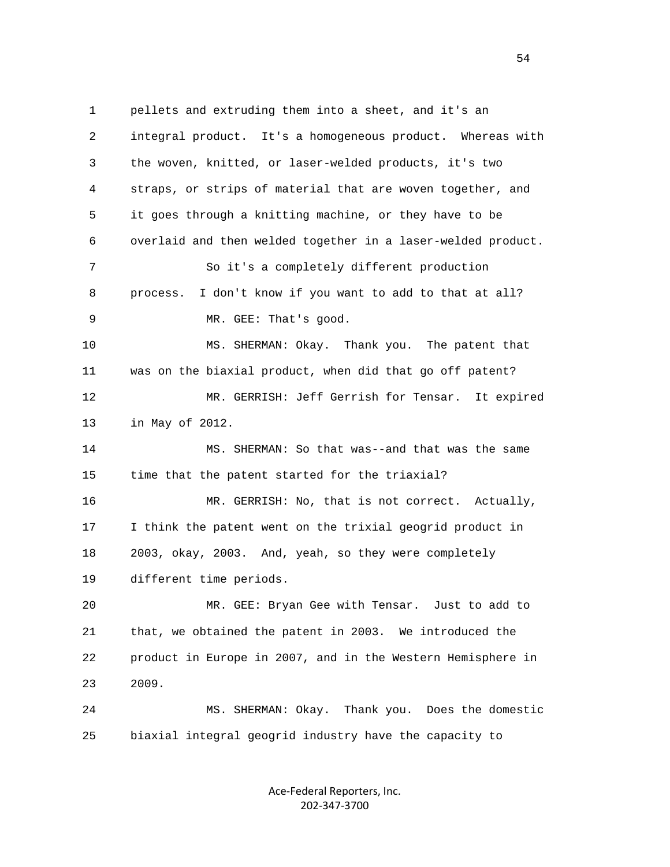1 pellets and extruding them into a sheet, and it's an 2 integral product. It's a homogeneous product. Whereas with 3 the woven, knitted, or laser-welded products, it's two 4 straps, or strips of material that are woven together, and 5 it goes through a knitting machine, or they have to be 6 overlaid and then welded together in a laser-welded product. 7 So it's a completely different production 8 process. I don't know if you want to add to that at all? 9 MR. GEE: That's good. 10 MS. SHERMAN: Okay. Thank you. The patent that 11 was on the biaxial product, when did that go off patent? 12 MR. GERRISH: Jeff Gerrish for Tensar. It expired 13 in May of 2012. 14 MS. SHERMAN: So that was--and that was the same 15 time that the patent started for the triaxial? 16 MR. GERRISH: No, that is not correct. Actually, 17 I think the patent went on the trixial geogrid product in 18 2003, okay, 2003. And, yeah, so they were completely 19 different time periods. 20 MR. GEE: Bryan Gee with Tensar. Just to add to 21 that, we obtained the patent in 2003. We introduced the 22 product in Europe in 2007, and in the Western Hemisphere in 23 2009. 24 MS. SHERMAN: Okay. Thank you. Does the domestic 25 biaxial integral geogrid industry have the capacity to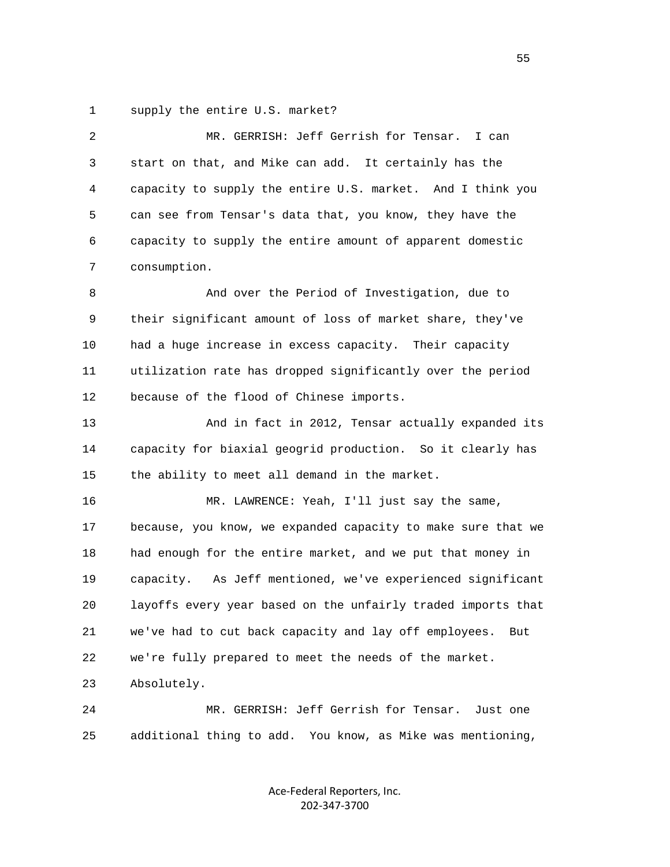1 supply the entire U.S. market?

| 2  | MR. GERRISH: Jeff Gerrish for Tensar.<br>I can               |
|----|--------------------------------------------------------------|
| 3  | start on that, and Mike can add. It certainly has the        |
| 4  | capacity to supply the entire U.S. market. And I think you   |
| 5  | can see from Tensar's data that, you know, they have the     |
| 6  | capacity to supply the entire amount of apparent domestic    |
| 7  | consumption.                                                 |
| 8  | And over the Period of Investigation, due to                 |
| 9  | their significant amount of loss of market share, they've    |
| 10 | had a huge increase in excess capacity. Their capacity       |
| 11 | utilization rate has dropped significantly over the period   |
| 12 | because of the flood of Chinese imports.                     |
| 13 | And in fact in 2012, Tensar actually expanded its            |
| 14 | capacity for biaxial geogrid production. So it clearly has   |
| 15 | the ability to meet all demand in the market.                |
| 16 | MR. LAWRENCE: Yeah, I'll just say the same,                  |
| 17 | because, you know, we expanded capacity to make sure that we |
| 18 | had enough for the entire market, and we put that money in   |
| 19 | capacity. As Jeff mentioned, we've experienced significant   |
| 20 | layoffs every year based on the unfairly traded imports that |
| 21 | we've had to cut back capacity and lay off employees.<br>But |
| 22 | we're fully prepared to meet the needs of the market.        |
| 23 | Absolutely.                                                  |
| 24 | MR. GERRISH: Jeff Gerrish for Tensar.<br>Just one            |
| 25 | additional thing to add. You know, as Mike was mentioning,   |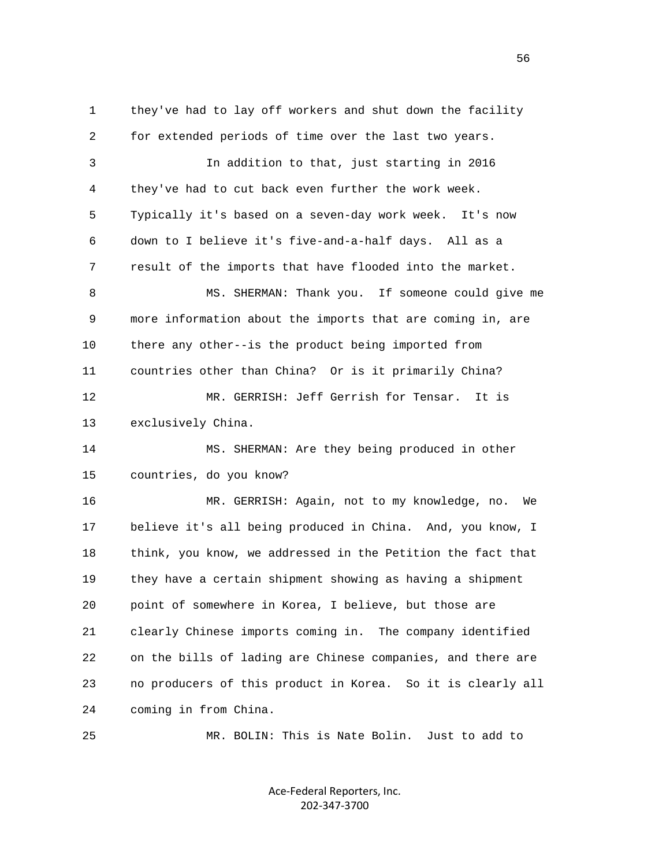1 they've had to lay off workers and shut down the facility 2 for extended periods of time over the last two years. 3 In addition to that, just starting in 2016 4 they've had to cut back even further the work week. 5 Typically it's based on a seven-day work week. It's now 6 down to I believe it's five-and-a-half days. All as a 7 result of the imports that have flooded into the market. 8 MS. SHERMAN: Thank you. If someone could give me 9 more information about the imports that are coming in, are 10 there any other--is the product being imported from 11 countries other than China? Or is it primarily China? 12 MR. GERRISH: Jeff Gerrish for Tensar. It is 13 exclusively China. 14 MS. SHERMAN: Are they being produced in other 15 countries, do you know? 16 MR. GERRISH: Again, not to my knowledge, no. We 17 believe it's all being produced in China. And, you know, I 18 think, you know, we addressed in the Petition the fact that 19 they have a certain shipment showing as having a shipment 20 point of somewhere in Korea, I believe, but those are 21 clearly Chinese imports coming in. The company identified 22 on the bills of lading are Chinese companies, and there are 23 no producers of this product in Korea. So it is clearly all 24 coming in from China. 25 MR. BOLIN: This is Nate Bolin. Just to add to

> Ace‐Federal Reporters, Inc. 202‐347‐3700

 $\sim$  56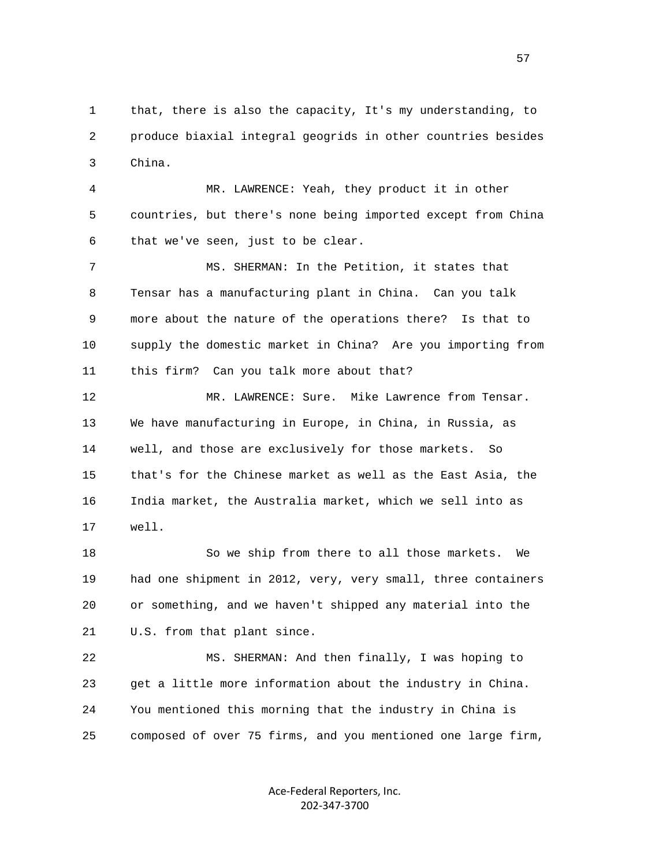1 that, there is also the capacity, It's my understanding, to 2 produce biaxial integral geogrids in other countries besides 3 China.

 4 MR. LAWRENCE: Yeah, they product it in other 5 countries, but there's none being imported except from China 6 that we've seen, just to be clear.

 7 MS. SHERMAN: In the Petition, it states that 8 Tensar has a manufacturing plant in China. Can you talk 9 more about the nature of the operations there? Is that to 10 supply the domestic market in China? Are you importing from 11 this firm? Can you talk more about that?

 12 MR. LAWRENCE: Sure. Mike Lawrence from Tensar. 13 We have manufacturing in Europe, in China, in Russia, as 14 well, and those are exclusively for those markets. So 15 that's for the Chinese market as well as the East Asia, the 16 India market, the Australia market, which we sell into as 17 well.

 18 So we ship from there to all those markets. We 19 had one shipment in 2012, very, very small, three containers 20 or something, and we haven't shipped any material into the 21 U.S. from that plant since.

 22 MS. SHERMAN: And then finally, I was hoping to 23 get a little more information about the industry in China. 24 You mentioned this morning that the industry in China is 25 composed of over 75 firms, and you mentioned one large firm,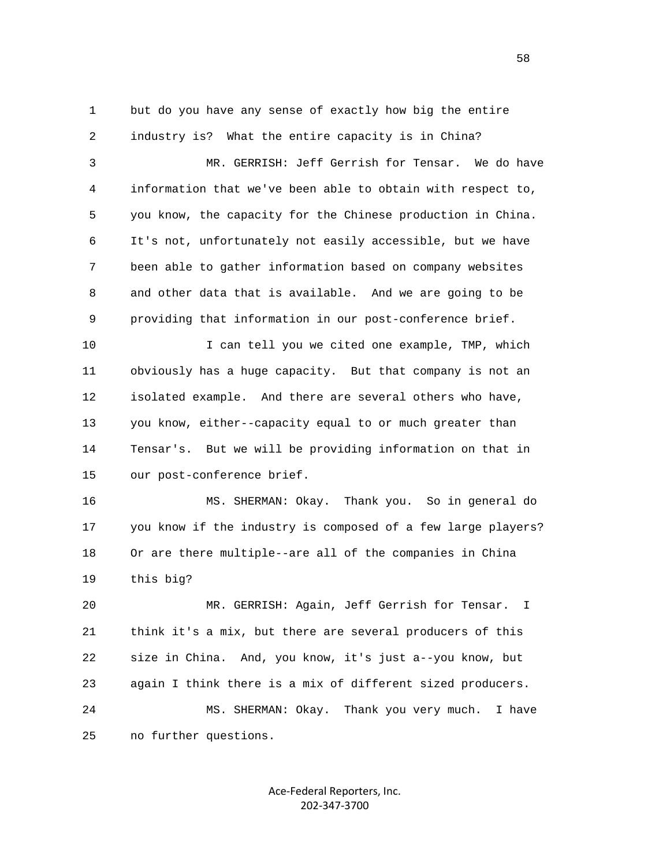1 but do you have any sense of exactly how big the entire 2 industry is? What the entire capacity is in China?

 3 MR. GERRISH: Jeff Gerrish for Tensar. We do have 4 information that we've been able to obtain with respect to, 5 you know, the capacity for the Chinese production in China. 6 It's not, unfortunately not easily accessible, but we have 7 been able to gather information based on company websites 8 and other data that is available. And we are going to be 9 providing that information in our post-conference brief.

10 I can tell you we cited one example, TMP, which 11 obviously has a huge capacity. But that company is not an 12 isolated example. And there are several others who have, 13 you know, either--capacity equal to or much greater than 14 Tensar's. But we will be providing information on that in 15 our post-conference brief.

 16 MS. SHERMAN: Okay. Thank you. So in general do 17 you know if the industry is composed of a few large players? 18 Or are there multiple--are all of the companies in China 19 this big?

 20 MR. GERRISH: Again, Jeff Gerrish for Tensar. I 21 think it's a mix, but there are several producers of this 22 size in China. And, you know, it's just a--you know, but 23 again I think there is a mix of different sized producers. 24 MS. SHERMAN: Okay. Thank you very much. I have 25 no further questions.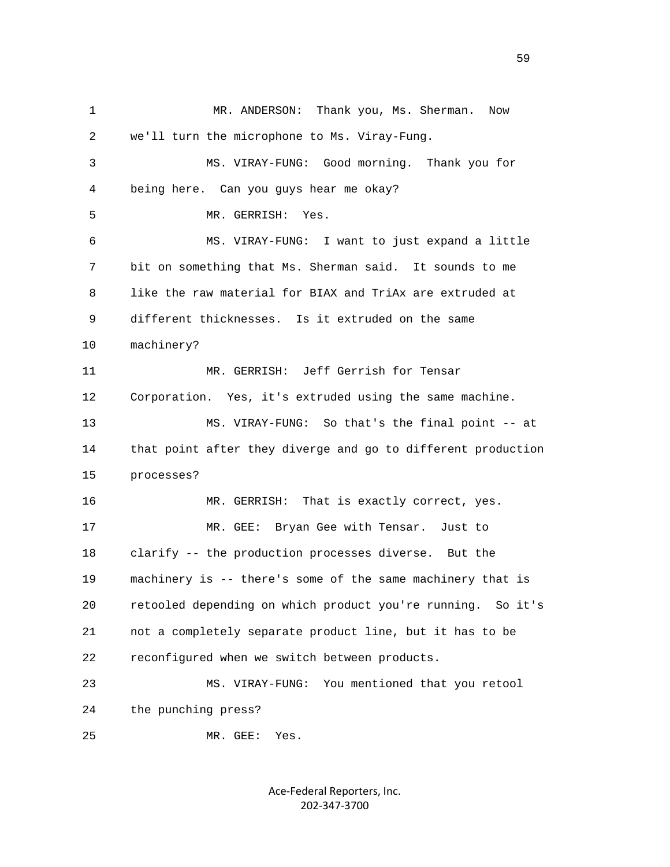1 MR. ANDERSON: Thank you, Ms. Sherman. Now 2 we'll turn the microphone to Ms. Viray-Fung. 3 MS. VIRAY-FUNG: Good morning. Thank you for 4 being here. Can you guys hear me okay? 5 MR. GERRISH: Yes. 6 MS. VIRAY-FUNG: I want to just expand a little 7 bit on something that Ms. Sherman said. It sounds to me 8 like the raw material for BIAX and TriAx are extruded at 9 different thicknesses. Is it extruded on the same 10 machinery? 11 MR. GERRISH: Jeff Gerrish for Tensar 12 Corporation. Yes, it's extruded using the same machine. 13 MS. VIRAY-FUNG: So that's the final point -- at 14 that point after they diverge and go to different production 15 processes? 16 MR. GERRISH: That is exactly correct, yes. 17 MR. GEE: Bryan Gee with Tensar. Just to 18 clarify -- the production processes diverse. But the 19 machinery is -- there's some of the same machinery that is 20 retooled depending on which product you're running. So it's 21 not a completely separate product line, but it has to be 22 reconfigured when we switch between products. 23 MS. VIRAY-FUNG: You mentioned that you retool 24 the punching press? 25 MR. GEE: Yes.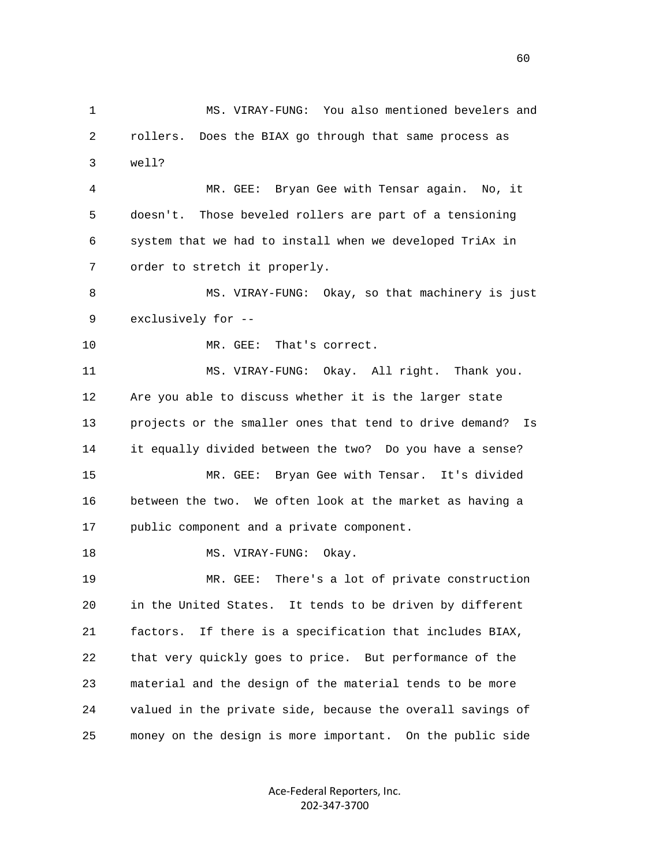1 MS. VIRAY-FUNG: You also mentioned bevelers and 2 rollers. Does the BIAX go through that same process as 3 well? 4 MR. GEE: Bryan Gee with Tensar again. No, it 5 doesn't. Those beveled rollers are part of a tensioning 6 system that we had to install when we developed TriAx in 7 order to stretch it properly. 8 MS. VIRAY-FUNG: Okay, so that machinery is just 9 exclusively for -- 10 MR. GEE: That's correct. 11 MS. VIRAY-FUNG: Okay. All right. Thank you. 12 Are you able to discuss whether it is the larger state 13 projects or the smaller ones that tend to drive demand? Is 14 it equally divided between the two? Do you have a sense? 15 MR. GEE: Bryan Gee with Tensar. It's divided 16 between the two. We often look at the market as having a 17 public component and a private component. 18 MS. VIRAY-FUNG: Okay. 19 MR. GEE: There's a lot of private construction 20 in the United States. It tends to be driven by different 21 factors. If there is a specification that includes BIAX, 22 that very quickly goes to price. But performance of the 23 material and the design of the material tends to be more 24 valued in the private side, because the overall savings of 25 money on the design is more important. On the public side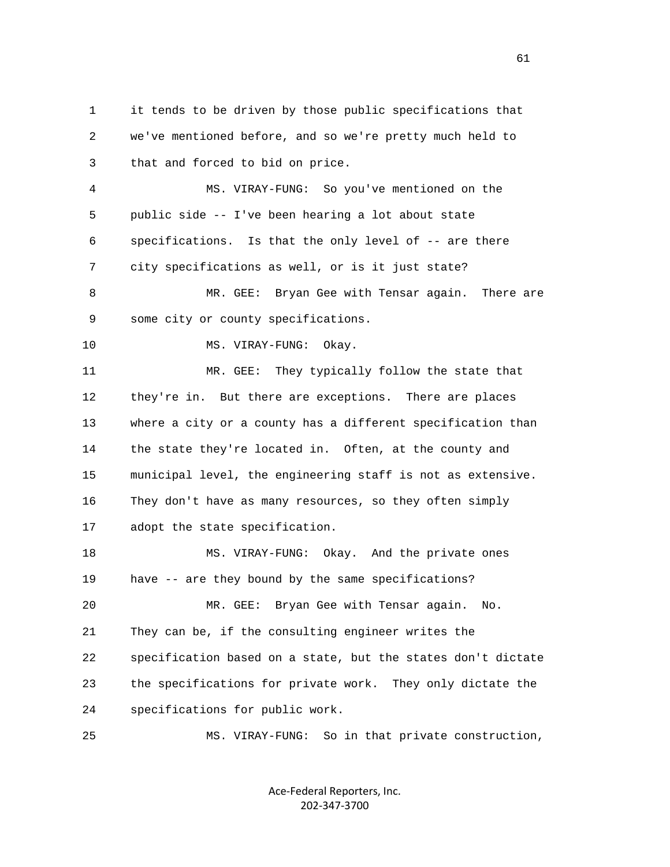1 it tends to be driven by those public specifications that 2 we've mentioned before, and so we're pretty much held to 3 that and forced to bid on price. 4 MS. VIRAY-FUNG: So you've mentioned on the 5 public side -- I've been hearing a lot about state 6 specifications. Is that the only level of -- are there 7 city specifications as well, or is it just state? 8 MR. GEE: Bryan Gee with Tensar again. There are 9 some city or county specifications. 10 MS. VIRAY-FUNG: Okay. 11 MR. GEE: They typically follow the state that 12 they're in. But there are exceptions. There are places 13 where a city or a county has a different specification than 14 the state they're located in. Often, at the county and 15 municipal level, the engineering staff is not as extensive. 16 They don't have as many resources, so they often simply 17 adopt the state specification. 18 MS. VIRAY-FUNG: Okay. And the private ones 19 have -- are they bound by the same specifications? 20 MR. GEE: Bryan Gee with Tensar again. No. 21 They can be, if the consulting engineer writes the 22 specification based on a state, but the states don't dictate 23 the specifications for private work. They only dictate the 24 specifications for public work. 25 MS. VIRAY-FUNG: So in that private construction,

> Ace‐Federal Reporters, Inc. 202‐347‐3700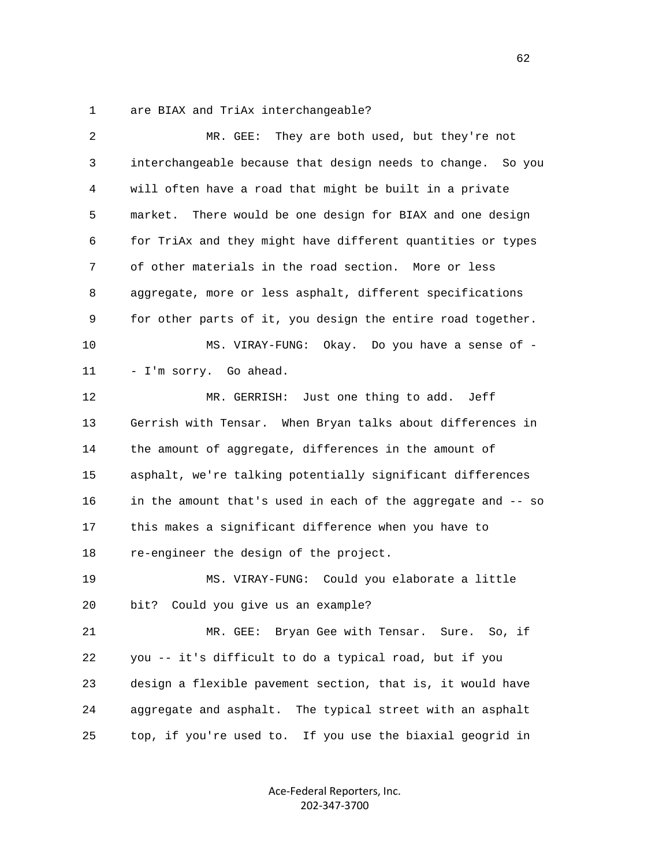1 are BIAX and TriAx interchangeable?

| $\overline{2}$ | MR. GEE: They are both used, but they're not                 |
|----------------|--------------------------------------------------------------|
| 3              | interchangeable because that design needs to change. So you  |
| 4              | will often have a road that might be built in a private      |
| 5              | There would be one design for BIAX and one design<br>market. |
| 6              | for TriAx and they might have different quantities or types  |
| 7              | of other materials in the road section. More or less         |
| 8              | aggregate, more or less asphalt, different specifications    |
| 9              | for other parts of it, you design the entire road together.  |
| 10             | MS. VIRAY-FUNG: Okay. Do you have a sense of -               |
| 11             | - I'm sorry. Go ahead.                                       |
| 12             | MR. GERRISH: Just one thing to add.<br>Jeff                  |
| 13             | Gerrish with Tensar. When Bryan talks about differences in   |
| 14             | the amount of aggregate, differences in the amount of        |
| 15             | asphalt, we're talking potentially significant differences   |
| 16             | in the amount that's used in each of the aggregate and -- so |
| 17             | this makes a significant difference when you have to         |
| 18             | re-engineer the design of the project.                       |
| 19             | MS. VIRAY-FUNG: Could you elaborate a little                 |
| 20             | Could you give us an example?<br>bit?                        |
| 21             | MR. GEE: Bryan Gee with Tensar. Sure. So, if                 |
| 22             | you -- it's difficult to do a typical road, but if you       |
| 23             | design a flexible pavement section, that is, it would have   |
| 24             | The typical street with an asphalt<br>aggregate and asphalt. |
| 25             | top, if you're used to.<br>If you use the biaxial geogrid in |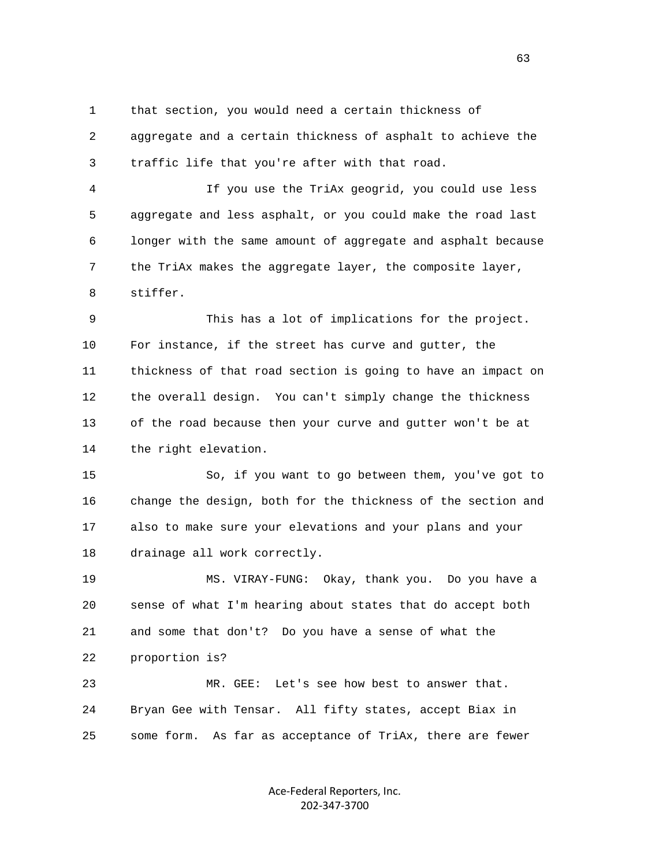1 that section, you would need a certain thickness of 2 aggregate and a certain thickness of asphalt to achieve the 3 traffic life that you're after with that road.

 4 If you use the TriAx geogrid, you could use less 5 aggregate and less asphalt, or you could make the road last 6 longer with the same amount of aggregate and asphalt because 7 the TriAx makes the aggregate layer, the composite layer, 8 stiffer.

 9 This has a lot of implications for the project. 10 For instance, if the street has curve and gutter, the 11 thickness of that road section is going to have an impact on 12 the overall design. You can't simply change the thickness 13 of the road because then your curve and gutter won't be at 14 the right elevation.

 15 So, if you want to go between them, you've got to 16 change the design, both for the thickness of the section and 17 also to make sure your elevations and your plans and your 18 drainage all work correctly.

 19 MS. VIRAY-FUNG: Okay, thank you. Do you have a 20 sense of what I'm hearing about states that do accept both 21 and some that don't? Do you have a sense of what the 22 proportion is?

 23 MR. GEE: Let's see how best to answer that. 24 Bryan Gee with Tensar. All fifty states, accept Biax in 25 some form. As far as acceptance of TriAx, there are fewer

> Ace‐Federal Reporters, Inc. 202‐347‐3700

 $\sim$  63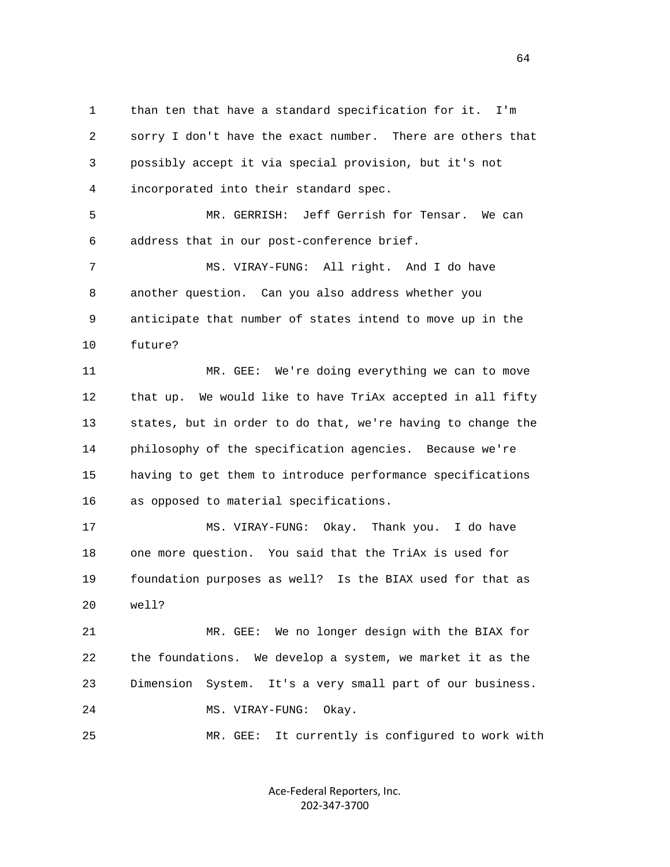1 than ten that have a standard specification for it. I'm 2 sorry I don't have the exact number. There are others that 3 possibly accept it via special provision, but it's not 4 incorporated into their standard spec.

 5 MR. GERRISH: Jeff Gerrish for Tensar. We can 6 address that in our post-conference brief.

 7 MS. VIRAY-FUNG: All right. And I do have 8 another question. Can you also address whether you 9 anticipate that number of states intend to move up in the 10 future?

 11 MR. GEE: We're doing everything we can to move 12 that up. We would like to have TriAx accepted in all fifty 13 states, but in order to do that, we're having to change the 14 philosophy of the specification agencies. Because we're 15 having to get them to introduce performance specifications 16 as opposed to material specifications.

 17 MS. VIRAY-FUNG: Okay. Thank you. I do have 18 one more question. You said that the TriAx is used for 19 foundation purposes as well? Is the BIAX used for that as 20 well?

 21 MR. GEE: We no longer design with the BIAX for 22 the foundations. We develop a system, we market it as the 23 Dimension System. It's a very small part of our business. 24 MS. VIRAY-FUNG: Okay.

25 MR. GEE: It currently is configured to work with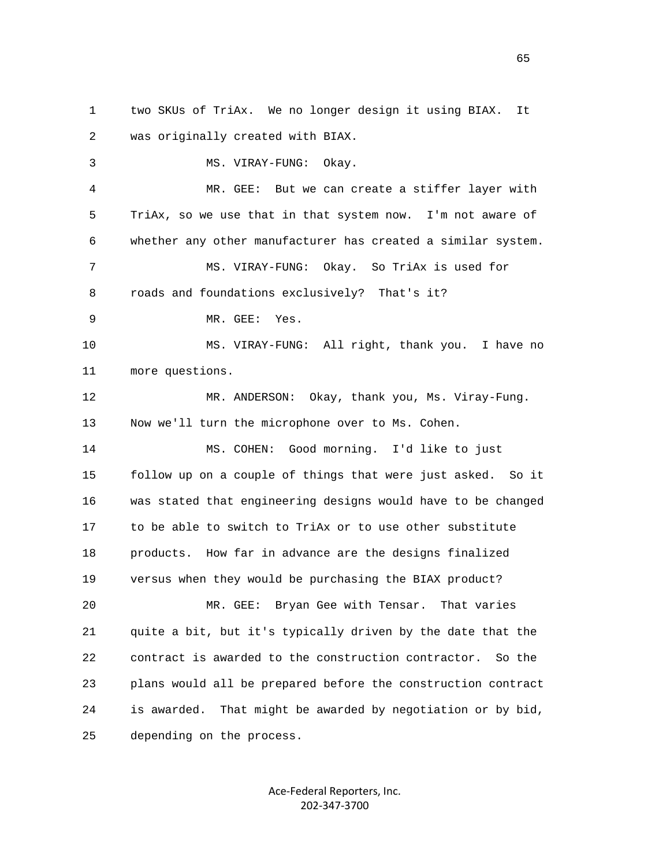1 two SKUs of TriAx. We no longer design it using BIAX. It 2 was originally created with BIAX. 3 MS. VIRAY-FUNG: Okay. 4 MR. GEE: But we can create a stiffer layer with 5 TriAx, so we use that in that system now. I'm not aware of 6 whether any other manufacturer has created a similar system. 7 MS. VIRAY-FUNG: Okay. So TriAx is used for 8 roads and foundations exclusively? That's it? 9 MR. GEE: Yes. 10 MS. VIRAY-FUNG: All right, thank you. I have no 11 more questions. 12 MR. ANDERSON: Okay, thank you, Ms. Viray-Fung. 13 Now we'll turn the microphone over to Ms. Cohen. 14 MS. COHEN: Good morning. I'd like to just 15 follow up on a couple of things that were just asked. So it 16 was stated that engineering designs would have to be changed 17 to be able to switch to TriAx or to use other substitute 18 products. How far in advance are the designs finalized 19 versus when they would be purchasing the BIAX product? 20 MR. GEE: Bryan Gee with Tensar. That varies 21 quite a bit, but it's typically driven by the date that the 22 contract is awarded to the construction contractor. So the 23 plans would all be prepared before the construction contract 24 is awarded. That might be awarded by negotiation or by bid, 25 depending on the process.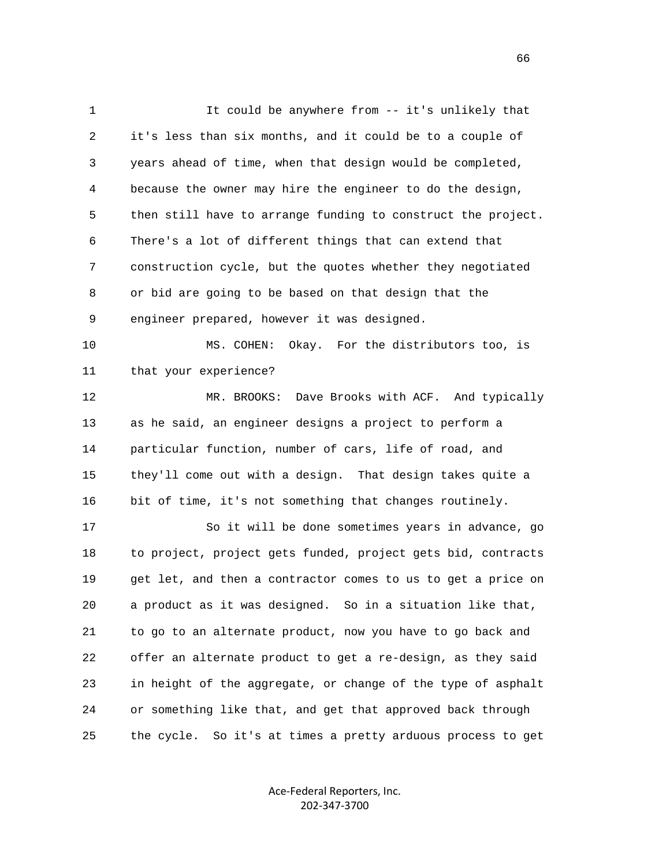1 It could be anywhere from -- it's unlikely that 2 it's less than six months, and it could be to a couple of 3 years ahead of time, when that design would be completed, 4 because the owner may hire the engineer to do the design, 5 then still have to arrange funding to construct the project. 6 There's a lot of different things that can extend that 7 construction cycle, but the quotes whether they negotiated 8 or bid are going to be based on that design that the 9 engineer prepared, however it was designed. 10 MS. COHEN: Okay. For the distributors too, is 11 that your experience? 12 MR. BROOKS: Dave Brooks with ACF. And typically 13 as he said, an engineer designs a project to perform a 14 particular function, number of cars, life of road, and 15 they'll come out with a design. That design takes quite a 16 bit of time, it's not something that changes routinely. 17 So it will be done sometimes years in advance, go 18 to project, project gets funded, project gets bid, contracts 19 get let, and then a contractor comes to us to get a price on 20 a product as it was designed. So in a situation like that, 21 to go to an alternate product, now you have to go back and 22 offer an alternate product to get a re-design, as they said 23 in height of the aggregate, or change of the type of asphalt 24 or something like that, and get that approved back through 25 the cycle. So it's at times a pretty arduous process to get

> Ace‐Federal Reporters, Inc. 202‐347‐3700

 $\sim$  66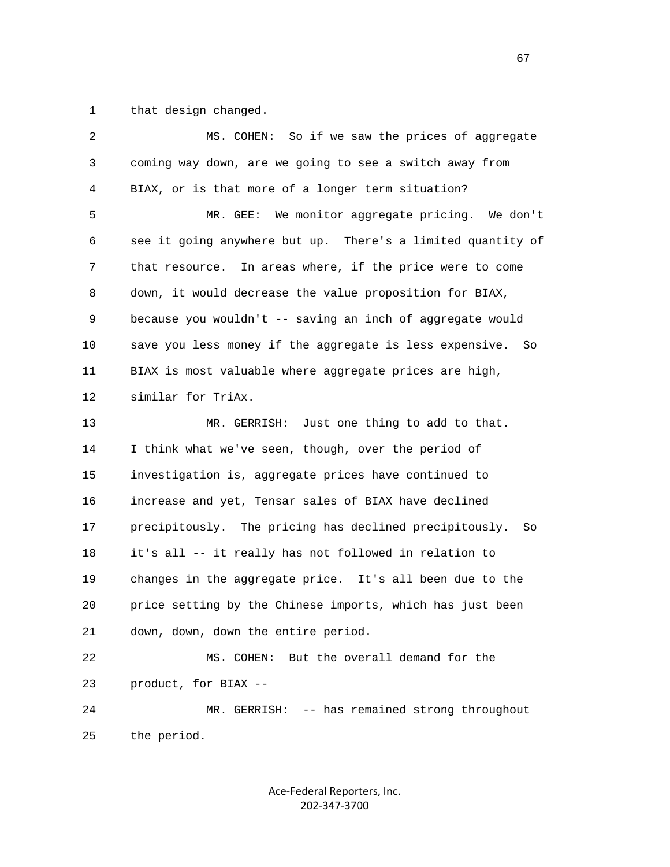1 that design changed.

| 2  | MS. COHEN: So if we saw the prices of aggregate              |
|----|--------------------------------------------------------------|
| 3  | coming way down, are we going to see a switch away from      |
| 4  | BIAX, or is that more of a longer term situation?            |
| 5  | MR. GEE: We monitor aggregate pricing. We don't              |
| 6  | see it going anywhere but up. There's a limited quantity of  |
| 7  | that resource. In areas where, if the price were to come     |
| 8  | down, it would decrease the value proposition for BIAX,      |
| 9  | because you wouldn't -- saving an inch of aggregate would    |
| 10 | save you less money if the aggregate is less expensive. So   |
| 11 | BIAX is most valuable where aggregate prices are high,       |
| 12 | similar for TriAx.                                           |
| 13 | Just one thing to add to that.<br>MR. GERRISH:               |
| 14 | I think what we've seen, though, over the period of          |
| 15 | investigation is, aggregate prices have continued to         |
| 16 | increase and yet, Tensar sales of BIAX have declined         |
| 17 | precipitously. The pricing has declined precipitously.<br>So |
| 18 | it's all -- it really has not followed in relation to        |
| 19 | changes in the aggregate price. It's all been due to the     |
| 20 | price setting by the Chinese imports, which has just been    |
| 21 | down, down, down the entire period.                          |
| 22 | But the overall demand for the<br>MS. COHEN:                 |
| 23 | product, for BIAX --                                         |
| 24 | -- has remained strong throughout<br>MR. GERRISH:            |
| 25 | the period.                                                  |
|    |                                                              |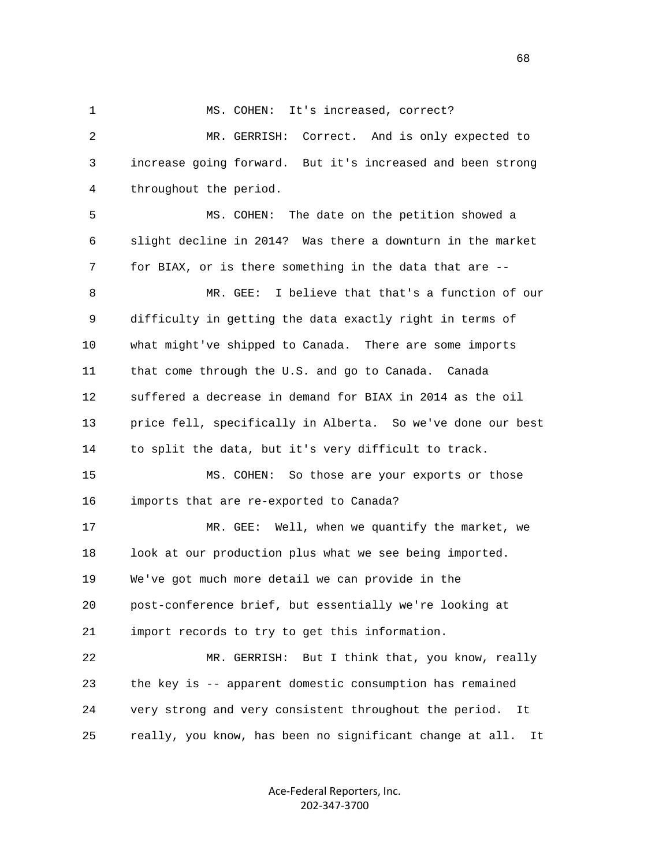1 MS. COHEN: It's increased, correct? 2 MR. GERRISH: Correct. And is only expected to 3 increase going forward. But it's increased and been strong 4 throughout the period. 5 MS. COHEN: The date on the petition showed a 6 slight decline in 2014? Was there a downturn in the market 7 for BIAX, or is there something in the data that are -- 8 MR. GEE: I believe that that's a function of our 9 difficulty in getting the data exactly right in terms of 10 what might've shipped to Canada. There are some imports 11 that come through the U.S. and go to Canada. Canada 12 suffered a decrease in demand for BIAX in 2014 as the oil 13 price fell, specifically in Alberta. So we've done our best 14 to split the data, but it's very difficult to track. 15 MS. COHEN: So those are your exports or those 16 imports that are re-exported to Canada? 17 MR. GEE: Well, when we quantify the market, we 18 look at our production plus what we see being imported. 19 We've got much more detail we can provide in the 20 post-conference brief, but essentially we're looking at 21 import records to try to get this information. 22 MR. GERRISH: But I think that, you know, really 23 the key is -- apparent domestic consumption has remained 24 very strong and very consistent throughout the period. It 25 really, you know, has been no significant change at all. It

> Ace‐Federal Reporters, Inc. 202‐347‐3700

 $\sim$  68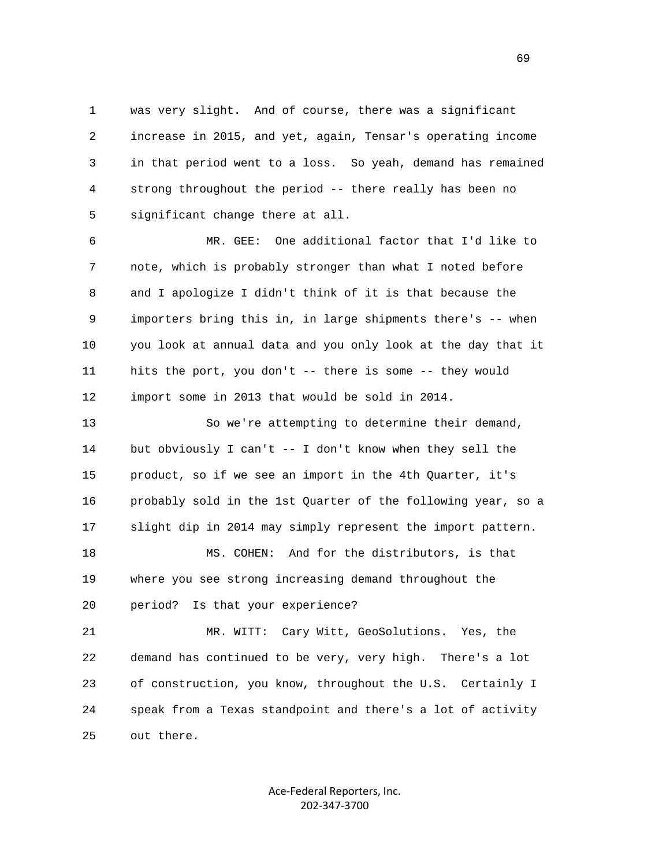1 was very slight. And of course, there was a significant 2 increase in 2015, and yet, again, Tensar's operating income 3 in that period went to a loss. So yeah, demand has remained 4 strong throughout the period -- there really has been no 5 significant change there at all.

 6 MR. GEE: One additional factor that I'd like to 7 note, which is probably stronger than what I noted before 8 and I apologize I didn't think of it is that because the 9 importers bring this in, in large shipments there's -- when 10 you look at annual data and you only look at the day that it 11 hits the port, you don't -- there is some -- they would 12 import some in 2013 that would be sold in 2014.

 13 So we're attempting to determine their demand, 14 but obviously I can't -- I don't know when they sell the 15 product, so if we see an import in the 4th Quarter, it's 16 probably sold in the 1st Quarter of the following year, so a 17 slight dip in 2014 may simply represent the import pattern. 18 MS. COHEN: And for the distributors, is that 19 where you see strong increasing demand throughout the

20 period? Is that your experience?

 21 MR. WITT: Cary Witt, GeoSolutions. Yes, the 22 demand has continued to be very, very high. There's a lot 23 of construction, you know, throughout the U.S. Certainly I 24 speak from a Texas standpoint and there's a lot of activity 25 out there.

> Ace‐Federal Reporters, Inc. 202‐347‐3700

 $\sim$  69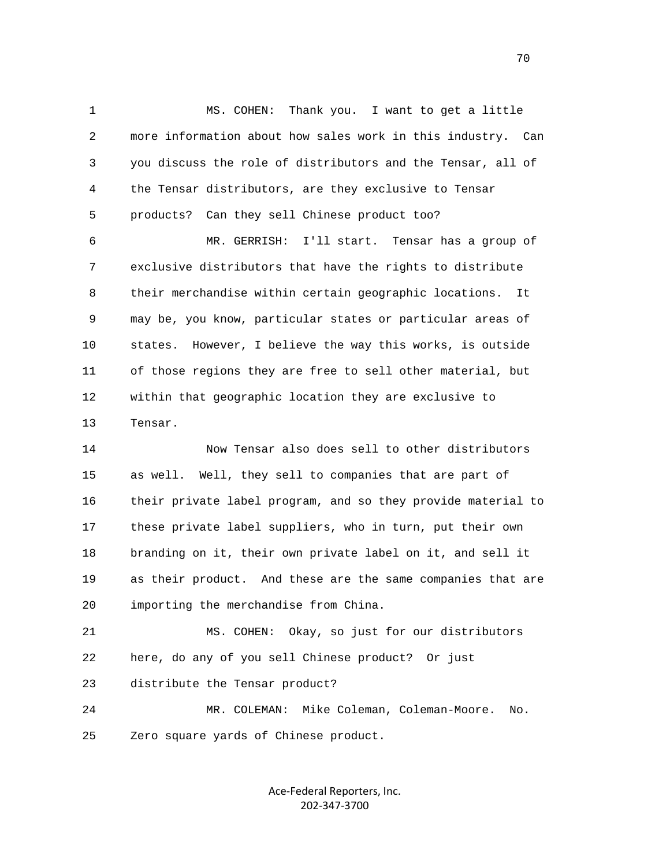1 MS. COHEN: Thank you. I want to get a little 2 more information about how sales work in this industry. Can 3 you discuss the role of distributors and the Tensar, all of 4 the Tensar distributors, are they exclusive to Tensar 5 products? Can they sell Chinese product too?

 6 MR. GERRISH: I'll start. Tensar has a group of 7 exclusive distributors that have the rights to distribute 8 their merchandise within certain geographic locations. It 9 may be, you know, particular states or particular areas of 10 states. However, I believe the way this works, is outside 11 of those regions they are free to sell other material, but 12 within that geographic location they are exclusive to 13 Tensar.

 14 Now Tensar also does sell to other distributors 15 as well. Well, they sell to companies that are part of 16 their private label program, and so they provide material to 17 these private label suppliers, who in turn, put their own 18 branding on it, their own private label on it, and sell it 19 as their product. And these are the same companies that are 20 importing the merchandise from China.

 21 MS. COHEN: Okay, so just for our distributors 22 here, do any of you sell Chinese product? Or just 23 distribute the Tensar product?

 24 MR. COLEMAN: Mike Coleman, Coleman-Moore. No. 25 Zero square yards of Chinese product.

> Ace‐Federal Reporters, Inc. 202‐347‐3700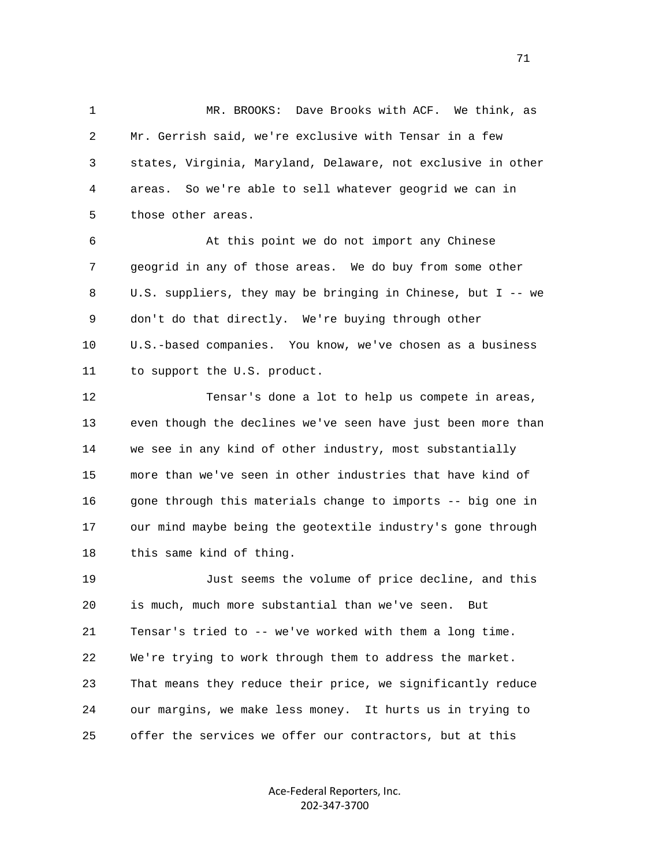1 MR. BROOKS: Dave Brooks with ACF. We think, as 2 Mr. Gerrish said, we're exclusive with Tensar in a few 3 states, Virginia, Maryland, Delaware, not exclusive in other 4 areas. So we're able to sell whatever geogrid we can in 5 those other areas.

 6 At this point we do not import any Chinese 7 geogrid in any of those areas. We do buy from some other 8 U.S. suppliers, they may be bringing in Chinese, but I -- we 9 don't do that directly. We're buying through other 10 U.S.-based companies. You know, we've chosen as a business 11 to support the U.S. product.

 12 Tensar's done a lot to help us compete in areas, 13 even though the declines we've seen have just been more than 14 we see in any kind of other industry, most substantially 15 more than we've seen in other industries that have kind of 16 gone through this materials change to imports -- big one in 17 our mind maybe being the geotextile industry's gone through 18 this same kind of thing.

 19 Just seems the volume of price decline, and this 20 is much, much more substantial than we've seen. But 21 Tensar's tried to -- we've worked with them a long time. 22 We're trying to work through them to address the market. 23 That means they reduce their price, we significantly reduce 24 our margins, we make less money. It hurts us in trying to 25 offer the services we offer our contractors, but at this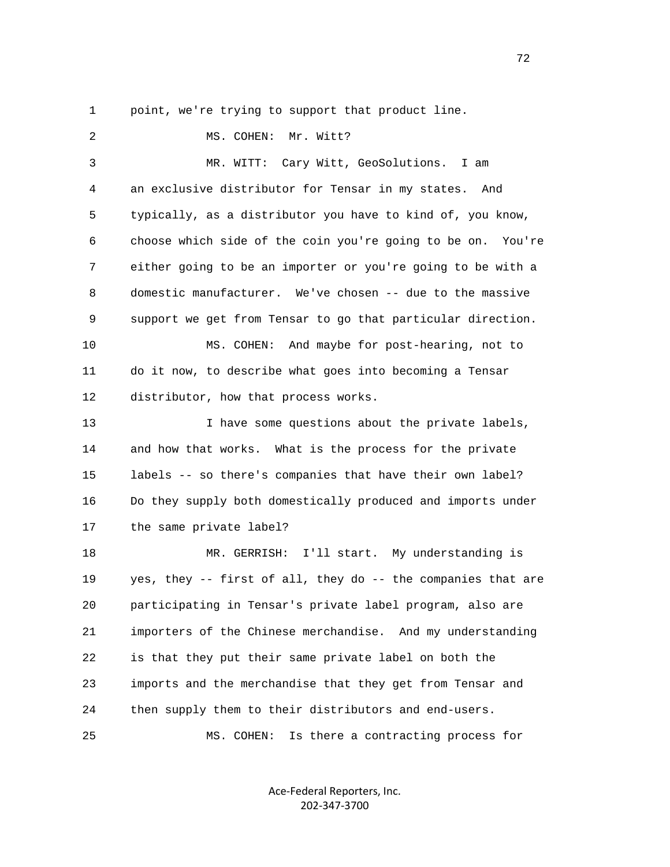1 point, we're trying to support that product line.

2 MS. COHEN: Mr. Witt? 3 MR. WITT: Cary Witt, GeoSolutions. I am 4 an exclusive distributor for Tensar in my states. And 5 typically, as a distributor you have to kind of, you know, 6 choose which side of the coin you're going to be on. You're 7 either going to be an importer or you're going to be with a 8 domestic manufacturer. We've chosen -- due to the massive 9 support we get from Tensar to go that particular direction. 10 MS. COHEN: And maybe for post-hearing, not to 11 do it now, to describe what goes into becoming a Tensar 12 distributor, how that process works. 13 I have some questions about the private labels, 14 and how that works. What is the process for the private 15 labels -- so there's companies that have their own label? 16 Do they supply both domestically produced and imports under 17 the same private label? 18 MR. GERRISH: I'll start. My understanding is 19 yes, they -- first of all, they do -- the companies that are 20 participating in Tensar's private label program, also are 21 importers of the Chinese merchandise. And my understanding 22 is that they put their same private label on both the 23 imports and the merchandise that they get from Tensar and 24 then supply them to their distributors and end-users. 25 MS. COHEN: Is there a contracting process for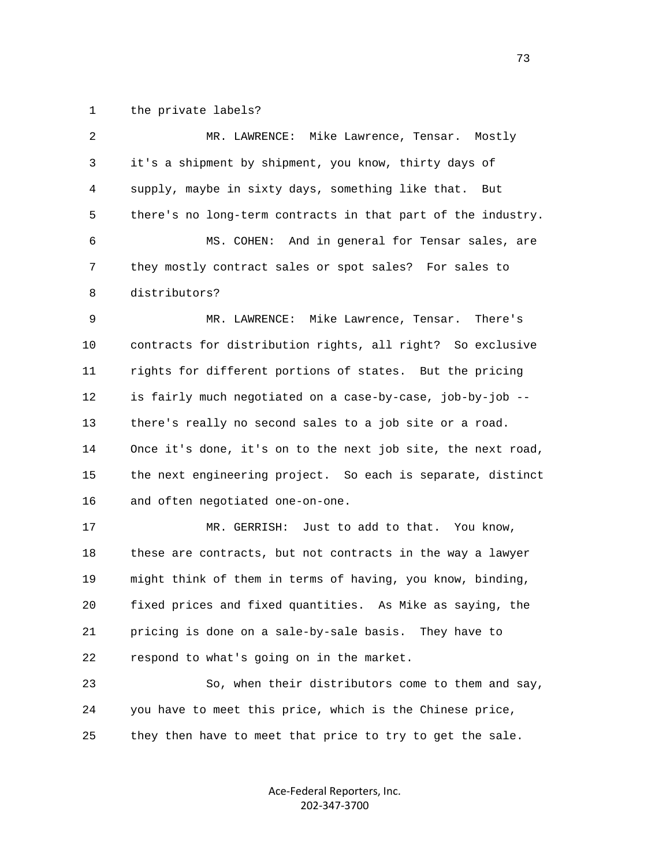1 the private labels?

| $\overline{c}$ | MR. LAWRENCE: Mike Lawrence, Tensar. Mostly                  |
|----------------|--------------------------------------------------------------|
| 3              | it's a shipment by shipment, you know, thirty days of        |
| 4              | supply, maybe in sixty days, something like that.<br>But     |
| 5              | there's no long-term contracts in that part of the industry. |
| 6              | MS. COHEN:<br>And in general for Tensar sales, are           |
| 7              | they mostly contract sales or spot sales? For sales to       |
| 8              | distributors?                                                |
| 9              | MR. LAWRENCE: Mike Lawrence, Tensar.<br>There's              |
| 10             | contracts for distribution rights, all right? So exclusive   |
| 11             | rights for different portions of states. But the pricing     |
| 12             | is fairly much negotiated on a case-by-case, job-by-job --   |
| 13             | there's really no second sales to a job site or a road.      |
| 14             | Once it's done, it's on to the next job site, the next road, |
| 15             | the next engineering project. So each is separate, distinct  |
| 16             | and often negotiated one-on-one.                             |
| 17             | MR. GERRISH: Just to add to that. You know,                  |
| 18             | these are contracts, but not contracts in the way a lawyer   |
| 19             | might think of them in terms of having, you know, binding,   |
| 20             | fixed prices and fixed quantities. As Mike as saying, the    |
| 21             | pricing is done on a sale-by-sale basis. They have to        |
| 22             | respond to what's going on in the market.                    |
| 23             | So, when their distributors come to them and say,            |
| 24             | you have to meet this price, which is the Chinese price,     |
| 25             | they then have to meet that price to try to get the sale.    |

Ace‐Federal Reporters, Inc. 202‐347‐3700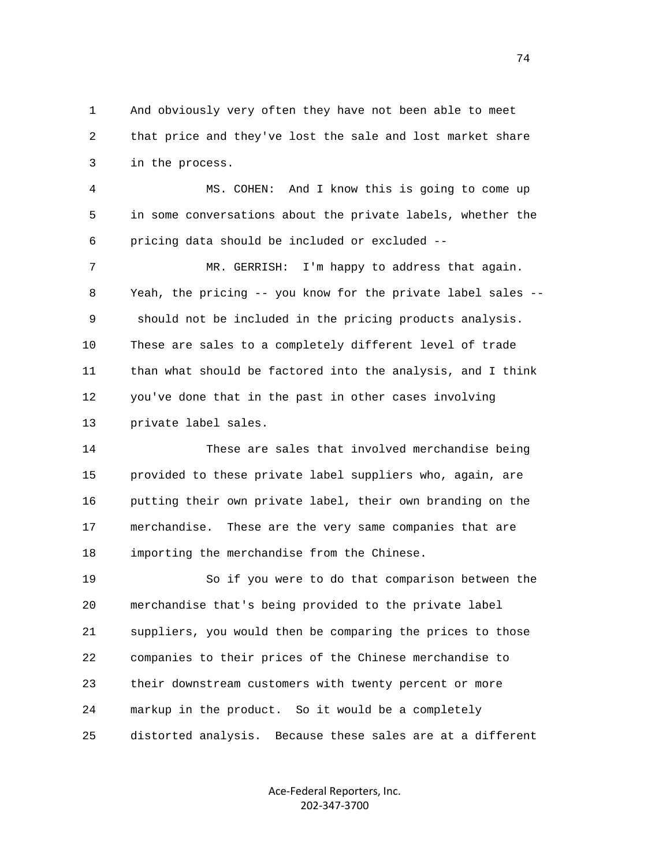1 And obviously very often they have not been able to meet 2 that price and they've lost the sale and lost market share 3 in the process.

 4 MS. COHEN: And I know this is going to come up 5 in some conversations about the private labels, whether the 6 pricing data should be included or excluded --

7 MR. GERRISH: I'm happy to address that again. 8 Yeah, the pricing -- you know for the private label sales -- 9 should not be included in the pricing products analysis. 10 These are sales to a completely different level of trade 11 than what should be factored into the analysis, and I think 12 you've done that in the past in other cases involving 13 private label sales.

 14 These are sales that involved merchandise being 15 provided to these private label suppliers who, again, are 16 putting their own private label, their own branding on the 17 merchandise. These are the very same companies that are 18 importing the merchandise from the Chinese.

 19 So if you were to do that comparison between the 20 merchandise that's being provided to the private label 21 suppliers, you would then be comparing the prices to those 22 companies to their prices of the Chinese merchandise to 23 their downstream customers with twenty percent or more 24 markup in the product. So it would be a completely 25 distorted analysis. Because these sales are at a different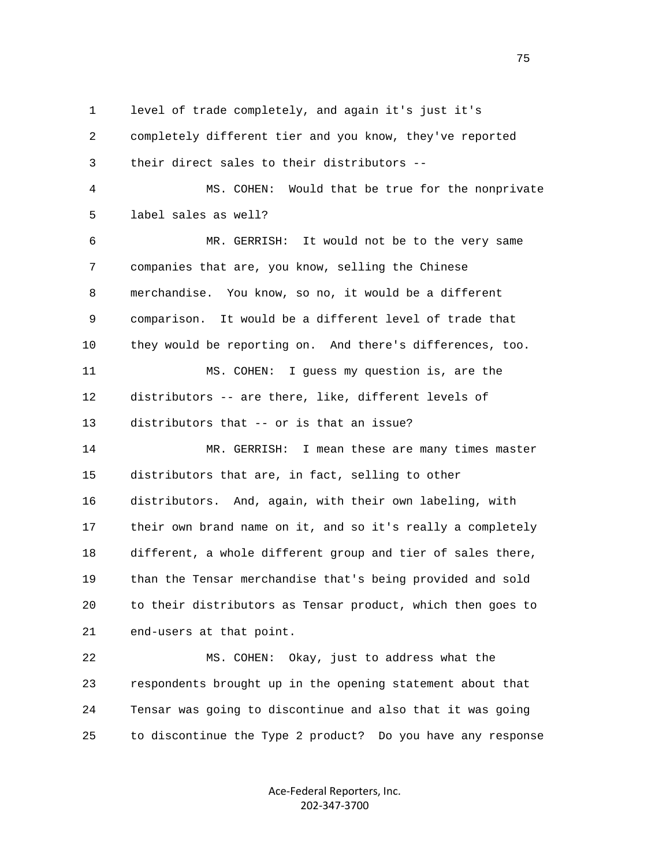1 level of trade completely, and again it's just it's 2 completely different tier and you know, they've reported

3 their direct sales to their distributors --

 4 MS. COHEN: Would that be true for the nonprivate 5 label sales as well?

 6 MR. GERRISH: It would not be to the very same 7 companies that are, you know, selling the Chinese 8 merchandise. You know, so no, it would be a different 9 comparison. It would be a different level of trade that 10 they would be reporting on. And there's differences, too. 11 MS. COHEN: I guess my question is, are the 12 distributors -- are there, like, different levels of

13 distributors that -- or is that an issue?

 14 MR. GERRISH: I mean these are many times master 15 distributors that are, in fact, selling to other 16 distributors. And, again, with their own labeling, with 17 their own brand name on it, and so it's really a completely 18 different, a whole different group and tier of sales there, 19 than the Tensar merchandise that's being provided and sold 20 to their distributors as Tensar product, which then goes to 21 end-users at that point.

 22 MS. COHEN: Okay, just to address what the 23 respondents brought up in the opening statement about that 24 Tensar was going to discontinue and also that it was going 25 to discontinue the Type 2 product? Do you have any response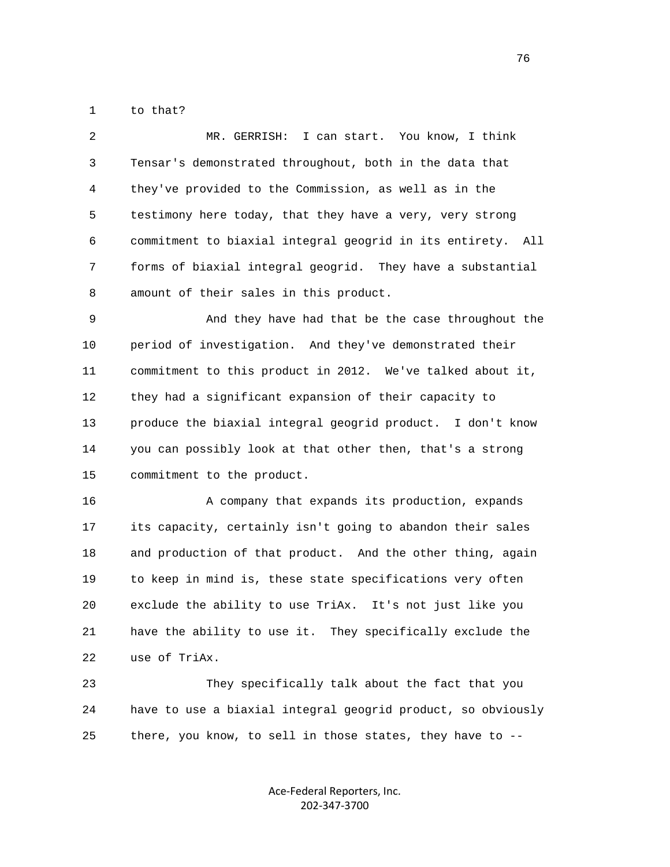1 to that?

 2 MR. GERRISH: I can start. You know, I think 3 Tensar's demonstrated throughout, both in the data that 4 they've provided to the Commission, as well as in the 5 testimony here today, that they have a very, very strong 6 commitment to biaxial integral geogrid in its entirety. All 7 forms of biaxial integral geogrid. They have a substantial 8 amount of their sales in this product.

 9 And they have had that be the case throughout the 10 period of investigation. And they've demonstrated their 11 commitment to this product in 2012. We've talked about it, 12 they had a significant expansion of their capacity to 13 produce the biaxial integral geogrid product. I don't know 14 you can possibly look at that other then, that's a strong 15 commitment to the product.

 16 A company that expands its production, expands 17 its capacity, certainly isn't going to abandon their sales 18 and production of that product. And the other thing, again 19 to keep in mind is, these state specifications very often 20 exclude the ability to use TriAx. It's not just like you 21 have the ability to use it. They specifically exclude the 22 use of TriAx.

 23 They specifically talk about the fact that you 24 have to use a biaxial integral geogrid product, so obviously 25 there, you know, to sell in those states, they have to --

> Ace‐Federal Reporters, Inc. 202‐347‐3700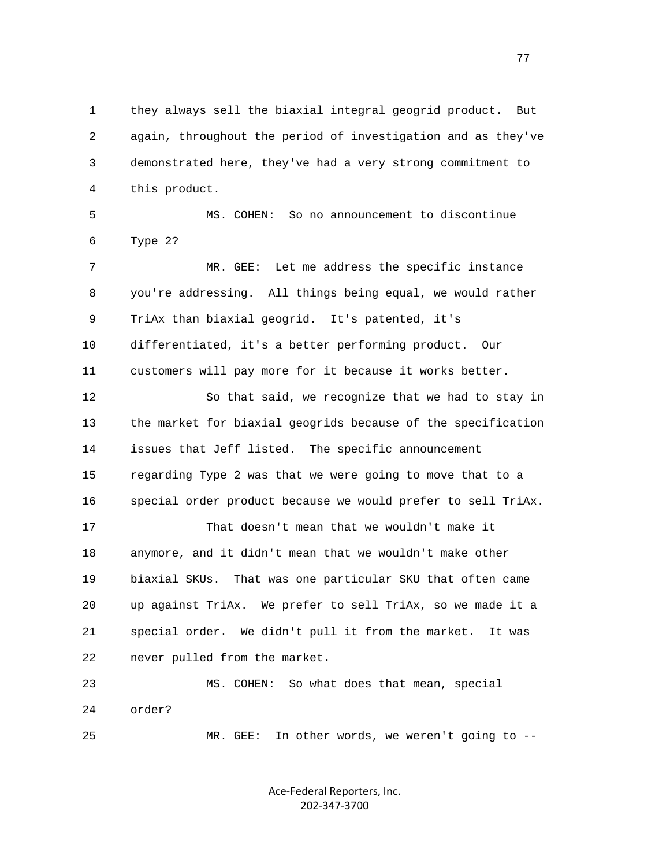1 they always sell the biaxial integral geogrid product. But 2 again, throughout the period of investigation and as they've 3 demonstrated here, they've had a very strong commitment to 4 this product.

 5 MS. COHEN: So no announcement to discontinue 6 Type 2?

 7 MR. GEE: Let me address the specific instance 8 you're addressing. All things being equal, we would rather 9 TriAx than biaxial geogrid. It's patented, it's 10 differentiated, it's a better performing product. Our 11 customers will pay more for it because it works better.

 12 So that said, we recognize that we had to stay in 13 the market for biaxial geogrids because of the specification 14 issues that Jeff listed. The specific announcement 15 regarding Type 2 was that we were going to move that to a 16 special order product because we would prefer to sell TriAx.

 17 That doesn't mean that we wouldn't make it 18 anymore, and it didn't mean that we wouldn't make other 19 biaxial SKUs. That was one particular SKU that often came 20 up against TriAx. We prefer to sell TriAx, so we made it a 21 special order. We didn't pull it from the market. It was 22 never pulled from the market.

 23 MS. COHEN: So what does that mean, special 24 order? 25 MR. GEE: In other words, we weren't going to --

> Ace‐Federal Reporters, Inc. 202‐347‐3700

na na matsay na matsay na matsay na matsay na matsay na matsay na matsay na matsay na matsay na matsay na mats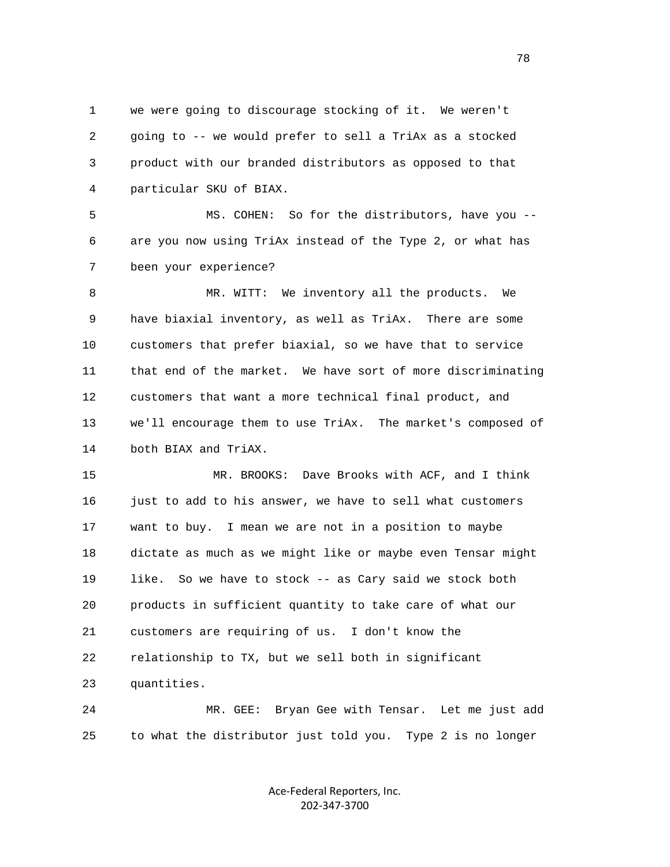1 we were going to discourage stocking of it. We weren't 2 going to -- we would prefer to sell a TriAx as a stocked 3 product with our branded distributors as opposed to that 4 particular SKU of BIAX.

 5 MS. COHEN: So for the distributors, have you -- 6 are you now using TriAx instead of the Type 2, or what has 7 been your experience?

 8 MR. WITT: We inventory all the products. We 9 have biaxial inventory, as well as TriAx. There are some 10 customers that prefer biaxial, so we have that to service 11 that end of the market. We have sort of more discriminating 12 customers that want a more technical final product, and 13 we'll encourage them to use TriAx. The market's composed of 14 both BIAX and TriAX.

 15 MR. BROOKS: Dave Brooks with ACF, and I think 16 just to add to his answer, we have to sell what customers 17 want to buy. I mean we are not in a position to maybe 18 dictate as much as we might like or maybe even Tensar might 19 like. So we have to stock -- as Cary said we stock both 20 products in sufficient quantity to take care of what our 21 customers are requiring of us. I don't know the 22 relationship to TX, but we sell both in significant 23 quantities.

 24 MR. GEE: Bryan Gee with Tensar. Let me just add 25 to what the distributor just told you. Type 2 is no longer

> Ace‐Federal Reporters, Inc. 202‐347‐3700

n and the state of the state of the state of the state of the state of the state of the state of the state of the state of the state of the state of the state of the state of the state of the state of the state of the stat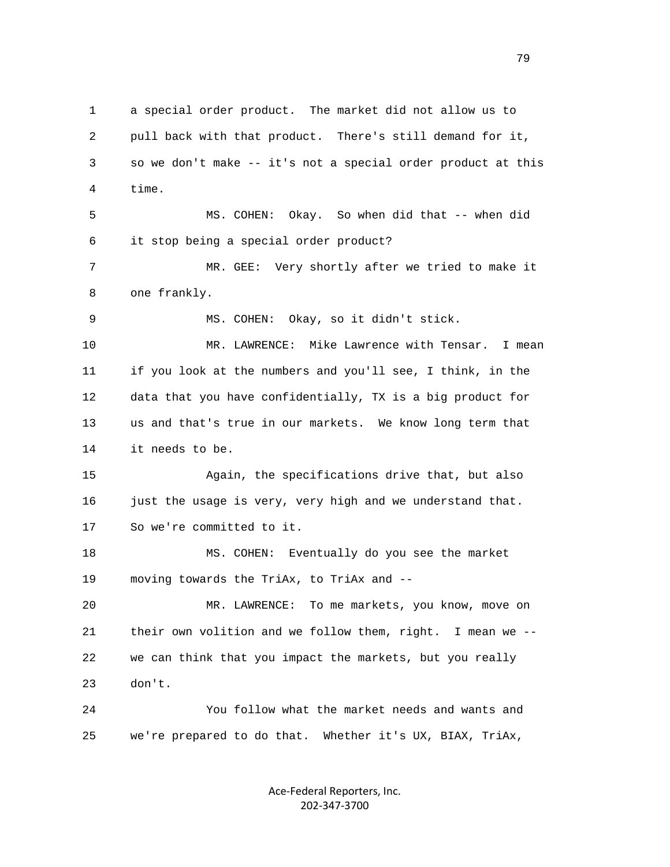1 a special order product. The market did not allow us to 2 pull back with that product. There's still demand for it, 3 so we don't make -- it's not a special order product at this 4 time. 5 MS. COHEN: Okay. So when did that -- when did 6 it stop being a special order product? 7 MR. GEE: Very shortly after we tried to make it 8 one frankly. 9 MS. COHEN: Okay, so it didn't stick. 10 MR. LAWRENCE: Mike Lawrence with Tensar. I mean 11 if you look at the numbers and you'll see, I think, in the 12 data that you have confidentially, TX is a big product for 13 us and that's true in our markets. We know long term that 14 it needs to be. 15 Again, the specifications drive that, but also 16 just the usage is very, very high and we understand that. 17 So we're committed to it. 18 MS. COHEN: Eventually do you see the market 19 moving towards the TriAx, to TriAx and -- 20 MR. LAWRENCE: To me markets, you know, move on 21 their own volition and we follow them, right. I mean we -- 22 we can think that you impact the markets, but you really 23 don't. 24 You follow what the market needs and wants and 25 we're prepared to do that. Whether it's UX, BIAX, TriAx,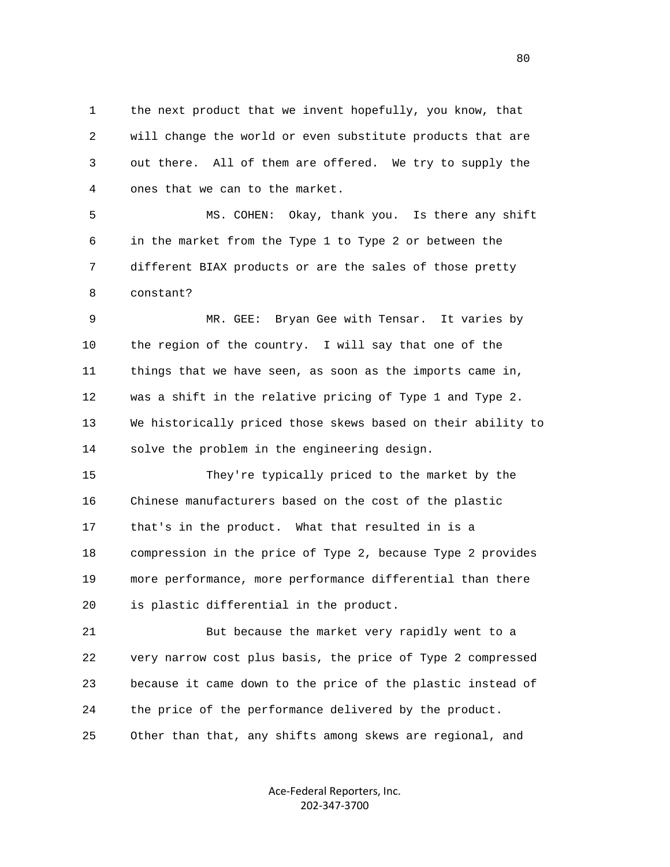1 the next product that we invent hopefully, you know, that 2 will change the world or even substitute products that are 3 out there. All of them are offered. We try to supply the 4 ones that we can to the market.

 5 MS. COHEN: Okay, thank you. Is there any shift 6 in the market from the Type 1 to Type 2 or between the 7 different BIAX products or are the sales of those pretty 8 constant?

 9 MR. GEE: Bryan Gee with Tensar. It varies by 10 the region of the country. I will say that one of the 11 things that we have seen, as soon as the imports came in, 12 was a shift in the relative pricing of Type 1 and Type 2. 13 We historically priced those skews based on their ability to 14 solve the problem in the engineering design.

 15 They're typically priced to the market by the 16 Chinese manufacturers based on the cost of the plastic 17 that's in the product. What that resulted in is a 18 compression in the price of Type 2, because Type 2 provides 19 more performance, more performance differential than there 20 is plastic differential in the product.

 21 But because the market very rapidly went to a 22 very narrow cost plus basis, the price of Type 2 compressed 23 because it came down to the price of the plastic instead of 24 the price of the performance delivered by the product. 25 Other than that, any shifts among skews are regional, and

> Ace‐Federal Reporters, Inc. 202‐347‐3700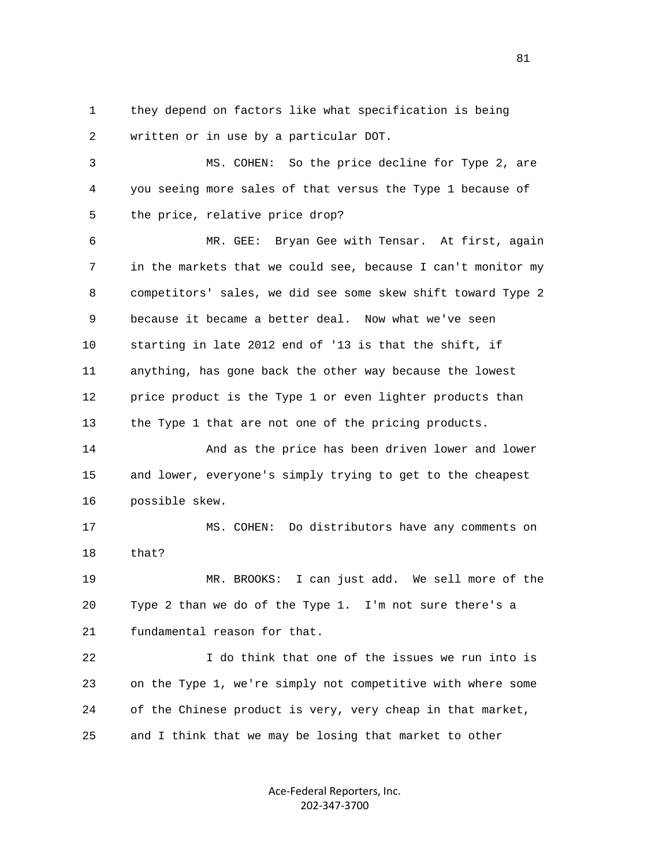1 they depend on factors like what specification is being 2 written or in use by a particular DOT.

 3 MS. COHEN: So the price decline for Type 2, are 4 you seeing more sales of that versus the Type 1 because of 5 the price, relative price drop?

 6 MR. GEE: Bryan Gee with Tensar. At first, again 7 in the markets that we could see, because I can't monitor my 8 competitors' sales, we did see some skew shift toward Type 2 9 because it became a better deal. Now what we've seen 10 starting in late 2012 end of '13 is that the shift, if 11 anything, has gone back the other way because the lowest 12 price product is the Type 1 or even lighter products than 13 the Type 1 that are not one of the pricing products.

 14 And as the price has been driven lower and lower 15 and lower, everyone's simply trying to get to the cheapest 16 possible skew.

 17 MS. COHEN: Do distributors have any comments on 18 that?

 19 MR. BROOKS: I can just add. We sell more of the 20 Type 2 than we do of the Type 1. I'm not sure there's a 21 fundamental reason for that.

 22 I do think that one of the issues we run into is 23 on the Type 1, we're simply not competitive with where some 24 of the Chinese product is very, very cheap in that market, 25 and I think that we may be losing that market to other

> Ace‐Federal Reporters, Inc. 202‐347‐3700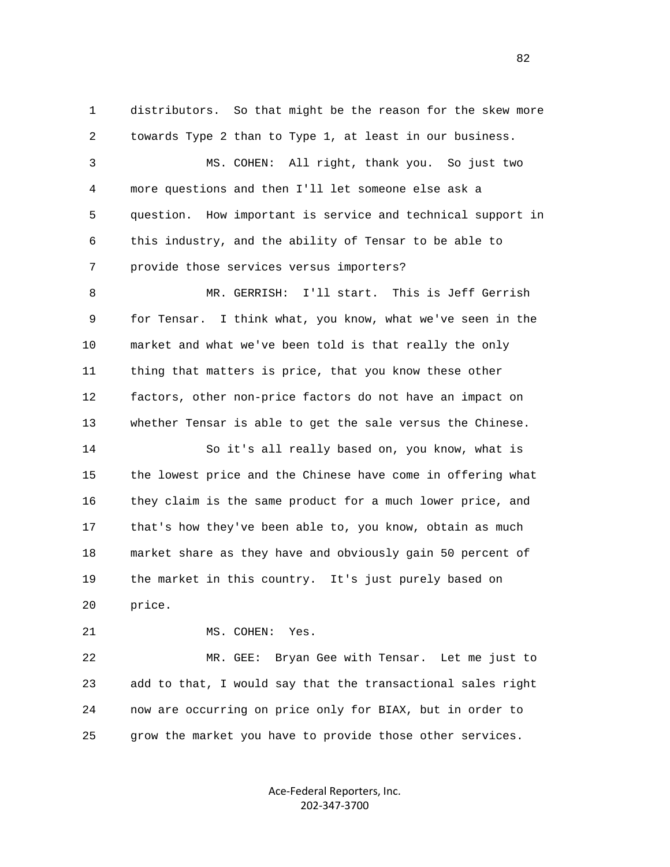1 distributors. So that might be the reason for the skew more 2 towards Type 2 than to Type 1, at least in our business. 3 MS. COHEN: All right, thank you. So just two 4 more questions and then I'll let someone else ask a 5 question. How important is service and technical support in 6 this industry, and the ability of Tensar to be able to 7 provide those services versus importers? 8 MR. GERRISH: I'll start. This is Jeff Gerrish 9 for Tensar. I think what, you know, what we've seen in the 10 market and what we've been told is that really the only 11 thing that matters is price, that you know these other 12 factors, other non-price factors do not have an impact on 13 whether Tensar is able to get the sale versus the Chinese. 14 So it's all really based on, you know, what is 15 the lowest price and the Chinese have come in offering what 16 they claim is the same product for a much lower price, and 17 that's how they've been able to, you know, obtain as much 18 market share as they have and obviously gain 50 percent of 19 the market in this country. It's just purely based on 20 price. 21 MS. COHEN: Yes.

 22 MR. GEE: Bryan Gee with Tensar. Let me just to 23 add to that, I would say that the transactional sales right 24 now are occurring on price only for BIAX, but in order to 25 grow the market you have to provide those other services.

> Ace‐Federal Reporters, Inc. 202‐347‐3700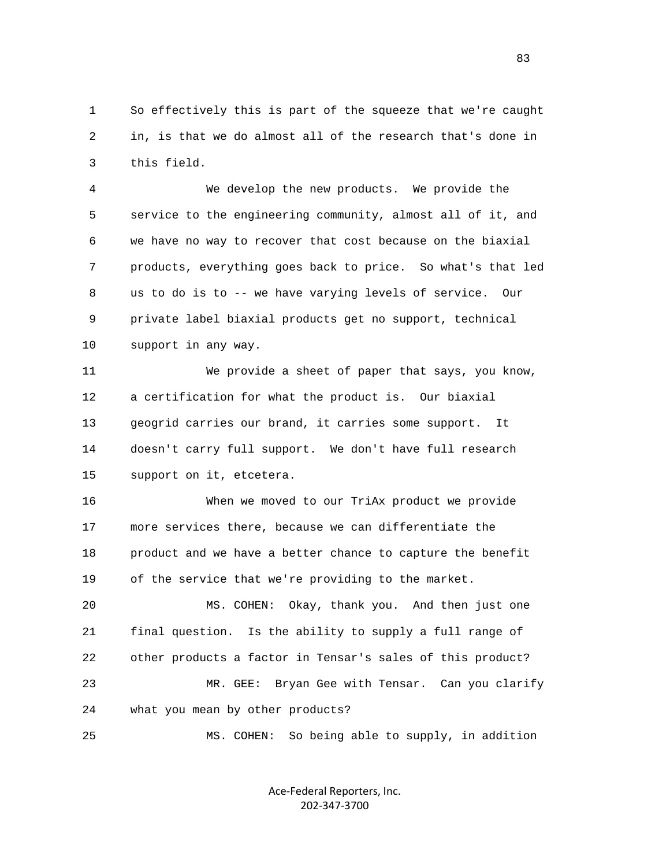1 So effectively this is part of the squeeze that we're caught 2 in, is that we do almost all of the research that's done in 3 this field.

 4 We develop the new products. We provide the 5 service to the engineering community, almost all of it, and 6 we have no way to recover that cost because on the biaxial 7 products, everything goes back to price. So what's that led 8 us to do is to -- we have varying levels of service. Our 9 private label biaxial products get no support, technical 10 support in any way.

 11 We provide a sheet of paper that says, you know, 12 a certification for what the product is. Our biaxial 13 geogrid carries our brand, it carries some support. It 14 doesn't carry full support. We don't have full research 15 support on it, etcetera.

 16 When we moved to our TriAx product we provide 17 more services there, because we can differentiate the 18 product and we have a better chance to capture the benefit 19 of the service that we're providing to the market.

 20 MS. COHEN: Okay, thank you. And then just one 21 final question. Is the ability to supply a full range of 22 other products a factor in Tensar's sales of this product? 23 MR. GEE: Bryan Gee with Tensar. Can you clarify 24 what you mean by other products?

25 MS. COHEN: So being able to supply, in addition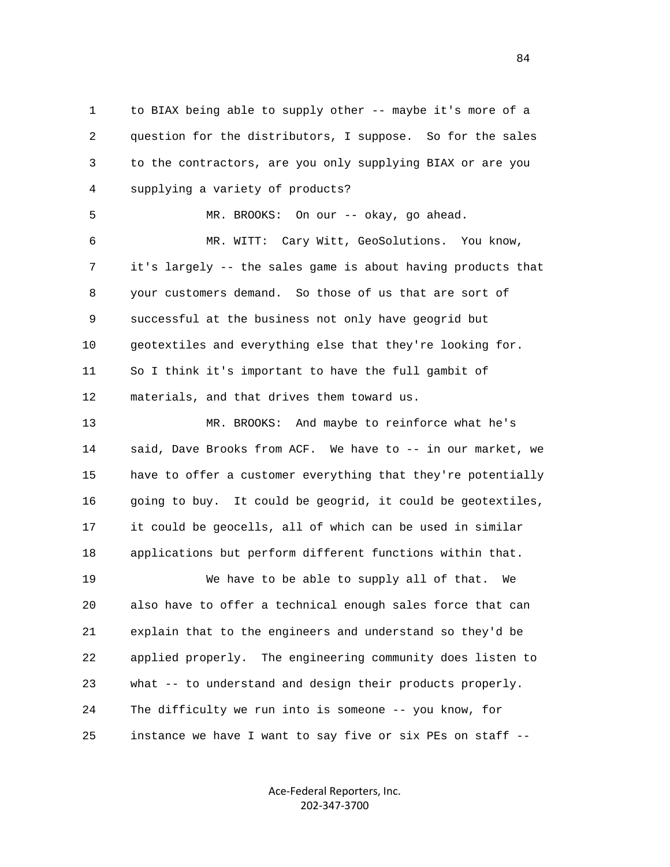1 to BIAX being able to supply other -- maybe it's more of a 2 question for the distributors, I suppose. So for the sales 3 to the contractors, are you only supplying BIAX or are you 4 supplying a variety of products? 5 MR. BROOKS: On our -- okay, go ahead. 6 MR. WITT: Cary Witt, GeoSolutions. You know, 7 it's largely -- the sales game is about having products that 8 your customers demand. So those of us that are sort of 9 successful at the business not only have geogrid but 10 geotextiles and everything else that they're looking for. 11 So I think it's important to have the full gambit of 12 materials, and that drives them toward us. 13 MR. BROOKS: And maybe to reinforce what he's 14 said, Dave Brooks from ACF. We have to -- in our market, we 15 have to offer a customer everything that they're potentially 16 going to buy. It could be geogrid, it could be geotextiles, 17 it could be geocells, all of which can be used in similar 18 applications but perform different functions within that. 19 We have to be able to supply all of that. We 20 also have to offer a technical enough sales force that can 21 explain that to the engineers and understand so they'd be 22 applied properly. The engineering community does listen to 23 what -- to understand and design their products properly. 24 The difficulty we run into is someone -- you know, for 25 instance we have I want to say five or six PEs on staff --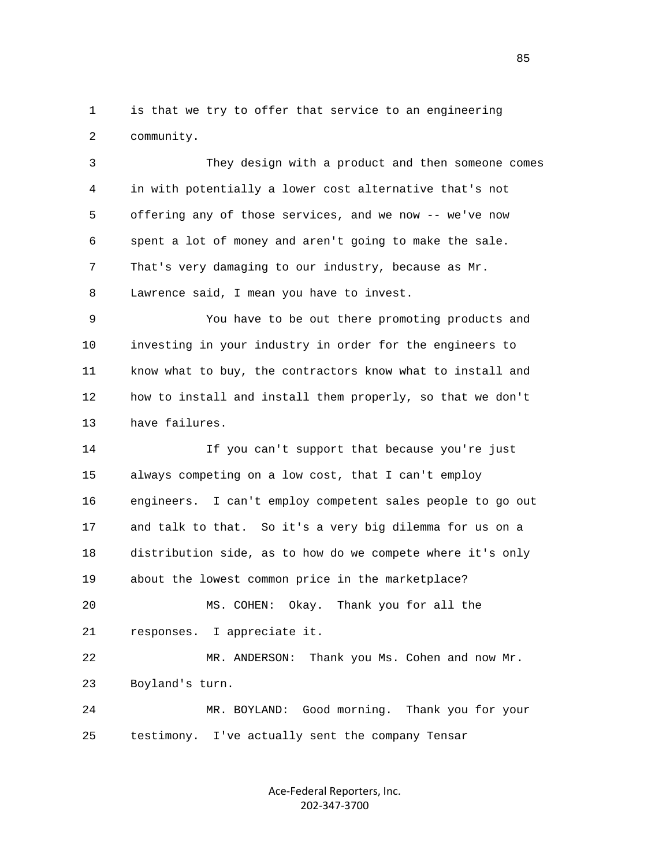1 is that we try to offer that service to an engineering 2 community.

 3 They design with a product and then someone comes 4 in with potentially a lower cost alternative that's not 5 offering any of those services, and we now -- we've now 6 spent a lot of money and aren't going to make the sale. 7 That's very damaging to our industry, because as Mr. 8 Lawrence said, I mean you have to invest.

 9 You have to be out there promoting products and 10 investing in your industry in order for the engineers to 11 know what to buy, the contractors know what to install and 12 how to install and install them properly, so that we don't 13 have failures.

 14 If you can't support that because you're just 15 always competing on a low cost, that I can't employ 16 engineers. I can't employ competent sales people to go out 17 and talk to that. So it's a very big dilemma for us on a 18 distribution side, as to how do we compete where it's only 19 about the lowest common price in the marketplace?

 20 MS. COHEN: Okay. Thank you for all the 21 responses. I appreciate it.

 22 MR. ANDERSON: Thank you Ms. Cohen and now Mr. 23 Boyland's turn.

 24 MR. BOYLAND: Good morning. Thank you for your 25 testimony. I've actually sent the company Tensar

> Ace‐Federal Reporters, Inc. 202‐347‐3700

<u>85</u>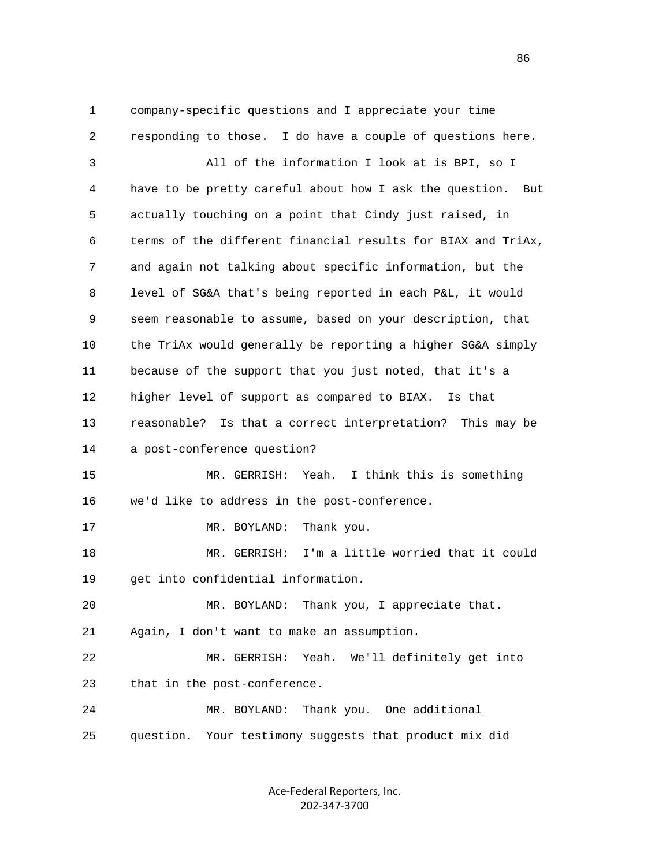1 company-specific questions and I appreciate your time 2 responding to those. I do have a couple of questions here. 3 All of the information I look at is BPI, so I 4 have to be pretty careful about how I ask the question. But 5 actually touching on a point that Cindy just raised, in 6 terms of the different financial results for BIAX and TriAx, 7 and again not talking about specific information, but the 8 level of SG&A that's being reported in each P&L, it would 9 seem reasonable to assume, based on your description, that 10 the TriAx would generally be reporting a higher SG&A simply 11 because of the support that you just noted, that it's a 12 higher level of support as compared to BIAX. Is that 13 reasonable? Is that a correct interpretation? This may be 14 a post-conference question? 15 MR. GERRISH: Yeah. I think this is something 16 we'd like to address in the post-conference. 17 MR. BOYLAND: Thank you. 18 MR. GERRISH: I'm a little worried that it could 19 get into confidential information. 20 MR. BOYLAND: Thank you, I appreciate that. 21 Again, I don't want to make an assumption. 22 MR. GERRISH: Yeah. We'll definitely get into 23 that in the post-conference. 24 MR. BOYLAND: Thank you. One additional 25 question. Your testimony suggests that product mix did

> Ace‐Federal Reporters, Inc. 202‐347‐3700

<u>86 and 2001 and 2002 and 2003 and 2003 and 2003 and 2003 and 2003 and 2003 and 2003 and 2003 and 2003 and 200</u>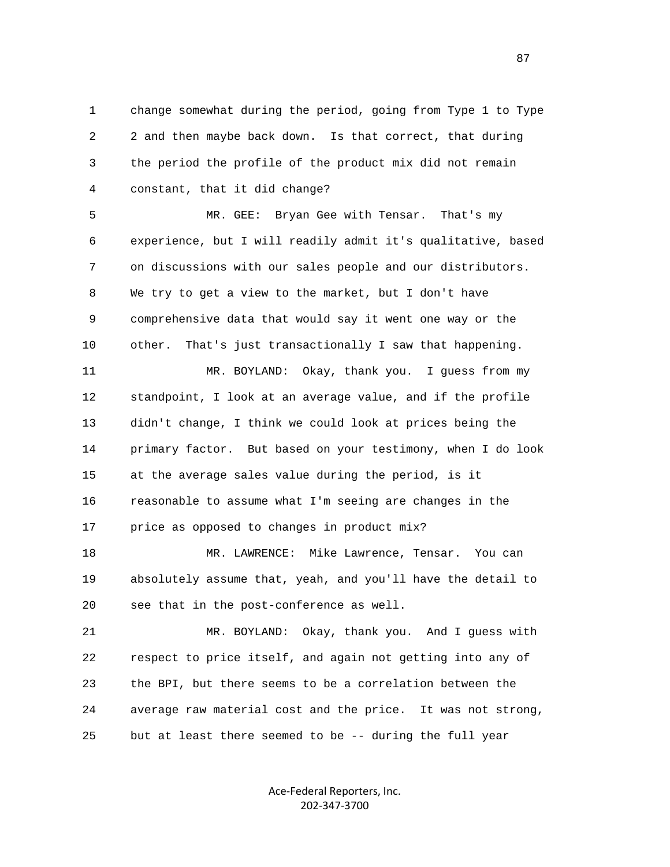1 change somewhat during the period, going from Type 1 to Type 2 2 and then maybe back down. Is that correct, that during 3 the period the profile of the product mix did not remain 4 constant, that it did change?

 5 MR. GEE: Bryan Gee with Tensar. That's my 6 experience, but I will readily admit it's qualitative, based 7 on discussions with our sales people and our distributors. 8 We try to get a view to the market, but I don't have 9 comprehensive data that would say it went one way or the 10 other. That's just transactionally I saw that happening.

 11 MR. BOYLAND: Okay, thank you. I guess from my 12 standpoint, I look at an average value, and if the profile 13 didn't change, I think we could look at prices being the 14 primary factor. But based on your testimony, when I do look 15 at the average sales value during the period, is it 16 reasonable to assume what I'm seeing are changes in the 17 price as opposed to changes in product mix?

 18 MR. LAWRENCE: Mike Lawrence, Tensar. You can 19 absolutely assume that, yeah, and you'll have the detail to 20 see that in the post-conference as well.

 21 MR. BOYLAND: Okay, thank you. And I guess with 22 respect to price itself, and again not getting into any of 23 the BPI, but there seems to be a correlation between the 24 average raw material cost and the price. It was not strong, 25 but at least there seemed to be -- during the full year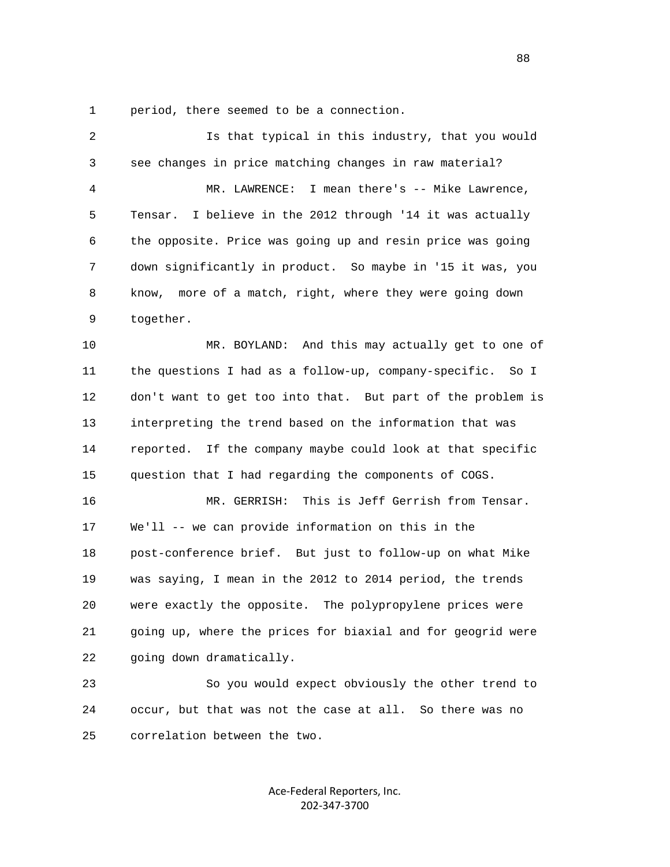1 period, there seemed to be a connection.

| $\overline{2}$ | Is that typical in this industry, that you would              |
|----------------|---------------------------------------------------------------|
| 3              | see changes in price matching changes in raw material?        |
| $\overline{4}$ | MR. LAWRENCE: I mean there's -- Mike Lawrence,                |
| 5              | I believe in the 2012 through '14 it was actually<br>Tensar.  |
| 6              | the opposite. Price was going up and resin price was going    |
| 7              | down significantly in product. So maybe in '15 it was, you    |
| 8              | know, more of a match, right, where they were going down      |
| 9              | together.                                                     |
| 10             | MR. BOYLAND: And this may actually get to one of              |
| 11             | the questions I had as a follow-up, company-specific.<br>So I |
| 12             | don't want to get too into that. But part of the problem is   |
| 13             | interpreting the trend based on the information that was      |
| 14             | reported. If the company maybe could look at that specific    |
| 15             | question that I had regarding the components of COGS.         |
| 16             | MR. GERRISH: This is Jeff Gerrish from Tensar.                |
| 17             | We'll -- we can provide information on this in the            |
| 18             | post-conference brief. But just to follow-up on what Mike     |
| 19             | was saying, I mean in the 2012 to 2014 period, the trends     |
| 20             | were exactly the opposite. The polypropylene prices were      |
| 21             | going up, where the prices for biaxial and for geogrid were   |
| 22             | going down dramatically.                                      |
| 23             | So you would expect obviously the other trend to              |
| 24             | occur, but that was not the case at all. So there was no      |
| 25             | correlation between the two.                                  |

Ace‐Federal Reporters, Inc. 202‐347‐3700

en and the state of the state of the state of the state of the state of the state of the state of the state of the state of the state of the state of the state of the state of the state of the state of the state of the sta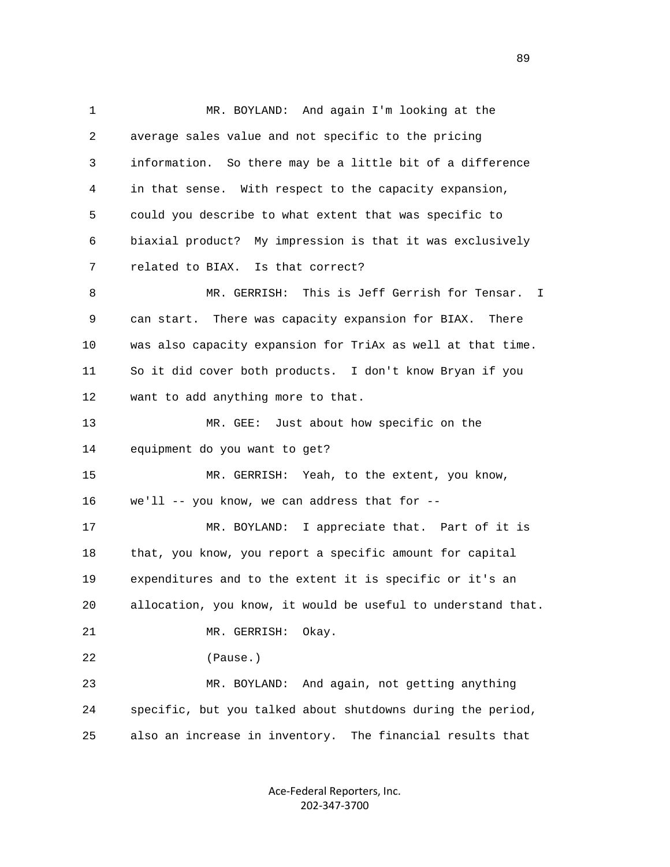1 MR. BOYLAND: And again I'm looking at the 2 average sales value and not specific to the pricing 3 information. So there may be a little bit of a difference 4 in that sense. With respect to the capacity expansion, 5 could you describe to what extent that was specific to 6 biaxial product? My impression is that it was exclusively 7 related to BIAX. Is that correct? 8 MR. GERRISH: This is Jeff Gerrish for Tensar. I 9 can start. There was capacity expansion for BIAX. There 10 was also capacity expansion for TriAx as well at that time. 11 So it did cover both products. I don't know Bryan if you 12 want to add anything more to that. 13 MR. GEE: Just about how specific on the 14 equipment do you want to get? 15 MR. GERRISH: Yeah, to the extent, you know, 16 we'll -- you know, we can address that for -- 17 MR. BOYLAND: I appreciate that. Part of it is 18 that, you know, you report a specific amount for capital 19 expenditures and to the extent it is specific or it's an 20 allocation, you know, it would be useful to understand that. 21 MR. GERRISH: Okay. 22 (Pause.) 23 MR. BOYLAND: And again, not getting anything 24 specific, but you talked about shutdowns during the period, 25 also an increase in inventory. The financial results that

> Ace‐Federal Reporters, Inc. 202‐347‐3700

89 and the state of the state of the state of the state of the state of the state of the state of the state of the state of the state of the state of the state of the state of the state of the state of the state of the sta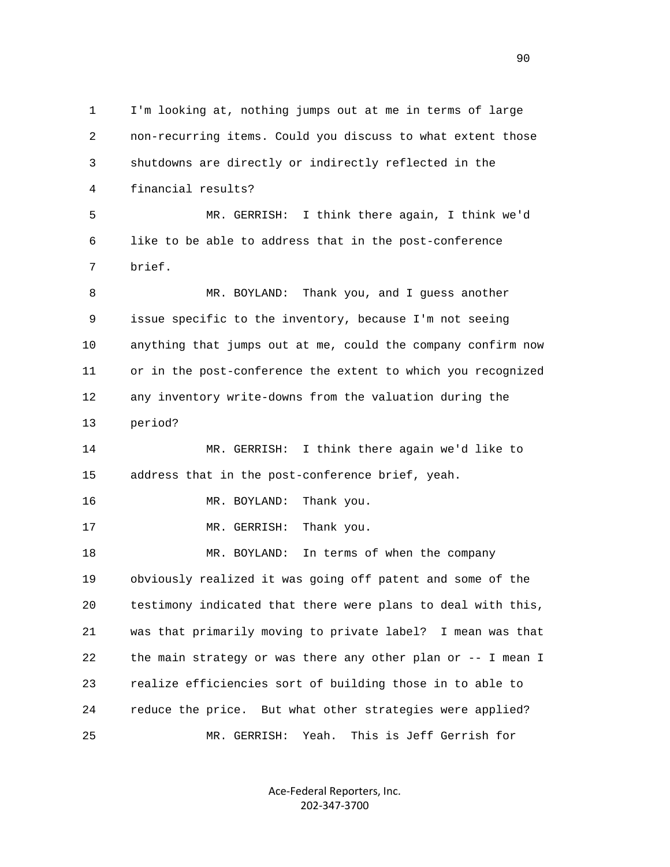1 I'm looking at, nothing jumps out at me in terms of large 2 non-recurring items. Could you discuss to what extent those 3 shutdowns are directly or indirectly reflected in the 4 financial results? 5 MR. GERRISH: I think there again, I think we'd 6 like to be able to address that in the post-conference 7 brief. 8 MR. BOYLAND: Thank you, and I guess another 9 issue specific to the inventory, because I'm not seeing 10 anything that jumps out at me, could the company confirm now 11 or in the post-conference the extent to which you recognized 12 any inventory write-downs from the valuation during the 13 period? 14 MR. GERRISH: I think there again we'd like to 15 address that in the post-conference brief, yeah. 16 MR. BOYLAND: Thank you. 17 MR. GERRISH: Thank you. 18 MR. BOYLAND: In terms of when the company 19 obviously realized it was going off patent and some of the 20 testimony indicated that there were plans to deal with this, 21 was that primarily moving to private label? I mean was that 22 the main strategy or was there any other plan or -- I mean I 23 realize efficiencies sort of building those in to able to 24 reduce the price. But what other strategies were applied? 25 MR. GERRISH: Yeah. This is Jeff Gerrish for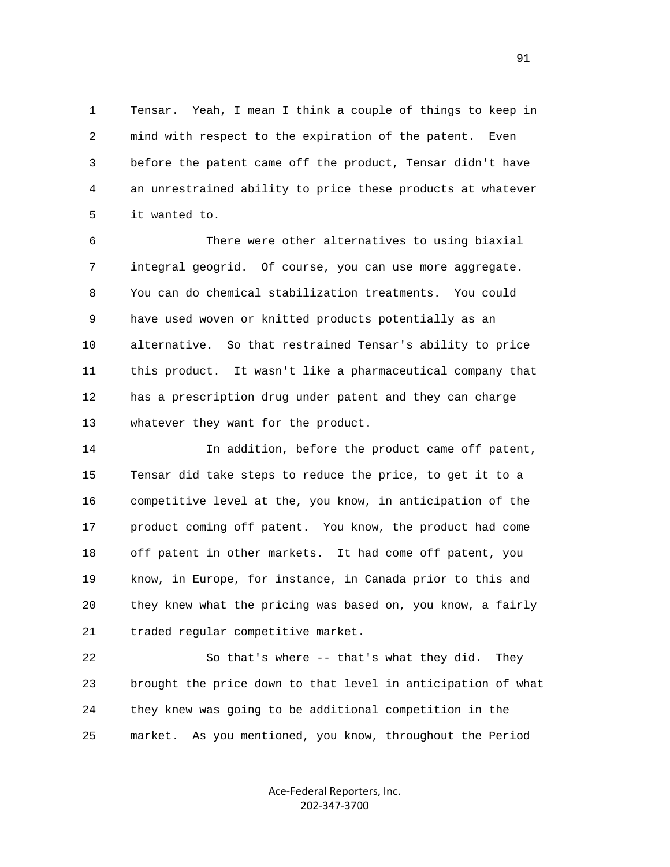1 Tensar. Yeah, I mean I think a couple of things to keep in 2 mind with respect to the expiration of the patent. Even 3 before the patent came off the product, Tensar didn't have 4 an unrestrained ability to price these products at whatever 5 it wanted to.

 6 There were other alternatives to using biaxial 7 integral geogrid. Of course, you can use more aggregate. 8 You can do chemical stabilization treatments. You could 9 have used woven or knitted products potentially as an 10 alternative. So that restrained Tensar's ability to price 11 this product. It wasn't like a pharmaceutical company that 12 has a prescription drug under patent and they can charge 13 whatever they want for the product.

 14 In addition, before the product came off patent, 15 Tensar did take steps to reduce the price, to get it to a 16 competitive level at the, you know, in anticipation of the 17 product coming off patent. You know, the product had come 18 off patent in other markets. It had come off patent, you 19 know, in Europe, for instance, in Canada prior to this and 20 they knew what the pricing was based on, you know, a fairly 21 traded regular competitive market.

 22 So that's where -- that's what they did. They 23 brought the price down to that level in anticipation of what 24 they knew was going to be additional competition in the 25 market. As you mentioned, you know, throughout the Period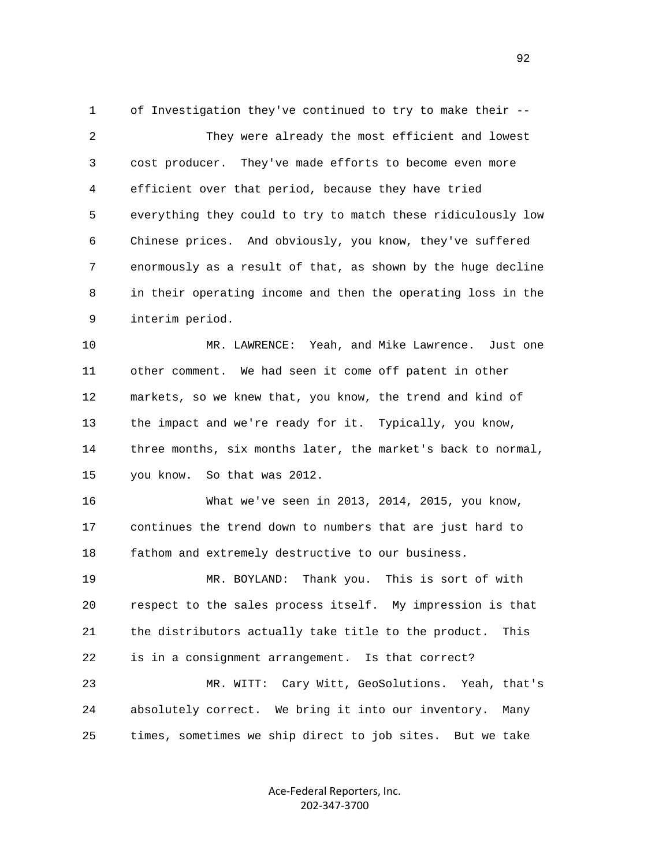1 of Investigation they've continued to try to make their -- 2 They were already the most efficient and lowest 3 cost producer. They've made efforts to become even more 4 efficient over that period, because they have tried 5 everything they could to try to match these ridiculously low 6 Chinese prices. And obviously, you know, they've suffered 7 enormously as a result of that, as shown by the huge decline 8 in their operating income and then the operating loss in the 9 interim period.

 10 MR. LAWRENCE: Yeah, and Mike Lawrence. Just one 11 other comment. We had seen it come off patent in other 12 markets, so we knew that, you know, the trend and kind of 13 the impact and we're ready for it. Typically, you know, 14 three months, six months later, the market's back to normal, 15 you know. So that was 2012.

 16 What we've seen in 2013, 2014, 2015, you know, 17 continues the trend down to numbers that are just hard to 18 fathom and extremely destructive to our business.

 19 MR. BOYLAND: Thank you. This is sort of with 20 respect to the sales process itself. My impression is that 21 the distributors actually take title to the product. This 22 is in a consignment arrangement. Is that correct?

 23 MR. WITT: Cary Witt, GeoSolutions. Yeah, that's 24 absolutely correct. We bring it into our inventory. Many 25 times, sometimes we ship direct to job sites. But we take

> Ace‐Federal Reporters, Inc. 202‐347‐3700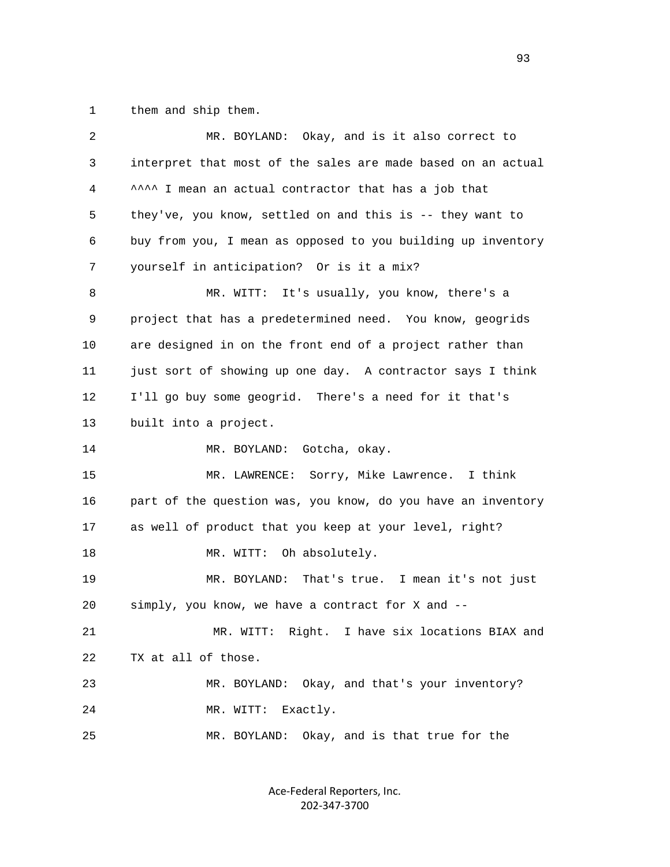1 them and ship them.

| 2              | MR. BOYLAND: Okay, and is it also correct to                 |
|----------------|--------------------------------------------------------------|
| 3              | interpret that most of the sales are made based on an actual |
| $\overline{4}$ | ^^^^ I mean an actual contractor that has a job that         |
| 5              | they've, you know, settled on and this is -- they want to    |
| 6              | buy from you, I mean as opposed to you building up inventory |
| 7              | yourself in anticipation? Or is it a mix?                    |
| 8              | MR. WITT: It's usually, you know, there's a                  |
| 9              | project that has a predetermined need. You know, geogrids    |
| 10             | are designed in on the front end of a project rather than    |
| 11             | just sort of showing up one day. A contractor says I think   |
| 12             | I'll go buy some geogrid. There's a need for it that's       |
| 13             | built into a project.                                        |
| 14             | MR. BOYLAND: Gotcha, okay.                                   |
| 15             | MR. LAWRENCE: Sorry, Mike Lawrence. I think                  |
| 16             | part of the question was, you know, do you have an inventory |
| 17             | as well of product that you keep at your level, right?       |
| 18             | MR. WITT: Oh absolutely.                                     |
| 19             | MR. BOYLAND: That's true. I mean it's not just               |
| 20             | simply, you know, we have a contract for X and --            |
| 21             | MR. WITT: Right. I have six locations BIAX and               |
| 22             | TX at all of those.                                          |
| 23             | MR. BOYLAND: Okay, and that's your inventory?                |
| 24             | Exactly.<br>MR. WITT:                                        |
| 25             | Okay, and is that true for the<br>MR. BOYLAND:               |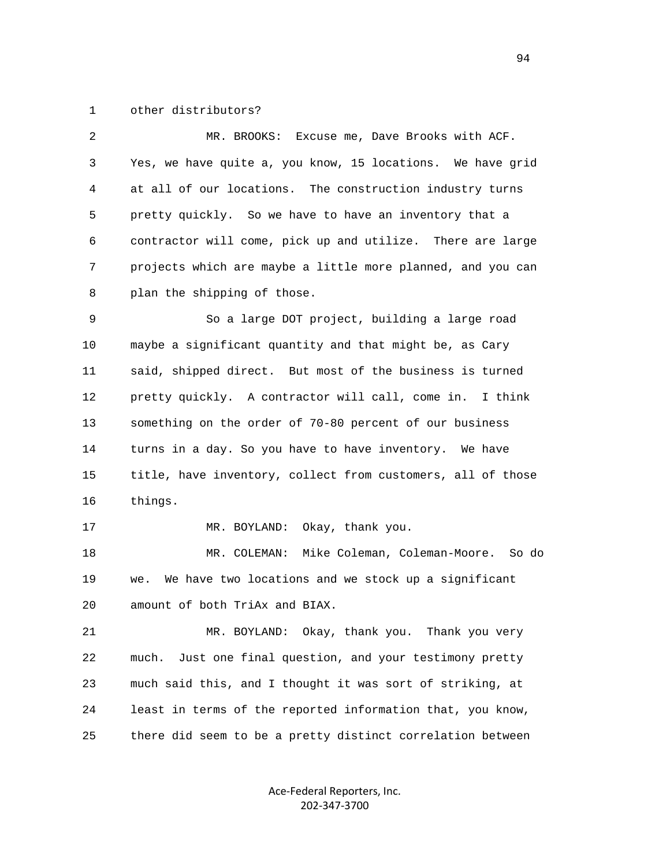## 1 other distributors?

| 2  | MR. BROOKS: Excuse me, Dave Brooks with ACF.                |
|----|-------------------------------------------------------------|
| 3  | Yes, we have quite a, you know, 15 locations. We have grid  |
| 4  | at all of our locations. The construction industry turns    |
| 5  | pretty quickly. So we have to have an inventory that a      |
| 6  | contractor will come, pick up and utilize. There are large  |
| 7  | projects which are maybe a little more planned, and you can |
| 8  | plan the shipping of those.                                 |
| 9  | So a large DOT project, building a large road               |
| 10 | maybe a significant quantity and that might be, as Cary     |
| 11 | said, shipped direct. But most of the business is turned    |
| 12 | pretty quickly. A contractor will call, come in.<br>I think |
| 13 | something on the order of 70-80 percent of our business     |
| 14 | turns in a day. So you have to have inventory. We have      |
| 15 | title, have inventory, collect from customers, all of those |
| 16 | things.                                                     |
| 17 | Okay, thank you.<br>MR. BOYLAND:                            |
| 18 | MR. COLEMAN:<br>Mike Coleman, Coleman-Moore. So do          |
| 19 | We have two locations and we stock up a significant<br>we.  |
| 20 | amount of both TriAx and BIAX.                              |
| 21 | Okay, thank you.<br>Thank you very<br>MR. BOYLAND:          |
|    |                                                             |

 22 much. Just one final question, and your testimony pretty 23 much said this, and I thought it was sort of striking, at 24 least in terms of the reported information that, you know, 25 there did seem to be a pretty distinct correlation between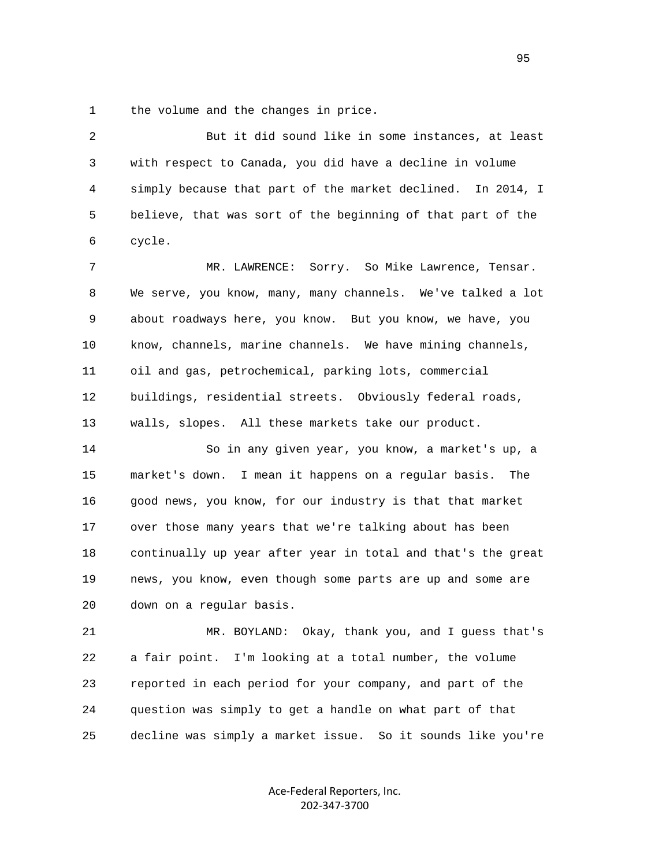1 the volume and the changes in price.

 2 But it did sound like in some instances, at least 3 with respect to Canada, you did have a decline in volume 4 simply because that part of the market declined. In 2014, I 5 believe, that was sort of the beginning of that part of the 6 cycle. 7 MR. LAWRENCE: Sorry. So Mike Lawrence, Tensar. 8 We serve, you know, many, many channels. We've talked a lot 9 about roadways here, you know. But you know, we have, you 10 know, channels, marine channels. We have mining channels, 11 oil and gas, petrochemical, parking lots, commercial 12 buildings, residential streets. Obviously federal roads, 13 walls, slopes. All these markets take our product. 14 So in any given year, you know, a market's up, a 15 market's down. I mean it happens on a regular basis. The 16 good news, you know, for our industry is that that market 17 over those many years that we're talking about has been 18 continually up year after year in total and that's the great 19 news, you know, even though some parts are up and some are 20 down on a regular basis. 21 MR. BOYLAND: Okay, thank you, and I guess that's 22 a fair point. I'm looking at a total number, the volume 23 reported in each period for your company, and part of the

95

Ace‐Federal Reporters, Inc. 202‐347‐3700

24 question was simply to get a handle on what part of that

25 decline was simply a market issue. So it sounds like you're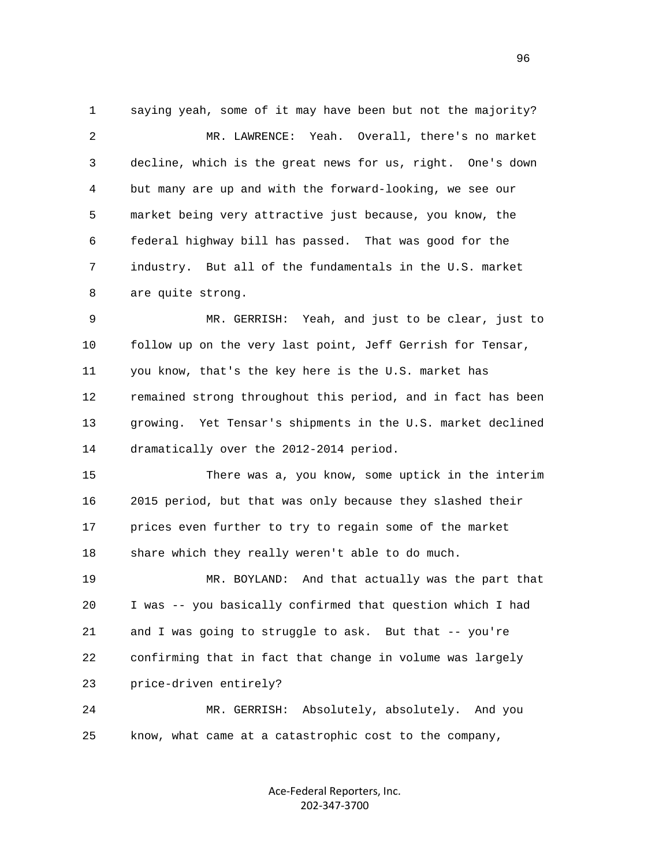1 saying yeah, some of it may have been but not the majority? 2 MR. LAWRENCE: Yeah. Overall, there's no market 3 decline, which is the great news for us, right. One's down 4 but many are up and with the forward-looking, we see our 5 market being very attractive just because, you know, the 6 federal highway bill has passed. That was good for the 7 industry. But all of the fundamentals in the U.S. market 8 are quite strong.

 9 MR. GERRISH: Yeah, and just to be clear, just to 10 follow up on the very last point, Jeff Gerrish for Tensar, 11 you know, that's the key here is the U.S. market has 12 remained strong throughout this period, and in fact has been 13 growing. Yet Tensar's shipments in the U.S. market declined 14 dramatically over the 2012-2014 period.

 15 There was a, you know, some uptick in the interim 16 2015 period, but that was only because they slashed their 17 prices even further to try to regain some of the market 18 share which they really weren't able to do much.

 19 MR. BOYLAND: And that actually was the part that 20 I was -- you basically confirmed that question which I had 21 and I was going to struggle to ask. But that -- you're 22 confirming that in fact that change in volume was largely 23 price-driven entirely?

 24 MR. GERRISH: Absolutely, absolutely. And you 25 know, what came at a catastrophic cost to the company,

> Ace‐Federal Reporters, Inc. 202‐347‐3700

<u>96</u>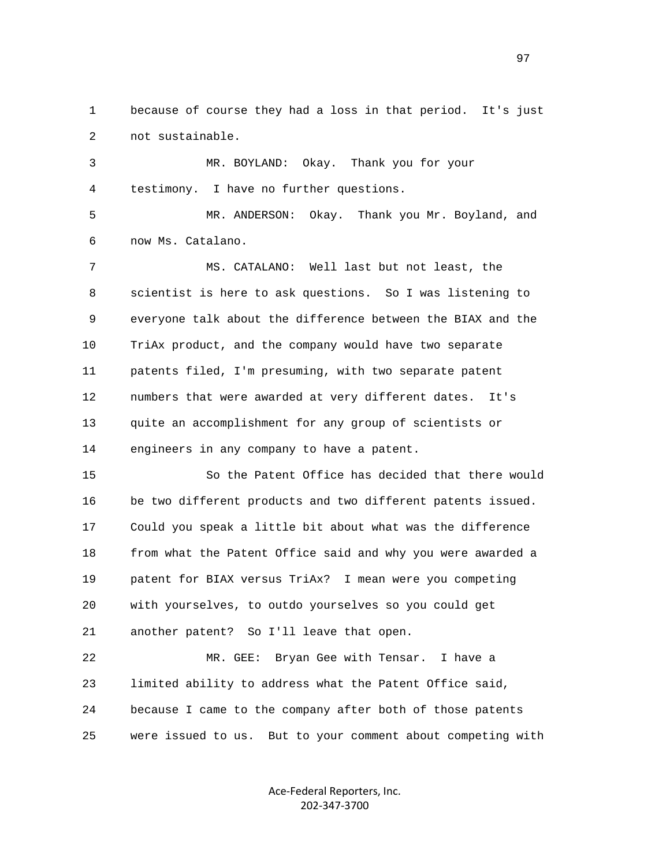1 because of course they had a loss in that period. It's just 2 not sustainable.

 3 MR. BOYLAND: Okay. Thank you for your 4 testimony. I have no further questions.

 5 MR. ANDERSON: Okay. Thank you Mr. Boyland, and 6 now Ms. Catalano.

 7 MS. CATALANO: Well last but not least, the 8 scientist is here to ask questions. So I was listening to 9 everyone talk about the difference between the BIAX and the 10 TriAx product, and the company would have two separate 11 patents filed, I'm presuming, with two separate patent 12 numbers that were awarded at very different dates. It's 13 quite an accomplishment for any group of scientists or 14 engineers in any company to have a patent.

 15 So the Patent Office has decided that there would 16 be two different products and two different patents issued. 17 Could you speak a little bit about what was the difference 18 from what the Patent Office said and why you were awarded a 19 patent for BIAX versus TriAx? I mean were you competing 20 with yourselves, to outdo yourselves so you could get 21 another patent? So I'll leave that open.

 22 MR. GEE: Bryan Gee with Tensar. I have a 23 limited ability to address what the Patent Office said, 24 because I came to the company after both of those patents 25 were issued to us. But to your comment about competing with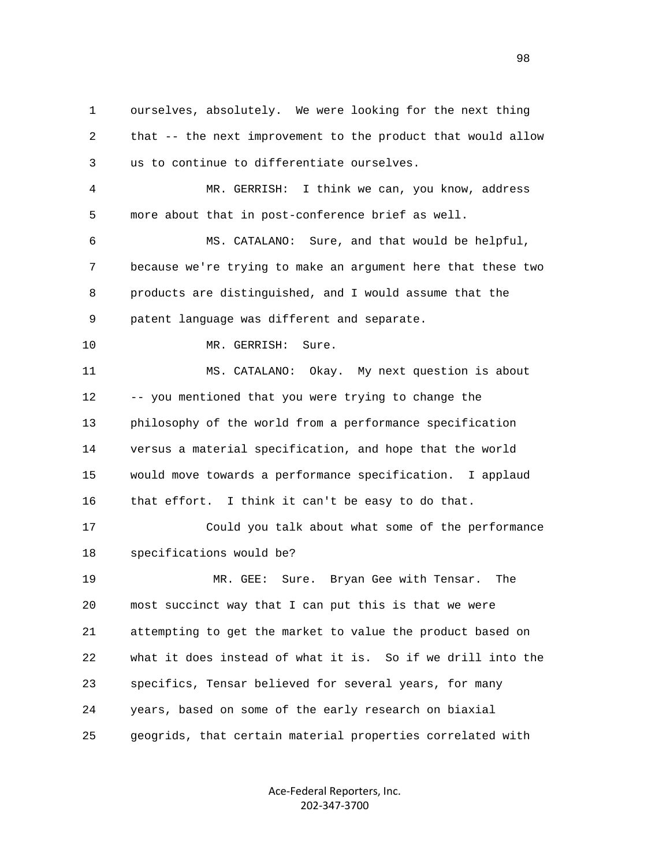1 ourselves, absolutely. We were looking for the next thing 2 that -- the next improvement to the product that would allow 3 us to continue to differentiate ourselves. 4 MR. GERRISH: I think we can, you know, address 5 more about that in post-conference brief as well. 6 MS. CATALANO: Sure, and that would be helpful, 7 because we're trying to make an argument here that these two 8 products are distinguished, and I would assume that the 9 patent language was different and separate. 10 MR. GERRISH: Sure. 11 MS. CATALANO: Okay. My next question is about 12 -- you mentioned that you were trying to change the 13 philosophy of the world from a performance specification 14 versus a material specification, and hope that the world 15 would move towards a performance specification. I applaud 16 that effort. I think it can't be easy to do that. 17 Could you talk about what some of the performance 18 specifications would be? 19 MR. GEE: Sure. Bryan Gee with Tensar. The 20 most succinct way that I can put this is that we were 21 attempting to get the market to value the product based on 22 what it does instead of what it is. So if we drill into the 23 specifics, Tensar believed for several years, for many 24 years, based on some of the early research on biaxial 25 geogrids, that certain material properties correlated with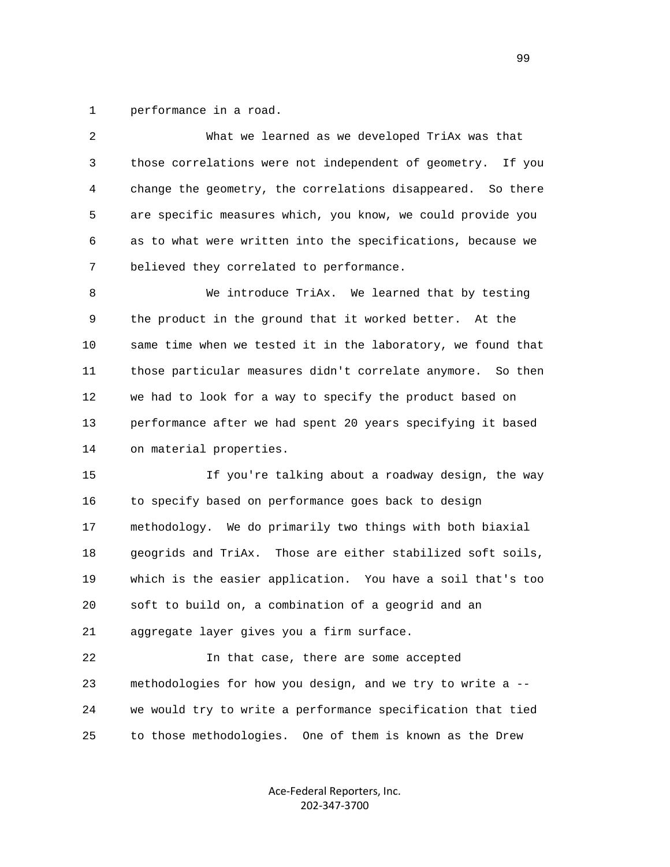1 performance in a road.

| 2  | What we learned as we developed TriAx was that               |
|----|--------------------------------------------------------------|
| 3  | those correlations were not independent of geometry. If you  |
| 4  | change the geometry, the correlations disappeared. So there  |
| 5  | are specific measures which, you know, we could provide you  |
| 6  | as to what were written into the specifications, because we  |
| 7  | believed they correlated to performance.                     |
| 8  | We introduce TriAx. We learned that by testing               |
| 9  | the product in the ground that it worked better. At the      |
| 10 | same time when we tested it in the laboratory, we found that |
| 11 | those particular measures didn't correlate anymore. So then  |
| 12 | we had to look for a way to specify the product based on     |
| 13 | performance after we had spent 20 years specifying it based  |
| 14 | on material properties.                                      |
| 15 | If you're talking about a roadway design, the way            |
| 16 | to specify based on performance goes back to design          |
| 17 | methodology. We do primarily two things with both biaxial    |
| 18 | geogrids and TriAx. Those are either stabilized soft soils,  |
| 19 | which is the easier application. You have a soil that's too  |
| 20 | soft to build on, a combination of a geogrid and an          |
| 21 | aggregate layer gives you a firm surface.                    |
| 22 | In that case, there are some accepted                        |
| 23 | methodologies for how you design, and we try to write a --   |
| 24 | we would try to write a performance specification that tied  |
| 25 | to those methodologies. One of them is known as the Drew     |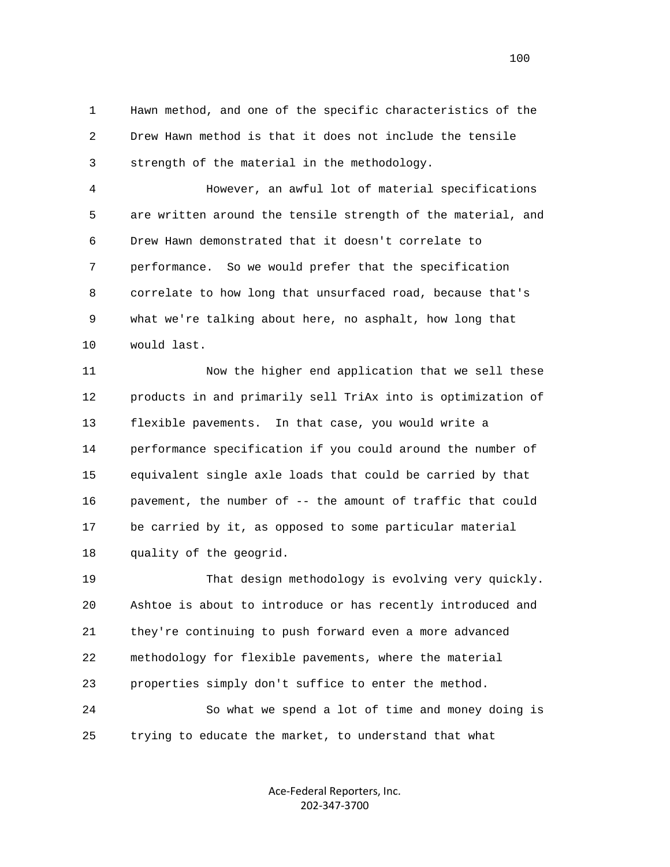1 Hawn method, and one of the specific characteristics of the 2 Drew Hawn method is that it does not include the tensile 3 strength of the material in the methodology.

 4 However, an awful lot of material specifications 5 are written around the tensile strength of the material, and 6 Drew Hawn demonstrated that it doesn't correlate to 7 performance. So we would prefer that the specification 8 correlate to how long that unsurfaced road, because that's 9 what we're talking about here, no asphalt, how long that 10 would last.

 11 Now the higher end application that we sell these 12 products in and primarily sell TriAx into is optimization of 13 flexible pavements. In that case, you would write a 14 performance specification if you could around the number of 15 equivalent single axle loads that could be carried by that 16 pavement, the number of -- the amount of traffic that could 17 be carried by it, as opposed to some particular material 18 quality of the geogrid.

 19 That design methodology is evolving very quickly. 20 Ashtoe is about to introduce or has recently introduced and 21 they're continuing to push forward even a more advanced 22 methodology for flexible pavements, where the material 23 properties simply don't suffice to enter the method. 24 So what we spend a lot of time and money doing is

25 trying to educate the market, to understand that what

Ace‐Federal Reporters, Inc. 202‐347‐3700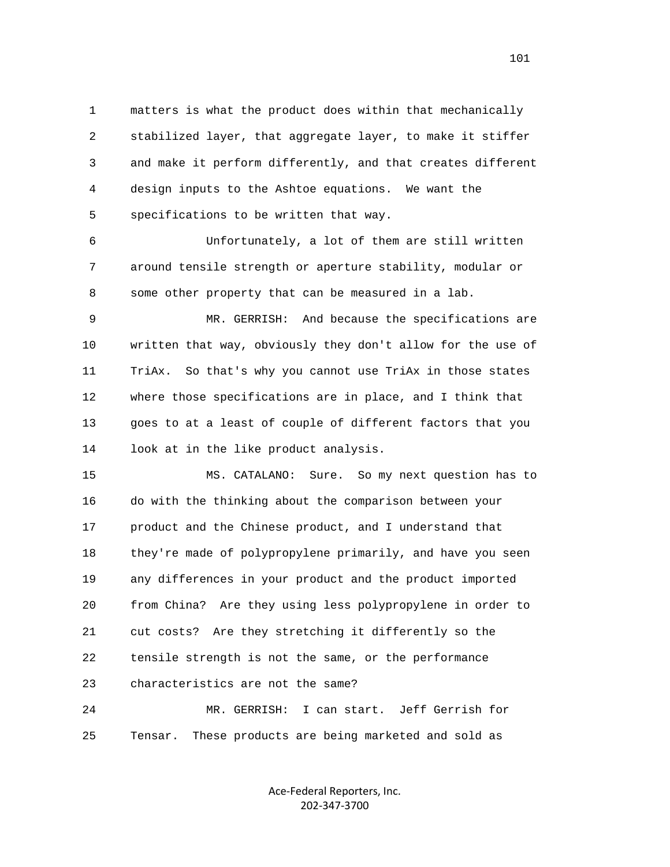1 matters is what the product does within that mechanically 2 stabilized layer, that aggregate layer, to make it stiffer 3 and make it perform differently, and that creates different 4 design inputs to the Ashtoe equations. We want the 5 specifications to be written that way.

 6 Unfortunately, a lot of them are still written 7 around tensile strength or aperture stability, modular or 8 some other property that can be measured in a lab.

 9 MR. GERRISH: And because the specifications are 10 written that way, obviously they don't allow for the use of 11 TriAx. So that's why you cannot use TriAx in those states 12 where those specifications are in place, and I think that 13 goes to at a least of couple of different factors that you 14 look at in the like product analysis.

 15 MS. CATALANO: Sure. So my next question has to 16 do with the thinking about the comparison between your 17 product and the Chinese product, and I understand that 18 they're made of polypropylene primarily, and have you seen 19 any differences in your product and the product imported 20 from China? Are they using less polypropylene in order to 21 cut costs? Are they stretching it differently so the 22 tensile strength is not the same, or the performance 23 characteristics are not the same?

 24 MR. GERRISH: I can start. Jeff Gerrish for 25 Tensar. These products are being marketed and sold as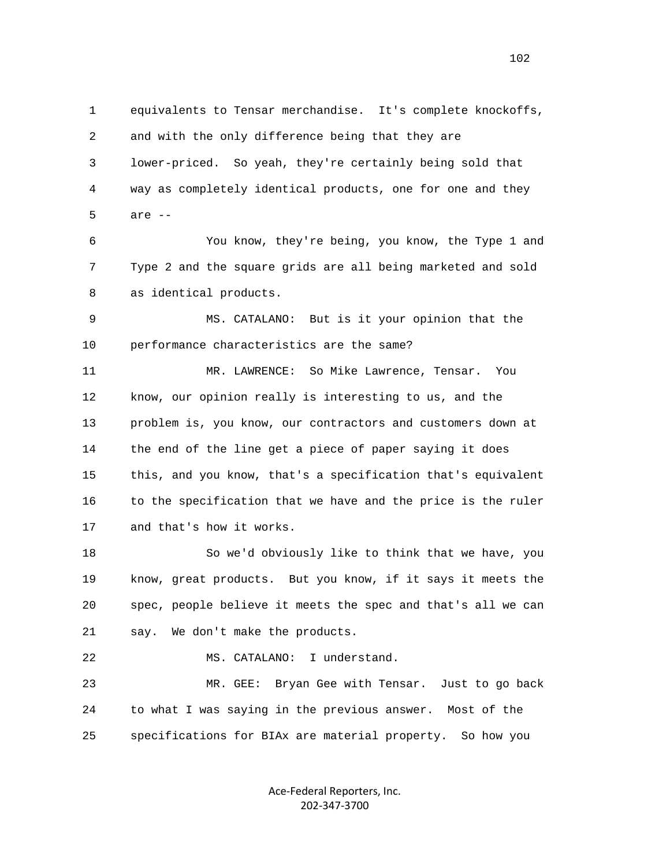1 equivalents to Tensar merchandise. It's complete knockoffs, 2 and with the only difference being that they are 3 lower-priced. So yeah, they're certainly being sold that 4 way as completely identical products, one for one and they 5 are -- 6 You know, they're being, you know, the Type 1 and 7 Type 2 and the square grids are all being marketed and sold 8 as identical products. 9 MS. CATALANO: But is it your opinion that the 10 performance characteristics are the same? 11 MR. LAWRENCE: So Mike Lawrence, Tensar. You 12 know, our opinion really is interesting to us, and the 13 problem is, you know, our contractors and customers down at 14 the end of the line get a piece of paper saying it does 15 this, and you know, that's a specification that's equivalent 16 to the specification that we have and the price is the ruler 17 and that's how it works. 18 So we'd obviously like to think that we have, you 19 know, great products. But you know, if it says it meets the 20 spec, people believe it meets the spec and that's all we can 21 say. We don't make the products. 22 MS. CATALANO: I understand. 23 MR. GEE: Bryan Gee with Tensar. Just to go back 24 to what I was saying in the previous answer. Most of the 25 specifications for BIAx are material property. So how you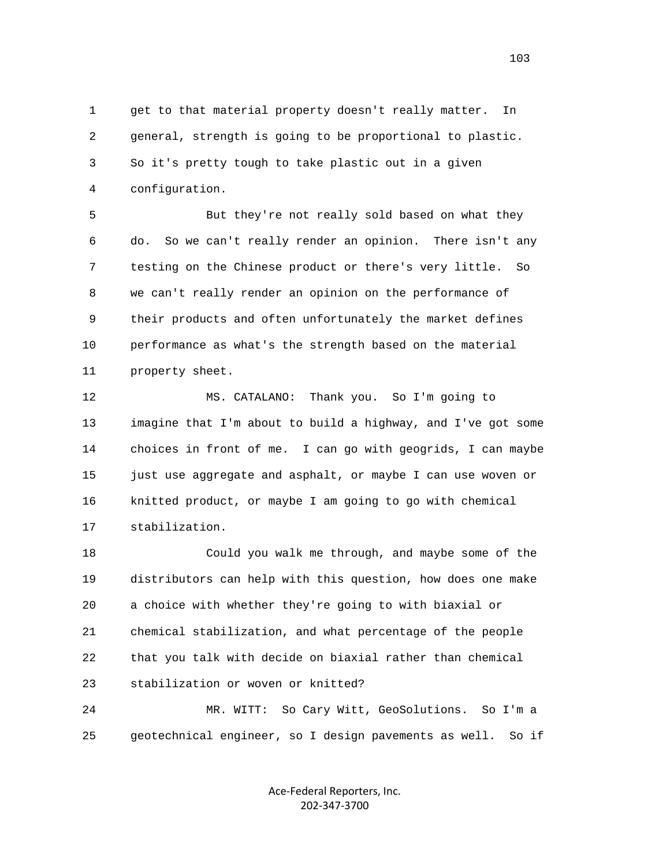1 get to that material property doesn't really matter. In 2 general, strength is going to be proportional to plastic. 3 So it's pretty tough to take plastic out in a given 4 configuration.

 5 But they're not really sold based on what they 6 do. So we can't really render an opinion. There isn't any 7 testing on the Chinese product or there's very little. So 8 we can't really render an opinion on the performance of 9 their products and often unfortunately the market defines 10 performance as what's the strength based on the material 11 property sheet.

 12 MS. CATALANO: Thank you. So I'm going to 13 imagine that I'm about to build a highway, and I've got some 14 choices in front of me. I can go with geogrids, I can maybe 15 just use aggregate and asphalt, or maybe I can use woven or 16 knitted product, or maybe I am going to go with chemical 17 stabilization.

 18 Could you walk me through, and maybe some of the 19 distributors can help with this question, how does one make 20 a choice with whether they're going to with biaxial or 21 chemical stabilization, and what percentage of the people 22 that you talk with decide on biaxial rather than chemical 23 stabilization or woven or knitted?

 24 MR. WITT: So Cary Witt, GeoSolutions. So I'm a 25 geotechnical engineer, so I design pavements as well. So if

> Ace‐Federal Reporters, Inc. 202‐347‐3700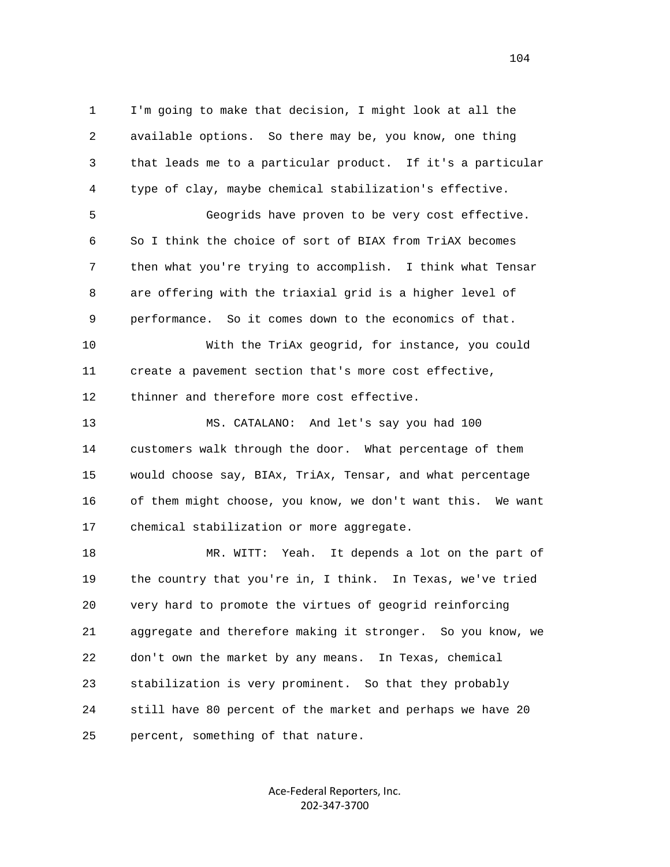1 I'm going to make that decision, I might look at all the 2 available options. So there may be, you know, one thing 3 that leads me to a particular product. If it's a particular 4 type of clay, maybe chemical stabilization's effective. 5 Geogrids have proven to be very cost effective. 6 So I think the choice of sort of BIAX from TriAX becomes 7 then what you're trying to accomplish. I think what Tensar 8 are offering with the triaxial grid is a higher level of 9 performance. So it comes down to the economics of that. 10 With the TriAx geogrid, for instance, you could 11 create a pavement section that's more cost effective, 12 thinner and therefore more cost effective. 13 MS. CATALANO: And let's say you had 100 14 customers walk through the door. What percentage of them 15 would choose say, BIAx, TriAx, Tensar, and what percentage 16 of them might choose, you know, we don't want this. We want 17 chemical stabilization or more aggregate. 18 MR. WITT: Yeah. It depends a lot on the part of 19 the country that you're in, I think. In Texas, we've tried 20 very hard to promote the virtues of geogrid reinforcing 21 aggregate and therefore making it stronger. So you know, we 22 don't own the market by any means. In Texas, chemical 23 stabilization is very prominent. So that they probably 24 still have 80 percent of the market and perhaps we have 20

25 percent, something of that nature.

Ace‐Federal Reporters, Inc. 202‐347‐3700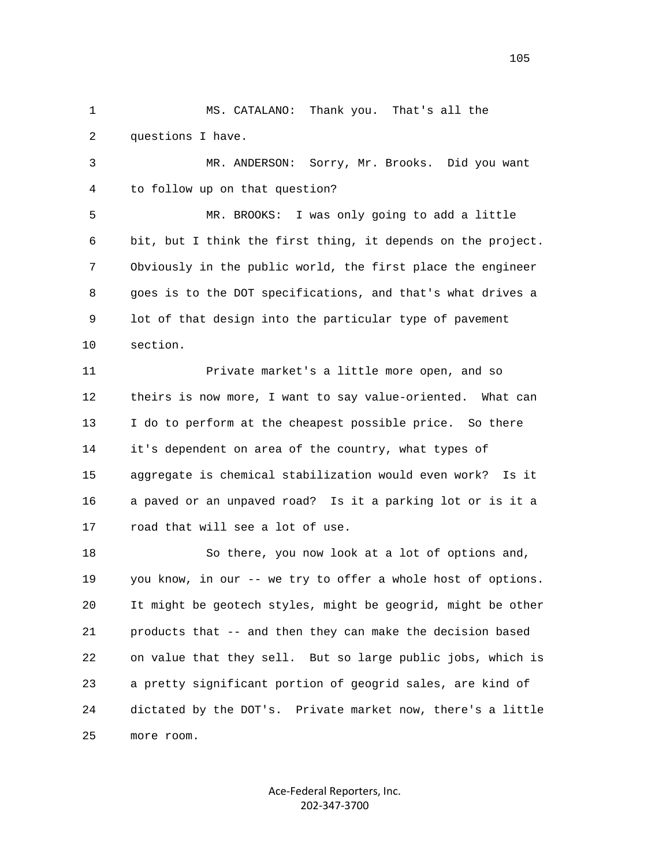1 MS. CATALANO: Thank you. That's all the 2 questions I have.

 3 MR. ANDERSON: Sorry, Mr. Brooks. Did you want 4 to follow up on that question?

 5 MR. BROOKS: I was only going to add a little 6 bit, but I think the first thing, it depends on the project. 7 Obviously in the public world, the first place the engineer 8 goes is to the DOT specifications, and that's what drives a 9 lot of that design into the particular type of pavement 10 section.

 11 Private market's a little more open, and so 12 theirs is now more, I want to say value-oriented. What can 13 I do to perform at the cheapest possible price. So there 14 it's dependent on area of the country, what types of 15 aggregate is chemical stabilization would even work? Is it 16 a paved or an unpaved road? Is it a parking lot or is it a 17 road that will see a lot of use.

 18 So there, you now look at a lot of options and, 19 you know, in our -- we try to offer a whole host of options. 20 It might be geotech styles, might be geogrid, might be other 21 products that -- and then they can make the decision based 22 on value that they sell. But so large public jobs, which is 23 a pretty significant portion of geogrid sales, are kind of 24 dictated by the DOT's. Private market now, there's a little 25 more room.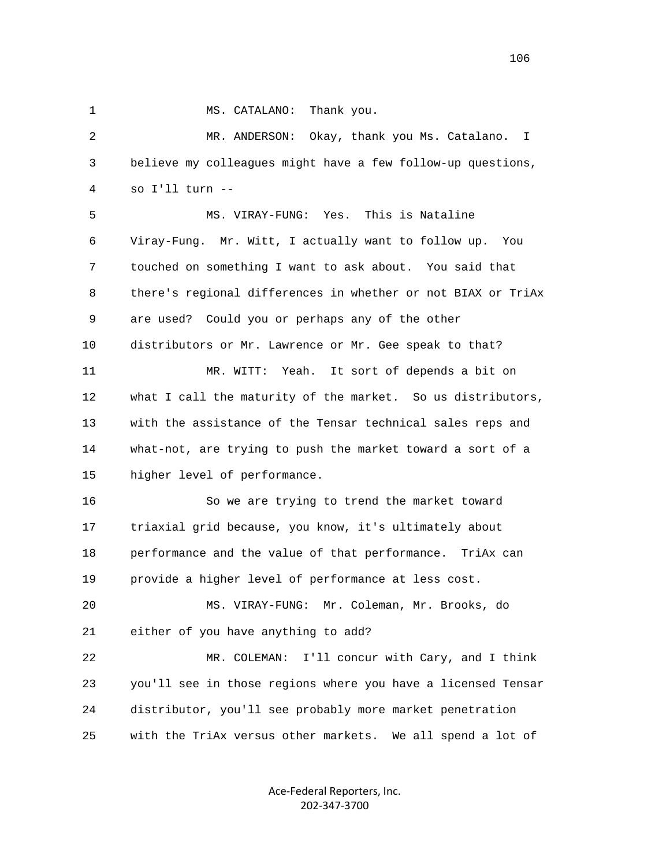1 MS. CATALANO: Thank you.

 2 MR. ANDERSON: Okay, thank you Ms. Catalano. I 3 believe my colleagues might have a few follow-up questions, 4 so I'll turn --

 5 MS. VIRAY-FUNG: Yes. This is Nataline 6 Viray-Fung. Mr. Witt, I actually want to follow up. You 7 touched on something I want to ask about. You said that 8 there's regional differences in whether or not BIAX or TriAx 9 are used? Could you or perhaps any of the other 10 distributors or Mr. Lawrence or Mr. Gee speak to that? 11 MR. WITT: Yeah. It sort of depends a bit on 12 what I call the maturity of the market. So us distributors, 13 with the assistance of the Tensar technical sales reps and 14 what-not, are trying to push the market toward a sort of a 15 higher level of performance.

 16 So we are trying to trend the market toward 17 triaxial grid because, you know, it's ultimately about 18 performance and the value of that performance. TriAx can 19 provide a higher level of performance at less cost.

 20 MS. VIRAY-FUNG: Mr. Coleman, Mr. Brooks, do 21 either of you have anything to add?

 22 MR. COLEMAN: I'll concur with Cary, and I think 23 you'll see in those regions where you have a licensed Tensar 24 distributor, you'll see probably more market penetration 25 with the TriAx versus other markets. We all spend a lot of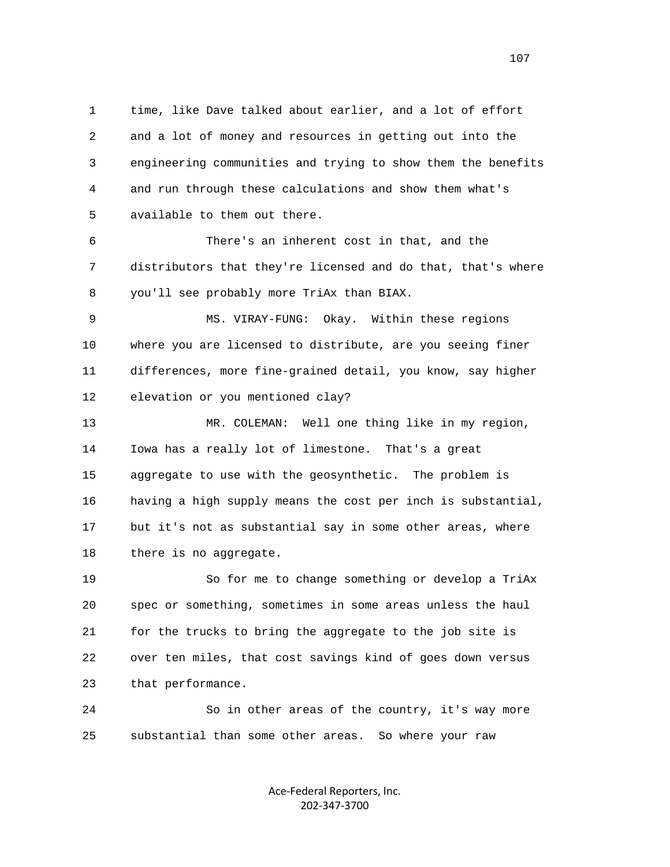1 time, like Dave talked about earlier, and a lot of effort 2 and a lot of money and resources in getting out into the 3 engineering communities and trying to show them the benefits 4 and run through these calculations and show them what's 5 available to them out there.

 6 There's an inherent cost in that, and the 7 distributors that they're licensed and do that, that's where 8 you'll see probably more TriAx than BIAX.

 9 MS. VIRAY-FUNG: Okay. Within these regions 10 where you are licensed to distribute, are you seeing finer 11 differences, more fine-grained detail, you know, say higher 12 elevation or you mentioned clay?

 13 MR. COLEMAN: Well one thing like in my region, 14 Iowa has a really lot of limestone. That's a great 15 aggregate to use with the geosynthetic. The problem is 16 having a high supply means the cost per inch is substantial, 17 but it's not as substantial say in some other areas, where 18 there is no aggregate.

 19 So for me to change something or develop a TriAx 20 spec or something, sometimes in some areas unless the haul 21 for the trucks to bring the aggregate to the job site is 22 over ten miles, that cost savings kind of goes down versus 23 that performance.

 24 So in other areas of the country, it's way more 25 substantial than some other areas. So where your raw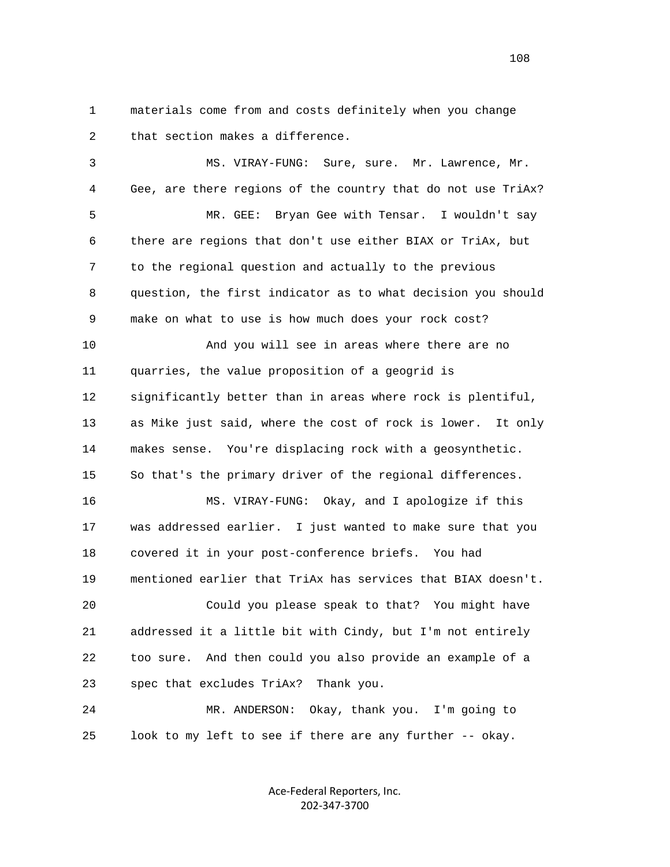1 materials come from and costs definitely when you change 2 that section makes a difference.

 3 MS. VIRAY-FUNG: Sure, sure. Mr. Lawrence, Mr. 4 Gee, are there regions of the country that do not use TriAx? 5 MR. GEE: Bryan Gee with Tensar. I wouldn't say 6 there are regions that don't use either BIAX or TriAx, but 7 to the regional question and actually to the previous 8 question, the first indicator as to what decision you should 9 make on what to use is how much does your rock cost? 10 And you will see in areas where there are no 11 quarries, the value proposition of a geogrid is 12 significantly better than in areas where rock is plentiful, 13 as Mike just said, where the cost of rock is lower. It only 14 makes sense. You're displacing rock with a geosynthetic. 15 So that's the primary driver of the regional differences. 16 MS. VIRAY-FUNG: Okay, and I apologize if this 17 was addressed earlier. I just wanted to make sure that you 18 covered it in your post-conference briefs. You had 19 mentioned earlier that TriAx has services that BIAX doesn't. 20 Could you please speak to that? You might have 21 addressed it a little bit with Cindy, but I'm not entirely 22 too sure. And then could you also provide an example of a 23 spec that excludes TriAx? Thank you. 24 MR. ANDERSON: Okay, thank you. I'm going to 25 look to my left to see if there are any further -- okay.

> Ace‐Federal Reporters, Inc. 202‐347‐3700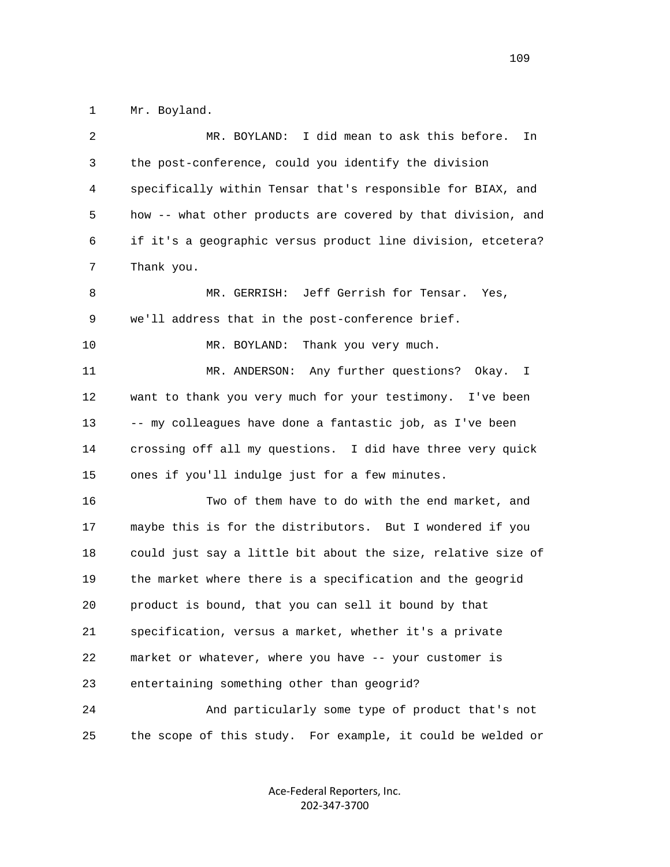1 Mr. Boyland.

| 2  | I did mean to ask this before.<br>MR. BOYLAND:<br>In         |
|----|--------------------------------------------------------------|
| 3  | the post-conference, could you identify the division         |
| 4  | specifically within Tensar that's responsible for BIAX, and  |
| 5  | how -- what other products are covered by that division, and |
| 6  | if it's a geographic versus product line division, etcetera? |
| 7  | Thank you.                                                   |
| 8  | MR. GERRISH: Jeff Gerrish for Tensar. Yes,                   |
| 9  | we'll address that in the post-conference brief.             |
| 10 | Thank you very much.<br>MR. BOYLAND:                         |
| 11 | MR. ANDERSON: Any further questions? Okay.<br>$\mathbf{I}$   |
| 12 | want to thank you very much for your testimony. I've been    |
| 13 | -- my colleagues have done a fantastic job, as I've been     |
| 14 | crossing off all my questions. I did have three very quick   |
| 15 | ones if you'll indulge just for a few minutes.               |
| 16 | Two of them have to do with the end market, and              |
| 17 | maybe this is for the distributors. But I wondered if you    |
| 18 | could just say a little bit about the size, relative size of |
| 19 | the market where there is a specification and the geogrid    |
| 20 | product is bound, that you can sell it bound by that         |
| 21 | specification, versus a market, whether it's a private       |
| 22 | market or whatever, where you have -- your customer is       |
| 23 | entertaining something other than geogrid?                   |
| 24 | And particularly some type of product that's not             |
| 25 | the scope of this study. For example, it could be welded or  |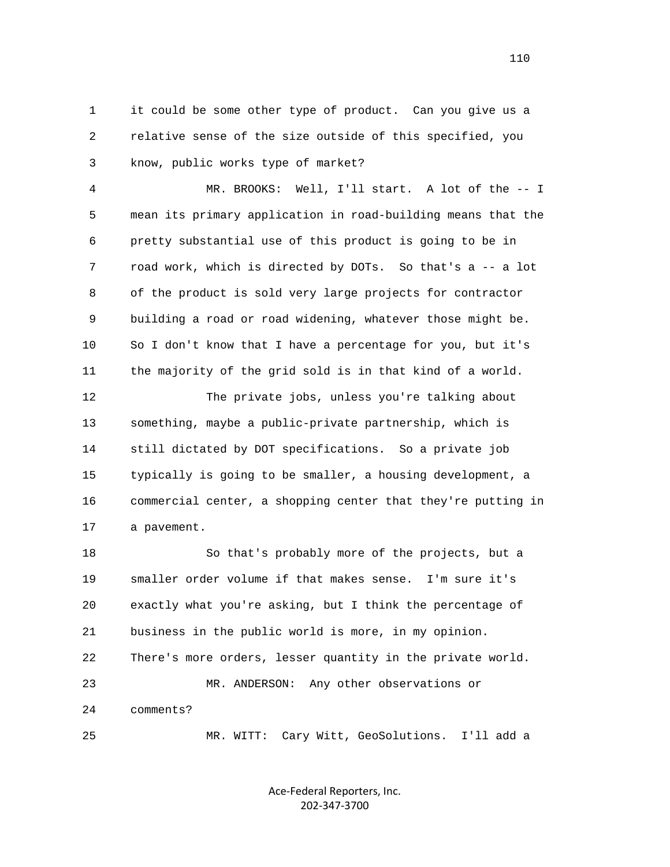1 it could be some other type of product. Can you give us a 2 relative sense of the size outside of this specified, you 3 know, public works type of market?

 4 MR. BROOKS: Well, I'll start. A lot of the -- I 5 mean its primary application in road-building means that the 6 pretty substantial use of this product is going to be in 7 road work, which is directed by DOTs. So that's a -- a lot 8 of the product is sold very large projects for contractor 9 building a road or road widening, whatever those might be. 10 So I don't know that I have a percentage for you, but it's 11 the majority of the grid sold is in that kind of a world.

 12 The private jobs, unless you're talking about 13 something, maybe a public-private partnership, which is 14 still dictated by DOT specifications. So a private job 15 typically is going to be smaller, a housing development, a 16 commercial center, a shopping center that they're putting in 17 a pavement.

 18 So that's probably more of the projects, but a 19 smaller order volume if that makes sense. I'm sure it's 20 exactly what you're asking, but I think the percentage of 21 business in the public world is more, in my opinion. 22 There's more orders, lesser quantity in the private world. 23 MR. ANDERSON: Any other observations or 24 comments? 25 MR. WITT: Cary Witt, GeoSolutions. I'll add a

> Ace‐Federal Reporters, Inc. 202‐347‐3700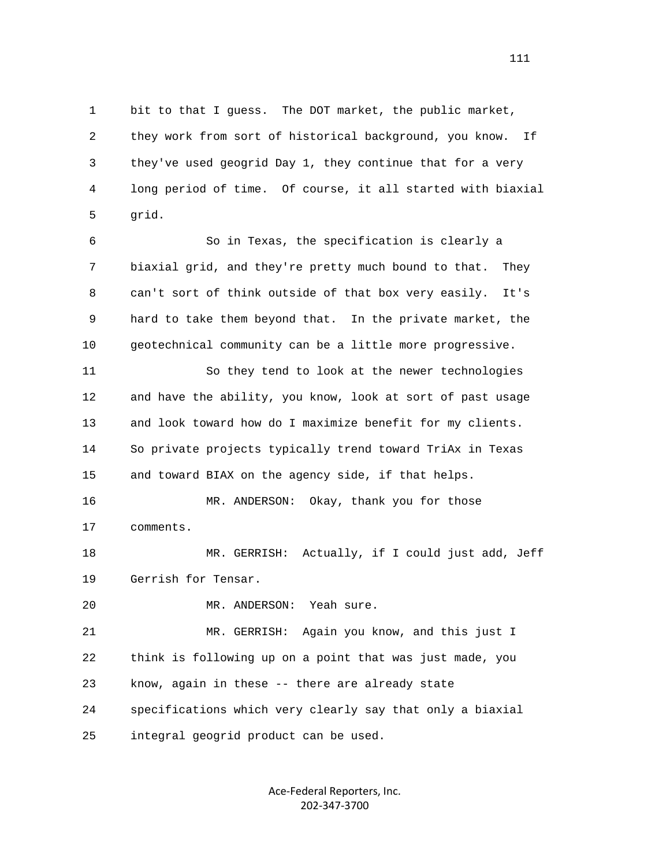1 bit to that I guess. The DOT market, the public market, 2 they work from sort of historical background, you know. If 3 they've used geogrid Day 1, they continue that for a very 4 long period of time. Of course, it all started with biaxial 5 grid.

 6 So in Texas, the specification is clearly a 7 biaxial grid, and they're pretty much bound to that. They 8 can't sort of think outside of that box very easily. It's 9 hard to take them beyond that. In the private market, the 10 geotechnical community can be a little more progressive.

 11 So they tend to look at the newer technologies 12 and have the ability, you know, look at sort of past usage 13 and look toward how do I maximize benefit for my clients. 14 So private projects typically trend toward TriAx in Texas 15 and toward BIAX on the agency side, if that helps.

 16 MR. ANDERSON: Okay, thank you for those 17 comments.

 18 MR. GERRISH: Actually, if I could just add, Jeff 19 Gerrish for Tensar.

20 MR. ANDERSON: Yeah sure.

 21 MR. GERRISH: Again you know, and this just I 22 think is following up on a point that was just made, you 23 know, again in these -- there are already state 24 specifications which very clearly say that only a biaxial 25 integral geogrid product can be used.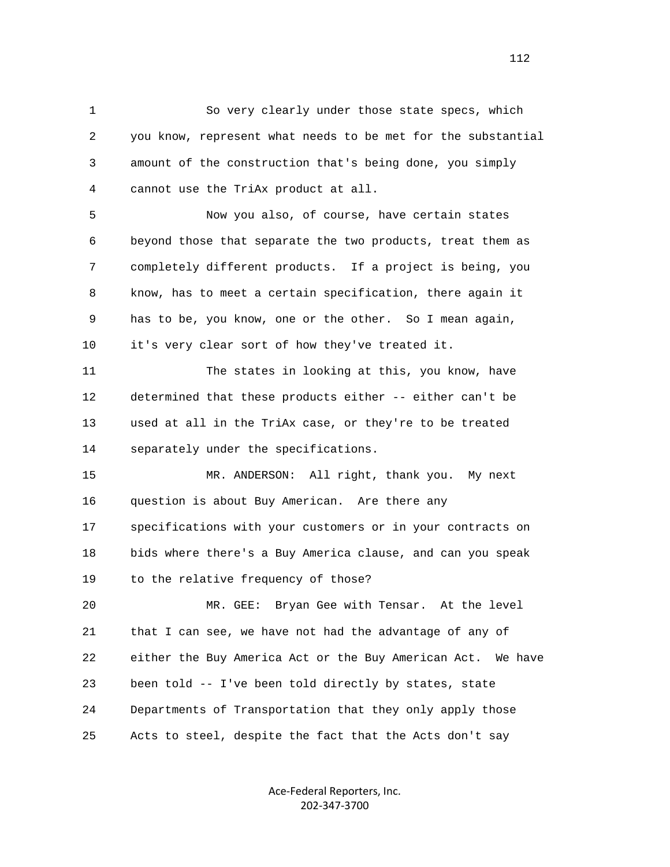1 So very clearly under those state specs, which 2 you know, represent what needs to be met for the substantial 3 amount of the construction that's being done, you simply 4 cannot use the TriAx product at all.

 5 Now you also, of course, have certain states 6 beyond those that separate the two products, treat them as 7 completely different products. If a project is being, you 8 know, has to meet a certain specification, there again it 9 has to be, you know, one or the other. So I mean again, 10 it's very clear sort of how they've treated it.

 11 The states in looking at this, you know, have 12 determined that these products either -- either can't be 13 used at all in the TriAx case, or they're to be treated 14 separately under the specifications.

 15 MR. ANDERSON: All right, thank you. My next 16 question is about Buy American. Are there any 17 specifications with your customers or in your contracts on 18 bids where there's a Buy America clause, and can you speak 19 to the relative frequency of those?

 20 MR. GEE: Bryan Gee with Tensar. At the level 21 that I can see, we have not had the advantage of any of 22 either the Buy America Act or the Buy American Act. We have 23 been told -- I've been told directly by states, state 24 Departments of Transportation that they only apply those 25 Acts to steel, despite the fact that the Acts don't say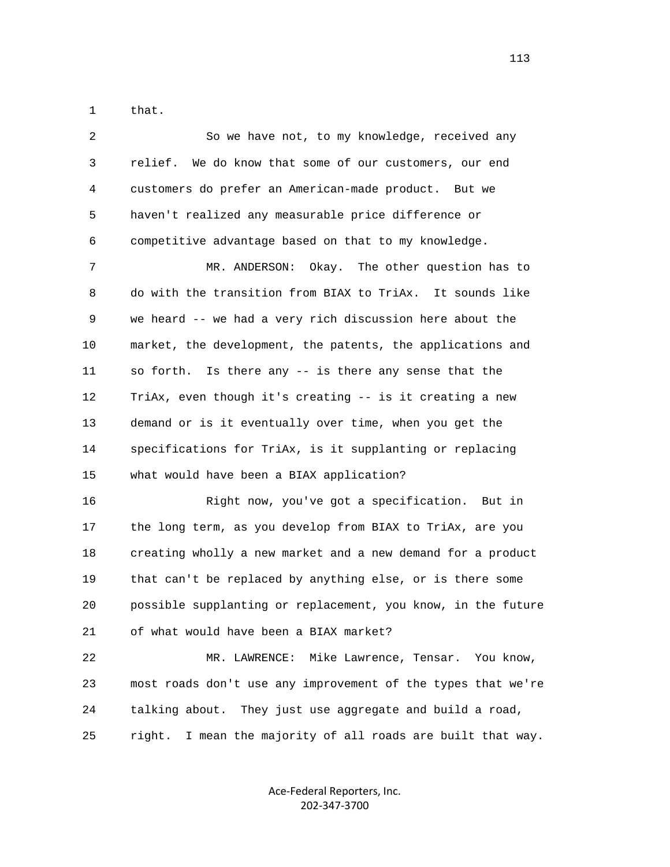1 that.

| 2  | So we have not, to my knowledge, received any                  |
|----|----------------------------------------------------------------|
| 3  | relief. We do know that some of our customers, our end         |
| 4  | customers do prefer an American-made product. But we           |
| 5  | haven't realized any measurable price difference or            |
| 6  | competitive advantage based on that to my knowledge.           |
| 7  | MR. ANDERSON:<br>Okay. The other question has to               |
| 8  | do with the transition from BIAX to TriAx. It sounds like      |
| 9  | we heard -- we had a very rich discussion here about the       |
| 10 | market, the development, the patents, the applications and     |
| 11 | so forth. Is there any -- is there any sense that the          |
| 12 | TriAx, even though it's creating -- is it creating a new       |
| 13 | demand or is it eventually over time, when you get the         |
| 14 | specifications for TriAx, is it supplanting or replacing       |
| 15 | what would have been a BIAX application?                       |
| 16 | Right now, you've got a specification. But in                  |
| 17 | the long term, as you develop from BIAX to TriAx, are you      |
| 18 | creating wholly a new market and a new demand for a product    |
| 19 | that can't be replaced by anything else, or is there some      |
| 20 | possible supplanting or replacement, you know, in the future   |
| 21 | of what would have been a BIAX market?                         |
| 22 | Mike Lawrence, Tensar. You know,<br>MR. LAWRENCE:              |
| 23 | most roads don't use any improvement of the types that we're   |
| 24 | They just use aggregate and build a road,<br>talking about.    |
| 25 | I mean the majority of all roads are built that way.<br>right. |

Ace‐Federal Reporters, Inc. 202‐347‐3700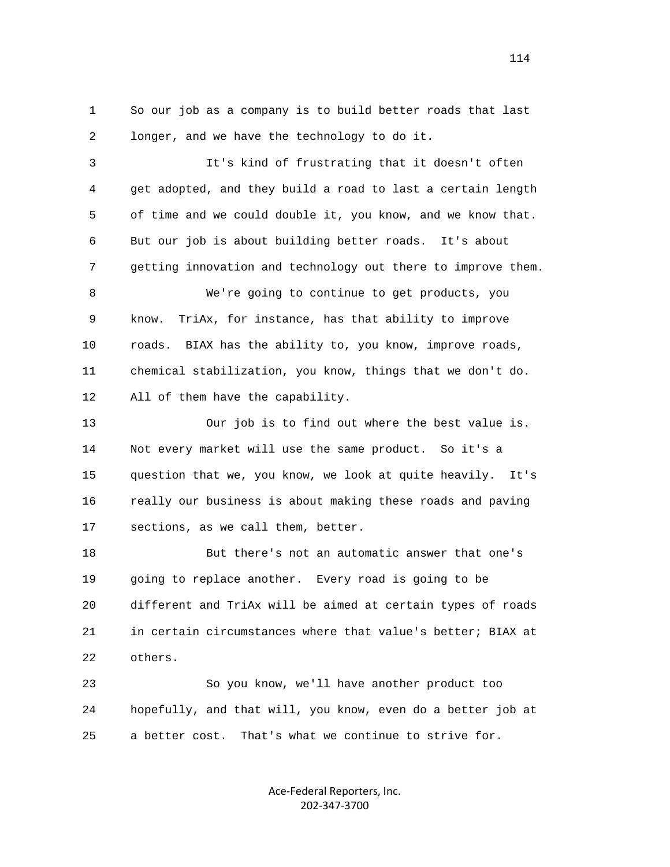1 So our job as a company is to build better roads that last 2 longer, and we have the technology to do it.

 3 It's kind of frustrating that it doesn't often 4 get adopted, and they build a road to last a certain length 5 of time and we could double it, you know, and we know that. 6 But our job is about building better roads. It's about 7 getting innovation and technology out there to improve them.

 8 We're going to continue to get products, you 9 know. TriAx, for instance, has that ability to improve 10 roads. BIAX has the ability to, you know, improve roads, 11 chemical stabilization, you know, things that we don't do. 12 All of them have the capability.

 13 Our job is to find out where the best value is. 14 Not every market will use the same product. So it's a 15 question that we, you know, we look at quite heavily. It's 16 really our business is about making these roads and paving 17 sections, as we call them, better.

 18 But there's not an automatic answer that one's 19 going to replace another. Every road is going to be 20 different and TriAx will be aimed at certain types of roads 21 in certain circumstances where that value's better; BIAX at 22 others.

 23 So you know, we'll have another product too 24 hopefully, and that will, you know, even do a better job at 25 a better cost. That's what we continue to strive for.

> Ace‐Federal Reporters, Inc. 202‐347‐3700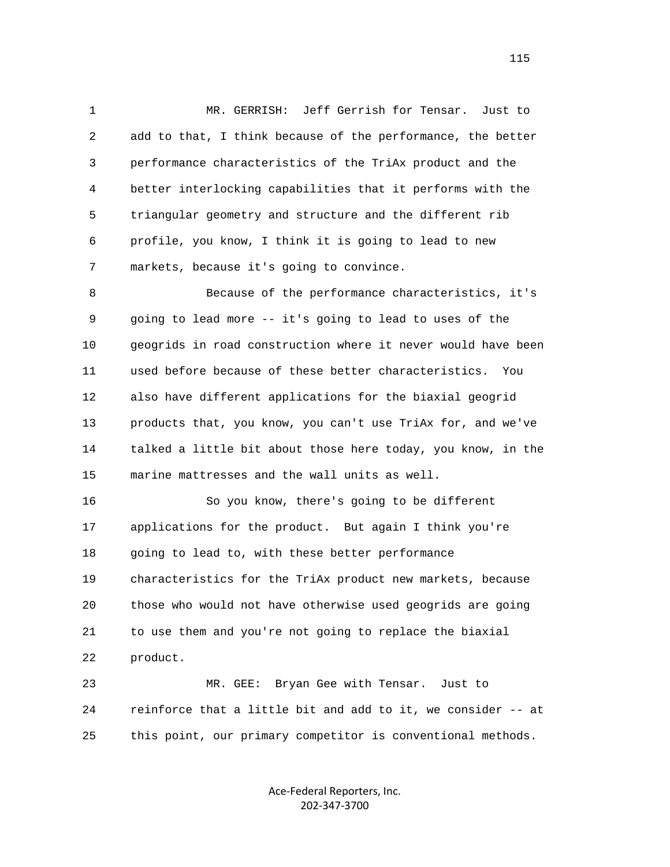1 MR. GERRISH: Jeff Gerrish for Tensar. Just to 2 add to that, I think because of the performance, the better 3 performance characteristics of the TriAx product and the 4 better interlocking capabilities that it performs with the 5 triangular geometry and structure and the different rib 6 profile, you know, I think it is going to lead to new 7 markets, because it's going to convince.

 8 Because of the performance characteristics, it's 9 going to lead more -- it's going to lead to uses of the 10 geogrids in road construction where it never would have been 11 used before because of these better characteristics. You 12 also have different applications for the biaxial geogrid 13 products that, you know, you can't use TriAx for, and we've 14 talked a little bit about those here today, you know, in the 15 marine mattresses and the wall units as well.

 16 So you know, there's going to be different 17 applications for the product. But again I think you're 18 going to lead to, with these better performance 19 characteristics for the TriAx product new markets, because 20 those who would not have otherwise used geogrids are going 21 to use them and you're not going to replace the biaxial 22 product.

 23 MR. GEE: Bryan Gee with Tensar. Just to 24 reinforce that a little bit and add to it, we consider -- at 25 this point, our primary competitor is conventional methods.

> Ace‐Federal Reporters, Inc. 202‐347‐3700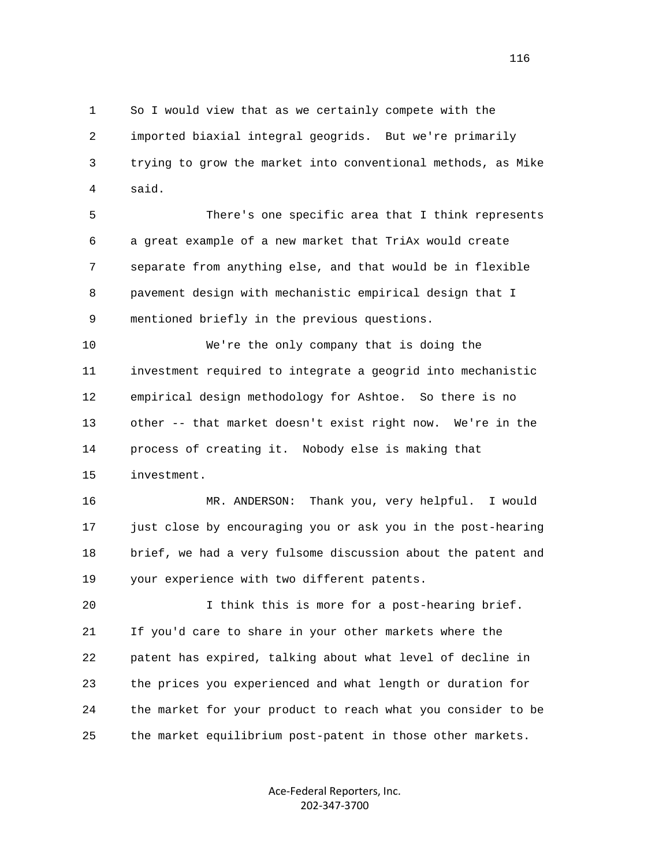1 So I would view that as we certainly compete with the 2 imported biaxial integral geogrids. But we're primarily 3 trying to grow the market into conventional methods, as Mike 4 said.

 5 There's one specific area that I think represents 6 a great example of a new market that TriAx would create 7 separate from anything else, and that would be in flexible 8 pavement design with mechanistic empirical design that I 9 mentioned briefly in the previous questions.

 10 We're the only company that is doing the 11 investment required to integrate a geogrid into mechanistic 12 empirical design methodology for Ashtoe. So there is no 13 other -- that market doesn't exist right now. We're in the 14 process of creating it. Nobody else is making that 15 investment.

 16 MR. ANDERSON: Thank you, very helpful. I would 17 just close by encouraging you or ask you in the post-hearing 18 brief, we had a very fulsome discussion about the patent and 19 your experience with two different patents.

 20 I think this is more for a post-hearing brief. 21 If you'd care to share in your other markets where the 22 patent has expired, talking about what level of decline in 23 the prices you experienced and what length or duration for 24 the market for your product to reach what you consider to be 25 the market equilibrium post-patent in those other markets.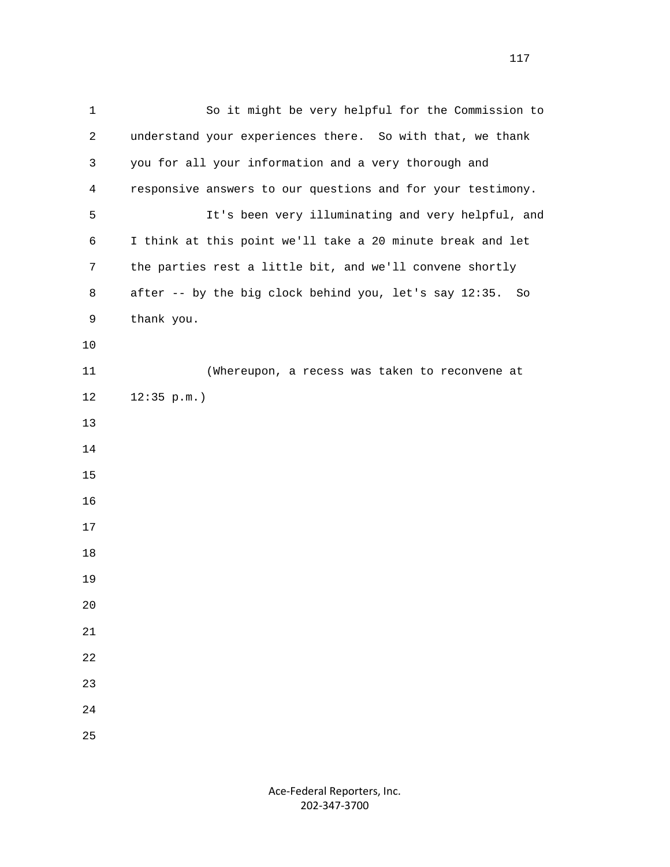1 So it might be very helpful for the Commission to 2 understand your experiences there. So with that, we thank 3 you for all your information and a very thorough and 4 responsive answers to our questions and for your testimony. 5 It's been very illuminating and very helpful, and 6 I think at this point we'll take a 20 minute break and let 7 the parties rest a little bit, and we'll convene shortly 8 after -- by the big clock behind you, let's say 12:35. So 9 thank you. 10 11 (Whereupon, a recess was taken to reconvene at 12 12:35 p.m.) 13 14 15 16 17 18 19 20 21 22 23 24 25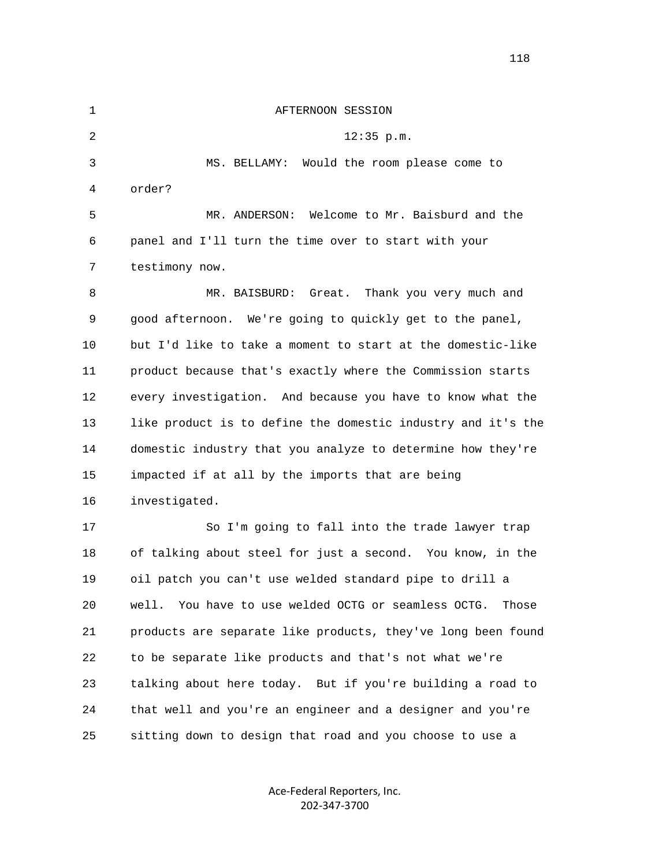| $\mathbf 1$ | AFTERNOON SESSION                                               |
|-------------|-----------------------------------------------------------------|
| 2           | $12:35$ p.m.                                                    |
| 3           | Would the room please come to<br>MS. BELLAMY:                   |
| 4           | order?                                                          |
| 5           | MR. ANDERSON: Welcome to Mr. Baisburd and the                   |
| 6           | panel and I'll turn the time over to start with your            |
| 7           | testimony now.                                                  |
| 8           | Thank you very much and<br>MR. BAISBURD:<br>Great.              |
| 9           | good afternoon. We're going to quickly get to the panel,        |
| 10          | but I'd like to take a moment to start at the domestic-like     |
| 11          | product because that's exactly where the Commission starts      |
| 12          | every investigation. And because you have to know what the      |
| 13          | like product is to define the domestic industry and it's the    |
| 14          | domestic industry that you analyze to determine how they're     |
| 15          | impacted if at all by the imports that are being                |
| 16          | investigated.                                                   |
| 17          | So I'm going to fall into the trade lawyer trap                 |
| 18          | of talking about steel for just a second. You know, in the      |
| 19          | oil patch you can't use welded standard pipe to drill a         |
| 20          | You have to use welded OCTG or seamless OCTG.<br>well.<br>Those |
| 21          | products are separate like products, they've long been found    |
| 22          | to be separate like products and that's not what we're          |
| 23          | talking about here today. But if you're building a road to      |
| 24          | that well and you're an engineer and a designer and you're      |
| 25          | sitting down to design that road and you choose to use a        |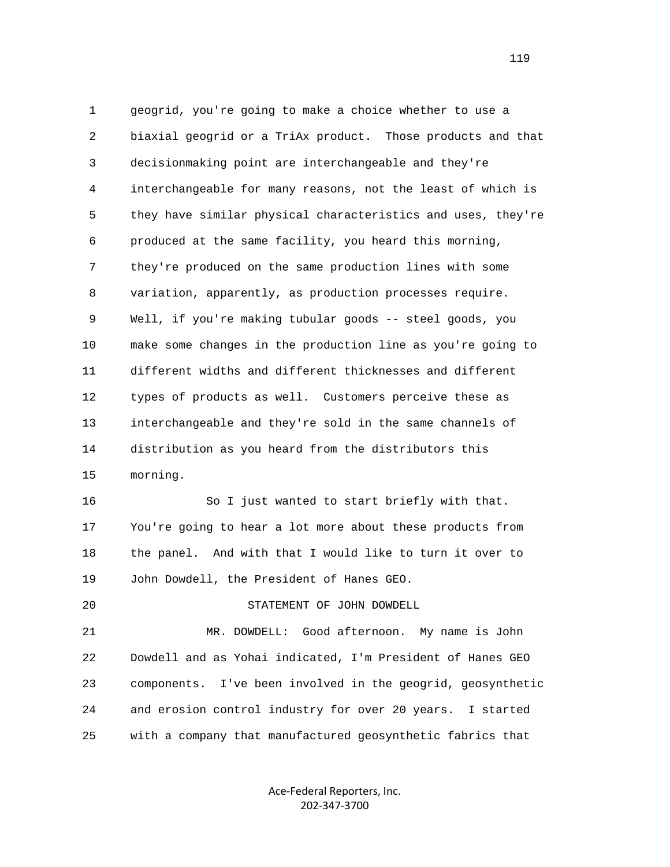1 geogrid, you're going to make a choice whether to use a 2 biaxial geogrid or a TriAx product. Those products and that 3 decisionmaking point are interchangeable and they're 4 interchangeable for many reasons, not the least of which is 5 they have similar physical characteristics and uses, they're 6 produced at the same facility, you heard this morning, 7 they're produced on the same production lines with some 8 variation, apparently, as production processes require. 9 Well, if you're making tubular goods -- steel goods, you 10 make some changes in the production line as you're going to 11 different widths and different thicknesses and different 12 types of products as well. Customers perceive these as 13 interchangeable and they're sold in the same channels of 14 distribution as you heard from the distributors this 15 morning.

 16 So I just wanted to start briefly with that. 17 You're going to hear a lot more about these products from 18 the panel. And with that I would like to turn it over to 19 John Dowdell, the President of Hanes GEO.

## 20 STATEMENT OF JOHN DOWDELL

 21 MR. DOWDELL: Good afternoon. My name is John 22 Dowdell and as Yohai indicated, I'm President of Hanes GEO 23 components. I've been involved in the geogrid, geosynthetic 24 and erosion control industry for over 20 years. I started 25 with a company that manufactured geosynthetic fabrics that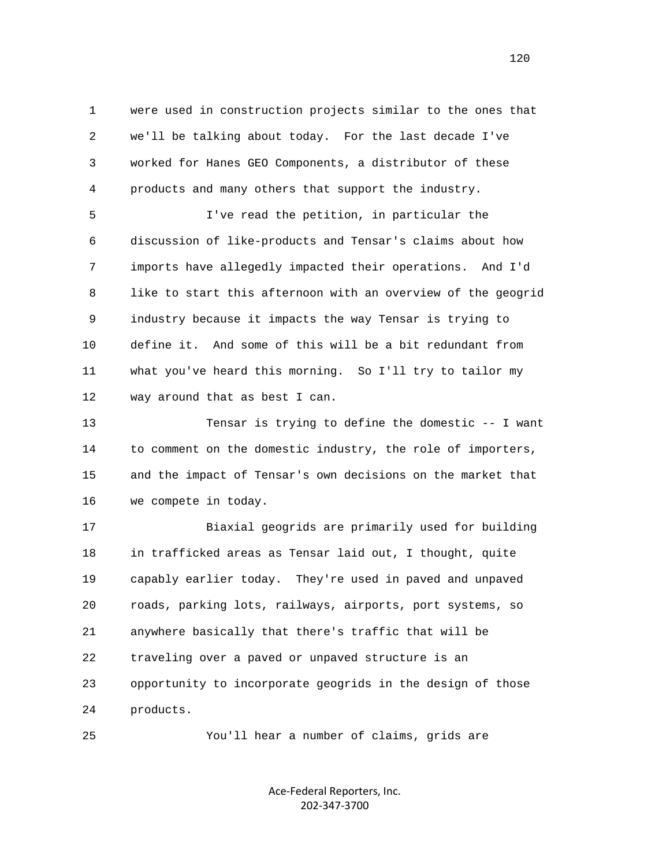1 were used in construction projects similar to the ones that 2 we'll be talking about today. For the last decade I've 3 worked for Hanes GEO Components, a distributor of these 4 products and many others that support the industry.

 5 I've read the petition, in particular the 6 discussion of like-products and Tensar's claims about how 7 imports have allegedly impacted their operations. And I'd 8 like to start this afternoon with an overview of the geogrid 9 industry because it impacts the way Tensar is trying to 10 define it. And some of this will be a bit redundant from 11 what you've heard this morning. So I'll try to tailor my 12 way around that as best I can.

 13 Tensar is trying to define the domestic -- I want 14 to comment on the domestic industry, the role of importers, 15 and the impact of Tensar's own decisions on the market that 16 we compete in today.

 17 Biaxial geogrids are primarily used for building 18 in trafficked areas as Tensar laid out, I thought, quite 19 capably earlier today. They're used in paved and unpaved 20 roads, parking lots, railways, airports, port systems, so 21 anywhere basically that there's traffic that will be 22 traveling over a paved or unpaved structure is an 23 opportunity to incorporate geogrids in the design of those 24 products.

25 You'll hear a number of claims, grids are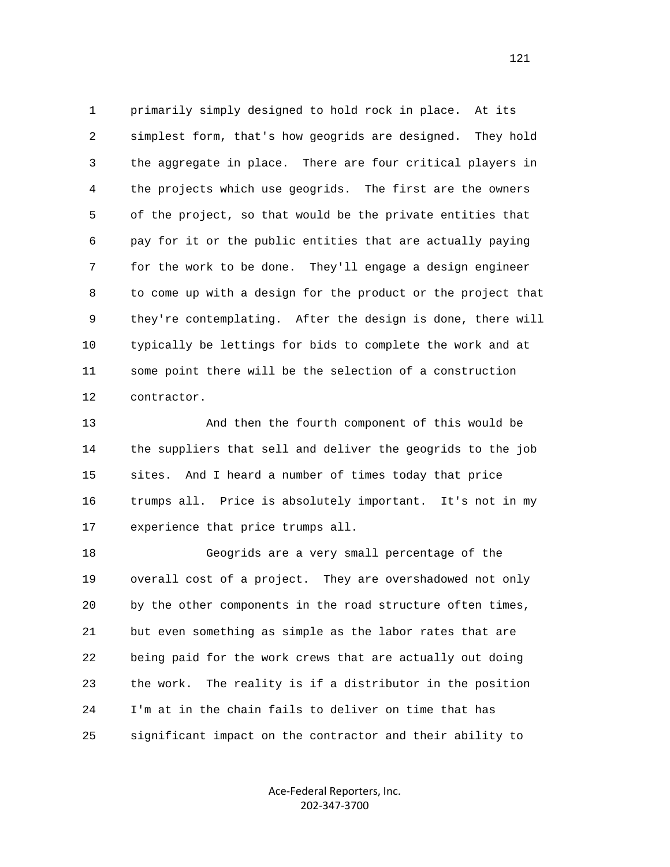1 primarily simply designed to hold rock in place. At its 2 simplest form, that's how geogrids are designed. They hold 3 the aggregate in place. There are four critical players in 4 the projects which use geogrids. The first are the owners 5 of the project, so that would be the private entities that 6 pay for it or the public entities that are actually paying 7 for the work to be done. They'll engage a design engineer 8 to come up with a design for the product or the project that 9 they're contemplating. After the design is done, there will 10 typically be lettings for bids to complete the work and at 11 some point there will be the selection of a construction 12 contractor.

 13 And then the fourth component of this would be 14 the suppliers that sell and deliver the geogrids to the job 15 sites. And I heard a number of times today that price 16 trumps all. Price is absolutely important. It's not in my 17 experience that price trumps all.

 18 Geogrids are a very small percentage of the 19 overall cost of a project. They are overshadowed not only 20 by the other components in the road structure often times, 21 but even something as simple as the labor rates that are 22 being paid for the work crews that are actually out doing 23 the work. The reality is if a distributor in the position 24 I'm at in the chain fails to deliver on time that has 25 significant impact on the contractor and their ability to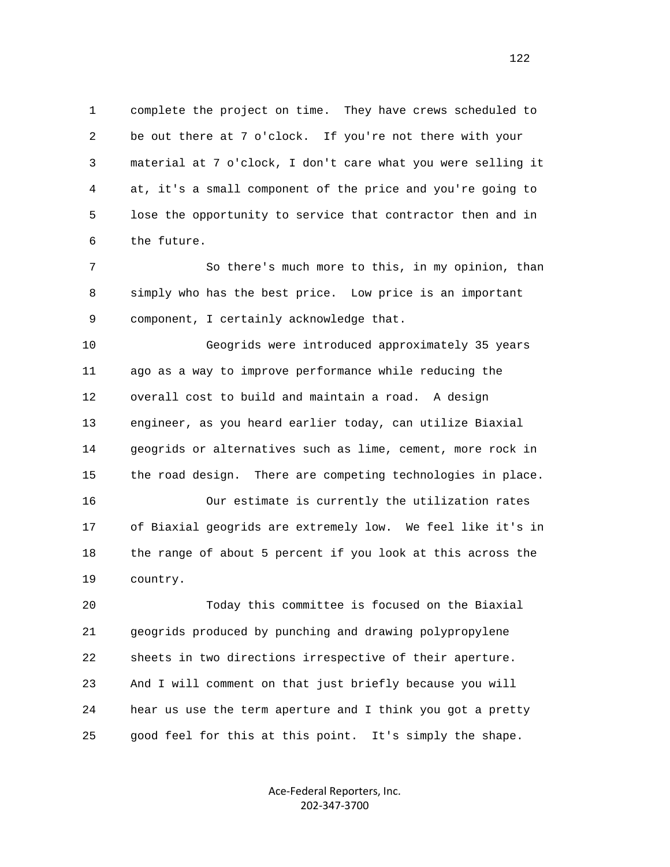1 complete the project on time. They have crews scheduled to 2 be out there at 7 o'clock. If you're not there with your 3 material at 7 o'clock, I don't care what you were selling it 4 at, it's a small component of the price and you're going to 5 lose the opportunity to service that contractor then and in 6 the future.

 7 So there's much more to this, in my opinion, than 8 simply who has the best price. Low price is an important 9 component, I certainly acknowledge that.

 10 Geogrids were introduced approximately 35 years 11 ago as a way to improve performance while reducing the 12 overall cost to build and maintain a road. A design 13 engineer, as you heard earlier today, can utilize Biaxial 14 geogrids or alternatives such as lime, cement, more rock in 15 the road design. There are competing technologies in place.

 16 Our estimate is currently the utilization rates 17 of Biaxial geogrids are extremely low. We feel like it's in 18 the range of about 5 percent if you look at this across the 19 country.

 20 Today this committee is focused on the Biaxial 21 geogrids produced by punching and drawing polypropylene 22 sheets in two directions irrespective of their aperture. 23 And I will comment on that just briefly because you will 24 hear us use the term aperture and I think you got a pretty 25 good feel for this at this point. It's simply the shape.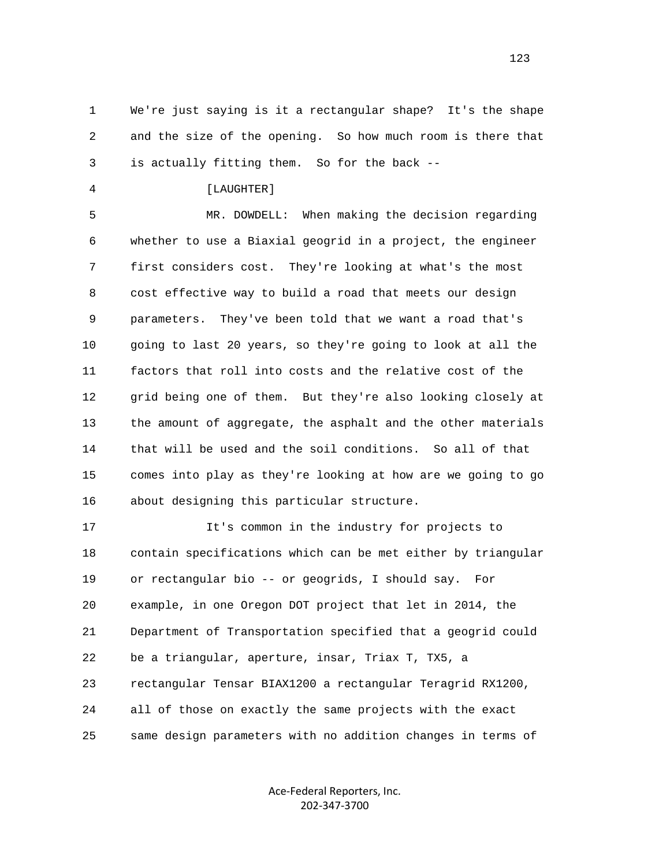1 We're just saying is it a rectangular shape? It's the shape 2 and the size of the opening. So how much room is there that 3 is actually fitting them. So for the back --

4 [LAUGHTER]

 5 MR. DOWDELL: When making the decision regarding 6 whether to use a Biaxial geogrid in a project, the engineer 7 first considers cost. They're looking at what's the most 8 cost effective way to build a road that meets our design 9 parameters. They've been told that we want a road that's 10 going to last 20 years, so they're going to look at all the 11 factors that roll into costs and the relative cost of the 12 grid being one of them. But they're also looking closely at 13 the amount of aggregate, the asphalt and the other materials 14 that will be used and the soil conditions. So all of that 15 comes into play as they're looking at how are we going to go 16 about designing this particular structure.

 17 It's common in the industry for projects to 18 contain specifications which can be met either by triangular 19 or rectangular bio -- or geogrids, I should say. For 20 example, in one Oregon DOT project that let in 2014, the 21 Department of Transportation specified that a geogrid could 22 be a triangular, aperture, insar, Triax T, TX5, a 23 rectangular Tensar BIAX1200 a rectangular Teragrid RX1200, 24 all of those on exactly the same projects with the exact 25 same design parameters with no addition changes in terms of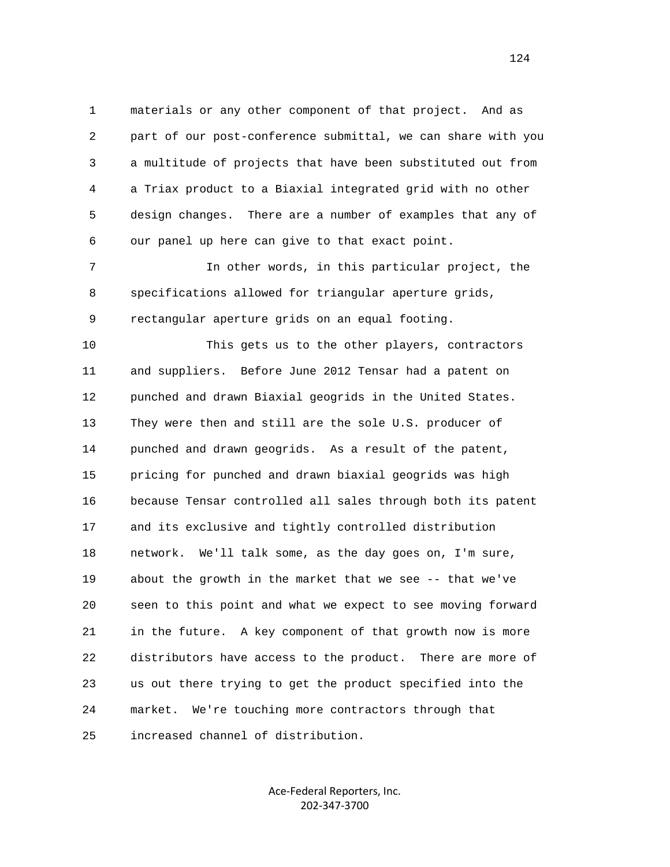1 materials or any other component of that project. And as 2 part of our post-conference submittal, we can share with you 3 a multitude of projects that have been substituted out from 4 a Triax product to a Biaxial integrated grid with no other 5 design changes. There are a number of examples that any of 6 our panel up here can give to that exact point.

 7 In other words, in this particular project, the 8 specifications allowed for triangular aperture grids, 9 rectangular aperture grids on an equal footing.

 10 This gets us to the other players, contractors 11 and suppliers. Before June 2012 Tensar had a patent on 12 punched and drawn Biaxial geogrids in the United States. 13 They were then and still are the sole U.S. producer of 14 punched and drawn geogrids. As a result of the patent, 15 pricing for punched and drawn biaxial geogrids was high 16 because Tensar controlled all sales through both its patent 17 and its exclusive and tightly controlled distribution 18 network. We'll talk some, as the day goes on, I'm sure, 19 about the growth in the market that we see -- that we've 20 seen to this point and what we expect to see moving forward 21 in the future. A key component of that growth now is more 22 distributors have access to the product. There are more of 23 us out there trying to get the product specified into the 24 market. We're touching more contractors through that 25 increased channel of distribution.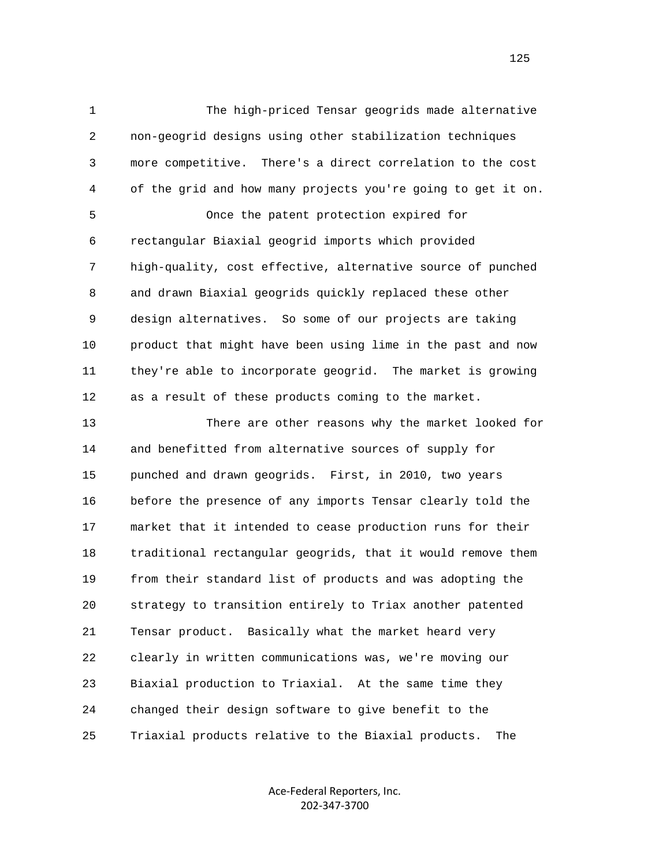1 The high-priced Tensar geogrids made alternative 2 non-geogrid designs using other stabilization techniques 3 more competitive. There's a direct correlation to the cost 4 of the grid and how many projects you're going to get it on. 5 Once the patent protection expired for 6 rectangular Biaxial geogrid imports which provided 7 high-quality, cost effective, alternative source of punched 8 and drawn Biaxial geogrids quickly replaced these other 9 design alternatives. So some of our projects are taking 10 product that might have been using lime in the past and now 11 they're able to incorporate geogrid. The market is growing 12 as a result of these products coming to the market.

 13 There are other reasons why the market looked for 14 and benefitted from alternative sources of supply for 15 punched and drawn geogrids. First, in 2010, two years 16 before the presence of any imports Tensar clearly told the 17 market that it intended to cease production runs for their 18 traditional rectangular geogrids, that it would remove them 19 from their standard list of products and was adopting the 20 strategy to transition entirely to Triax another patented 21 Tensar product. Basically what the market heard very 22 clearly in written communications was, we're moving our 23 Biaxial production to Triaxial. At the same time they 24 changed their design software to give benefit to the 25 Triaxial products relative to the Biaxial products. The

> Ace‐Federal Reporters, Inc. 202‐347‐3700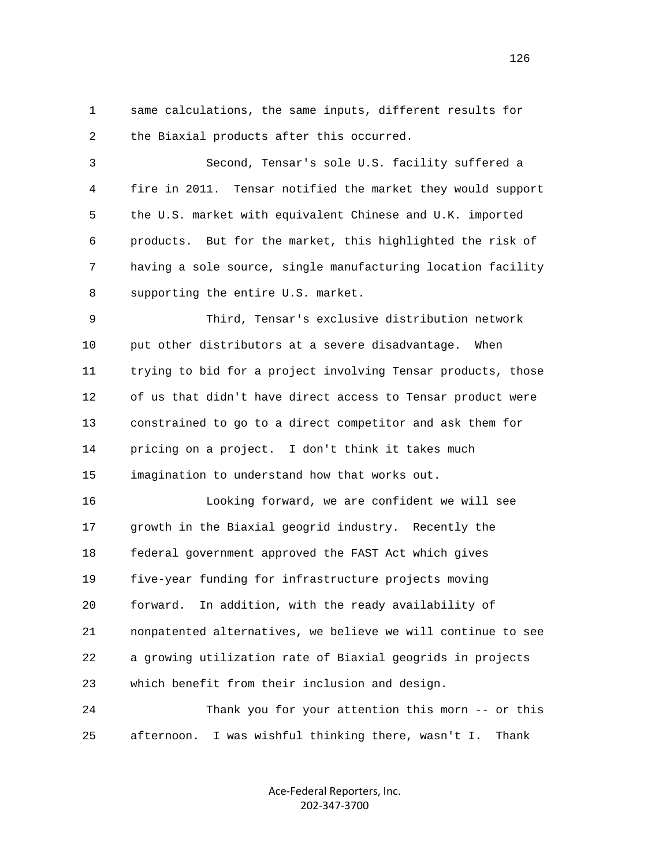1 same calculations, the same inputs, different results for 2 the Biaxial products after this occurred.

 3 Second, Tensar's sole U.S. facility suffered a 4 fire in 2011. Tensar notified the market they would support 5 the U.S. market with equivalent Chinese and U.K. imported 6 products. But for the market, this highlighted the risk of 7 having a sole source, single manufacturing location facility 8 supporting the entire U.S. market.

 9 Third, Tensar's exclusive distribution network 10 put other distributors at a severe disadvantage. When 11 trying to bid for a project involving Tensar products, those 12 of us that didn't have direct access to Tensar product were 13 constrained to go to a direct competitor and ask them for 14 pricing on a project. I don't think it takes much 15 imagination to understand how that works out.

 16 Looking forward, we are confident we will see 17 growth in the Biaxial geogrid industry. Recently the 18 federal government approved the FAST Act which gives 19 five-year funding for infrastructure projects moving 20 forward. In addition, with the ready availability of 21 nonpatented alternatives, we believe we will continue to see 22 a growing utilization rate of Biaxial geogrids in projects 23 which benefit from their inclusion and design.

 24 Thank you for your attention this morn -- or this 25 afternoon. I was wishful thinking there, wasn't I. Thank

> Ace‐Federal Reporters, Inc. 202‐347‐3700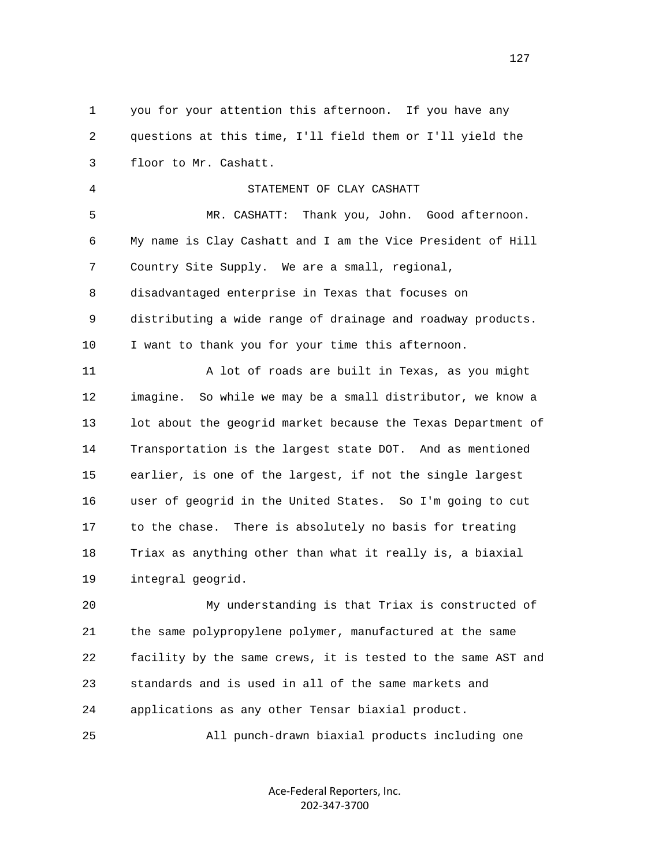1 you for your attention this afternoon. If you have any 2 questions at this time, I'll field them or I'll yield the 3 floor to Mr. Cashatt. 4 STATEMENT OF CLAY CASHATT 5 MR. CASHATT: Thank you, John. Good afternoon. 6 My name is Clay Cashatt and I am the Vice President of Hill 7 Country Site Supply. We are a small, regional, 8 disadvantaged enterprise in Texas that focuses on 9 distributing a wide range of drainage and roadway products. 10 I want to thank you for your time this afternoon. 11 A lot of roads are built in Texas, as you might 12 imagine. So while we may be a small distributor, we know a 13 lot about the geogrid market because the Texas Department of 14 Transportation is the largest state DOT. And as mentioned 15 earlier, is one of the largest, if not the single largest 16 user of geogrid in the United States. So I'm going to cut 17 to the chase. There is absolutely no basis for treating 18 Triax as anything other than what it really is, a biaxial 19 integral geogrid.

 20 My understanding is that Triax is constructed of 21 the same polypropylene polymer, manufactured at the same 22 facility by the same crews, it is tested to the same AST and 23 standards and is used in all of the same markets and 24 applications as any other Tensar biaxial product.

25 All punch-drawn biaxial products including one

Ace‐Federal Reporters, Inc. 202‐347‐3700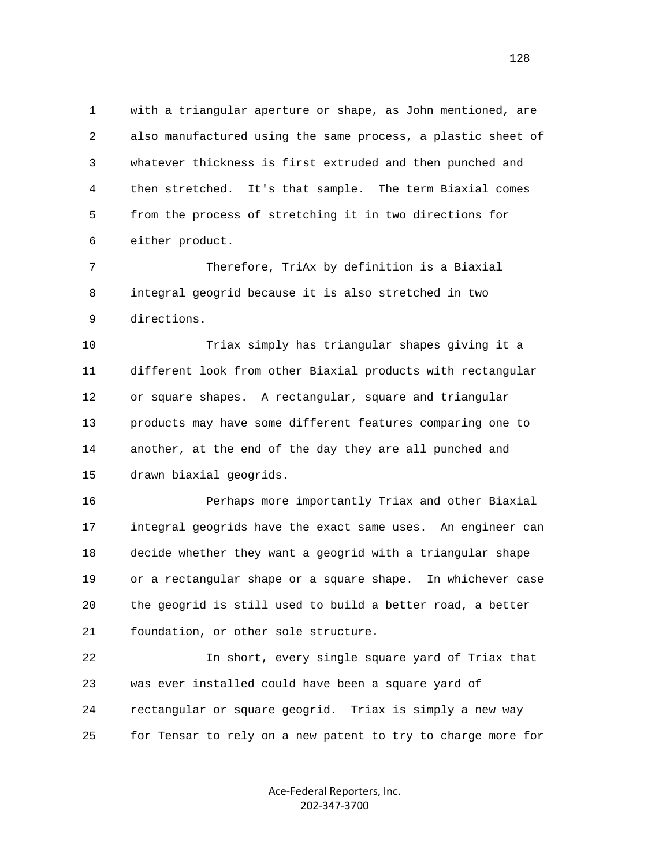1 with a triangular aperture or shape, as John mentioned, are 2 also manufactured using the same process, a plastic sheet of 3 whatever thickness is first extruded and then punched and 4 then stretched. It's that sample. The term Biaxial comes 5 from the process of stretching it in two directions for 6 either product.

 7 Therefore, TriAx by definition is a Biaxial 8 integral geogrid because it is also stretched in two 9 directions.

 10 Triax simply has triangular shapes giving it a 11 different look from other Biaxial products with rectangular 12 or square shapes. A rectangular, square and triangular 13 products may have some different features comparing one to 14 another, at the end of the day they are all punched and 15 drawn biaxial geogrids.

 16 Perhaps more importantly Triax and other Biaxial 17 integral geogrids have the exact same uses. An engineer can 18 decide whether they want a geogrid with a triangular shape 19 or a rectangular shape or a square shape. In whichever case 20 the geogrid is still used to build a better road, a better 21 foundation, or other sole structure.

 22 In short, every single square yard of Triax that 23 was ever installed could have been a square yard of 24 rectangular or square geogrid. Triax is simply a new way 25 for Tensar to rely on a new patent to try to charge more for

> Ace‐Federal Reporters, Inc. 202‐347‐3700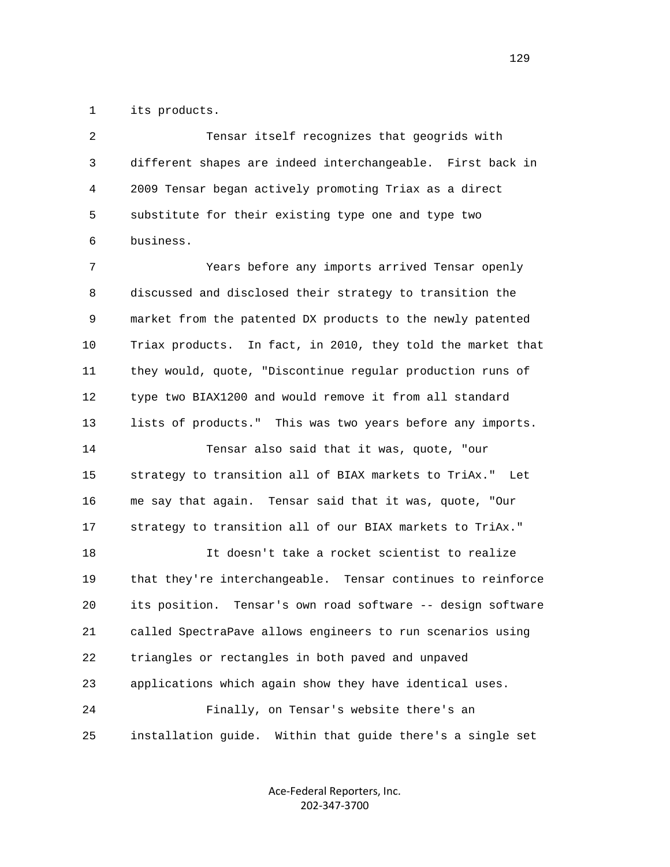1 its products.

 2 Tensar itself recognizes that geogrids with 3 different shapes are indeed interchangeable. First back in 4 2009 Tensar began actively promoting Triax as a direct 5 substitute for their existing type one and type two 6 business.

 7 Years before any imports arrived Tensar openly 8 discussed and disclosed their strategy to transition the 9 market from the patented DX products to the newly patented 10 Triax products. In fact, in 2010, they told the market that 11 they would, quote, "Discontinue regular production runs of 12 type two BIAX1200 and would remove it from all standard 13 lists of products." This was two years before any imports. 14 Tensar also said that it was, quote, "our 15 strategy to transition all of BIAX markets to TriAx." Let 16 me say that again. Tensar said that it was, quote, "Our 17 strategy to transition all of our BIAX markets to TriAx." 18 It doesn't take a rocket scientist to realize 19 that they're interchangeable. Tensar continues to reinforce 20 its position. Tensar's own road software -- design software 21 called SpectraPave allows engineers to run scenarios using 22 triangles or rectangles in both paved and unpaved 23 applications which again show they have identical uses. 24 Finally, on Tensar's website there's an 25 installation guide. Within that guide there's a single set

> Ace‐Federal Reporters, Inc. 202‐347‐3700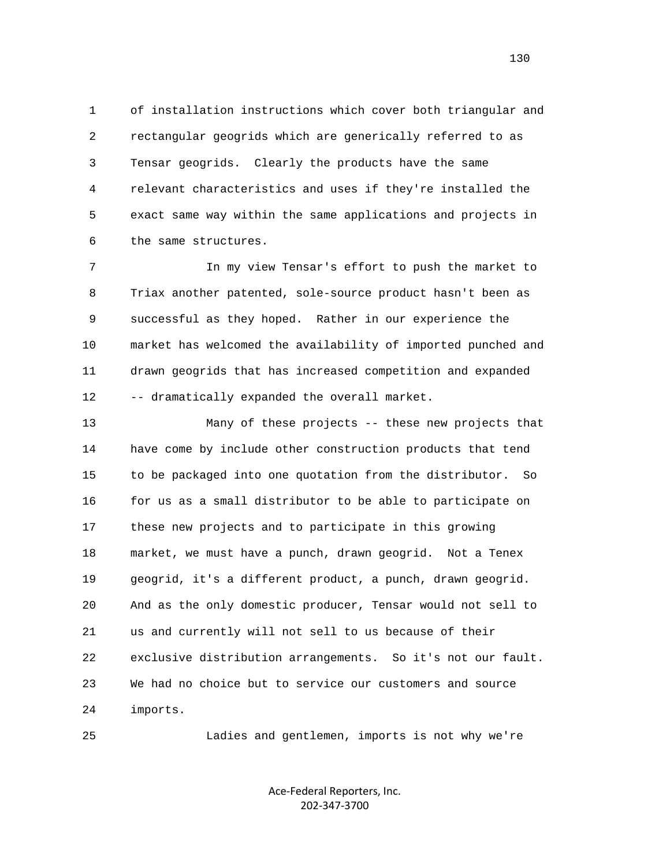1 of installation instructions which cover both triangular and 2 rectangular geogrids which are generically referred to as 3 Tensar geogrids. Clearly the products have the same 4 relevant characteristics and uses if they're installed the 5 exact same way within the same applications and projects in 6 the same structures.

 7 In my view Tensar's effort to push the market to 8 Triax another patented, sole-source product hasn't been as 9 successful as they hoped. Rather in our experience the 10 market has welcomed the availability of imported punched and 11 drawn geogrids that has increased competition and expanded 12 -- dramatically expanded the overall market.

 13 Many of these projects -- these new projects that 14 have come by include other construction products that tend 15 to be packaged into one quotation from the distributor. So 16 for us as a small distributor to be able to participate on 17 these new projects and to participate in this growing 18 market, we must have a punch, drawn geogrid. Not a Tenex 19 geogrid, it's a different product, a punch, drawn geogrid. 20 And as the only domestic producer, Tensar would not sell to 21 us and currently will not sell to us because of their 22 exclusive distribution arrangements. So it's not our fault. 23 We had no choice but to service our customers and source 24 imports.

25 Ladies and gentlemen, imports is not why we're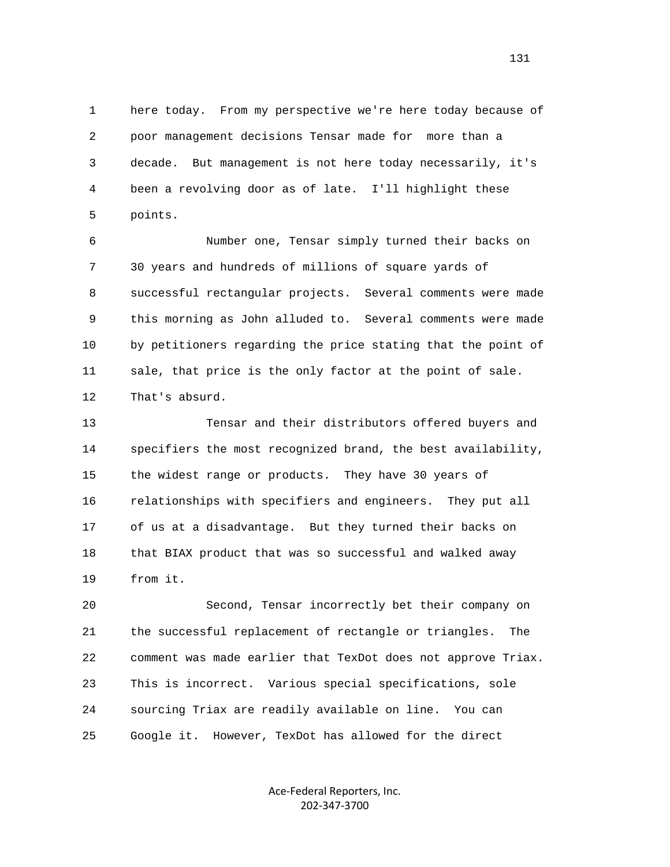1 here today. From my perspective we're here today because of 2 poor management decisions Tensar made for more than a 3 decade. But management is not here today necessarily, it's 4 been a revolving door as of late. I'll highlight these 5 points.

 6 Number one, Tensar simply turned their backs on 7 30 years and hundreds of millions of square yards of 8 successful rectangular projects. Several comments were made 9 this morning as John alluded to. Several comments were made 10 by petitioners regarding the price stating that the point of 11 sale, that price is the only factor at the point of sale. 12 That's absurd.

 13 Tensar and their distributors offered buyers and 14 specifiers the most recognized brand, the best availability, 15 the widest range or products. They have 30 years of 16 relationships with specifiers and engineers. They put all 17 of us at a disadvantage. But they turned their backs on 18 that BIAX product that was so successful and walked away 19 from it.

 20 Second, Tensar incorrectly bet their company on 21 the successful replacement of rectangle or triangles. The 22 comment was made earlier that TexDot does not approve Triax. 23 This is incorrect. Various special specifications, sole 24 sourcing Triax are readily available on line. You can 25 Google it. However, TexDot has allowed for the direct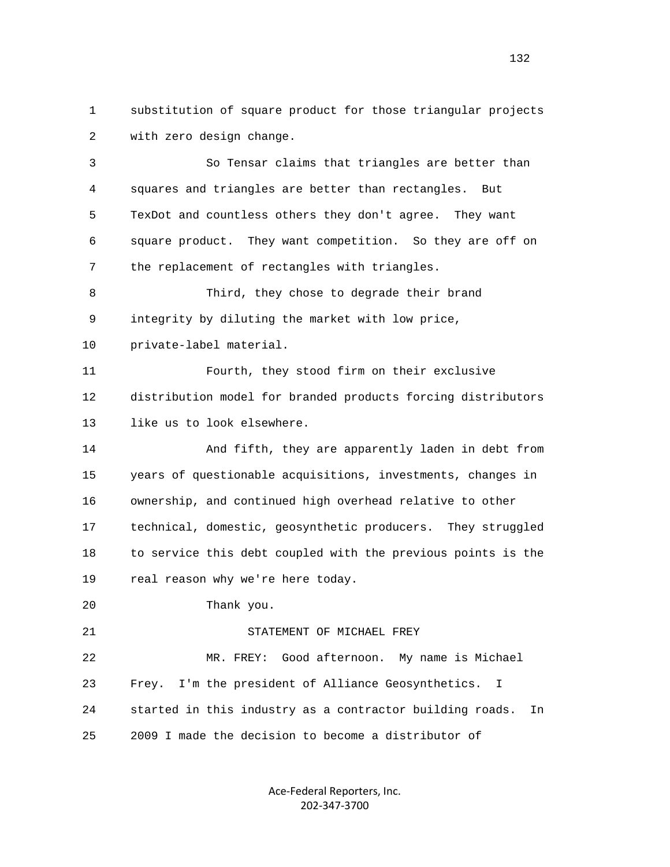1 substitution of square product for those triangular projects 2 with zero design change.

 3 So Tensar claims that triangles are better than 4 squares and triangles are better than rectangles. But 5 TexDot and countless others they don't agree. They want 6 square product. They want competition. So they are off on 7 the replacement of rectangles with triangles. 8 Third, they chose to degrade their brand 9 integrity by diluting the market with low price, 10 private-label material. 11 Fourth, they stood firm on their exclusive 12 distribution model for branded products forcing distributors 13 like us to look elsewhere. 14 And fifth, they are apparently laden in debt from 15 years of questionable acquisitions, investments, changes in 16 ownership, and continued high overhead relative to other 17 technical, domestic, geosynthetic producers. They struggled 18 to service this debt coupled with the previous points is the 19 real reason why we're here today. 20 Thank you. 21 STATEMENT OF MICHAEL FREY 22 MR. FREY: Good afternoon. My name is Michael 23 Frey. I'm the president of Alliance Geosynthetics. I 24 started in this industry as a contractor building roads. In

25 2009 I made the decision to become a distributor of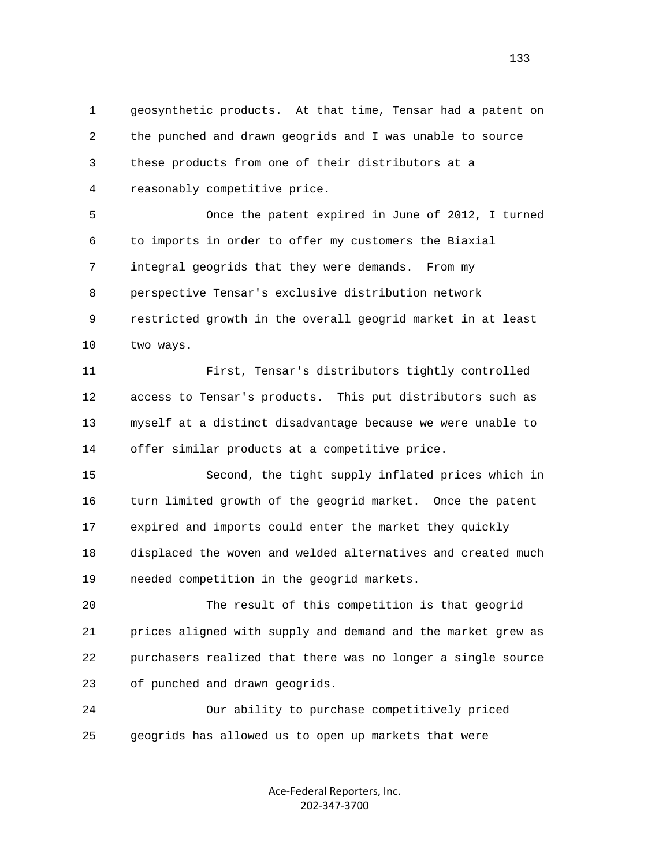1 geosynthetic products. At that time, Tensar had a patent on 2 the punched and drawn geogrids and I was unable to source 3 these products from one of their distributors at a 4 reasonably competitive price.

 5 Once the patent expired in June of 2012, I turned 6 to imports in order to offer my customers the Biaxial 7 integral geogrids that they were demands. From my 8 perspective Tensar's exclusive distribution network 9 restricted growth in the overall geogrid market in at least 10 two ways.

 11 First, Tensar's distributors tightly controlled 12 access to Tensar's products. This put distributors such as 13 myself at a distinct disadvantage because we were unable to 14 offer similar products at a competitive price.

 15 Second, the tight supply inflated prices which in 16 turn limited growth of the geogrid market. Once the patent 17 expired and imports could enter the market they quickly 18 displaced the woven and welded alternatives and created much 19 needed competition in the geogrid markets.

 20 The result of this competition is that geogrid 21 prices aligned with supply and demand and the market grew as 22 purchasers realized that there was no longer a single source 23 of punched and drawn geogrids.

 24 Our ability to purchase competitively priced 25 geogrids has allowed us to open up markets that were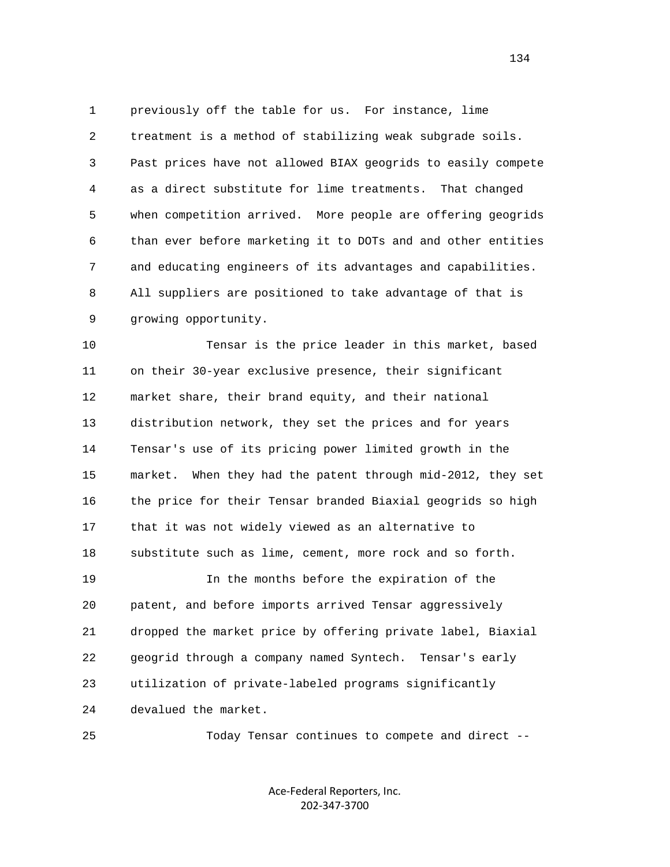1 previously off the table for us. For instance, lime 2 treatment is a method of stabilizing weak subgrade soils. 3 Past prices have not allowed BIAX geogrids to easily compete 4 as a direct substitute for lime treatments. That changed 5 when competition arrived. More people are offering geogrids 6 than ever before marketing it to DOTs and and other entities 7 and educating engineers of its advantages and capabilities. 8 All suppliers are positioned to take advantage of that is 9 growing opportunity.

 10 Tensar is the price leader in this market, based 11 on their 30-year exclusive presence, their significant 12 market share, their brand equity, and their national 13 distribution network, they set the prices and for years 14 Tensar's use of its pricing power limited growth in the 15 market. When they had the patent through mid-2012, they set 16 the price for their Tensar branded Biaxial geogrids so high 17 that it was not widely viewed as an alternative to 18 substitute such as lime, cement, more rock and so forth. 19 In the months before the expiration of the 20 patent, and before imports arrived Tensar aggressively 21 dropped the market price by offering private label, Biaxial 22 geogrid through a company named Syntech. Tensar's early 23 utilization of private-labeled programs significantly 24 devalued the market.

25 Today Tensar continues to compete and direct --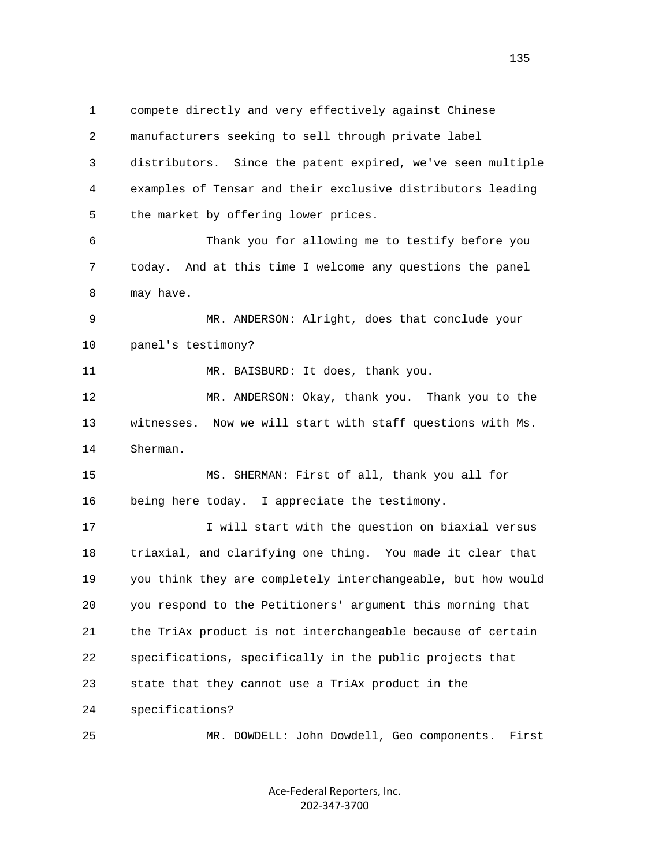1 compete directly and very effectively against Chinese 2 manufacturers seeking to sell through private label 3 distributors. Since the patent expired, we've seen multiple 4 examples of Tensar and their exclusive distributors leading 5 the market by offering lower prices. 6 Thank you for allowing me to testify before you 7 today. And at this time I welcome any questions the panel 8 may have. 9 MR. ANDERSON: Alright, does that conclude your 10 panel's testimony? 11 MR. BAISBURD: It does, thank you. 12 MR. ANDERSON: Okay, thank you. Thank you to the 13 witnesses. Now we will start with staff questions with Ms. 14 Sherman. 15 MS. SHERMAN: First of all, thank you all for 16 being here today. I appreciate the testimony. 17 17 I will start with the question on biaxial versus 18 triaxial, and clarifying one thing. You made it clear that 19 you think they are completely interchangeable, but how would 20 you respond to the Petitioners' argument this morning that 21 the TriAx product is not interchangeable because of certain 22 specifications, specifically in the public projects that 23 state that they cannot use a TriAx product in the 24 specifications? 25 MR. DOWDELL: John Dowdell, Geo components. First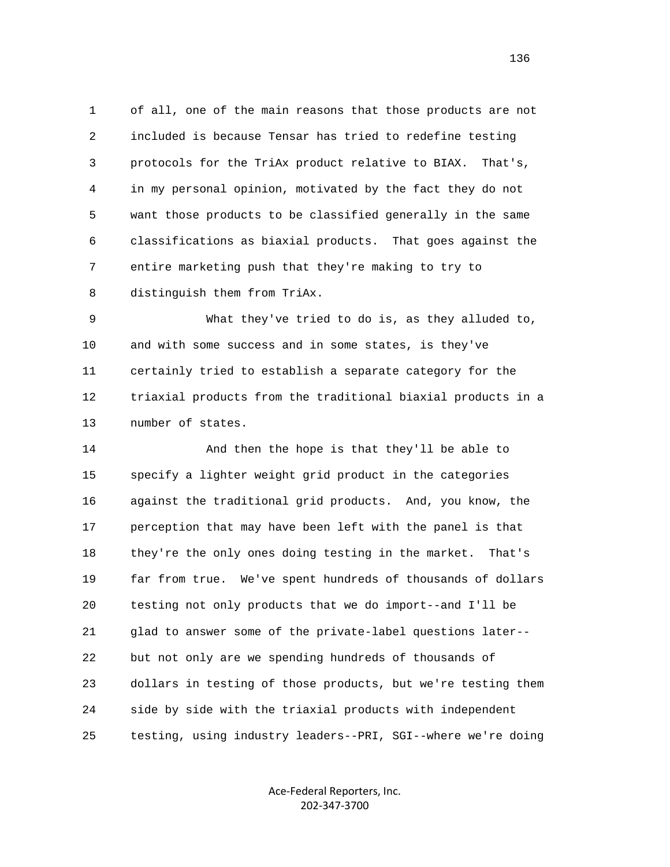1 of all, one of the main reasons that those products are not 2 included is because Tensar has tried to redefine testing 3 protocols for the TriAx product relative to BIAX. That's, 4 in my personal opinion, motivated by the fact they do not 5 want those products to be classified generally in the same 6 classifications as biaxial products. That goes against the 7 entire marketing push that they're making to try to 8 distinguish them from TriAx.

 9 What they've tried to do is, as they alluded to, 10 and with some success and in some states, is they've 11 certainly tried to establish a separate category for the 12 triaxial products from the traditional biaxial products in a 13 number of states.

 14 And then the hope is that they'll be able to 15 specify a lighter weight grid product in the categories 16 against the traditional grid products. And, you know, the 17 perception that may have been left with the panel is that 18 they're the only ones doing testing in the market. That's 19 far from true. We've spent hundreds of thousands of dollars 20 testing not only products that we do import--and I'll be 21 glad to answer some of the private-label questions later-- 22 but not only are we spending hundreds of thousands of 23 dollars in testing of those products, but we're testing them 24 side by side with the triaxial products with independent 25 testing, using industry leaders--PRI, SGI--where we're doing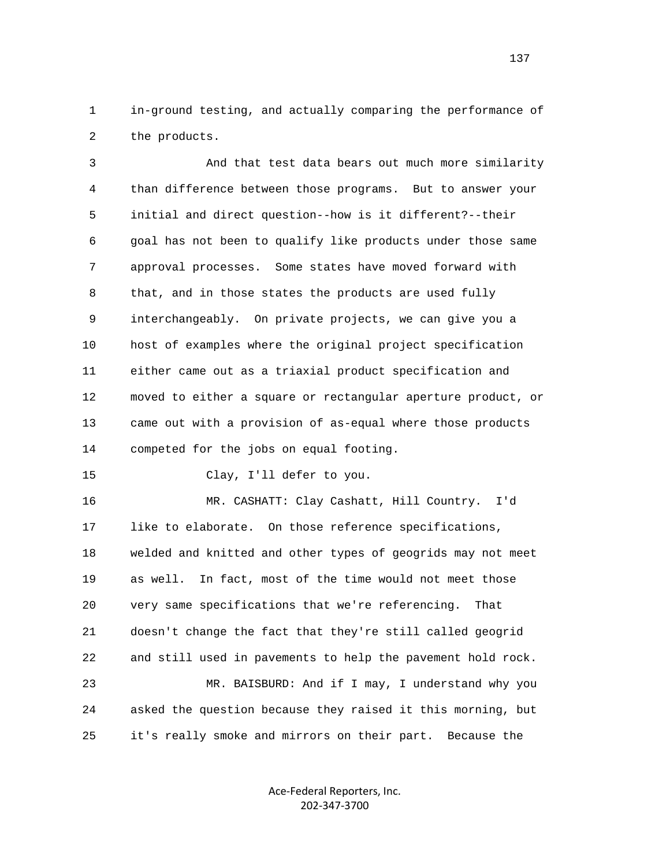1 in-ground testing, and actually comparing the performance of 2 the products.

 3 And that test data bears out much more similarity 4 than difference between those programs. But to answer your 5 initial and direct question--how is it different?--their 6 goal has not been to qualify like products under those same 7 approval processes. Some states have moved forward with 8 that, and in those states the products are used fully 9 interchangeably. On private projects, we can give you a 10 host of examples where the original project specification 11 either came out as a triaxial product specification and 12 moved to either a square or rectangular aperture product, or 13 came out with a provision of as-equal where those products 14 competed for the jobs on equal footing. 15 Clay, I'll defer to you.

 16 MR. CASHATT: Clay Cashatt, Hill Country. I'd 17 like to elaborate. On those reference specifications, 18 welded and knitted and other types of geogrids may not meet 19 as well. In fact, most of the time would not meet those 20 very same specifications that we're referencing. That 21 doesn't change the fact that they're still called geogrid 22 and still used in pavements to help the pavement hold rock. 23 MR. BAISBURD: And if I may, I understand why you 24 asked the question because they raised it this morning, but 25 it's really smoke and mirrors on their part. Because the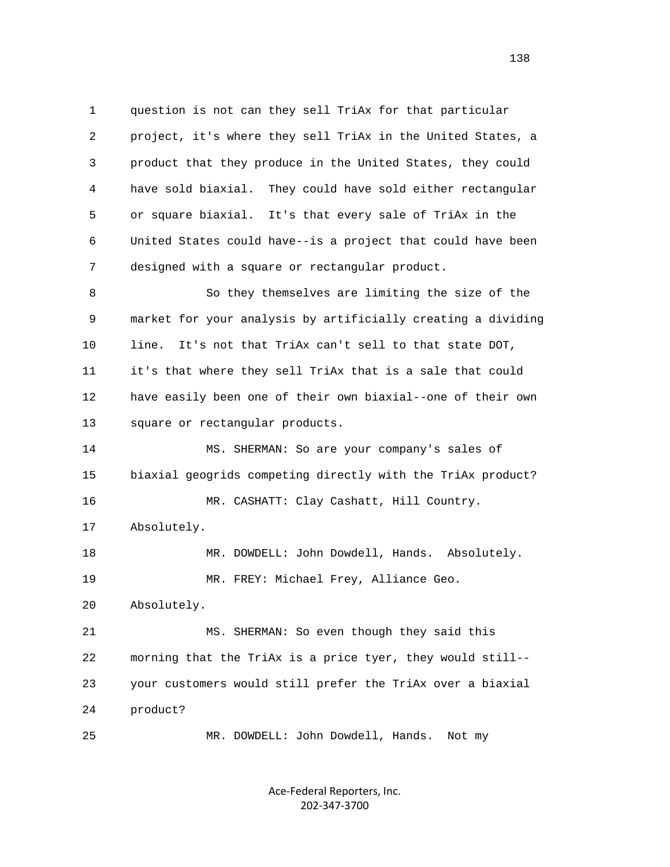1 question is not can they sell TriAx for that particular 2 project, it's where they sell TriAx in the United States, a 3 product that they produce in the United States, they could 4 have sold biaxial. They could have sold either rectangular 5 or square biaxial. It's that every sale of TriAx in the 6 United States could have--is a project that could have been 7 designed with a square or rectangular product.

 8 So they themselves are limiting the size of the 9 market for your analysis by artificially creating a dividing 10 line. It's not that TriAx can't sell to that state DOT, 11 it's that where they sell TriAx that is a sale that could 12 have easily been one of their own biaxial--one of their own 13 square or rectangular products.

 14 MS. SHERMAN: So are your company's sales of 15 biaxial geogrids competing directly with the TriAx product? 16 MR. CASHATT: Clay Cashatt, Hill Country.

17 Absolutely.

18 MR. DOWDELL: John Dowdell, Hands. Absolutely. 19 MR. FREY: Michael Frey, Alliance Geo.

20 Absolutely.

 21 MS. SHERMAN: So even though they said this 22 morning that the TriAx is a price tyer, they would still-- 23 your customers would still prefer the TriAx over a biaxial 24 product?

25 MR. DOWDELL: John Dowdell, Hands. Not my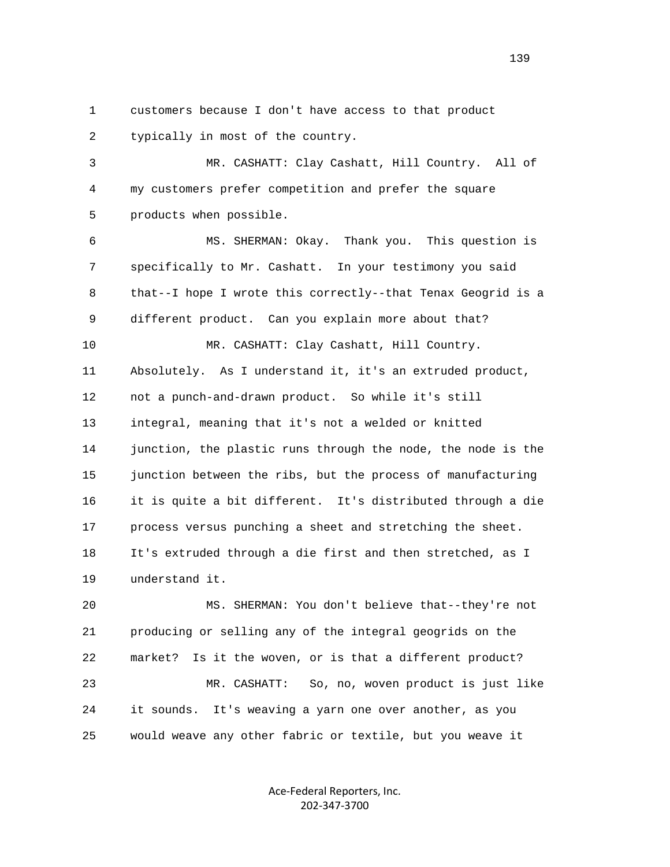1 customers because I don't have access to that product 2 typically in most of the country.

 3 MR. CASHATT: Clay Cashatt, Hill Country. All of 4 my customers prefer competition and prefer the square 5 products when possible.

 6 MS. SHERMAN: Okay. Thank you. This question is 7 specifically to Mr. Cashatt. In your testimony you said 8 that--I hope I wrote this correctly--that Tenax Geogrid is a 9 different product. Can you explain more about that? 10 MR. CASHATT: Clay Cashatt, Hill Country. 11 Absolutely. As I understand it, it's an extruded product, 12 not a punch-and-drawn product. So while it's still 13 integral, meaning that it's not a welded or knitted 14 junction, the plastic runs through the node, the node is the 15 junction between the ribs, but the process of manufacturing 16 it is quite a bit different. It's distributed through a die 17 process versus punching a sheet and stretching the sheet. 18 It's extruded through a die first and then stretched, as I 19 understand it.

 20 MS. SHERMAN: You don't believe that--they're not 21 producing or selling any of the integral geogrids on the 22 market? Is it the woven, or is that a different product? 23 MR. CASHATT: So, no, woven product is just like 24 it sounds. It's weaving a yarn one over another, as you 25 would weave any other fabric or textile, but you weave it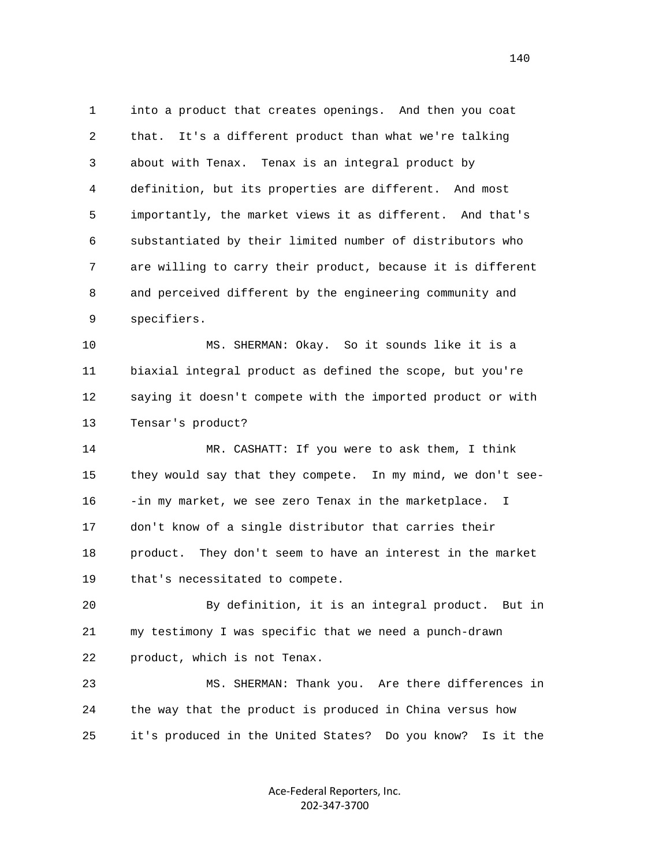1 into a product that creates openings. And then you coat 2 that. It's a different product than what we're talking 3 about with Tenax. Tenax is an integral product by 4 definition, but its properties are different. And most 5 importantly, the market views it as different. And that's 6 substantiated by their limited number of distributors who 7 are willing to carry their product, because it is different 8 and perceived different by the engineering community and 9 specifiers.

 10 MS. SHERMAN: Okay. So it sounds like it is a 11 biaxial integral product as defined the scope, but you're 12 saying it doesn't compete with the imported product or with 13 Tensar's product?

 14 MR. CASHATT: If you were to ask them, I think 15 they would say that they compete. In my mind, we don't see- 16 -in my market, we see zero Tenax in the marketplace. I 17 don't know of a single distributor that carries their 18 product. They don't seem to have an interest in the market 19 that's necessitated to compete.

 20 By definition, it is an integral product. But in 21 my testimony I was specific that we need a punch-drawn 22 product, which is not Tenax.

 23 MS. SHERMAN: Thank you. Are there differences in 24 the way that the product is produced in China versus how 25 it's produced in the United States? Do you know? Is it the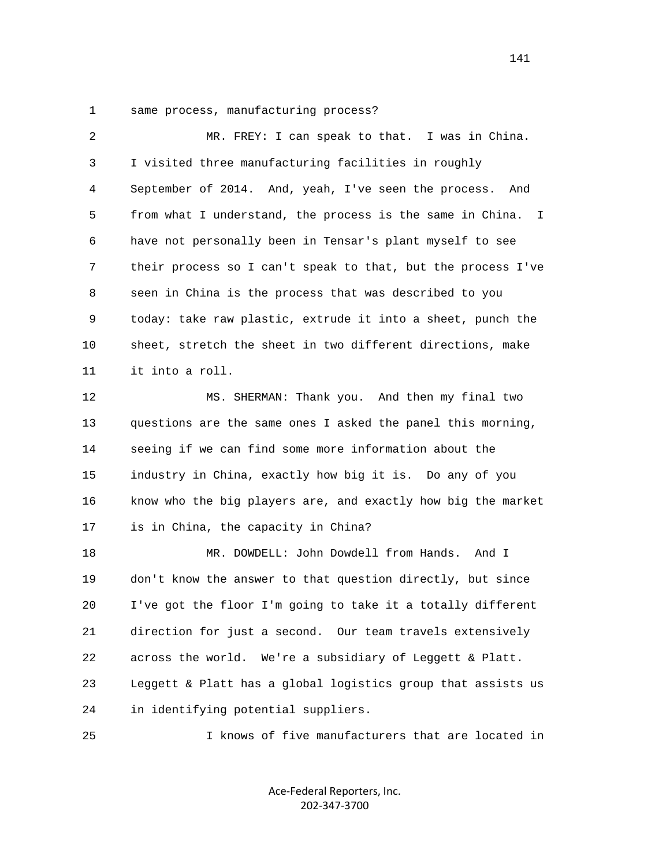1 same process, manufacturing process?

| 2  | MR. FREY: I can speak to that. I was in China.               |
|----|--------------------------------------------------------------|
| 3  | I visited three manufacturing facilities in roughly          |
| 4  | September of 2014. And, yeah, I've seen the process.<br>And  |
| 5  | from what I understand, the process is the same in China. I  |
| 6  | have not personally been in Tensar's plant myself to see     |
| 7  | their process so I can't speak to that, but the process I've |
| 8  | seen in China is the process that was described to you       |
| 9  | today: take raw plastic, extrude it into a sheet, punch the  |
| 10 | sheet, stretch the sheet in two different directions, make   |
| 11 | it into a roll.                                              |
| 12 | MS. SHERMAN: Thank you. And then my final two                |
| 13 | questions are the same ones I asked the panel this morning,  |
| 14 | seeing if we can find some more information about the        |
| 15 | industry in China, exactly how big it is. Do any of you      |
| 16 | know who the big players are, and exactly how big the market |
| 17 | is in China, the capacity in China?                          |
| 18 | MR. DOWDELL: John Dowdell from Hands.<br>And I               |
| 19 | don't know the answer to that question directly, but since   |
| 20 | I've got the floor I'm going to take it a totally different  |
| 21 | direction for just a second. Our team travels extensively    |
| 22 | We're a subsidiary of Leggett & Platt.<br>across the world.  |
| 23 | Leggett & Platt has a global logistics group that assists us |
| 24 | in identifying potential suppliers.                          |
| 25 | I knows of five manufacturers that are located in            |

Ace‐Federal Reporters, Inc.

202‐347‐3700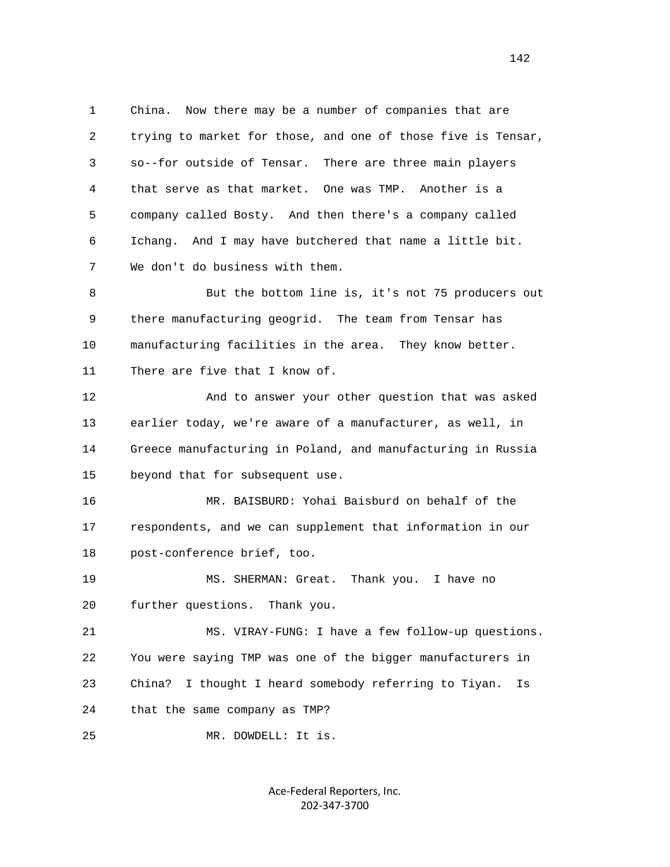1 China. Now there may be a number of companies that are 2 trying to market for those, and one of those five is Tensar, 3 so--for outside of Tensar. There are three main players 4 that serve as that market. One was TMP. Another is a 5 company called Bosty. And then there's a company called 6 Ichang. And I may have butchered that name a little bit. 7 We don't do business with them.

 8 But the bottom line is, it's not 75 producers out 9 there manufacturing geogrid. The team from Tensar has 10 manufacturing facilities in the area. They know better. 11 There are five that I know of.

 12 And to answer your other question that was asked 13 earlier today, we're aware of a manufacturer, as well, in 14 Greece manufacturing in Poland, and manufacturing in Russia 15 beyond that for subsequent use.

 16 MR. BAISBURD: Yohai Baisburd on behalf of the 17 respondents, and we can supplement that information in our 18 post-conference brief, too.

 19 MS. SHERMAN: Great. Thank you. I have no 20 further questions. Thank you.

 21 MS. VIRAY-FUNG: I have a few follow-up questions. 22 You were saying TMP was one of the bigger manufacturers in 23 China? I thought I heard somebody referring to Tiyan. Is 24 that the same company as TMP?

25 MR. DOWDELL: It is.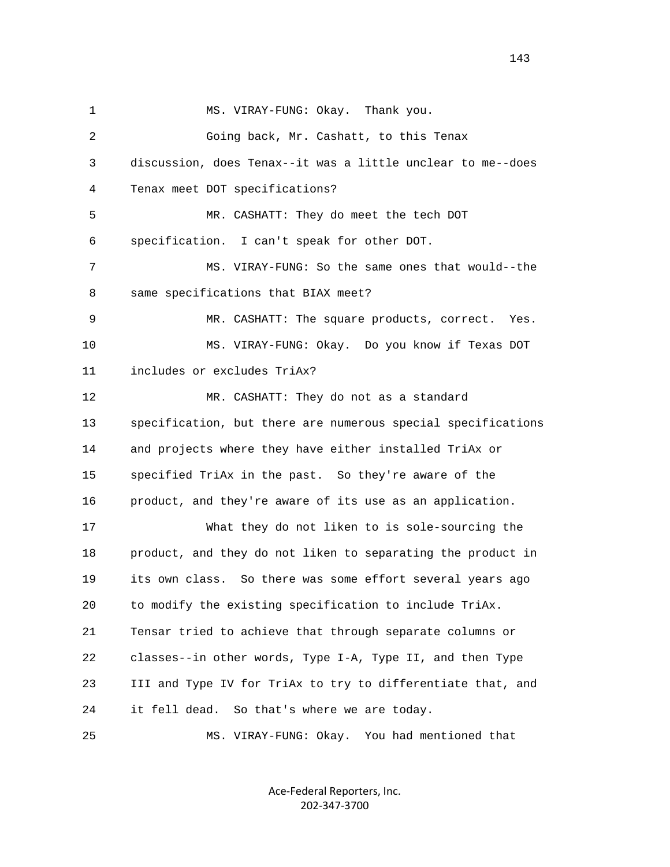1 MS. VIRAY-FUNG: Okay. Thank you. 2 Going back, Mr. Cashatt, to this Tenax 3 discussion, does Tenax--it was a little unclear to me--does 4 Tenax meet DOT specifications? 5 MR. CASHATT: They do meet the tech DOT 6 specification. I can't speak for other DOT. 7 MS. VIRAY-FUNG: So the same ones that would--the 8 same specifications that BIAX meet? 9 MR. CASHATT: The square products, correct. Yes. 10 MS. VIRAY-FUNG: Okay. Do you know if Texas DOT 11 includes or excludes TriAx? 12 MR. CASHATT: They do not as a standard 13 specification, but there are numerous special specifications 14 and projects where they have either installed TriAx or 15 specified TriAx in the past. So they're aware of the 16 product, and they're aware of its use as an application. 17 What they do not liken to is sole-sourcing the 18 product, and they do not liken to separating the product in 19 its own class. So there was some effort several years ago 20 to modify the existing specification to include TriAx. 21 Tensar tried to achieve that through separate columns or 22 classes--in other words, Type I-A, Type II, and then Type 23 III and Type IV for TriAx to try to differentiate that, and 24 it fell dead. So that's where we are today. 25 MS. VIRAY-FUNG: Okay. You had mentioned that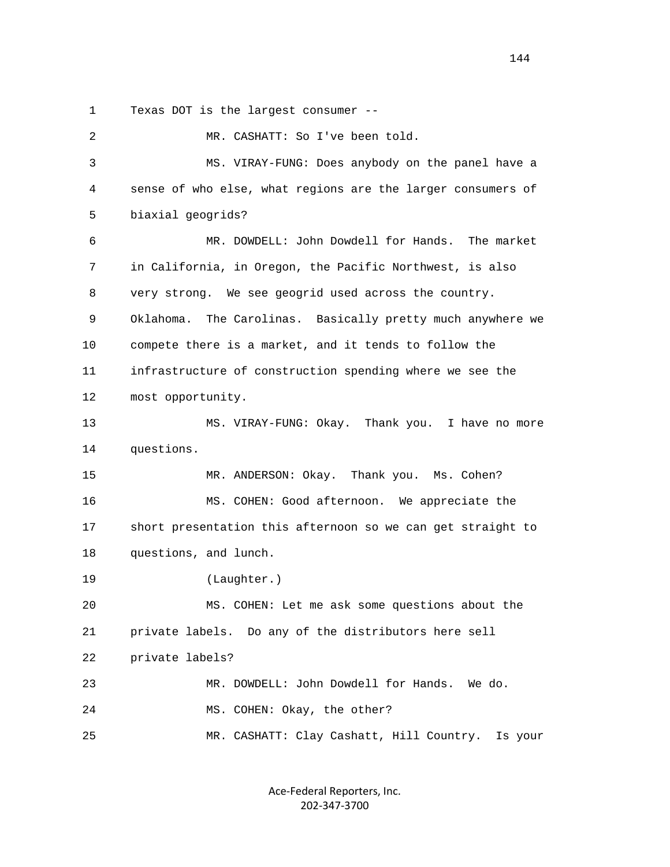1 Texas DOT is the largest consumer --

 2 MR. CASHATT: So I've been told. 3 MS. VIRAY-FUNG: Does anybody on the panel have a 4 sense of who else, what regions are the larger consumers of 5 biaxial geogrids? 6 MR. DOWDELL: John Dowdell for Hands. The market 7 in California, in Oregon, the Pacific Northwest, is also 8 very strong. We see geogrid used across the country. 9 Oklahoma. The Carolinas. Basically pretty much anywhere we 10 compete there is a market, and it tends to follow the 11 infrastructure of construction spending where we see the 12 most opportunity. 13 MS. VIRAY-FUNG: Okay. Thank you. I have no more 14 questions. 15 MR. ANDERSON: Okay. Thank you. Ms. Cohen? 16 MS. COHEN: Good afternoon. We appreciate the 17 short presentation this afternoon so we can get straight to 18 questions, and lunch. 19 (Laughter.) 20 MS. COHEN: Let me ask some questions about the 21 private labels. Do any of the distributors here sell 22 private labels? 23 MR. DOWDELL: John Dowdell for Hands. We do. 24 MS. COHEN: Okay, the other? 25 MR. CASHATT: Clay Cashatt, Hill Country. Is your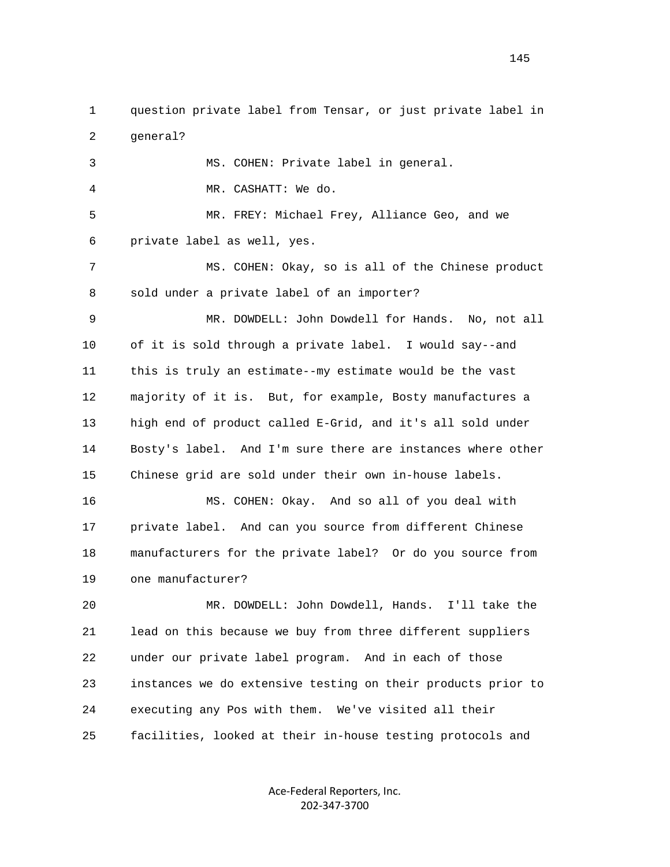1 question private label from Tensar, or just private label in 2 general? 3 MS. COHEN: Private label in general. 4 MR. CASHATT: We do. 5 MR. FREY: Michael Frey, Alliance Geo, and we 6 private label as well, yes. 7 MS. COHEN: Okay, so is all of the Chinese product 8 sold under a private label of an importer? 9 MR. DOWDELL: John Dowdell for Hands. No, not all 10 of it is sold through a private label. I would say--and 11 this is truly an estimate--my estimate would be the vast 12 majority of it is. But, for example, Bosty manufactures a 13 high end of product called E-Grid, and it's all sold under 14 Bosty's label. And I'm sure there are instances where other 15 Chinese grid are sold under their own in-house labels. 16 MS. COHEN: Okay. And so all of you deal with 17 private label. And can you source from different Chinese 18 manufacturers for the private label? Or do you source from 19 one manufacturer? 20 MR. DOWDELL: John Dowdell, Hands. I'll take the 21 lead on this because we buy from three different suppliers 22 under our private label program. And in each of those 23 instances we do extensive testing on their products prior to 24 executing any Pos with them. We've visited all their

25 facilities, looked at their in-house testing protocols and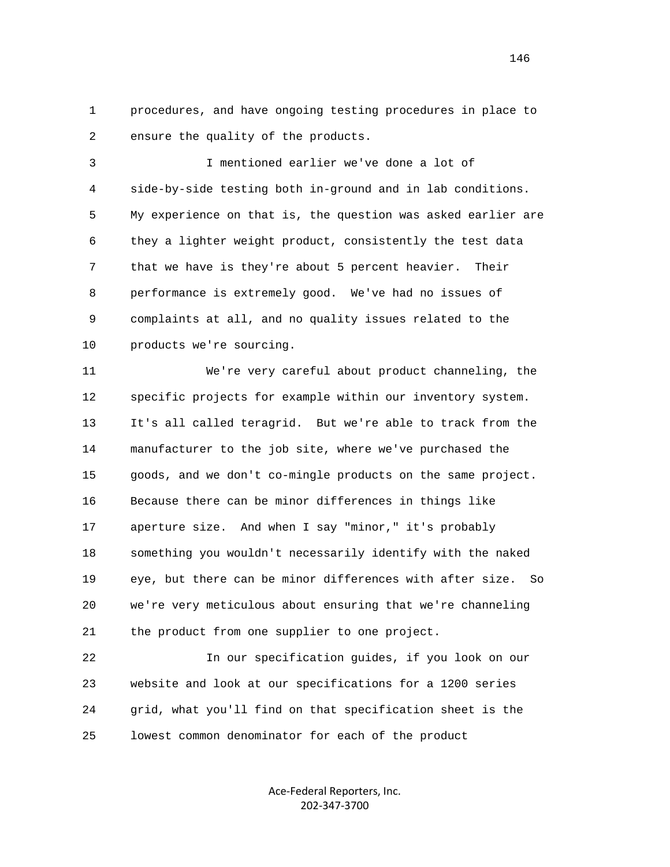1 procedures, and have ongoing testing procedures in place to 2 ensure the quality of the products.

 3 I mentioned earlier we've done a lot of 4 side-by-side testing both in-ground and in lab conditions. 5 My experience on that is, the question was asked earlier are 6 they a lighter weight product, consistently the test data 7 that we have is they're about 5 percent heavier. Their 8 performance is extremely good. We've had no issues of 9 complaints at all, and no quality issues related to the 10 products we're sourcing.

 11 We're very careful about product channeling, the 12 specific projects for example within our inventory system. 13 It's all called teragrid. But we're able to track from the 14 manufacturer to the job site, where we've purchased the 15 goods, and we don't co-mingle products on the same project. 16 Because there can be minor differences in things like 17 aperture size. And when I say "minor," it's probably 18 something you wouldn't necessarily identify with the naked 19 eye, but there can be minor differences with after size. So 20 we're very meticulous about ensuring that we're channeling 21 the product from one supplier to one project.

 22 In our specification guides, if you look on our 23 website and look at our specifications for a 1200 series 24 grid, what you'll find on that specification sheet is the 25 lowest common denominator for each of the product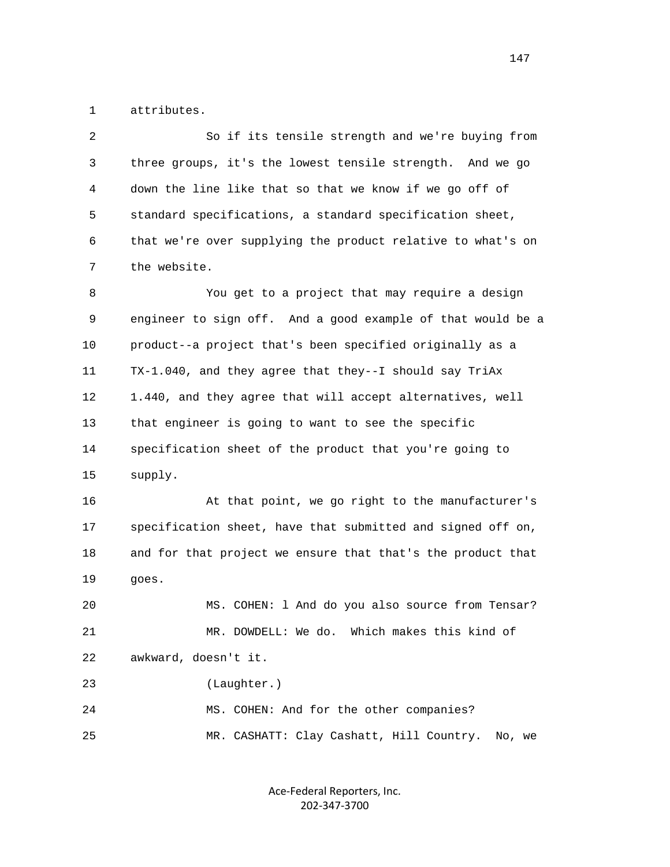1 attributes.

 2 So if its tensile strength and we're buying from 3 three groups, it's the lowest tensile strength. And we go 4 down the line like that so that we know if we go off of 5 standard specifications, a standard specification sheet, 6 that we're over supplying the product relative to what's on 7 the website. 8 You get to a project that may require a design 9 engineer to sign off. And a good example of that would be a 10 product--a project that's been specified originally as a 11 TX-1.040, and they agree that they--I should say TriAx 12 1.440, and they agree that will accept alternatives, well 13 that engineer is going to want to see the specific 14 specification sheet of the product that you're going to 15 supply. 16 At that point, we go right to the manufacturer's 17 specification sheet, have that submitted and signed off on, 18 and for that project we ensure that that's the product that 19 goes. 20 MS. COHEN: l And do you also source from Tensar? 21 MR. DOWDELL: We do. Which makes this kind of

22 awkward, doesn't it.

23 (Laughter.)

 24 MS. COHEN: And for the other companies? 25 MR. CASHATT: Clay Cashatt, Hill Country. No, we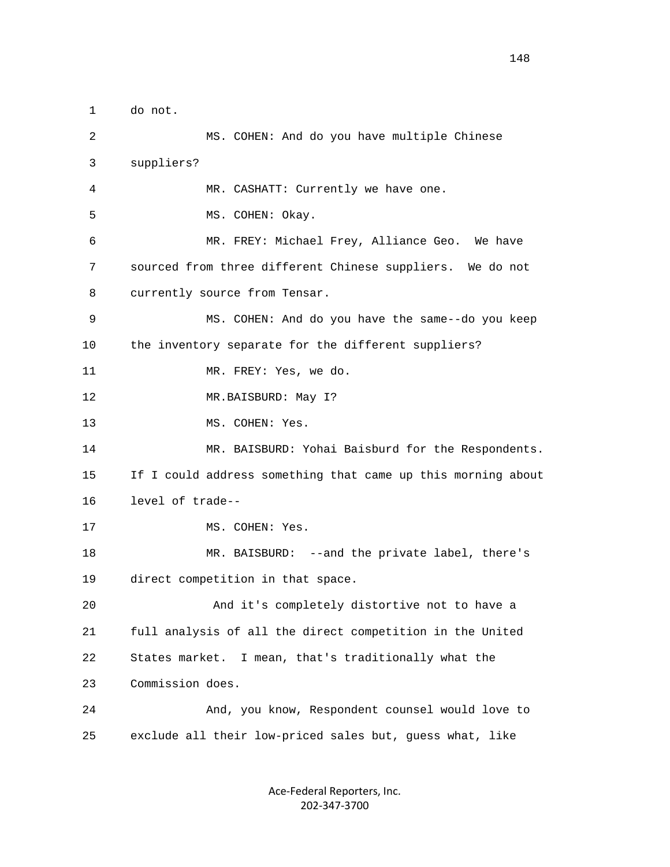1 do not. 2 MS. COHEN: And do you have multiple Chinese 3 suppliers? 4 MR. CASHATT: Currently we have one. 5 MS. COHEN: Okay. 6 MR. FREY: Michael Frey, Alliance Geo. We have 7 sourced from three different Chinese suppliers. We do not 8 currently source from Tensar. 9 MS. COHEN: And do you have the same--do you keep 10 the inventory separate for the different suppliers? 11 MR. FREY: Yes, we do. 12 MR.BAISBURD: May I? 13 MS. COHEN: Yes. 14 MR. BAISBURD: Yohai Baisburd for the Respondents. 15 If I could address something that came up this morning about 16 level of trade-- 17 MS. COHEN: Yes. 18 MR. BAISBURD: --and the private label, there's 19 direct competition in that space. 20 And it's completely distortive not to have a 21 full analysis of all the direct competition in the United 22 States market. I mean, that's traditionally what the 23 Commission does. 24 And, you know, Respondent counsel would love to 25 exclude all their low-priced sales but, guess what, like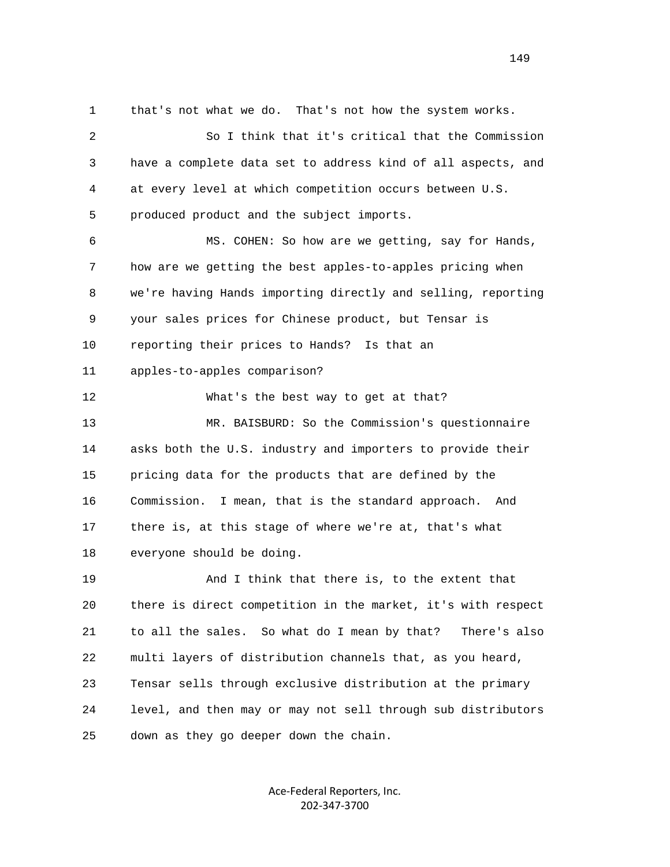1 that's not what we do. That's not how the system works. 2 So I think that it's critical that the Commission 3 have a complete data set to address kind of all aspects, and 4 at every level at which competition occurs between U.S. 5 produced product and the subject imports. 6 MS. COHEN: So how are we getting, say for Hands, 7 how are we getting the best apples-to-apples pricing when 8 we're having Hands importing directly and selling, reporting 9 your sales prices for Chinese product, but Tensar is 10 reporting their prices to Hands? Is that an 11 apples-to-apples comparison? 12 What's the best way to get at that? 13 MR. BAISBURD: So the Commission's questionnaire 14 asks both the U.S. industry and importers to provide their 15 pricing data for the products that are defined by the 16 Commission. I mean, that is the standard approach. And 17 there is, at this stage of where we're at, that's what 18 everyone should be doing. 19 And I think that there is, to the extent that 20 there is direct competition in the market, it's with respect 21 to all the sales. So what do I mean by that? There's also 22 multi layers of distribution channels that, as you heard, 23 Tensar sells through exclusive distribution at the primary 24 level, and then may or may not sell through sub distributors 25 down as they go deeper down the chain.

> Ace‐Federal Reporters, Inc. 202‐347‐3700

149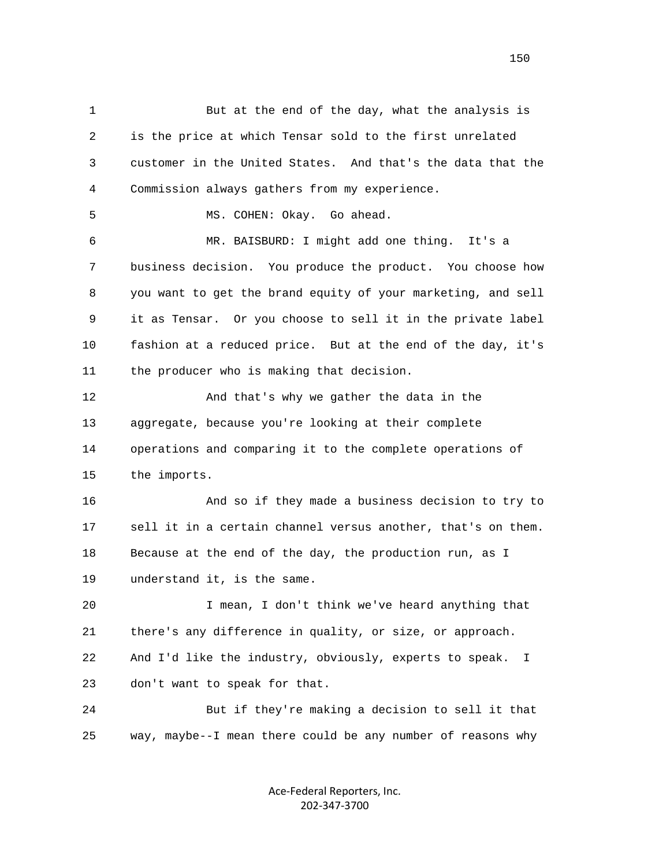1 But at the end of the day, what the analysis is 2 is the price at which Tensar sold to the first unrelated 3 customer in the United States. And that's the data that the 4 Commission always gathers from my experience. 5 MS. COHEN: Okay. Go ahead. 6 MR. BAISBURD: I might add one thing. It's a 7 business decision. You produce the product. You choose how 8 you want to get the brand equity of your marketing, and sell 9 it as Tensar. Or you choose to sell it in the private label 10 fashion at a reduced price. But at the end of the day, it's 11 the producer who is making that decision. 12 And that's why we gather the data in the 13 aggregate, because you're looking at their complete 14 operations and comparing it to the complete operations of 15 the imports. 16 And so if they made a business decision to try to 17 sell it in a certain channel versus another, that's on them. 18 Because at the end of the day, the production run, as I 19 understand it, is the same. 20 I mean, I don't think we've heard anything that 21 there's any difference in quality, or size, or approach. 22 And I'd like the industry, obviously, experts to speak. I 23 don't want to speak for that. 24 But if they're making a decision to sell it that 25 way, maybe--I mean there could be any number of reasons why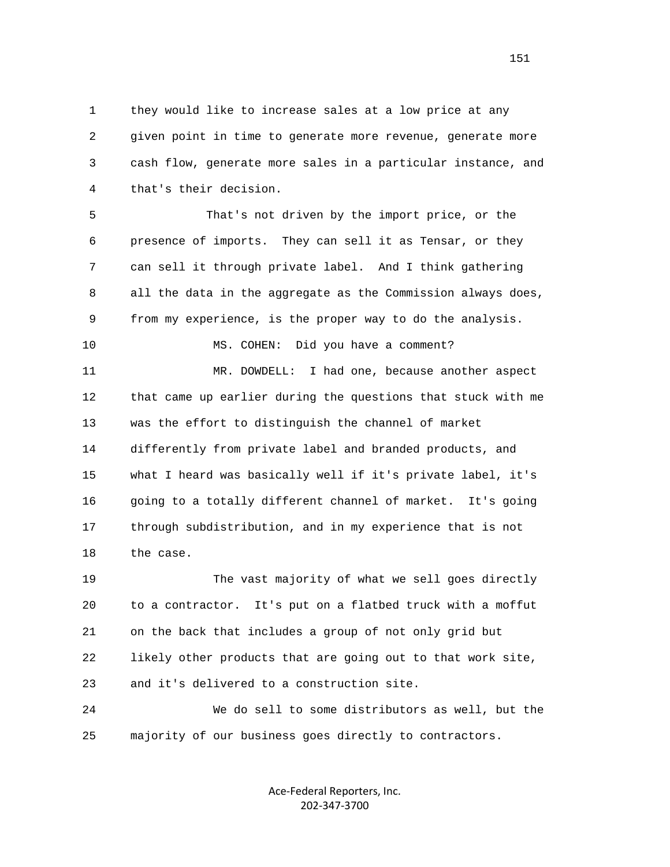1 they would like to increase sales at a low price at any 2 given point in time to generate more revenue, generate more 3 cash flow, generate more sales in a particular instance, and 4 that's their decision.

 5 That's not driven by the import price, or the 6 presence of imports. They can sell it as Tensar, or they 7 can sell it through private label. And I think gathering 8 all the data in the aggregate as the Commission always does, 9 from my experience, is the proper way to do the analysis.

10 MS. COHEN: Did you have a comment?

 11 MR. DOWDELL: I had one, because another aspect 12 that came up earlier during the questions that stuck with me 13 was the effort to distinguish the channel of market 14 differently from private label and branded products, and 15 what I heard was basically well if it's private label, it's 16 going to a totally different channel of market. It's going 17 through subdistribution, and in my experience that is not 18 the case.

 19 The vast majority of what we sell goes directly 20 to a contractor. It's put on a flatbed truck with a moffut 21 on the back that includes a group of not only grid but 22 likely other products that are going out to that work site, 23 and it's delivered to a construction site.

 24 We do sell to some distributors as well, but the 25 majority of our business goes directly to contractors.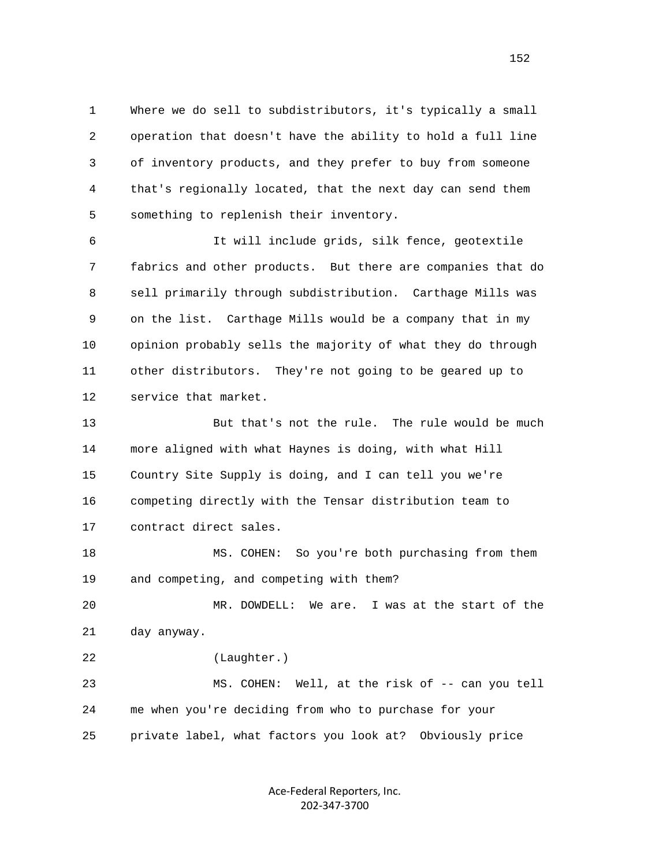1 Where we do sell to subdistributors, it's typically a small 2 operation that doesn't have the ability to hold a full line 3 of inventory products, and they prefer to buy from someone 4 that's regionally located, that the next day can send them 5 something to replenish their inventory.

 6 It will include grids, silk fence, geotextile 7 fabrics and other products. But there are companies that do 8 sell primarily through subdistribution. Carthage Mills was 9 on the list. Carthage Mills would be a company that in my 10 opinion probably sells the majority of what they do through 11 other distributors. They're not going to be geared up to 12 service that market.

 13 But that's not the rule. The rule would be much 14 more aligned with what Haynes is doing, with what Hill 15 Country Site Supply is doing, and I can tell you we're 16 competing directly with the Tensar distribution team to 17 contract direct sales.

 18 MS. COHEN: So you're both purchasing from them 19 and competing, and competing with them?

 20 MR. DOWDELL: We are. I was at the start of the 21 day anyway.

 22 (Laughter.) 23 MS. COHEN: Well, at the risk of -- can you tell 24 me when you're deciding from who to purchase for your

25 private label, what factors you look at? Obviously price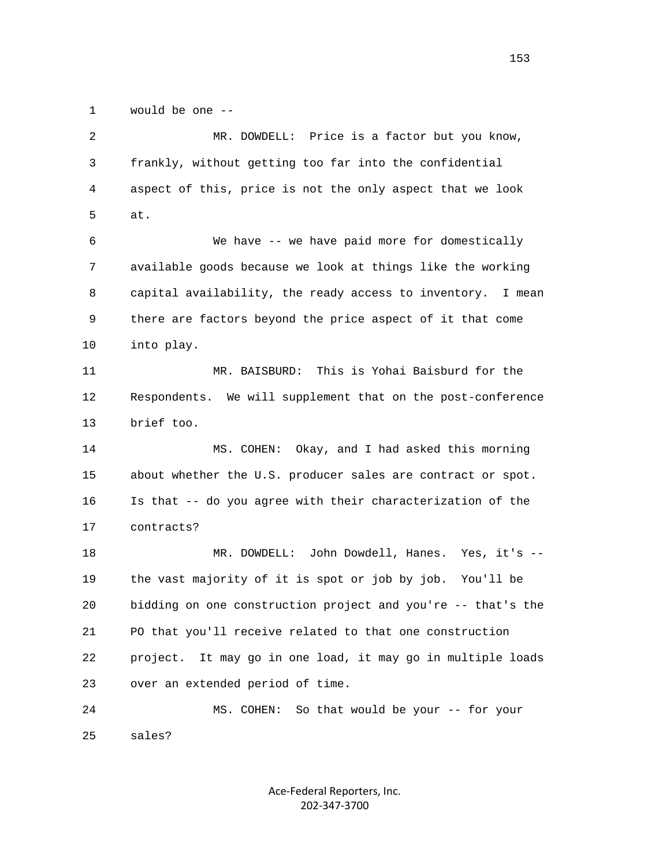1 would be one --

 2 MR. DOWDELL: Price is a factor but you know, 3 frankly, without getting too far into the confidential 4 aspect of this, price is not the only aspect that we look 5 at. 6 We have -- we have paid more for domestically 7 available goods because we look at things like the working 8 capital availability, the ready access to inventory. I mean 9 there are factors beyond the price aspect of it that come 10 into play. 11 MR. BAISBURD: This is Yohai Baisburd for the 12 Respondents. We will supplement that on the post-conference 13 brief too. 14 MS. COHEN: Okay, and I had asked this morning 15 about whether the U.S. producer sales are contract or spot. 16 Is that -- do you agree with their characterization of the 17 contracts? 18 MR. DOWDELL: John Dowdell, Hanes. Yes, it's -- 19 the vast majority of it is spot or job by job. You'll be 20 bidding on one construction project and you're -- that's the 21 PO that you'll receive related to that one construction 22 project. It may go in one load, it may go in multiple loads 23 over an extended period of time. 24 MS. COHEN: So that would be your -- for your 25 sales?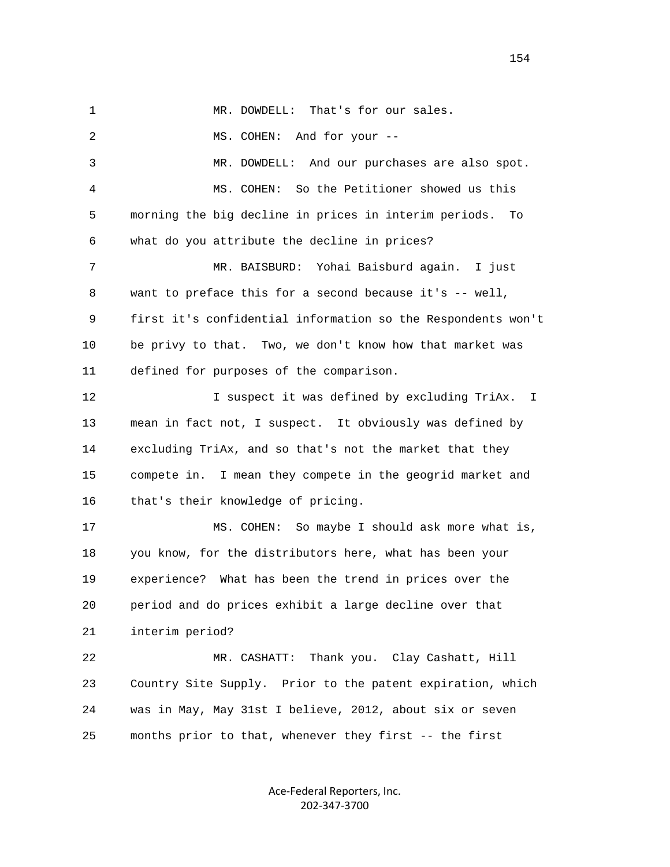| $\mathbf{1}$ | MR. DOWDELL: That's for our sales.                           |
|--------------|--------------------------------------------------------------|
| 2            | MS. COHEN: And for your --                                   |
| 3            | MR. DOWDELL: And our purchases are also spot.                |
| 4            | So the Petitioner showed us this<br>MS. COHEN:               |
| 5            | morning the big decline in prices in interim periods.<br>To  |
| 6            | what do you attribute the decline in prices?                 |
| 7            | MR. BAISBURD: Yohai Baisburd again. I just                   |
| 8            | want to preface this for a second because it's -- well,      |
| 9            | first it's confidential information so the Respondents won't |
| 10           | be privy to that. Two, we don't know how that market was     |
| 11           | defined for purposes of the comparison.                      |
| 12           | I suspect it was defined by excluding TriAx. I               |
| 13           | mean in fact not, I suspect. It obviously was defined by     |
| 14           | excluding TriAx, and so that's not the market that they      |
| 15           | compete in. I mean they compete in the geogrid market and    |
| 16           | that's their knowledge of pricing.                           |
| 17           | MS. COHEN: So maybe I should ask more what is,               |
| 18           | you know, for the distributors here, what has been your      |
| 19           | experience? What has been the trend in prices over the       |
| 20           | period and do prices exhibit a large decline over that       |
| 21           | interim period?                                              |
| 22           | MR. CASHATT: Thank you. Clay Cashatt, Hill                   |
| 23           | Country Site Supply. Prior to the patent expiration, which   |
| 24           | was in May, May 31st I believe, 2012, about six or seven     |
| 25           | months prior to that, whenever they first -- the first       |

Ace‐Federal Reporters, Inc. 202‐347‐3700

154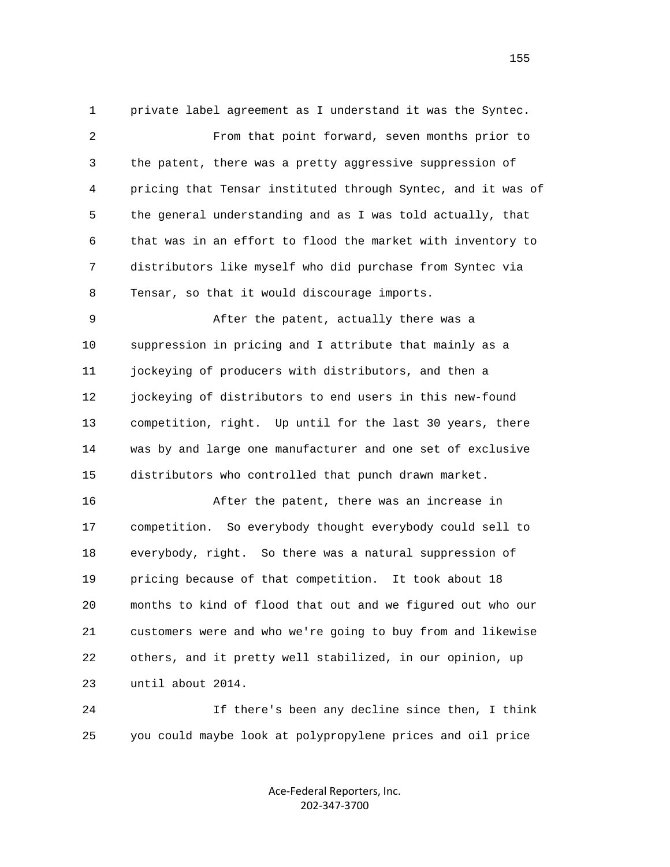1 private label agreement as I understand it was the Syntec. 2 From that point forward, seven months prior to 3 the patent, there was a pretty aggressive suppression of 4 pricing that Tensar instituted through Syntec, and it was of 5 the general understanding and as I was told actually, that 6 that was in an effort to flood the market with inventory to 7 distributors like myself who did purchase from Syntec via 8 Tensar, so that it would discourage imports.

 9 After the patent, actually there was a 10 suppression in pricing and I attribute that mainly as a 11 jockeying of producers with distributors, and then a 12 jockeying of distributors to end users in this new-found 13 competition, right. Up until for the last 30 years, there 14 was by and large one manufacturer and one set of exclusive 15 distributors who controlled that punch drawn market.

 16 After the patent, there was an increase in 17 competition. So everybody thought everybody could sell to 18 everybody, right. So there was a natural suppression of 19 pricing because of that competition. It took about 18 20 months to kind of flood that out and we figured out who our 21 customers were and who we're going to buy from and likewise 22 others, and it pretty well stabilized, in our opinion, up 23 until about 2014.

 24 If there's been any decline since then, I think 25 you could maybe look at polypropylene prices and oil price

> Ace‐Federal Reporters, Inc. 202‐347‐3700

155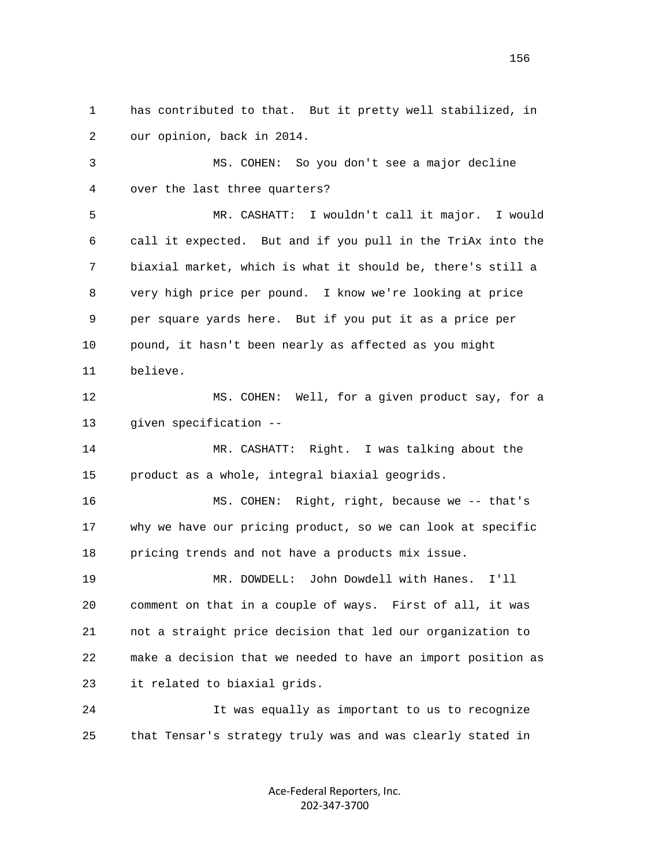1 has contributed to that. But it pretty well stabilized, in 2 our opinion, back in 2014.

 3 MS. COHEN: So you don't see a major decline 4 over the last three quarters?

 5 MR. CASHATT: I wouldn't call it major. I would 6 call it expected. But and if you pull in the TriAx into the 7 biaxial market, which is what it should be, there's still a 8 very high price per pound. I know we're looking at price 9 per square yards here. But if you put it as a price per 10 pound, it hasn't been nearly as affected as you might 11 believe.

12 MS. COHEN: Well, for a given product say, for a 13 given specification --

 14 MR. CASHATT: Right. I was talking about the 15 product as a whole, integral biaxial geogrids.

 16 MS. COHEN: Right, right, because we -- that's 17 why we have our pricing product, so we can look at specific 18 pricing trends and not have a products mix issue.

 19 MR. DOWDELL: John Dowdell with Hanes. I'll 20 comment on that in a couple of ways. First of all, it was 21 not a straight price decision that led our organization to 22 make a decision that we needed to have an import position as 23 it related to biaxial grids.

 24 It was equally as important to us to recognize 25 that Tensar's strategy truly was and was clearly stated in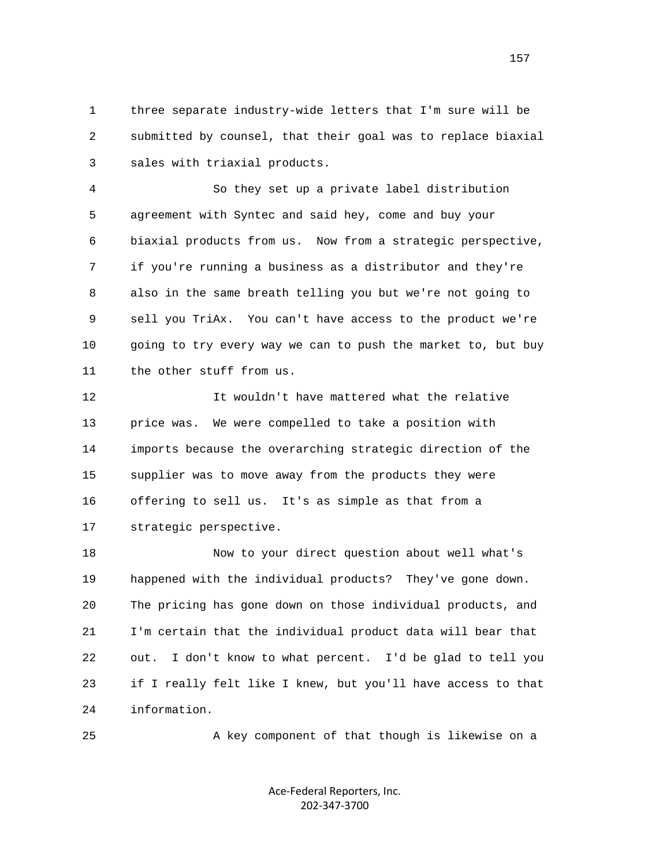1 three separate industry-wide letters that I'm sure will be 2 submitted by counsel, that their goal was to replace biaxial 3 sales with triaxial products.

 4 So they set up a private label distribution 5 agreement with Syntec and said hey, come and buy your 6 biaxial products from us. Now from a strategic perspective, 7 if you're running a business as a distributor and they're 8 also in the same breath telling you but we're not going to 9 sell you TriAx. You can't have access to the product we're 10 going to try every way we can to push the market to, but buy 11 the other stuff from us.

 12 It wouldn't have mattered what the relative 13 price was. We were compelled to take a position with 14 imports because the overarching strategic direction of the 15 supplier was to move away from the products they were 16 offering to sell us. It's as simple as that from a 17 strategic perspective.

 18 Now to your direct question about well what's 19 happened with the individual products? They've gone down. 20 The pricing has gone down on those individual products, and 21 I'm certain that the individual product data will bear that 22 out. I don't know to what percent. I'd be glad to tell you 23 if I really felt like I knew, but you'll have access to that 24 information.

25 A key component of that though is likewise on a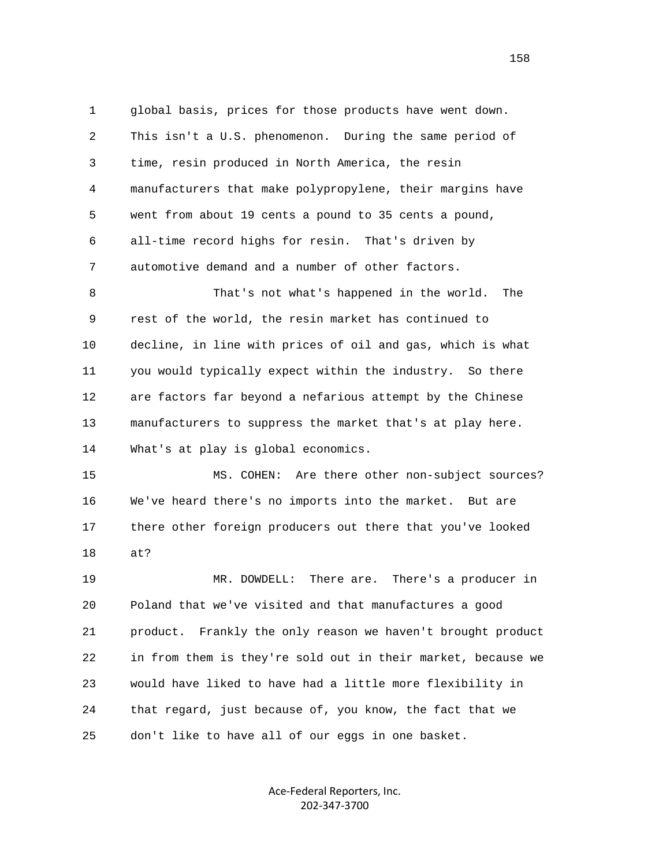1 global basis, prices for those products have went down. 2 This isn't a U.S. phenomenon. During the same period of 3 time, resin produced in North America, the resin 4 manufacturers that make polypropylene, their margins have 5 went from about 19 cents a pound to 35 cents a pound, 6 all-time record highs for resin. That's driven by 7 automotive demand and a number of other factors. 8 That's not what's happened in the world. The 9 rest of the world, the resin market has continued to 10 decline, in line with prices of oil and gas, which is what 11 you would typically expect within the industry. So there 12 are factors far beyond a nefarious attempt by the Chinese 13 manufacturers to suppress the market that's at play here. 14 What's at play is global economics. 15 MS. COHEN: Are there other non-subject sources? 16 We've heard there's no imports into the market. But are 17 there other foreign producers out there that you've looked 18 at? 19 MR. DOWDELL: There are. There's a producer in 20 Poland that we've visited and that manufactures a good 21 product. Frankly the only reason we haven't brought product 22 in from them is they're sold out in their market, because we 23 would have liked to have had a little more flexibility in 24 that regard, just because of, you know, the fact that we 25 don't like to have all of our eggs in one basket.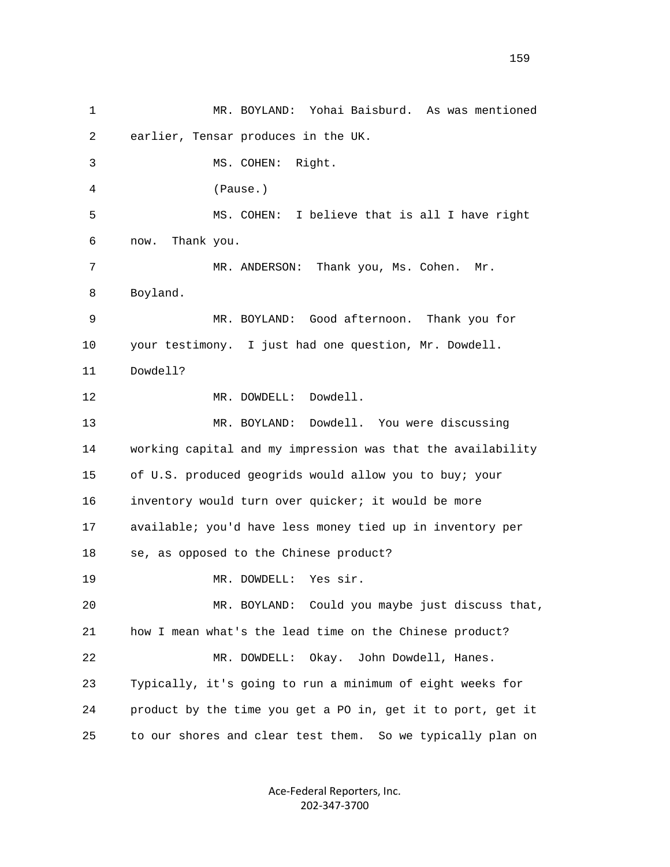1 MR. BOYLAND: Yohai Baisburd. As was mentioned 2 earlier, Tensar produces in the UK. 3 MS. COHEN: Right. 4 (Pause.) 5 MS. COHEN: I believe that is all I have right 6 now. Thank you. 7 MR. ANDERSON: Thank you, Ms. Cohen. Mr. 8 Boyland. 9 MR. BOYLAND: Good afternoon. Thank you for 10 your testimony. I just had one question, Mr. Dowdell. 11 Dowdell? 12 MR. DOWDELL: Dowdell. 13 MR. BOYLAND: Dowdell. You were discussing 14 working capital and my impression was that the availability 15 of U.S. produced geogrids would allow you to buy; your 16 inventory would turn over quicker; it would be more 17 available; you'd have less money tied up in inventory per 18 se, as opposed to the Chinese product? 19 MR. DOWDELL: Yes sir. 20 MR. BOYLAND: Could you maybe just discuss that, 21 how I mean what's the lead time on the Chinese product? 22 MR. DOWDELL: Okay. John Dowdell, Hanes. 23 Typically, it's going to run a minimum of eight weeks for 24 product by the time you get a PO in, get it to port, get it 25 to our shores and clear test them. So we typically plan on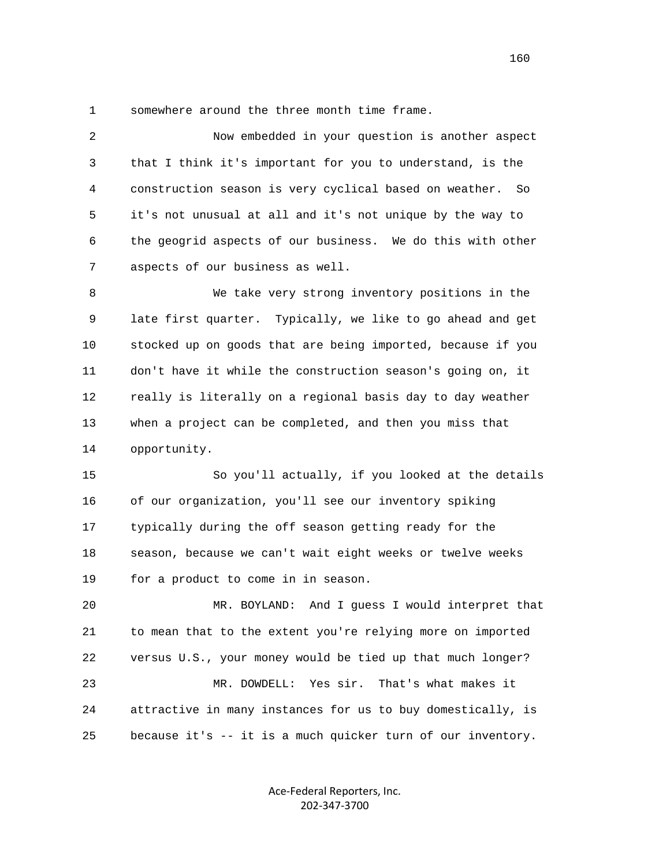1 somewhere around the three month time frame.

 2 Now embedded in your question is another aspect 3 that I think it's important for you to understand, is the 4 construction season is very cyclical based on weather. So 5 it's not unusual at all and it's not unique by the way to 6 the geogrid aspects of our business. We do this with other 7 aspects of our business as well. 8 We take very strong inventory positions in the 9 late first quarter. Typically, we like to go ahead and get 10 stocked up on goods that are being imported, because if you 11 don't have it while the construction season's going on, it 12 really is literally on a regional basis day to day weather 13 when a project can be completed, and then you miss that 14 opportunity. 15 So you'll actually, if you looked at the details 16 of our organization, you'll see our inventory spiking 17 typically during the off season getting ready for the 18 season, because we can't wait eight weeks or twelve weeks 19 for a product to come in in season. 20 MR. BOYLAND: And I guess I would interpret that 21 to mean that to the extent you're relying more on imported 22 versus U.S., your money would be tied up that much longer? 23 MR. DOWDELL: Yes sir. That's what makes it 24 attractive in many instances for us to buy domestically, is 25 because it's -- it is a much quicker turn of our inventory.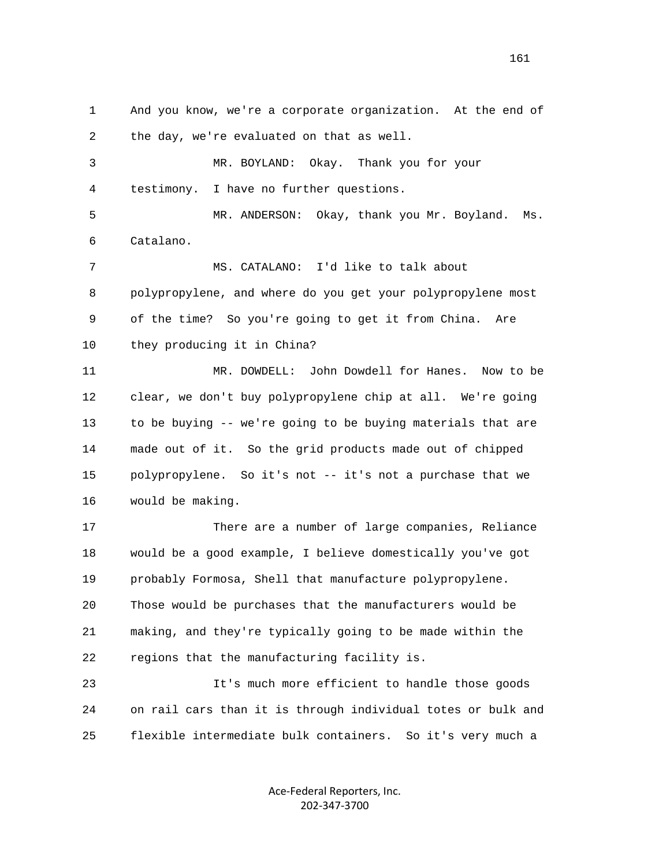1 And you know, we're a corporate organization. At the end of 2 the day, we're evaluated on that as well.

 3 MR. BOYLAND: Okay. Thank you for your 4 testimony. I have no further questions.

 5 MR. ANDERSON: Okay, thank you Mr. Boyland. Ms. 6 Catalano.

 7 MS. CATALANO: I'd like to talk about 8 polypropylene, and where do you get your polypropylene most 9 of the time? So you're going to get it from China. Are 10 they producing it in China?

 11 MR. DOWDELL: John Dowdell for Hanes. Now to be 12 clear, we don't buy polypropylene chip at all. We're going 13 to be buying -- we're going to be buying materials that are 14 made out of it. So the grid products made out of chipped 15 polypropylene. So it's not -- it's not a purchase that we 16 would be making.

 17 There are a number of large companies, Reliance 18 would be a good example, I believe domestically you've got 19 probably Formosa, Shell that manufacture polypropylene. 20 Those would be purchases that the manufacturers would be 21 making, and they're typically going to be made within the 22 regions that the manufacturing facility is.

 23 It's much more efficient to handle those goods 24 on rail cars than it is through individual totes or bulk and 25 flexible intermediate bulk containers. So it's very much a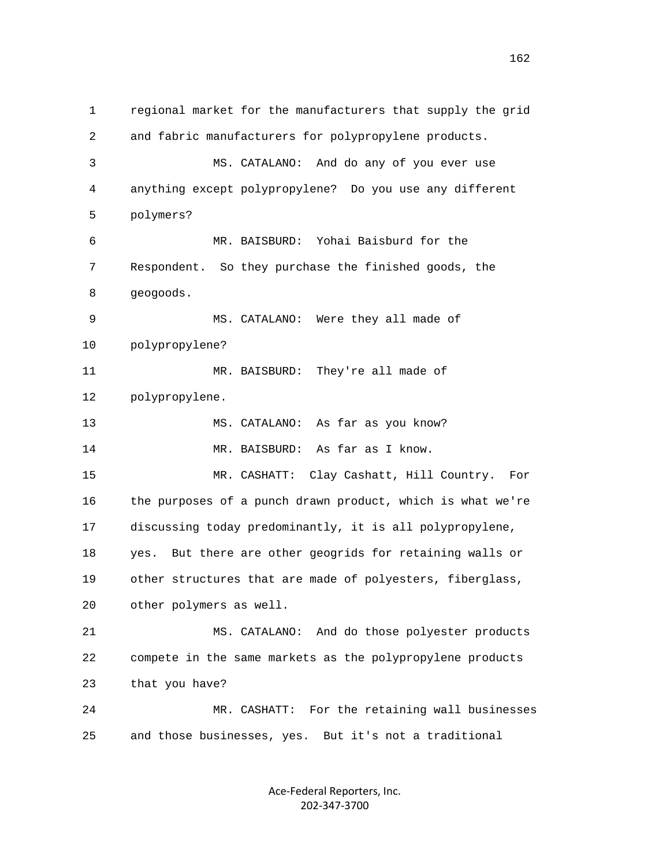1 regional market for the manufacturers that supply the grid 2 and fabric manufacturers for polypropylene products. 3 MS. CATALANO: And do any of you ever use 4 anything except polypropylene? Do you use any different 5 polymers? 6 MR. BAISBURD: Yohai Baisburd for the 7 Respondent. So they purchase the finished goods, the 8 geogoods. 9 MS. CATALANO: Were they all made of 10 polypropylene? 11 MR. BAISBURD: They're all made of 12 polypropylene. 13 MS. CATALANO: As far as you know? 14 MR. BAISBURD: As far as I know. 15 MR. CASHATT: Clay Cashatt, Hill Country. For 16 the purposes of a punch drawn product, which is what we're 17 discussing today predominantly, it is all polypropylene, 18 yes. But there are other geogrids for retaining walls or 19 other structures that are made of polyesters, fiberglass, 20 other polymers as well. 21 MS. CATALANO: And do those polyester products 22 compete in the same markets as the polypropylene products 23 that you have? 24 MR. CASHATT: For the retaining wall businesses 25 and those businesses, yes. But it's not a traditional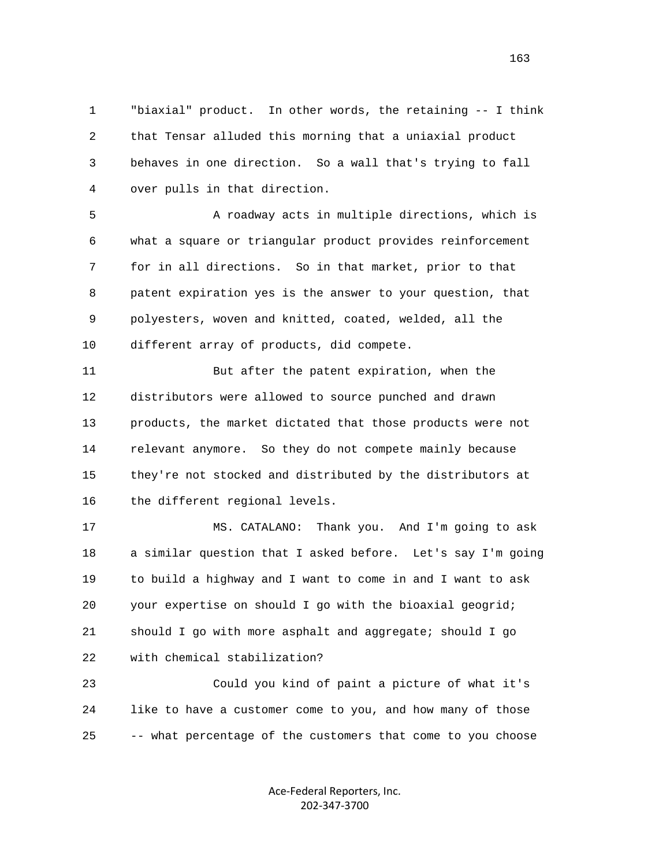1 "biaxial" product. In other words, the retaining -- I think 2 that Tensar alluded this morning that a uniaxial product 3 behaves in one direction. So a wall that's trying to fall 4 over pulls in that direction.

 5 A roadway acts in multiple directions, which is 6 what a square or triangular product provides reinforcement 7 for in all directions. So in that market, prior to that 8 patent expiration yes is the answer to your question, that 9 polyesters, woven and knitted, coated, welded, all the 10 different array of products, did compete.

 11 But after the patent expiration, when the 12 distributors were allowed to source punched and drawn 13 products, the market dictated that those products were not 14 relevant anymore. So they do not compete mainly because 15 they're not stocked and distributed by the distributors at 16 the different regional levels.

 17 MS. CATALANO: Thank you. And I'm going to ask 18 a similar question that I asked before. Let's say I'm going 19 to build a highway and I want to come in and I want to ask 20 your expertise on should I go with the bioaxial geogrid; 21 should I go with more asphalt and aggregate; should I go 22 with chemical stabilization?

 23 Could you kind of paint a picture of what it's 24 like to have a customer come to you, and how many of those 25 -- what percentage of the customers that come to you choose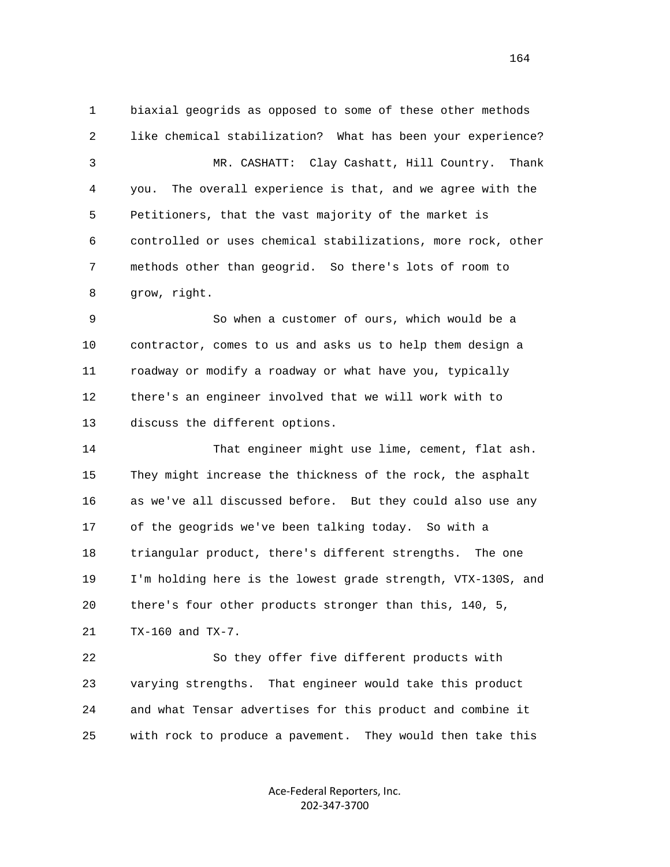1 biaxial geogrids as opposed to some of these other methods 2 like chemical stabilization? What has been your experience? 3 MR. CASHATT: Clay Cashatt, Hill Country. Thank 4 you. The overall experience is that, and we agree with the 5 Petitioners, that the vast majority of the market is 6 controlled or uses chemical stabilizations, more rock, other 7 methods other than geogrid. So there's lots of room to 8 grow, right.

 9 So when a customer of ours, which would be a 10 contractor, comes to us and asks us to help them design a 11 roadway or modify a roadway or what have you, typically 12 there's an engineer involved that we will work with to 13 discuss the different options.

 14 That engineer might use lime, cement, flat ash. 15 They might increase the thickness of the rock, the asphalt 16 as we've all discussed before. But they could also use any 17 of the geogrids we've been talking today. So with a 18 triangular product, there's different strengths. The one 19 I'm holding here is the lowest grade strength, VTX-130S, and 20 there's four other products stronger than this, 140, 5, 21 TX-160 and TX-7.

 22 So they offer five different products with 23 varying strengths. That engineer would take this product 24 and what Tensar advertises for this product and combine it 25 with rock to produce a pavement. They would then take this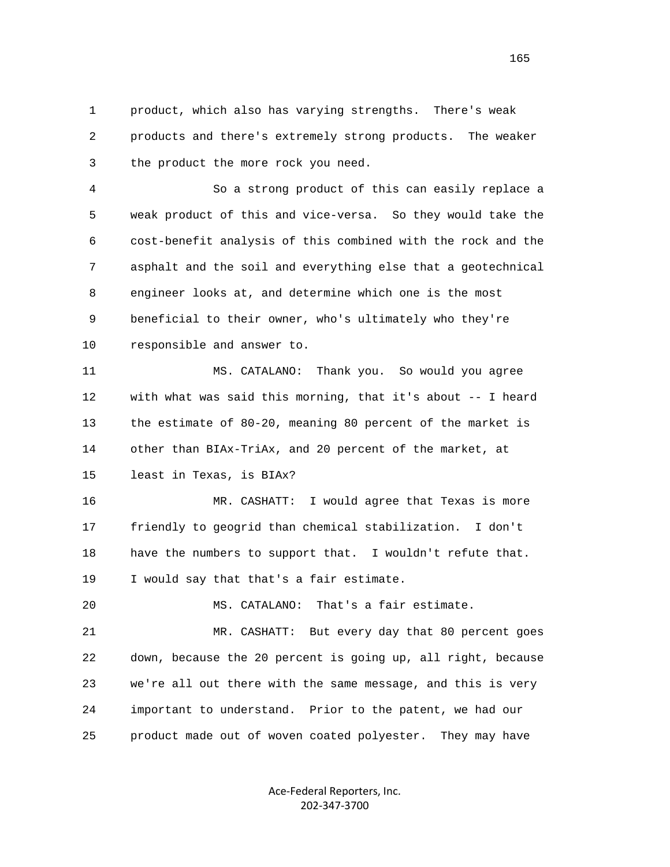1 product, which also has varying strengths. There's weak 2 products and there's extremely strong products. The weaker 3 the product the more rock you need.

 4 So a strong product of this can easily replace a 5 weak product of this and vice-versa. So they would take the 6 cost-benefit analysis of this combined with the rock and the 7 asphalt and the soil and everything else that a geotechnical 8 engineer looks at, and determine which one is the most 9 beneficial to their owner, who's ultimately who they're 10 responsible and answer to.

 11 MS. CATALANO: Thank you. So would you agree 12 with what was said this morning, that it's about -- I heard 13 the estimate of 80-20, meaning 80 percent of the market is 14 other than BIAx-TriAx, and 20 percent of the market, at 15 least in Texas, is BIAx?

 16 MR. CASHATT: I would agree that Texas is more 17 friendly to geogrid than chemical stabilization. I don't 18 have the numbers to support that. I wouldn't refute that. 19 I would say that that's a fair estimate.

20 MS. CATALANO: That's a fair estimate.

 21 MR. CASHATT: But every day that 80 percent goes 22 down, because the 20 percent is going up, all right, because 23 we're all out there with the same message, and this is very 24 important to understand. Prior to the patent, we had our 25 product made out of woven coated polyester. They may have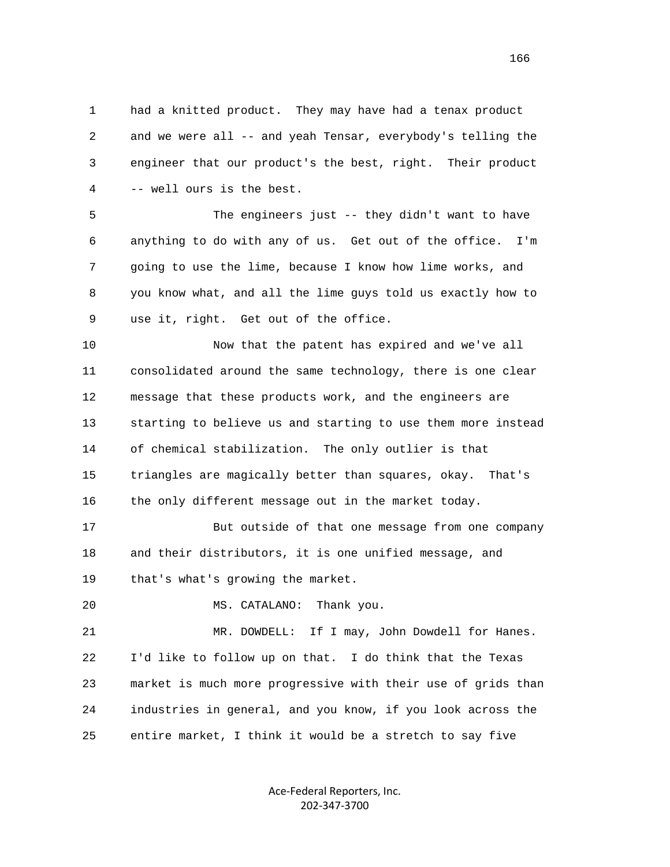1 had a knitted product. They may have had a tenax product 2 and we were all -- and yeah Tensar, everybody's telling the 3 engineer that our product's the best, right. Their product 4 -- well ours is the best.

 5 The engineers just -- they didn't want to have 6 anything to do with any of us. Get out of the office. I'm 7 going to use the lime, because I know how lime works, and 8 you know what, and all the lime guys told us exactly how to 9 use it, right. Get out of the office.

 10 Now that the patent has expired and we've all 11 consolidated around the same technology, there is one clear 12 message that these products work, and the engineers are 13 starting to believe us and starting to use them more instead 14 of chemical stabilization. The only outlier is that 15 triangles are magically better than squares, okay. That's 16 the only different message out in the market today.

 17 But outside of that one message from one company 18 and their distributors, it is one unified message, and 19 that's what's growing the market.

20 MS. CATALANO: Thank you.

 21 MR. DOWDELL: If I may, John Dowdell for Hanes. 22 I'd like to follow up on that. I do think that the Texas 23 market is much more progressive with their use of grids than 24 industries in general, and you know, if you look across the 25 entire market, I think it would be a stretch to say five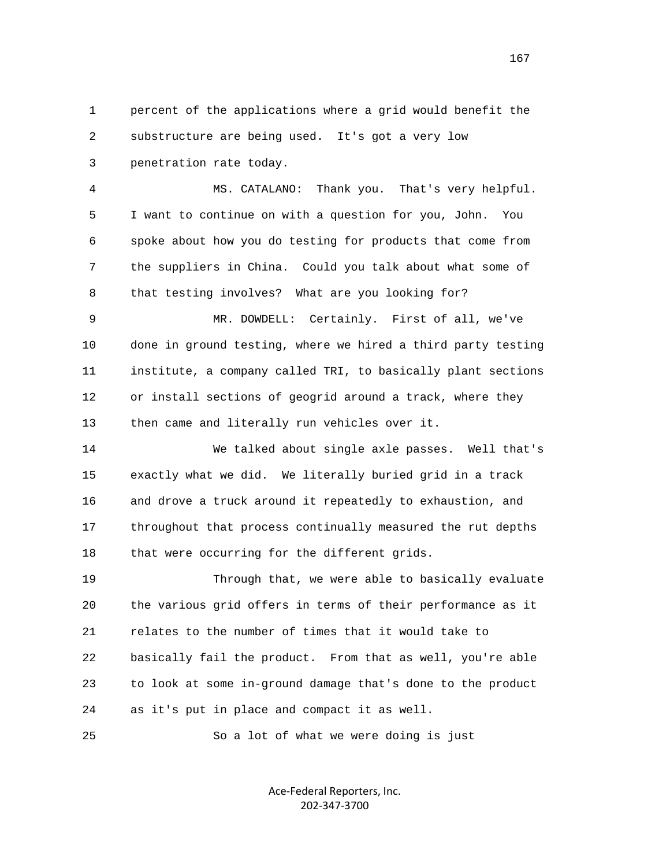1 percent of the applications where a grid would benefit the 2 substructure are being used. It's got a very low 3 penetration rate today.

 4 MS. CATALANO: Thank you. That's very helpful. 5 I want to continue on with a question for you, John. You 6 spoke about how you do testing for products that come from 7 the suppliers in China. Could you talk about what some of 8 that testing involves? What are you looking for?

 9 MR. DOWDELL: Certainly. First of all, we've 10 done in ground testing, where we hired a third party testing 11 institute, a company called TRI, to basically plant sections 12 or install sections of geogrid around a track, where they 13 then came and literally run vehicles over it.

 14 We talked about single axle passes. Well that's 15 exactly what we did. We literally buried grid in a track 16 and drove a truck around it repeatedly to exhaustion, and 17 throughout that process continually measured the rut depths 18 that were occurring for the different grids.

 19 Through that, we were able to basically evaluate 20 the various grid offers in terms of their performance as it 21 relates to the number of times that it would take to 22 basically fail the product. From that as well, you're able 23 to look at some in-ground damage that's done to the product 24 as it's put in place and compact it as well.

25 So a lot of what we were doing is just

Ace‐Federal Reporters, Inc. 202‐347‐3700

167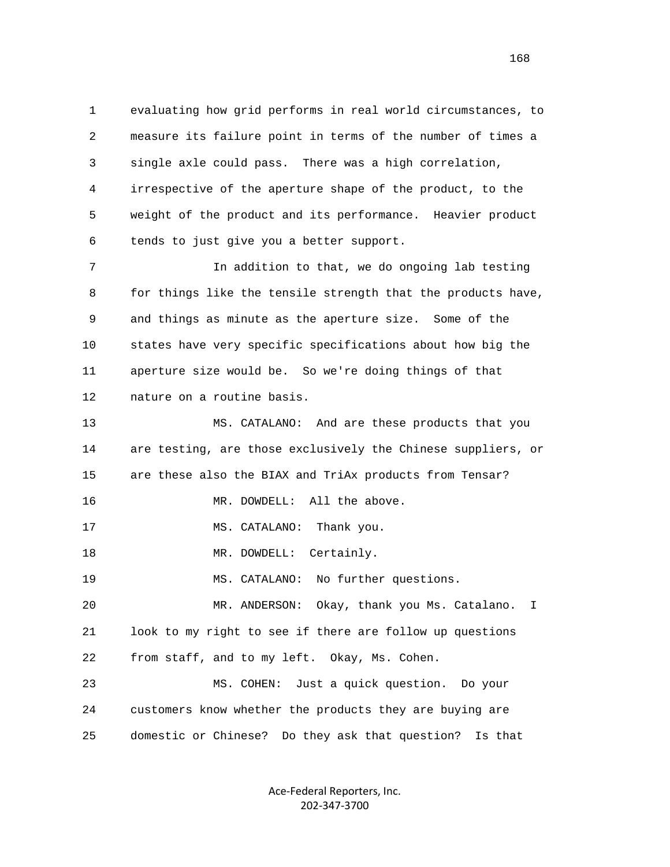1 evaluating how grid performs in real world circumstances, to 2 measure its failure point in terms of the number of times a 3 single axle could pass. There was a high correlation, 4 irrespective of the aperture shape of the product, to the 5 weight of the product and its performance. Heavier product 6 tends to just give you a better support.

 7 In addition to that, we do ongoing lab testing 8 for things like the tensile strength that the products have, 9 and things as minute as the aperture size. Some of the 10 states have very specific specifications about how big the 11 aperture size would be. So we're doing things of that 12 nature on a routine basis.

 13 MS. CATALANO: And are these products that you 14 are testing, are those exclusively the Chinese suppliers, or 15 are these also the BIAX and TriAx products from Tensar? 16 MR. DOWDELL: All the above. 17 MS. CATALANO: Thank you. 18 MR. DOWDELL: Certainly. 19 MS. CATALANO: No further questions. 20 MR. ANDERSON: Okay, thank you Ms. Catalano. I 21 look to my right to see if there are follow up questions 22 from staff, and to my left. Okay, Ms. Cohen. 23 MS. COHEN: Just a quick question. Do your 24 customers know whether the products they are buying are

25 domestic or Chinese? Do they ask that question? Is that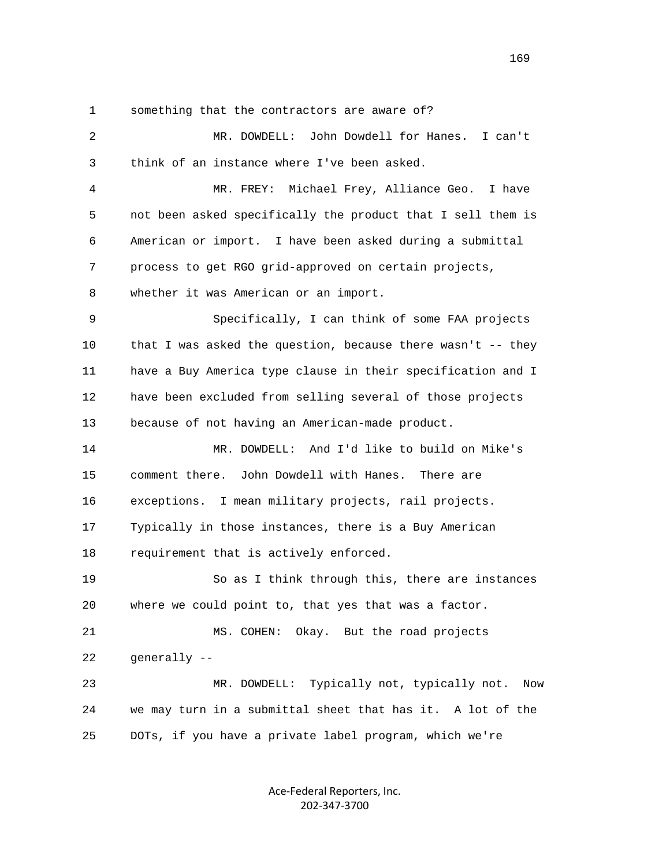1 something that the contractors are aware of?

| 2  | MR. DOWDELL: John Dowdell for Hanes. I can't                |
|----|-------------------------------------------------------------|
| 3  | think of an instance where I've been asked.                 |
| 4  | MR. FREY: Michael Frey, Alliance Geo. I have                |
| 5  | not been asked specifically the product that I sell them is |
| 6  | American or import. I have been asked during a submittal    |
| 7  | process to get RGO grid-approved on certain projects,       |
| 8  | whether it was American or an import.                       |
| 9  | Specifically, I can think of some FAA projects              |
| 10 | that I was asked the question, because there wasn't -- they |
| 11 | have a Buy America type clause in their specification and I |
| 12 | have been excluded from selling several of those projects   |
| 13 | because of not having an American-made product.             |
| 14 | MR. DOWDELL: And I'd like to build on Mike's                |
| 15 | John Dowdell with Hanes. There are<br>comment there.        |
| 16 | exceptions. I mean military projects, rail projects.        |
| 17 | Typically in those instances, there is a Buy American       |
| 18 | requirement that is actively enforced.                      |
| 19 | So as I think through this, there are instances             |
| 20 | where we could point to, that yes that was a factor.        |
| 21 | MS. COHEN: Okay. But the road projects                      |
| 22 | generally --                                                |
| 23 | MR. DOWDELL: Typically not, typically not.<br>Now           |
| 24 | we may turn in a submittal sheet that has it. A lot of the  |
| 25 | DOTs, if you have a private label program, which we're      |
|    |                                                             |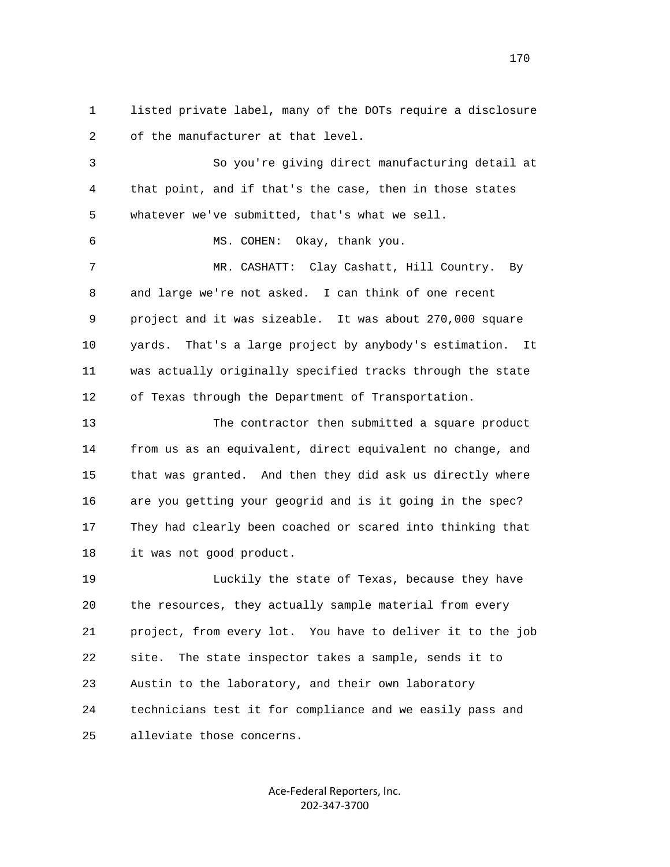1 listed private label, many of the DOTs require a disclosure 2 of the manufacturer at that level.

 3 So you're giving direct manufacturing detail at 4 that point, and if that's the case, then in those states 5 whatever we've submitted, that's what we sell.

6 MS. COHEN: Okay, thank you.

 7 MR. CASHATT: Clay Cashatt, Hill Country. By 8 and large we're not asked. I can think of one recent 9 project and it was sizeable. It was about 270,000 square 10 yards. That's a large project by anybody's estimation. It 11 was actually originally specified tracks through the state 12 of Texas through the Department of Transportation.

 13 The contractor then submitted a square product 14 from us as an equivalent, direct equivalent no change, and 15 that was granted. And then they did ask us directly where 16 are you getting your geogrid and is it going in the spec? 17 They had clearly been coached or scared into thinking that 18 it was not good product.

 19 Luckily the state of Texas, because they have 20 the resources, they actually sample material from every 21 project, from every lot. You have to deliver it to the job 22 site. The state inspector takes a sample, sends it to 23 Austin to the laboratory, and their own laboratory 24 technicians test it for compliance and we easily pass and 25 alleviate those concerns.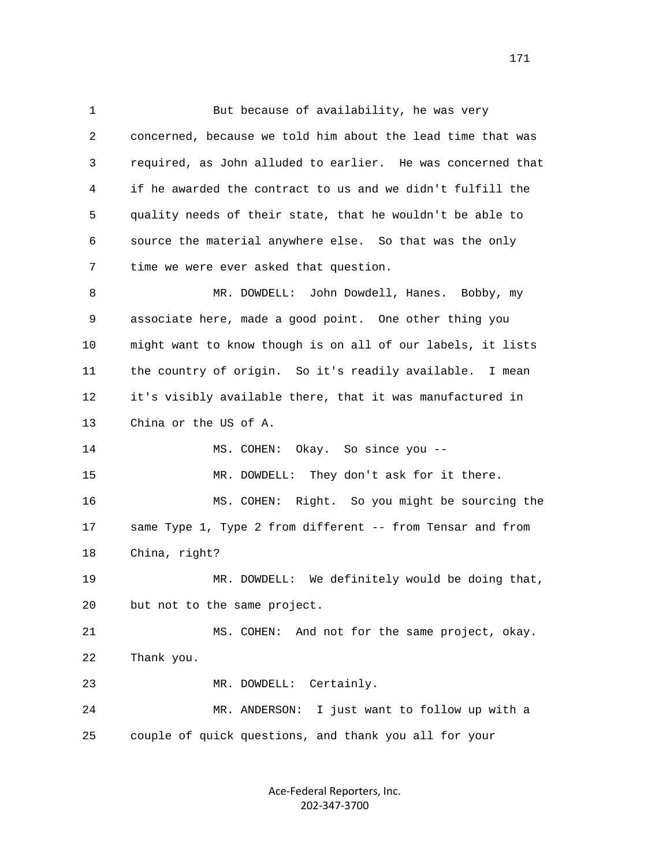1 But because of availability, he was very 2 concerned, because we told him about the lead time that was 3 required, as John alluded to earlier. He was concerned that 4 if he awarded the contract to us and we didn't fulfill the 5 quality needs of their state, that he wouldn't be able to 6 source the material anywhere else. So that was the only 7 time we were ever asked that question. 8 MR. DOWDELL: John Dowdell, Hanes. Bobby, my 9 associate here, made a good point. One other thing you 10 might want to know though is on all of our labels, it lists 11 the country of origin. So it's readily available. I mean 12 it's visibly available there, that it was manufactured in 13 China or the US of A. 14 MS. COHEN: Okay. So since you -- 15 MR. DOWDELL: They don't ask for it there. 16 MS. COHEN: Right. So you might be sourcing the 17 same Type 1, Type 2 from different -- from Tensar and from 18 China, right? 19 MR. DOWDELL: We definitely would be doing that, 20 but not to the same project. 21 MS. COHEN: And not for the same project, okay. 22 Thank you. 23 MR. DOWDELL: Certainly. 24 MR. ANDERSON: I just want to follow up with a 25 couple of quick questions, and thank you all for your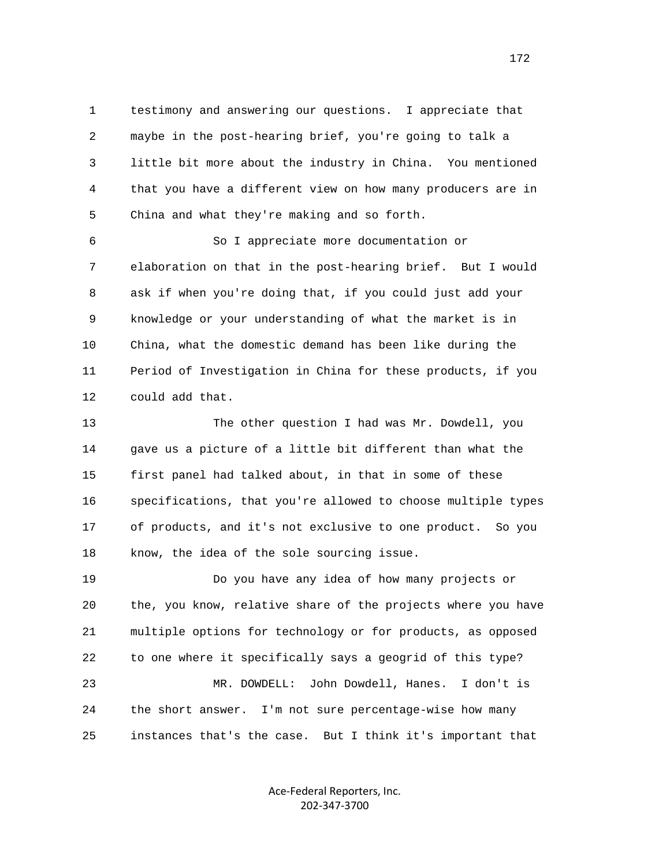1 testimony and answering our questions. I appreciate that 2 maybe in the post-hearing brief, you're going to talk a 3 little bit more about the industry in China. You mentioned 4 that you have a different view on how many producers are in 5 China and what they're making and so forth.

 6 So I appreciate more documentation or 7 elaboration on that in the post-hearing brief. But I would 8 ask if when you're doing that, if you could just add your 9 knowledge or your understanding of what the market is in 10 China, what the domestic demand has been like during the 11 Period of Investigation in China for these products, if you 12 could add that.

 13 The other question I had was Mr. Dowdell, you 14 gave us a picture of a little bit different than what the 15 first panel had talked about, in that in some of these 16 specifications, that you're allowed to choose multiple types 17 of products, and it's not exclusive to one product. So you 18 know, the idea of the sole sourcing issue.

 19 Do you have any idea of how many projects or 20 the, you know, relative share of the projects where you have 21 multiple options for technology or for products, as opposed 22 to one where it specifically says a geogrid of this type? 23 MR. DOWDELL: John Dowdell, Hanes. I don't is 24 the short answer. I'm not sure percentage-wise how many 25 instances that's the case. But I think it's important that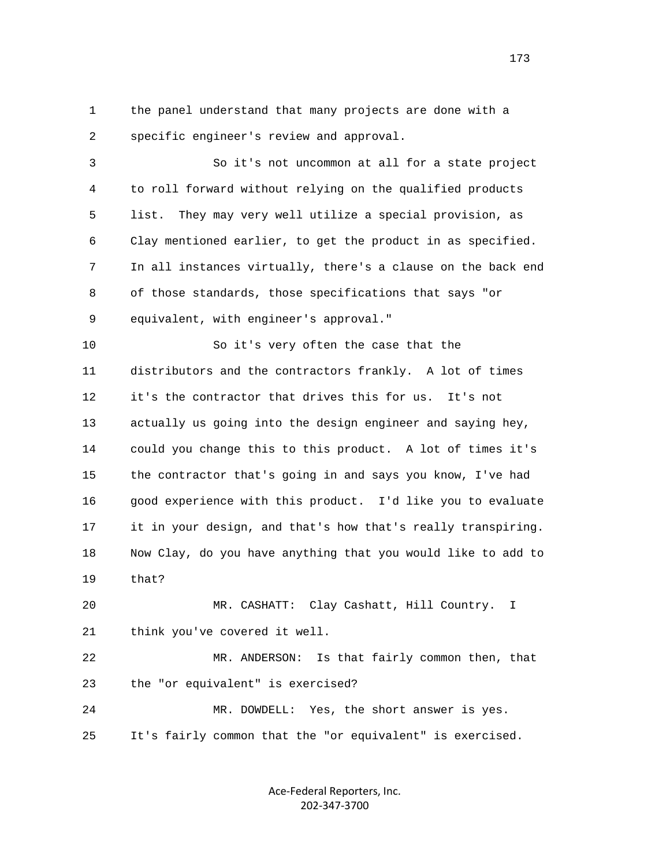1 the panel understand that many projects are done with a 2 specific engineer's review and approval.

 3 So it's not uncommon at all for a state project 4 to roll forward without relying on the qualified products 5 list. They may very well utilize a special provision, as 6 Clay mentioned earlier, to get the product in as specified. 7 In all instances virtually, there's a clause on the back end 8 of those standards, those specifications that says "or 9 equivalent, with engineer's approval."

 10 So it's very often the case that the 11 distributors and the contractors frankly. A lot of times 12 it's the contractor that drives this for us. It's not 13 actually us going into the design engineer and saying hey, 14 could you change this to this product. A lot of times it's 15 the contractor that's going in and says you know, I've had 16 good experience with this product. I'd like you to evaluate 17 it in your design, and that's how that's really transpiring. 18 Now Clay, do you have anything that you would like to add to 19 that?

 20 MR. CASHATT: Clay Cashatt, Hill Country. I 21 think you've covered it well.

 22 MR. ANDERSON: Is that fairly common then, that 23 the "or equivalent" is exercised?

 24 MR. DOWDELL: Yes, the short answer is yes. 25 It's fairly common that the "or equivalent" is exercised.

> Ace‐Federal Reporters, Inc. 202‐347‐3700

173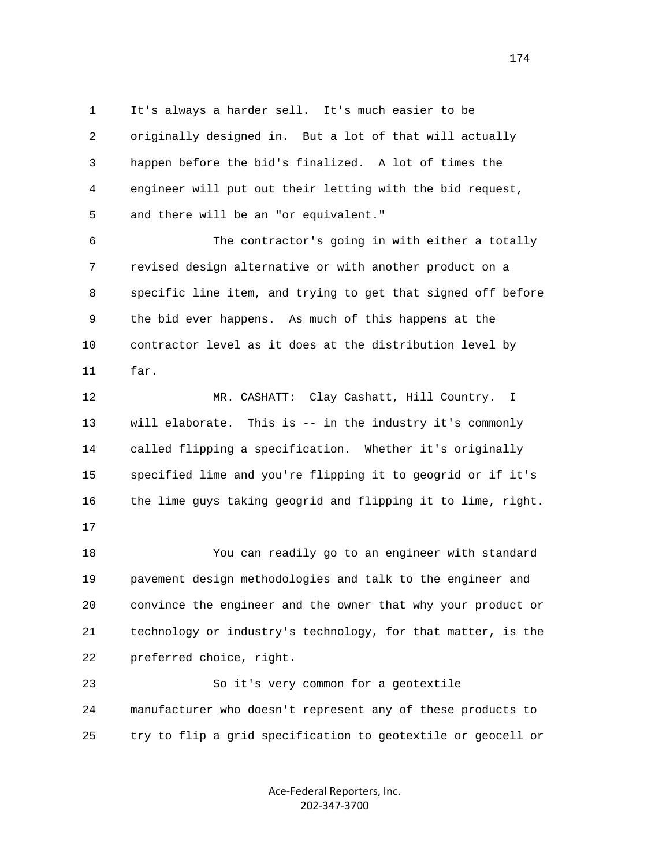1 It's always a harder sell. It's much easier to be 2 originally designed in. But a lot of that will actually 3 happen before the bid's finalized. A lot of times the 4 engineer will put out their letting with the bid request, 5 and there will be an "or equivalent."

 6 The contractor's going in with either a totally 7 revised design alternative or with another product on a 8 specific line item, and trying to get that signed off before 9 the bid ever happens. As much of this happens at the 10 contractor level as it does at the distribution level by 11 far.

 12 MR. CASHATT: Clay Cashatt, Hill Country. I 13 will elaborate. This is -- in the industry it's commonly 14 called flipping a specification. Whether it's originally 15 specified lime and you're flipping it to geogrid or if it's 16 the lime guys taking geogrid and flipping it to lime, right.

17

 18 You can readily go to an engineer with standard 19 pavement design methodologies and talk to the engineer and 20 convince the engineer and the owner that why your product or 21 technology or industry's technology, for that matter, is the 22 preferred choice, right.

 23 So it's very common for a geotextile 24 manufacturer who doesn't represent any of these products to 25 try to flip a grid specification to geotextile or geocell or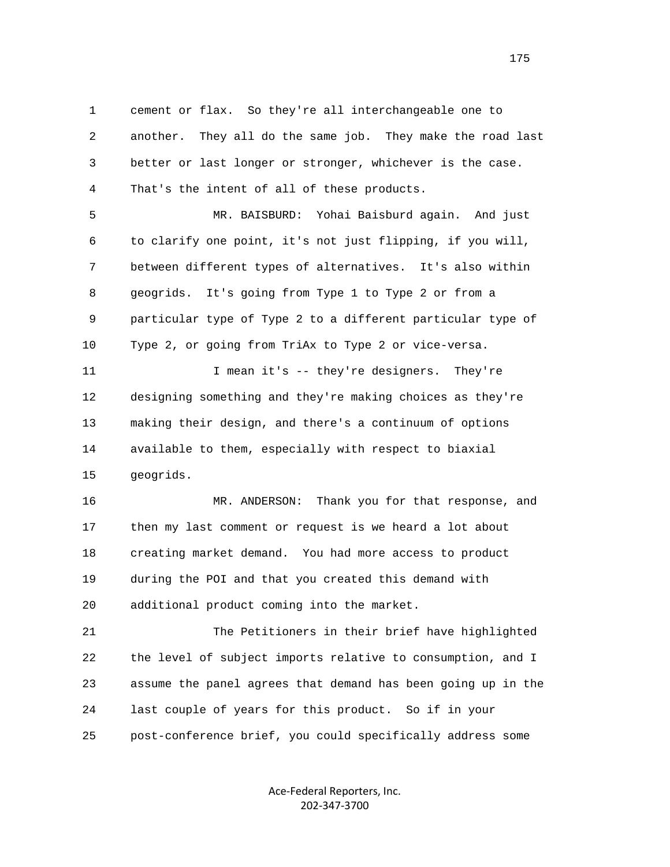1 cement or flax. So they're all interchangeable one to 2 another. They all do the same job. They make the road last 3 better or last longer or stronger, whichever is the case. 4 That's the intent of all of these products.

 5 MR. BAISBURD: Yohai Baisburd again. And just 6 to clarify one point, it's not just flipping, if you will, 7 between different types of alternatives. It's also within 8 geogrids. It's going from Type 1 to Type 2 or from a 9 particular type of Type 2 to a different particular type of 10 Type 2, or going from TriAx to Type 2 or vice-versa.

11 I mean it's -- they're designers. They're 12 designing something and they're making choices as they're 13 making their design, and there's a continuum of options 14 available to them, especially with respect to biaxial 15 geogrids.

 16 MR. ANDERSON: Thank you for that response, and 17 then my last comment or request is we heard a lot about 18 creating market demand. You had more access to product 19 during the POI and that you created this demand with 20 additional product coming into the market.

 21 The Petitioners in their brief have highlighted 22 the level of subject imports relative to consumption, and I 23 assume the panel agrees that demand has been going up in the 24 last couple of years for this product. So if in your 25 post-conference brief, you could specifically address some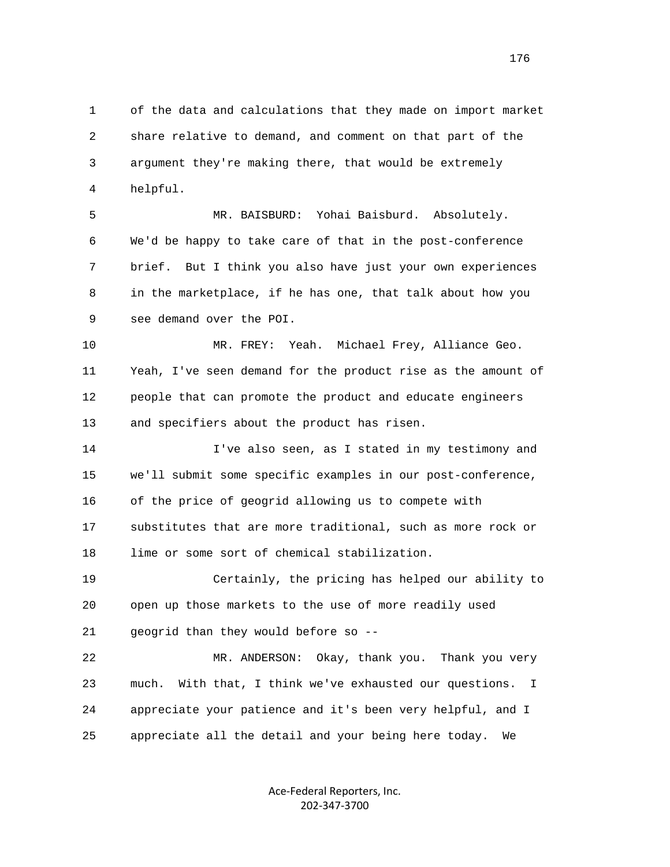1 of the data and calculations that they made on import market 2 share relative to demand, and comment on that part of the 3 argument they're making there, that would be extremely 4 helpful.

 5 MR. BAISBURD: Yohai Baisburd. Absolutely. 6 We'd be happy to take care of that in the post-conference 7 brief. But I think you also have just your own experiences 8 in the marketplace, if he has one, that talk about how you 9 see demand over the POI.

 10 MR. FREY: Yeah. Michael Frey, Alliance Geo. 11 Yeah, I've seen demand for the product rise as the amount of 12 people that can promote the product and educate engineers 13 and specifiers about the product has risen.

 14 I've also seen, as I stated in my testimony and 15 we'll submit some specific examples in our post-conference, 16 of the price of geogrid allowing us to compete with 17 substitutes that are more traditional, such as more rock or 18 lime or some sort of chemical stabilization.

 19 Certainly, the pricing has helped our ability to 20 open up those markets to the use of more readily used 21 geogrid than they would before so --

 22 MR. ANDERSON: Okay, thank you. Thank you very 23 much. With that, I think we've exhausted our questions. I 24 appreciate your patience and it's been very helpful, and I 25 appreciate all the detail and your being here today. We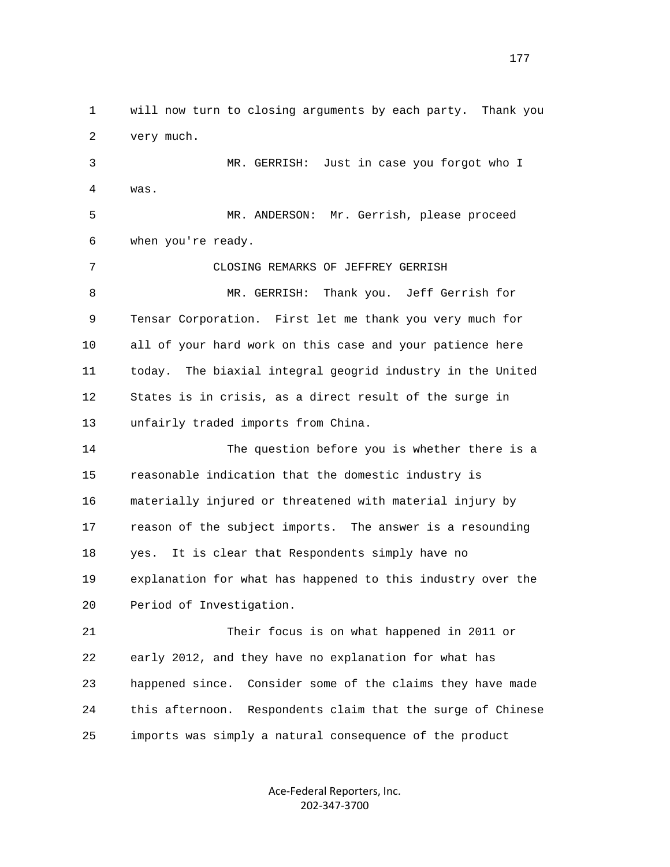1 will now turn to closing arguments by each party. Thank you 2 very much. 3 MR. GERRISH: Just in case you forgot who I 4 was. 5 MR. ANDERSON: Mr. Gerrish, please proceed 6 when you're ready. 7 CLOSING REMARKS OF JEFFREY GERRISH 8 MR. GERRISH: Thank you. Jeff Gerrish for 9 Tensar Corporation. First let me thank you very much for 10 all of your hard work on this case and your patience here 11 today. The biaxial integral geogrid industry in the United 12 States is in crisis, as a direct result of the surge in 13 unfairly traded imports from China. 14 The question before you is whether there is a 15 reasonable indication that the domestic industry is 16 materially injured or threatened with material injury by 17 reason of the subject imports. The answer is a resounding 18 yes. It is clear that Respondents simply have no 19 explanation for what has happened to this industry over the 20 Period of Investigation. 21 Their focus is on what happened in 2011 or 22 early 2012, and they have no explanation for what has 23 happened since. Consider some of the claims they have made 24 this afternoon. Respondents claim that the surge of Chinese 25 imports was simply a natural consequence of the product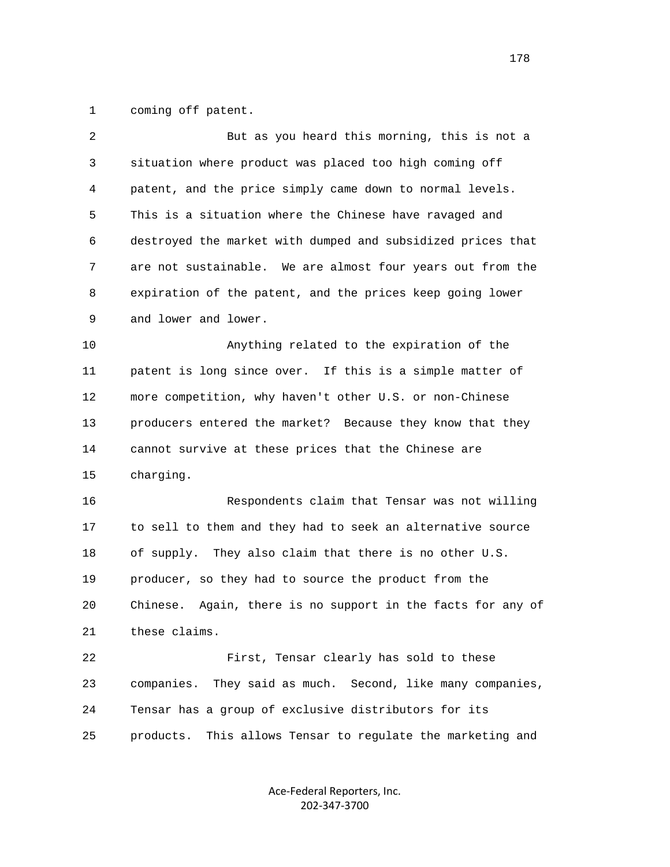1 coming off patent.

| $\overline{2}$ | But as you heard this morning, this is not a                   |
|----------------|----------------------------------------------------------------|
| 3              | situation where product was placed too high coming off         |
| 4              | patent, and the price simply came down to normal levels.       |
| 5              | This is a situation where the Chinese have ravaged and         |
| 6              | destroyed the market with dumped and subsidized prices that    |
| 7              | are not sustainable. We are almost four years out from the     |
| 8              | expiration of the patent, and the prices keep going lower      |
| 9              | and lower and lower.                                           |
| 10             | Anything related to the expiration of the                      |
| 11             | patent is long since over. If this is a simple matter of       |
| 12             | more competition, why haven't other U.S. or non-Chinese        |
| 13             | producers entered the market? Because they know that they      |
| 14             | cannot survive at these prices that the Chinese are            |
| 15             | charging.                                                      |
| 16             | Respondents claim that Tensar was not willing                  |
| 17             | to sell to them and they had to seek an alternative source     |
| 18             | of supply.<br>They also claim that there is no other U.S.      |
| 19             | producer, so they had to source the product from the           |
| 20             | Again, there is no support in the facts for any of<br>Chinese. |
| 21             | these claims.                                                  |
| 22             | First, Tensar clearly has sold to these                        |
| 23             | They said as much. Second, like many companies,<br>companies.  |
| 24             | Tensar has a group of exclusive distributors for its           |
| 25             | This allows Tensar to regulate the marketing and<br>products.  |
|                |                                                                |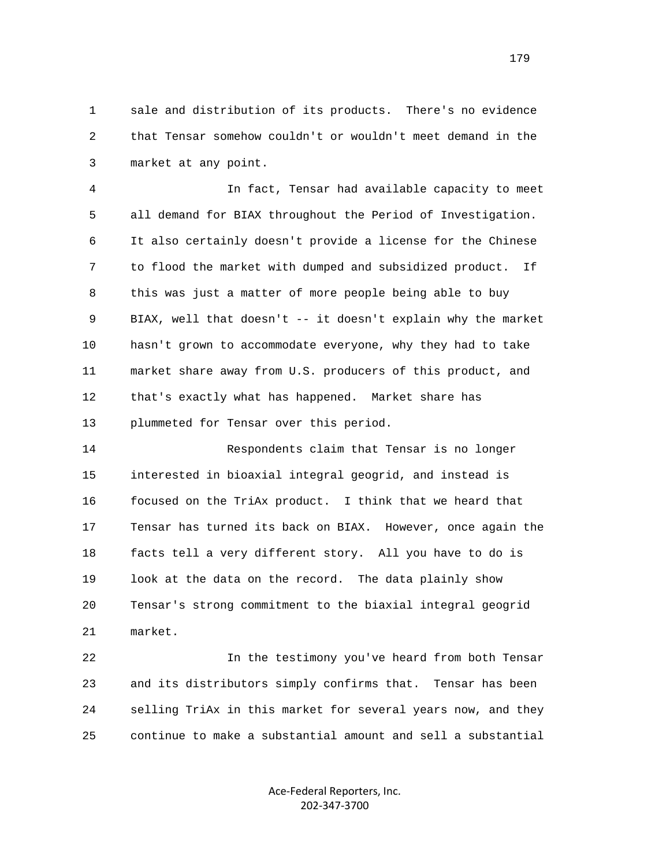1 sale and distribution of its products. There's no evidence 2 that Tensar somehow couldn't or wouldn't meet demand in the 3 market at any point.

 4 In fact, Tensar had available capacity to meet 5 all demand for BIAX throughout the Period of Investigation. 6 It also certainly doesn't provide a license for the Chinese 7 to flood the market with dumped and subsidized product. If 8 this was just a matter of more people being able to buy 9 BIAX, well that doesn't -- it doesn't explain why the market 10 hasn't grown to accommodate everyone, why they had to take 11 market share away from U.S. producers of this product, and 12 that's exactly what has happened. Market share has 13 plummeted for Tensar over this period.

 14 Respondents claim that Tensar is no longer 15 interested in bioaxial integral geogrid, and instead is 16 focused on the TriAx product. I think that we heard that 17 Tensar has turned its back on BIAX. However, once again the 18 facts tell a very different story. All you have to do is 19 look at the data on the record. The data plainly show 20 Tensar's strong commitment to the biaxial integral geogrid 21 market.

 22 In the testimony you've heard from both Tensar 23 and its distributors simply confirms that. Tensar has been 24 selling TriAx in this market for several years now, and they 25 continue to make a substantial amount and sell a substantial

> Ace‐Federal Reporters, Inc. 202‐347‐3700

179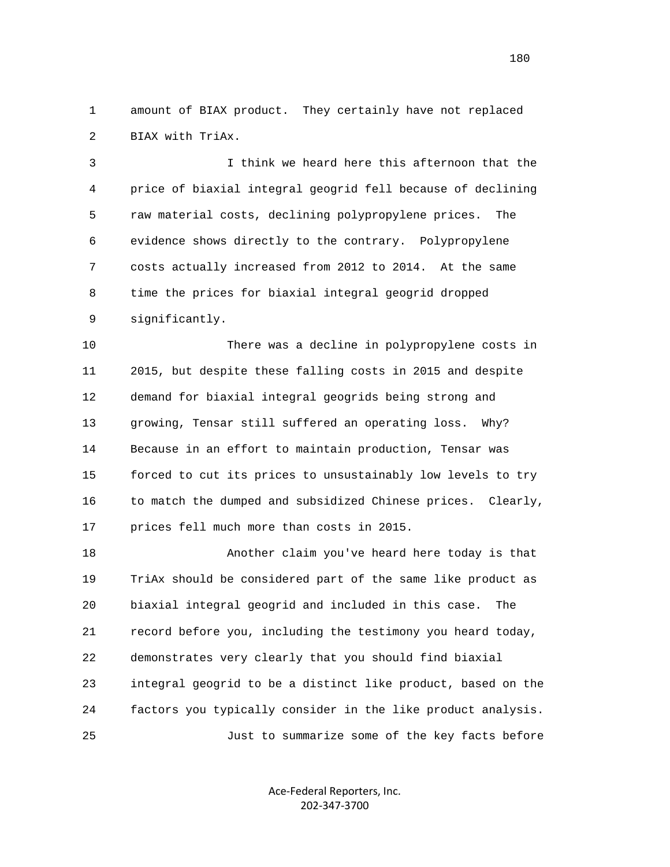1 amount of BIAX product. They certainly have not replaced 2 BIAX with TriAx.

 3 I think we heard here this afternoon that the 4 price of biaxial integral geogrid fell because of declining 5 raw material costs, declining polypropylene prices. The 6 evidence shows directly to the contrary. Polypropylene 7 costs actually increased from 2012 to 2014. At the same 8 time the prices for biaxial integral geogrid dropped 9 significantly.

 10 There was a decline in polypropylene costs in 11 2015, but despite these falling costs in 2015 and despite 12 demand for biaxial integral geogrids being strong and 13 growing, Tensar still suffered an operating loss. Why? 14 Because in an effort to maintain production, Tensar was 15 forced to cut its prices to unsustainably low levels to try 16 to match the dumped and subsidized Chinese prices. Clearly, 17 prices fell much more than costs in 2015.

 18 Another claim you've heard here today is that 19 TriAx should be considered part of the same like product as 20 biaxial integral geogrid and included in this case. The 21 record before you, including the testimony you heard today, 22 demonstrates very clearly that you should find biaxial 23 integral geogrid to be a distinct like product, based on the 24 factors you typically consider in the like product analysis. 25 Just to summarize some of the key facts before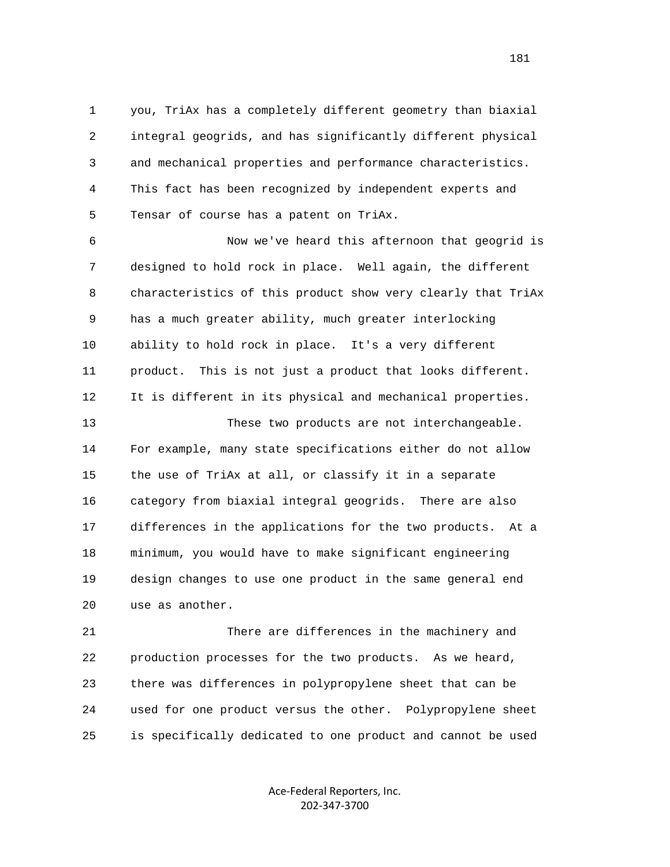1 you, TriAx has a completely different geometry than biaxial 2 integral geogrids, and has significantly different physical 3 and mechanical properties and performance characteristics. 4 This fact has been recognized by independent experts and 5 Tensar of course has a patent on TriAx.

 6 Now we've heard this afternoon that geogrid is 7 designed to hold rock in place. Well again, the different 8 characteristics of this product show very clearly that TriAx 9 has a much greater ability, much greater interlocking 10 ability to hold rock in place. It's a very different 11 product. This is not just a product that looks different. 12 It is different in its physical and mechanical properties. 13 These two products are not interchangeable.

 14 For example, many state specifications either do not allow 15 the use of TriAx at all, or classify it in a separate 16 category from biaxial integral geogrids. There are also 17 differences in the applications for the two products. At a 18 minimum, you would have to make significant engineering 19 design changes to use one product in the same general end 20 use as another.

 21 There are differences in the machinery and 22 production processes for the two products. As we heard, 23 there was differences in polypropylene sheet that can be 24 used for one product versus the other. Polypropylene sheet 25 is specifically dedicated to one product and cannot be used

> Ace‐Federal Reporters, Inc. 202‐347‐3700

181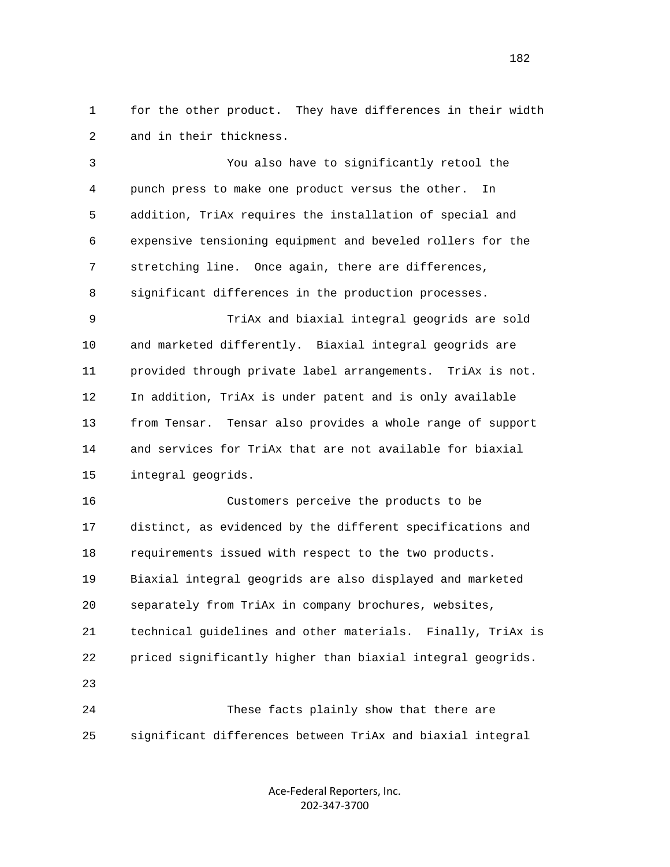1 for the other product. They have differences in their width 2 and in their thickness.

 3 You also have to significantly retool the 4 punch press to make one product versus the other. In 5 addition, TriAx requires the installation of special and 6 expensive tensioning equipment and beveled rollers for the 7 stretching line. Once again, there are differences, 8 significant differences in the production processes. 9 TriAx and biaxial integral geogrids are sold 10 and marketed differently. Biaxial integral geogrids are 11 provided through private label arrangements. TriAx is not. 12 In addition, TriAx is under patent and is only available 13 from Tensar. Tensar also provides a whole range of support 14 and services for TriAx that are not available for biaxial 15 integral geogrids. 16 Customers perceive the products to be 17 distinct, as evidenced by the different specifications and 18 requirements issued with respect to the two products. 19 Biaxial integral geogrids are also displayed and marketed 20 separately from TriAx in company brochures, websites,

 21 technical guidelines and other materials. Finally, TriAx is 22 priced significantly higher than biaxial integral geogrids.

 24 These facts plainly show that there are 25 significant differences between TriAx and biaxial integral

23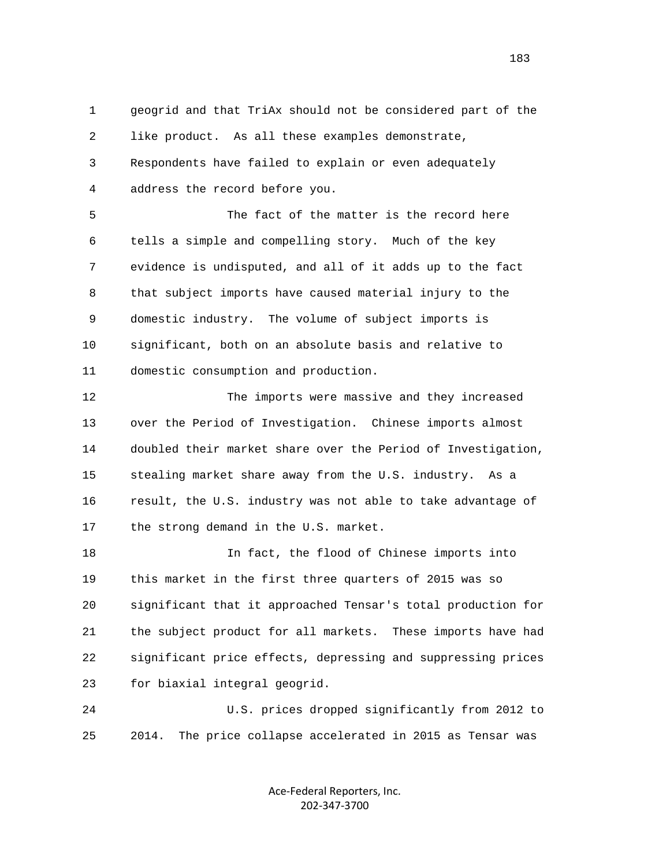1 geogrid and that TriAx should not be considered part of the 2 like product. As all these examples demonstrate, 3 Respondents have failed to explain or even adequately 4 address the record before you.

 5 The fact of the matter is the record here 6 tells a simple and compelling story. Much of the key 7 evidence is undisputed, and all of it adds up to the fact 8 that subject imports have caused material injury to the 9 domestic industry. The volume of subject imports is 10 significant, both on an absolute basis and relative to 11 domestic consumption and production.

 12 The imports were massive and they increased 13 over the Period of Investigation. Chinese imports almost 14 doubled their market share over the Period of Investigation, 15 stealing market share away from the U.S. industry. As a 16 result, the U.S. industry was not able to take advantage of 17 the strong demand in the U.S. market.

 18 In fact, the flood of Chinese imports into 19 this market in the first three quarters of 2015 was so 20 significant that it approached Tensar's total production for 21 the subject product for all markets. These imports have had 22 significant price effects, depressing and suppressing prices 23 for biaxial integral geogrid.

 24 U.S. prices dropped significantly from 2012 to 25 2014. The price collapse accelerated in 2015 as Tensar was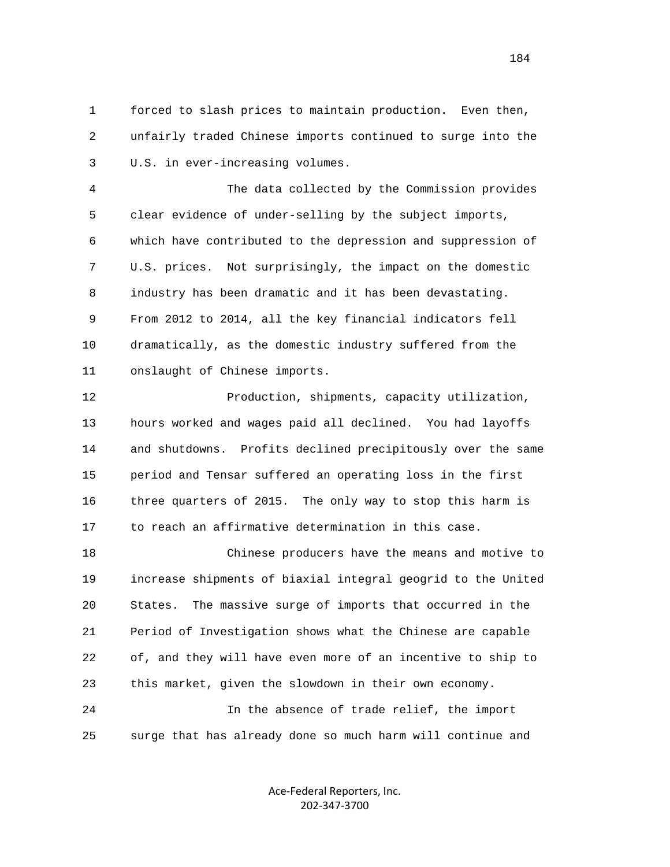1 forced to slash prices to maintain production. Even then, 2 unfairly traded Chinese imports continued to surge into the 3 U.S. in ever-increasing volumes.

 4 The data collected by the Commission provides 5 clear evidence of under-selling by the subject imports, 6 which have contributed to the depression and suppression of 7 U.S. prices. Not surprisingly, the impact on the domestic 8 industry has been dramatic and it has been devastating. 9 From 2012 to 2014, all the key financial indicators fell 10 dramatically, as the domestic industry suffered from the 11 onslaught of Chinese imports.

 12 Production, shipments, capacity utilization, 13 hours worked and wages paid all declined. You had layoffs 14 and shutdowns. Profits declined precipitously over the same 15 period and Tensar suffered an operating loss in the first 16 three quarters of 2015. The only way to stop this harm is 17 to reach an affirmative determination in this case.

 18 Chinese producers have the means and motive to 19 increase shipments of biaxial integral geogrid to the United 20 States. The massive surge of imports that occurred in the 21 Period of Investigation shows what the Chinese are capable 22 of, and they will have even more of an incentive to ship to 23 this market, given the slowdown in their own economy. 24 In the absence of trade relief, the import

25 surge that has already done so much harm will continue and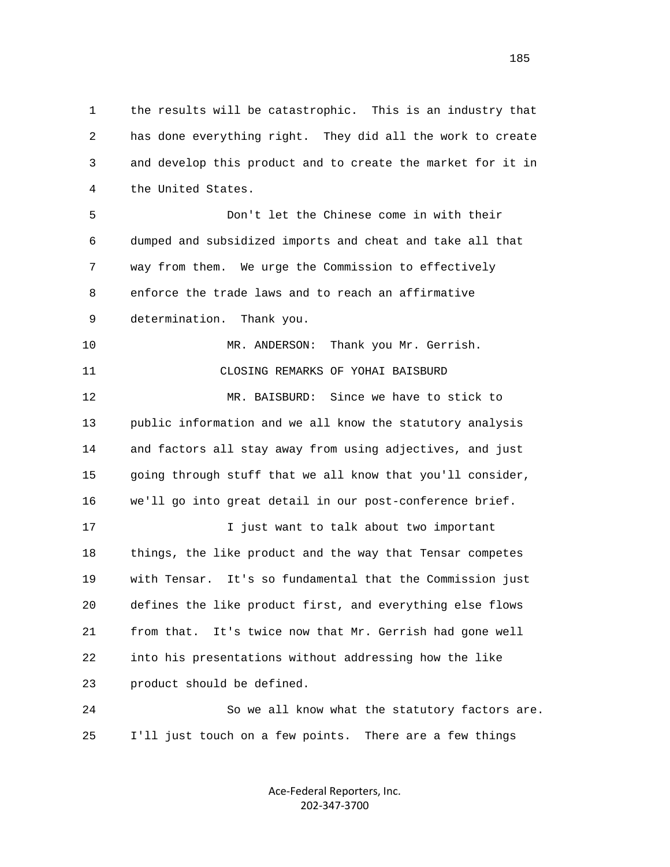1 the results will be catastrophic. This is an industry that 2 has done everything right. They did all the work to create 3 and develop this product and to create the market for it in 4 the United States.

 5 Don't let the Chinese come in with their 6 dumped and subsidized imports and cheat and take all that 7 way from them. We urge the Commission to effectively 8 enforce the trade laws and to reach an affirmative 9 determination. Thank you.

10 MR. ANDERSON: Thank you Mr. Gerrish. 11 CLOSING REMARKS OF YOHAI BAISBURD 12 MR. BAISBURD: Since we have to stick to

 13 public information and we all know the statutory analysis 14 and factors all stay away from using adjectives, and just 15 going through stuff that we all know that you'll consider, 16 we'll go into great detail in our post-conference brief.

 17 I just want to talk about two important 18 things, the like product and the way that Tensar competes 19 with Tensar. It's so fundamental that the Commission just 20 defines the like product first, and everything else flows 21 from that. It's twice now that Mr. Gerrish had gone well 22 into his presentations without addressing how the like 23 product should be defined.

 24 So we all know what the statutory factors are. 25 I'll just touch on a few points. There are a few things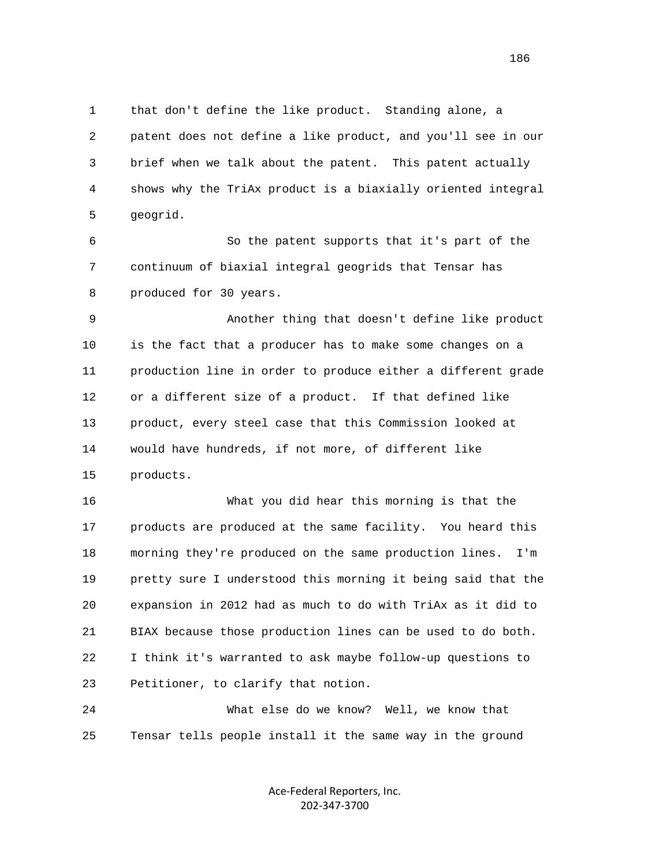1 that don't define the like product. Standing alone, a 2 patent does not define a like product, and you'll see in our 3 brief when we talk about the patent. This patent actually 4 shows why the TriAx product is a biaxially oriented integral 5 geogrid.

 6 So the patent supports that it's part of the 7 continuum of biaxial integral geogrids that Tensar has 8 produced for 30 years.

 9 Another thing that doesn't define like product 10 is the fact that a producer has to make some changes on a 11 production line in order to produce either a different grade 12 or a different size of a product. If that defined like 13 product, every steel case that this Commission looked at 14 would have hundreds, if not more, of different like 15 products.

 16 What you did hear this morning is that the 17 products are produced at the same facility. You heard this 18 morning they're produced on the same production lines. I'm 19 pretty sure I understood this morning it being said that the 20 expansion in 2012 had as much to do with TriAx as it did to 21 BIAX because those production lines can be used to do both. 22 I think it's warranted to ask maybe follow-up questions to 23 Petitioner, to clarify that notion.

 24 What else do we know? Well, we know that 25 Tensar tells people install it the same way in the ground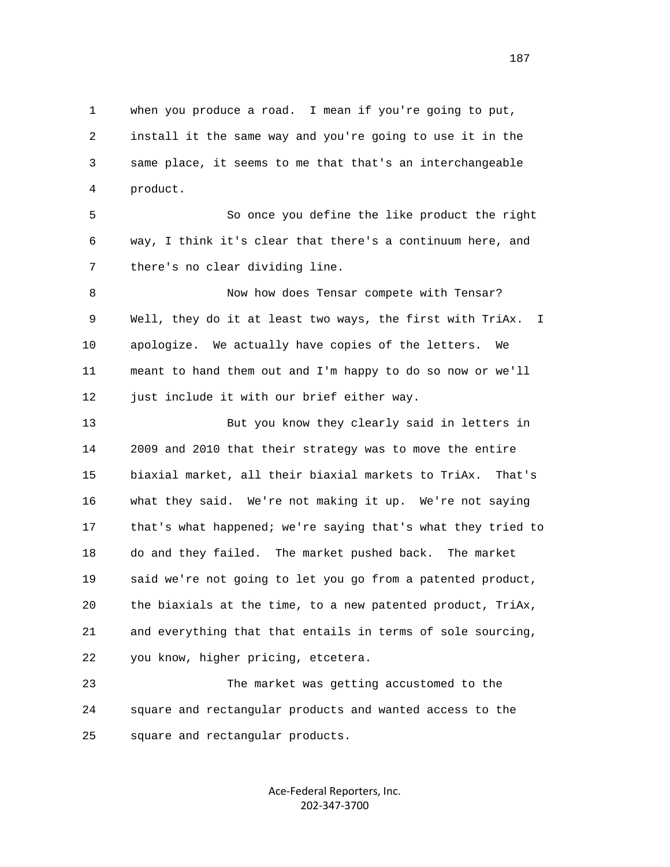1 when you produce a road. I mean if you're going to put, 2 install it the same way and you're going to use it in the 3 same place, it seems to me that that's an interchangeable 4 product. 5 So once you define the like product the right 6 way, I think it's clear that there's a continuum here, and 7 there's no clear dividing line. 8 Now how does Tensar compete with Tensar? 9 Well, they do it at least two ways, the first with TriAx. I 10 apologize. We actually have copies of the letters. We 11 meant to hand them out and I'm happy to do so now or we'll 12 just include it with our brief either way. 13 But you know they clearly said in letters in 14 2009 and 2010 that their strategy was to move the entire 15 biaxial market, all their biaxial markets to TriAx. That's 16 what they said. We're not making it up. We're not saying 17 that's what happened; we're saying that's what they tried to 18 do and they failed. The market pushed back. The market 19 said we're not going to let you go from a patented product, 20 the biaxials at the time, to a new patented product, TriAx, 21 and everything that that entails in terms of sole sourcing, 22 you know, higher pricing, etcetera. 23 The market was getting accustomed to the 24 square and rectangular products and wanted access to the

25 square and rectangular products.

Ace‐Federal Reporters, Inc. 202‐347‐3700

187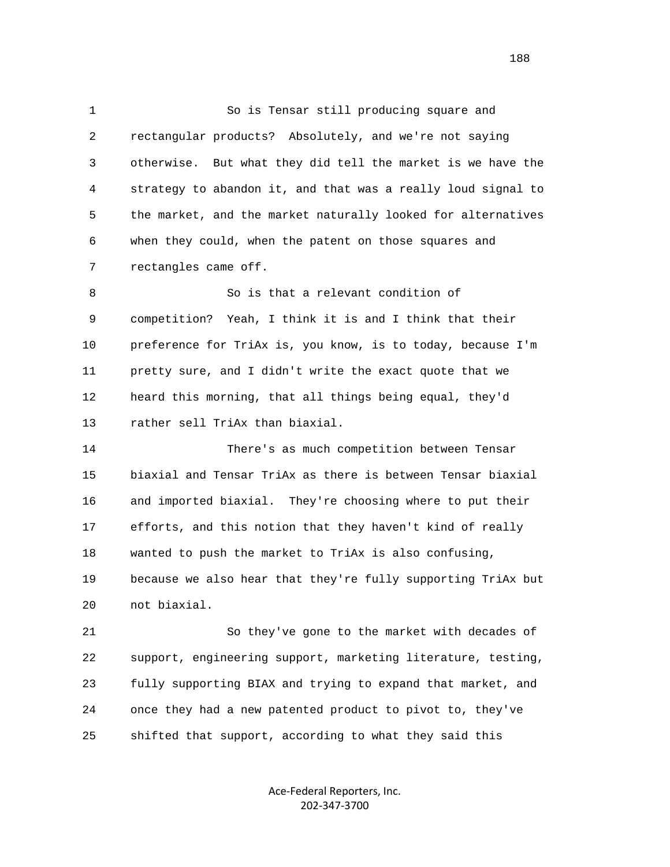1 So is Tensar still producing square and 2 rectangular products? Absolutely, and we're not saying 3 otherwise. But what they did tell the market is we have the 4 strategy to abandon it, and that was a really loud signal to 5 the market, and the market naturally looked for alternatives 6 when they could, when the patent on those squares and 7 rectangles came off. 8 So is that a relevant condition of 9 competition? Yeah, I think it is and I think that their 10 preference for TriAx is, you know, is to today, because I'm 11 pretty sure, and I didn't write the exact quote that we 12 heard this morning, that all things being equal, they'd 13 rather sell TriAx than biaxial. 14 There's as much competition between Tensar 15 biaxial and Tensar TriAx as there is between Tensar biaxial 16 and imported biaxial. They're choosing where to put their 17 efforts, and this notion that they haven't kind of really

 19 because we also hear that they're fully supporting TriAx but 20 not biaxial.

18 wanted to push the market to TriAx is also confusing,

 21 So they've gone to the market with decades of 22 support, engineering support, marketing literature, testing, 23 fully supporting BIAX and trying to expand that market, and 24 once they had a new patented product to pivot to, they've 25 shifted that support, according to what they said this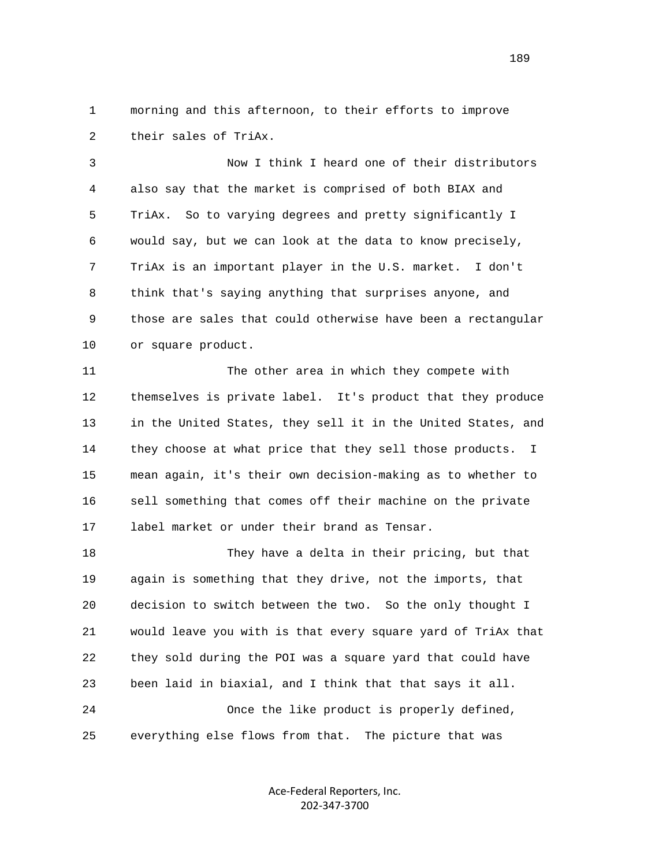1 morning and this afternoon, to their efforts to improve 2 their sales of TriAx.

 3 Now I think I heard one of their distributors 4 also say that the market is comprised of both BIAX and 5 TriAx. So to varying degrees and pretty significantly I 6 would say, but we can look at the data to know precisely, 7 TriAx is an important player in the U.S. market. I don't 8 think that's saying anything that surprises anyone, and 9 those are sales that could otherwise have been a rectangular 10 or square product.

 11 The other area in which they compete with 12 themselves is private label. It's product that they produce 13 in the United States, they sell it in the United States, and 14 they choose at what price that they sell those products. I 15 mean again, it's their own decision-making as to whether to 16 sell something that comes off their machine on the private 17 label market or under their brand as Tensar.

 18 They have a delta in their pricing, but that 19 again is something that they drive, not the imports, that 20 decision to switch between the two. So the only thought I 21 would leave you with is that every square yard of TriAx that 22 they sold during the POI was a square yard that could have 23 been laid in biaxial, and I think that that says it all. 24 Once the like product is properly defined, 25 everything else flows from that. The picture that was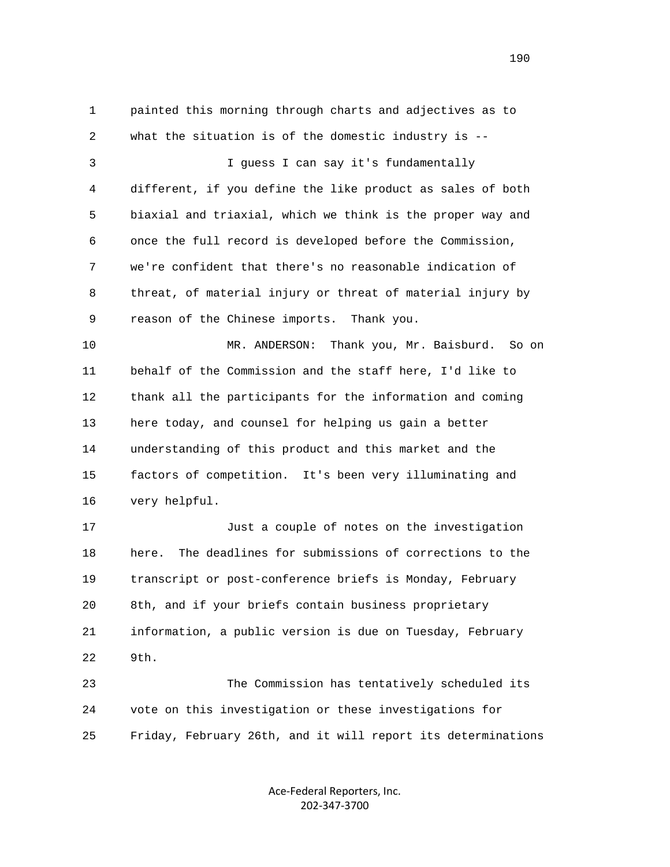1 painted this morning through charts and adjectives as to 2 what the situation is of the domestic industry is -- 3 I guess I can say it's fundamentally 4 different, if you define the like product as sales of both 5 biaxial and triaxial, which we think is the proper way and 6 once the full record is developed before the Commission, 7 we're confident that there's no reasonable indication of 8 threat, of material injury or threat of material injury by 9 reason of the Chinese imports. Thank you. 10 MR. ANDERSON: Thank you, Mr. Baisburd. So on 11 behalf of the Commission and the staff here, I'd like to 12 thank all the participants for the information and coming 13 here today, and counsel for helping us gain a better 14 understanding of this product and this market and the 15 factors of competition. It's been very illuminating and 16 very helpful. 17 Just a couple of notes on the investigation 18 here. The deadlines for submissions of corrections to the 19 transcript or post-conference briefs is Monday, February 20 8th, and if your briefs contain business proprietary 21 information, a public version is due on Tuesday, February 22 9th. 23 The Commission has tentatively scheduled its 24 vote on this investigation or these investigations for 25 Friday, February 26th, and it will report its determinations

> Ace‐Federal Reporters, Inc. 202‐347‐3700

190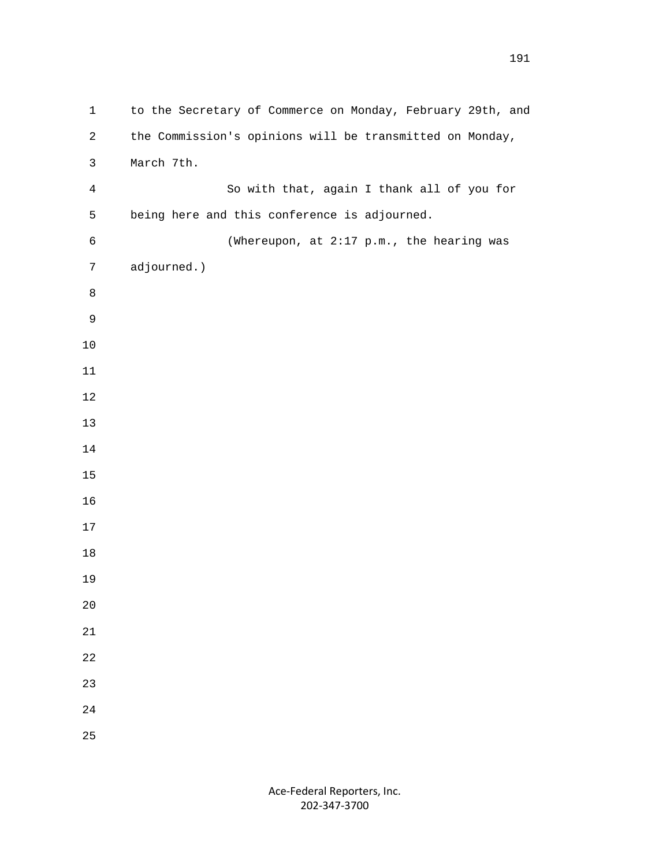| $\mathbf 1$    | to the Secretary of Commerce on Monday, February 29th, and |
|----------------|------------------------------------------------------------|
| $\overline{c}$ | the Commission's opinions will be transmitted on Monday,   |
| $\mathsf{3}$   | March 7th.                                                 |
| $\overline{4}$ | So with that, again I thank all of you for                 |
| 5              | being here and this conference is adjourned.               |
| $\epsilon$     | (Whereupon, at 2:17 p.m., the hearing was                  |
| $\overline{7}$ | adjourned.)                                                |
| $\,8\,$        |                                                            |
| $\mathsf 9$    |                                                            |
| $10$           |                                                            |
| $11\,$         |                                                            |
| $12\,$         |                                                            |
| $13$           |                                                            |
| $14\,$         |                                                            |
| $15$           |                                                            |
| 16             |                                                            |
| 17             |                                                            |
| $18\,$         |                                                            |
| 19             |                                                            |
| 20             |                                                            |
| 21             |                                                            |
| 22             |                                                            |
| 23             |                                                            |
| 24             |                                                            |
| 25             |                                                            |